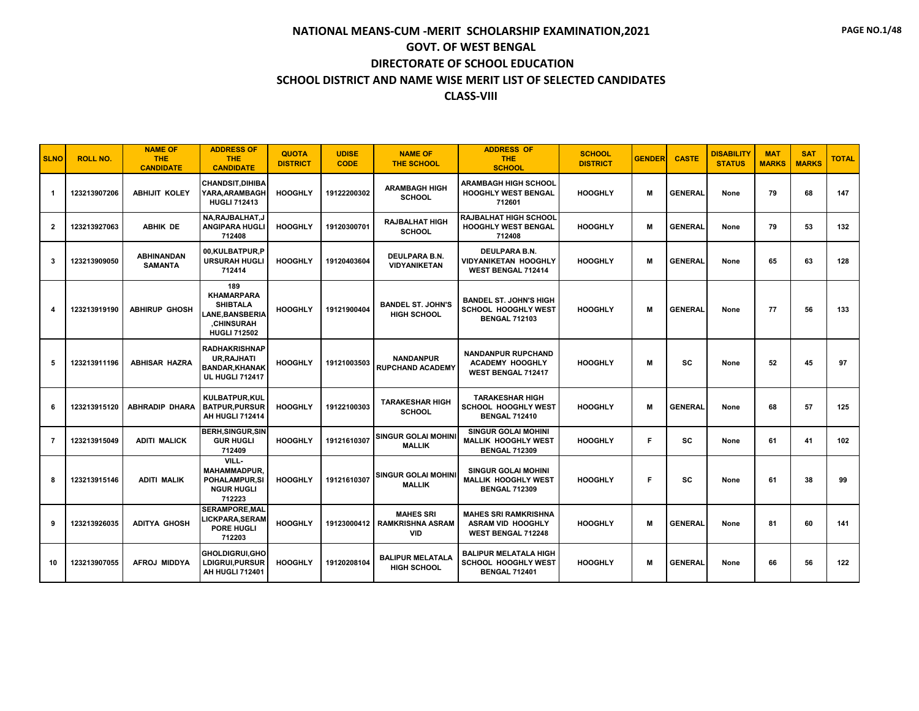| <b>SLNO</b>    | <b>ROLL NO.</b> | <b>NAME OF</b><br>THE.<br><b>CANDIDATE</b> | <b>ADDRESS OF</b><br><b>THE</b><br><b>CANDIDATE</b>                                                              | <b>QUOTA</b><br><b>DISTRICT</b> | <b>UDISE</b><br><b>CODE</b> | <b>NAME OF</b><br><b>THE SCHOOL</b>                       | <b>ADDRESS OF</b><br><b>THE</b><br><b>SCHOOL</b>                                     | <b>SCHOOL</b><br><b>DISTRICT</b> | <b>GENDER</b> | <b>CASTE</b>   | <b>DISABILITY</b><br><b>STATUS</b> | <b>MAT</b><br><b>MARKS</b> | <b>SAT</b><br><b>MARKS</b> | <b>TOTAL</b> |
|----------------|-----------------|--------------------------------------------|------------------------------------------------------------------------------------------------------------------|---------------------------------|-----------------------------|-----------------------------------------------------------|--------------------------------------------------------------------------------------|----------------------------------|---------------|----------------|------------------------------------|----------------------------|----------------------------|--------------|
| -1             | 123213907206    | <b>ABHIJIT KOLEY</b>                       | <b>CHANDSIT.DIHIBA</b><br>YARA, ARAMBAGH<br><b>HUGLI 712413</b>                                                  | <b>HOOGHLY</b>                  | 19122200302                 | <b>ARAMBAGH HIGH</b><br><b>SCHOOL</b>                     | <b>ARAMBAGH HIGH SCHOOL</b><br><b>HOOGHLY WEST BENGAL</b><br>712601                  | <b>HOOGHLY</b>                   | M             | <b>GENERAL</b> | None                               | 79                         | 68                         | 147          |
| $\overline{2}$ | 123213927063    | <b>ABHIK DE</b>                            | NA, RAJBALHAT, J<br><b>ANGIPARA HUGLI</b><br>712408                                                              | <b>HOOGHLY</b>                  | 19120300701                 | <b>RAJBALHAT HIGH</b><br><b>SCHOOL</b>                    | <b>RAJBALHAT HIGH SCHOOL</b><br>HOOGHLY WEST BENGAL<br>712408                        | <b>HOOGHLY</b>                   | M             | <b>GENERAL</b> | None                               | 79                         | 53                         | 132          |
| 3              | 123213909050    | <b>ABHINANDAN</b><br><b>SAMANTA</b>        | 00,KULBATPUR,P<br><b>URSURAH HUGLI</b><br>712414                                                                 | <b>HOOGHLY</b>                  | 19120403604                 | DEULPARA B.N.<br><b>VIDYANIKETAN</b>                      | <b>DEULPARA B.N.</b><br><b>VIDYANIKETAN HOOGHLY</b><br>WEST BENGAL 712414            | <b>HOOGHLY</b>                   | M             | <b>GENERAL</b> | None                               | 65                         | 63                         | 128          |
| 4              | 123213919190    | <b>ABHIRUP GHOSH</b>                       | 189<br><b>KHAMARPARA</b><br><b>SHIBTALA</b><br><b>LANE, BANSBERIA</b><br><b>CHINSURAH</b><br><b>HUGLI 712502</b> | <b>HOOGHLY</b>                  | 19121900404                 | <b>BANDEL ST. JOHN'S</b><br><b>HIGH SCHOOL</b>            | <b>BANDEL ST. JOHN'S HIGH</b><br>SCHOOL HOOGHLY WEST<br><b>BENGAL 712103</b>         | <b>HOOGHLY</b>                   | M             | <b>GENERAL</b> | None                               | 77                         | 56                         | 133          |
| 5              | 123213911196    | <b>ABHISAR HAZRA</b>                       | <b>RADHAKRISHNAP</b><br><b>UR, RAJHATI</b><br><b>BANDAR, KHANAK</b><br><b>UL HUGLI 712417</b>                    | <b>HOOGHLY</b>                  | 19121003503                 | <b>NANDANPUR</b><br><b>RUPCHAND ACADEMY</b>               | <b>NANDANPUR RUPCHAND</b><br><b>ACADEMY HOOGHLY</b><br><b>WEST BENGAL 712417</b>     | <b>HOOGHLY</b>                   | M             | <b>SC</b>      | None                               | 52                         | 45                         | 97           |
| 6              | 123213915120    | <b>ABHRADIP DHARA</b>                      | KULBATPUR, KUL<br><b>BATPUR, PURSUR</b><br>AH HUGLI 712414                                                       | <b>HOOGHLY</b>                  | 19122100303                 | <b>TARAKESHAR HIGH</b><br><b>SCHOOL</b>                   | <b>TARAKESHAR HIGH</b><br>SCHOOL HOOGHLY WEST<br><b>BENGAL 712410</b>                | <b>HOOGHLY</b>                   | M             | <b>GENERAL</b> | None                               | 68                         | 57                         | 125          |
| $\overline{7}$ | 123213915049    | <b>ADITI MALICK</b>                        | <b>BERH, SINGUR, SIN</b><br><b>GUR HUGLI</b><br>712409                                                           | <b>HOOGHLY</b>                  | 19121610307                 | SINGUR GOLAI MOHINI<br><b>MALLIK</b>                      | <b>SINGUR GOLAI MOHINI</b><br><b>MALLIK HOOGHLY WEST</b><br><b>BENGAL 712309</b>     | <b>HOOGHLY</b>                   | F.            | <b>SC</b>      | None                               | 61                         | 41                         | 102          |
| 8              | 123213915146    | <b>ADITI MALIK</b>                         | VILL-<br><b>MAHAMMADPUR.</b><br>POHALAMPUR.SI<br><b>NGUR HUGLI</b><br>712223                                     | <b>HOOGHLY</b>                  | 19121610307                 | <b>SINGUR GOLAI MOHINI</b><br><b>MALLIK</b>               | <b>SINGUR GOLAI MOHINI</b><br><b>MALLIK HOOGHLY WEST</b><br><b>BENGAL 712309</b>     | <b>HOOGHLY</b>                   | F             | <b>SC</b>      | None                               | 61                         | 38                         | 99           |
| 9              | 123213926035    | <b>ADITYA GHOSH</b>                        | <b>SERAMPORE.MAL</b><br>LICKPARA,SERAM<br><b>PORE HUGLI</b><br>712203                                            | <b>HOOGHLY</b>                  | 19123000412                 | <b>MAHES SRI</b><br><b>RAMKRISHNA ASRAM</b><br><b>VID</b> | <b>MAHES SRI RAMKRISHNA</b><br><b>ASRAM VID HOOGHLY</b><br><b>WEST BENGAL 712248</b> | <b>HOOGHLY</b>                   | M             | <b>GENERAL</b> | None                               | 81                         | 60                         | 141          |
| 10             | 123213907055    | <b>AFROJ MIDDYA</b>                        | <b>GHOLDIGRUI.GHO</b><br>LDIGRUI,PURSUR<br><b>AH HUGLI 712401</b>                                                | <b>HOOGHLY</b>                  | 19120208104                 | <b>BALIPUR MELATALA</b><br><b>HIGH SCHOOL</b>             | <b>BALIPUR MELATALA HIGH</b><br>SCHOOL HOOGHLY WEST<br><b>BENGAL 712401</b>          | <b>HOOGHLY</b>                   | M             | <b>GENERAL</b> | None                               | 66                         | 56                         | 122          |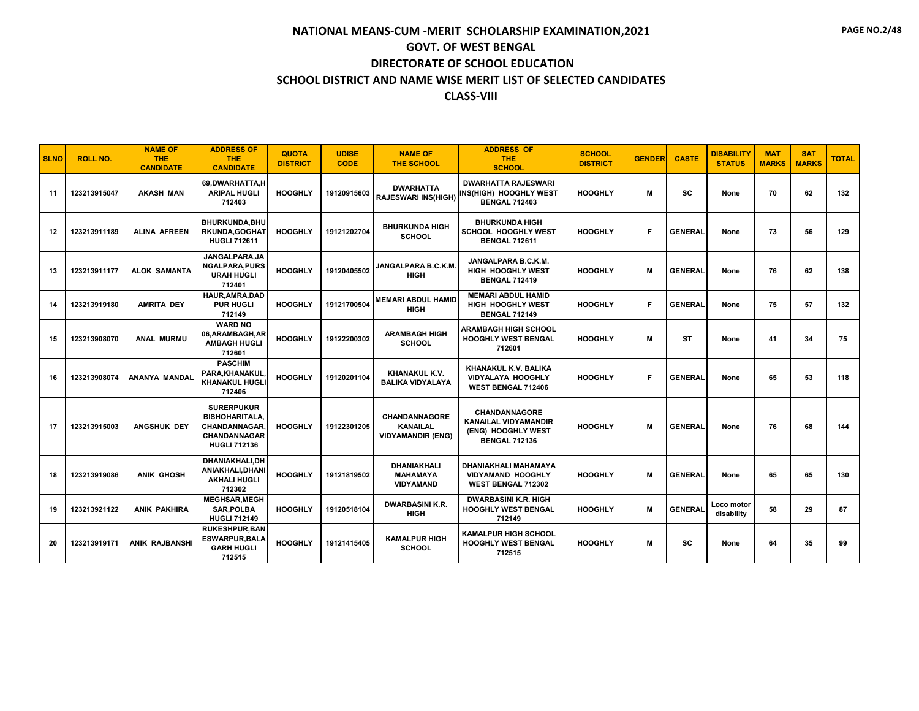| <b>SLNO</b> | <b>ROLL NO.</b> | <b>NAME OF</b><br><b>THE</b><br><b>CANDIDATE</b> | <b>ADDRESS OF</b><br><b>THE</b><br><b>CANDIDATE</b>                                                             | <b>QUOTA</b><br><b>DISTRICT</b> | <b>UDISE</b><br><b>CODE</b> | <b>NAME OF</b><br><b>THE SCHOOL</b>                          | <b>ADDRESS OF</b><br><b>THE</b><br><b>SCHOOL</b>                                                  | <b>SCHOOL</b><br><b>DISTRICT</b> | <b>GENDER</b> | <b>CASTE</b>   | <b>DISABILITY</b><br><b>STATUS</b> | <b>MAT</b><br><b>MARKS</b> | <b>SAT</b><br><b>MARKS</b> | <b>TOTAL</b> |
|-------------|-----------------|--------------------------------------------------|-----------------------------------------------------------------------------------------------------------------|---------------------------------|-----------------------------|--------------------------------------------------------------|---------------------------------------------------------------------------------------------------|----------------------------------|---------------|----------------|------------------------------------|----------------------------|----------------------------|--------------|
| 11          | 123213915047    | <b>AKASH MAN</b>                                 | 69.DWARHATTA.H<br><b>ARIPAL HUGLI</b><br>712403                                                                 | <b>HOOGHLY</b>                  | 19120915603                 | <b>DWARHATTA</b><br><b>RAJESWARI INS(HIGH)</b>               | <b>DWARHATTA RAJESWARI</b><br><b>INS(HIGH) HOOGHLY WEST</b><br><b>BENGAL 712403</b>               | <b>HOOGHLY</b>                   | M             | <b>SC</b>      | None                               | 70                         | 62                         | 132          |
| 12          | 123213911189    | <b>ALINA AFREEN</b>                              | BHURKUNDA, BHU<br><b>RKUNDA.GOGHAT</b><br><b>HUGLI 712611</b>                                                   | <b>HOOGHLY</b>                  | 19121202704                 | <b>BHURKUNDA HIGH</b><br><b>SCHOOL</b>                       | <b>BHURKUNDA HIGH</b><br><b>SCHOOL HOOGHLY WEST</b><br><b>BENGAL 712611</b>                       | <b>HOOGHLY</b>                   | F.            | <b>GENERAL</b> | None                               | 73                         | 56                         | 129          |
| 13          | 123213911177    | <b>ALOK SAMANTA</b>                              | JANGALPARA, JA<br><b>NGALPARA, PURS</b><br><b>URAH HUGLI</b><br>712401                                          | <b>HOOGHLY</b>                  | 19120405502                 | JANGALPARA B.C.K.M.<br><b>HIGH</b>                           | JANGALPARA B.C.K.M.<br><b>HIGH HOOGHLY WEST</b><br><b>BENGAL 712419</b>                           | <b>HOOGHLY</b>                   | M             | <b>GENERAL</b> | None                               | 76                         | 62                         | 138          |
| 14          | 123213919180    | <b>AMRITA DEY</b>                                | HAUR, AMRA, DAD<br><b>PUR HUGLI</b><br>712149                                                                   | <b>HOOGHLY</b>                  | 19121700504                 | <b>MEMARI ABDUL HAMID</b><br><b>HIGH</b>                     | <b>MEMARI ABDUL HAMID</b><br>HIGH HOOGHLY WEST<br><b>BENGAL 712149</b>                            | <b>HOOGHLY</b>                   | F             | <b>GENERAL</b> | None                               | 75                         | 57                         | 132          |
| 15          | 123213908070    | <b>ANAL MURMU</b>                                | <b>WARD NO</b><br>06,ARAMBAGH,AR<br><b>AMBAGH HUGLI</b><br>712601                                               | <b>HOOGHLY</b>                  | 19122200302                 | <b>ARAMBAGH HIGH</b><br><b>SCHOOL</b>                        | <b>ARAMBAGH HIGH SCHOOL</b><br><b>HOOGHLY WEST BENGAL</b><br>712601                               | <b>HOOGHLY</b>                   | M             | ST             | None                               | 41                         | 34                         | 75           |
| 16          | 123213908074    | ANANYA MANDAL                                    | <b>PASCHIM</b><br>PARA, KHANAKUL<br><b>KHANAKUL HUGLI</b><br>712406                                             | <b>HOOGHLY</b>                  | 19120201104                 | KHANAKUL K.V.<br><b>BALIKA VIDYALAYA</b>                     | KHANAKUL K.V. BALIKA<br><b>VIDYALAYA HOOGHLY</b><br><b>WEST BENGAL 712406</b>                     | <b>HOOGHLY</b>                   | F             | <b>GENERAL</b> | None                               | 65                         | 53                         | 118          |
| 17          | 123213915003    | <b>ANGSHUK DEY</b>                               | <b>SURERPUKUR</b><br><b>BISHOHARITALA.</b><br><b>CHANDANNAGAR</b><br><b>CHANDANNAGAR</b><br><b>HUGLI 712136</b> | <b>HOOGHLY</b>                  | 19122301205                 | CHANDANNAGORE<br><b>KANAILAL</b><br><b>VIDYAMANDIR (ENG)</b> | <b>CHANDANNAGORE</b><br><b>KANAILAL VIDYAMANDIR</b><br>(ENG) HOOGHLY WEST<br><b>BENGAL 712136</b> | <b>HOOGHLY</b>                   | м             | <b>GENERAL</b> | None                               | 76                         | 68                         | 144          |
| 18          | 123213919086    | <b>ANIK GHOSH</b>                                | DHANIAKHALI.DH<br>ANIAKHALI, DHANI<br><b>AKHALI HUGLI</b><br>712302                                             | <b>HOOGHLY</b>                  | 19121819502                 | DHANIAKHALI<br><b>MAHAMAYA</b><br><b>VIDYAMAND</b>           | DHANIAKHALI MAHAMAYA<br><b>VIDYAMAND HOOGHLY</b><br>WEST BENGAL 712302                            | <b>HOOGHLY</b>                   | м             | <b>GENERAL</b> | None                               | 65                         | 65                         | 130          |
| 19          | 123213921122    | <b>ANIK PAKHIRA</b>                              | <b>MEGHSAR, MEGH</b><br><b>SAR.POLBA</b><br><b>HUGLI 712149</b>                                                 | <b>HOOGHLY</b>                  | 19120518104                 | <b>DWARBASINI K.R.</b><br><b>HIGH</b>                        | <b>DWARBASINI K.R. HIGH</b><br><b>HOOGHLY WEST BENGAL</b><br>712149                               | <b>HOOGHLY</b>                   | м             | <b>GENERAL</b> | Loco motor<br>disability           | 58                         | 29                         | 87           |
| 20          | 123213919171    | <b>ANIK RAJBANSHI</b>                            | <b>RUKESHPUR.BAN</b><br><b>ESWARPUR, BALA</b><br><b>GARH HUGLI</b><br>712515                                    | <b>HOOGHLY</b>                  | 19121415405                 | <b>KAMALPUR HIGH</b><br><b>SCHOOL</b>                        | <b>KAMALPUR HIGH SCHOOL</b><br><b>HOOGHLY WEST BENGAL</b><br>712515                               | <b>HOOGHLY</b>                   | M             | SC             | None                               | 64                         | 35                         | 99           |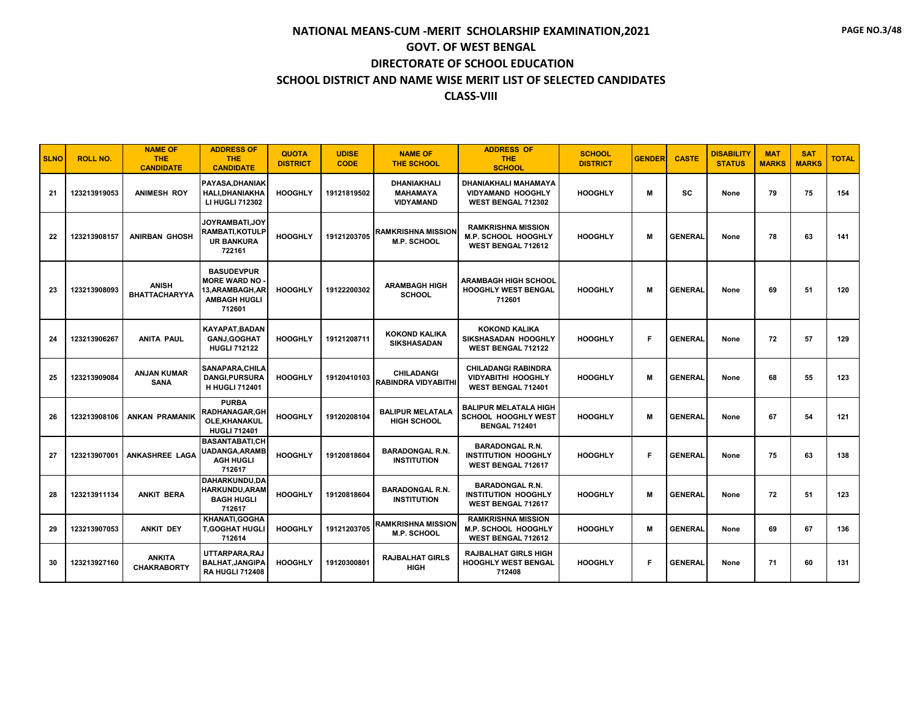| <b>SLNO</b> | <b>ROLL NO.</b> | <b>NAME OF</b><br><b>THE</b><br><b>CANDIDATE</b> | <b>ADDRESS OF</b><br><b>THE</b><br><b>CANDIDATE</b>                                         | <b>QUOTA</b><br><b>DISTRICT</b> | <b>UDISE</b><br><b>CODE</b> | <b>NAME OF</b><br><b>THE SCHOOL</b>                | <b>ADDRESS OF</b><br><b>THE</b><br><b>SCHOOL</b>                                     | <b>SCHOOL</b><br><b>DISTRICT</b> | <b>GENDER</b> | <b>CASTE</b>   | <b>DISABILITY</b><br><b>STATUS</b> | <b>MAT</b><br><b>MARKS</b> | <b>SAT</b><br><b>MARKS</b> | <b>TOTAL</b> |
|-------------|-----------------|--------------------------------------------------|---------------------------------------------------------------------------------------------|---------------------------------|-----------------------------|----------------------------------------------------|--------------------------------------------------------------------------------------|----------------------------------|---------------|----------------|------------------------------------|----------------------------|----------------------------|--------------|
| 21          | 123213919053    | <b>ANIMESH ROY</b>                               | <b>PAYASA,DHANIAK</b><br><b>HALI.DHANIAKHA</b><br>LI HUGLI 712302                           | <b>HOOGHLY</b>                  | 19121819502                 | DHANIAKHALI<br><b>MAHAMAYA</b><br><b>VIDYAMAND</b> | DHANIAKHALI MAHAMAYA<br><b>VIDYAMAND HOOGHLY</b><br><b>WEST BENGAL 712302</b>        | <b>HOOGHLY</b>                   | M             | <b>SC</b>      | None                               | 79                         | 75                         | 154          |
| 22          | 123213908157    | <b>ANIRBAN GHOSH</b>                             | <b>JOYRAMBATI.JOY</b><br><b>RAMBATI, KOTULP</b><br><b>UR BANKURA</b><br>722161              | <b>HOOGHLY</b>                  | 19121203705                 | <b>RAMKRISHNA MISSION</b><br><b>M.P. SCHOOL</b>    | <b>RAMKRISHNA MISSION</b><br><b>M.P. SCHOOL HOOGHLY</b><br><b>WEST BENGAL 712612</b> | <b>HOOGHLY</b>                   | М             | <b>GENERAL</b> | None                               | 78                         | 63                         | 141          |
| 23          | 123213908093    | <b>ANISH</b><br><b>BHATTACHARYYA</b>             | <b>BASUDEVPUR</b><br><b>MORE WARD NO</b><br>13,ARAMBAGH,AR<br><b>AMBAGH HUGLI</b><br>712601 | <b>HOOGHLY</b>                  | 19122200302                 | <b>ARAMBAGH HIGH</b><br><b>SCHOOL</b>              | <b>ARAMBAGH HIGH SCHOOL</b><br><b>HOOGHLY WEST BENGAL</b><br>712601                  | <b>HOOGHLY</b>                   | м             | <b>GENERAL</b> | None                               | 69                         | 51                         | 120          |
| 24          | 123213906267    | <b>ANITA PAUL</b>                                | KAYAPAT, BADAN<br><b>GANJ, GOGHAT</b><br><b>HUGLI 712122</b>                                | <b>HOOGHLY</b>                  | 19121208711                 | <b>KOKOND KALIKA</b><br><b>SIKSHASADAN</b>         | <b>KOKOND KALIKA</b><br>SIKSHASADAN HOOGHLY<br><b>WEST BENGAL 712122</b>             | <b>HOOGHLY</b>                   | F             | <b>GENERAL</b> | None                               | 72                         | 57                         | 129          |
| 25          | 123213909084    | <b>ANJAN KUMAR</b><br><b>SANA</b>                | SANAPARA, CHILA<br><b>DANGI, PURSURA</b><br><b>H HUGLI 712401</b>                           | <b>HOOGHLY</b>                  | 19120410103                 | <b>CHILADANGI</b><br><b>RABINDRA VIDYABITHI</b>    | <b>CHILADANGI RABINDRA</b><br><b>VIDYABITHI HOOGHLY</b><br>WEST BENGAL 712401        | <b>HOOGHLY</b>                   | М             | <b>GENERAL</b> | None                               | 68                         | 55                         | 123          |
| 26          | 123213908106    | <b>ANKAN PRAMANIK</b>                            | <b>PURBA</b><br>RADHANAGAR, GH<br>OLE, KHANAKUL<br><b>HUGLI 712401</b>                      | <b>HOOGHLY</b>                  | 19120208104                 | <b>BALIPUR MELATALA</b><br><b>HIGH SCHOOL</b>      | <b>BALIPUR MELATALA HIGH</b><br>SCHOOL HOOGHLY WEST<br><b>BENGAL 712401</b>          | <b>HOOGHLY</b>                   | M             | <b>GENERAL</b> | None                               | 67                         | 54                         | 121          |
| 27          | 123213907001    | <b>ANKASHREE LAGA</b>                            | <b>BASANTABATI,CH</b><br><b>UADANGA, ARAMB</b><br><b>AGH HUGLI</b><br>712617                | <b>HOOGHLY</b>                  | 19120818604                 | <b>BARADONGAL R.N.</b><br><b>INSTITUTION</b>       | <b>BARADONGAL R.N.</b><br><b>INSTITUTION HOOGHLY</b><br>WEST BENGAL 712617           | <b>HOOGHLY</b>                   | F             | <b>GENERAL</b> | None                               | 75                         | 63                         | 138          |
| 28          | 123213911134    | <b>ANKIT BERA</b>                                | DAHARKUNDU,DA<br><b>HARKUNDU.ARAM</b><br><b>BAGH HUGLI</b><br>712617                        | <b>HOOGHLY</b>                  | 19120818604                 | <b>BARADONGAL R.N.</b><br><b>INSTITUTION</b>       | <b>BARADONGAL R.N.</b><br><b>INSTITUTION HOOGHLY</b><br>WEST BENGAL 712617           | <b>HOOGHLY</b>                   | М             | <b>GENERAL</b> | None                               | 72                         | 51                         | 123          |
| 29          | 123213907053    | <b>ANKIT DEY</b>                                 | KHANATI.GOGHA<br><b>T.GOGHAT HUGLI</b><br>712614                                            | <b>HOOGHLY</b>                  | 19121203705                 | <b>RAMKRISHNA MISSION</b><br><b>M.P. SCHOOL</b>    | <b>RAMKRISHNA MISSION</b><br><b>M.P. SCHOOL HOOGHLY</b><br>WEST BENGAL 712612        | <b>HOOGHLY</b>                   | м             | <b>GENERAL</b> | None                               | 69                         | 67                         | 136          |
| 30          | 123213927160    | <b>ANKITA</b><br><b>CHAKRABORTY</b>              | UTTARPARA.RAJ<br><b>BALHAT, JANGIPA</b><br><b>RA HUGLI 712408</b>                           | <b>HOOGHLY</b>                  | 19120300801                 | <b>RAJBALHAT GIRLS</b><br><b>HIGH</b>              | <b>RAJBALHAT GIRLS HIGH</b><br><b>HOOGHLY WEST BENGAL</b><br>712408                  | <b>HOOGHLY</b>                   | F             | <b>GENERAL</b> | None                               | 71                         | 60                         | 131          |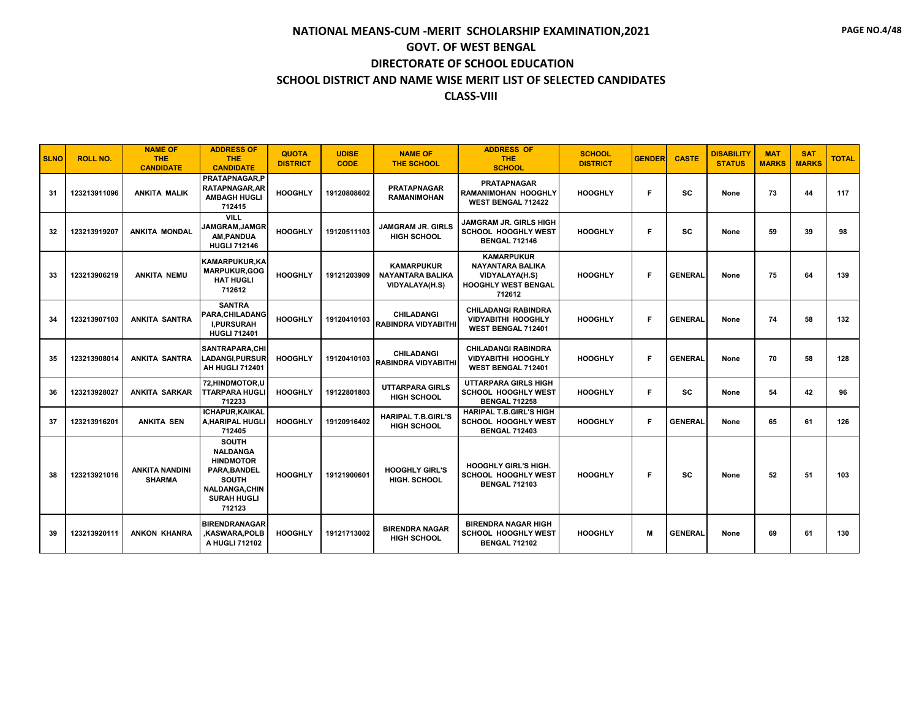| <b>SLNO</b> | <b>ROLL NO.</b> | <b>NAME OF</b><br><b>THE</b><br><b>CANDIDATE</b> | <b>ADDRESS OF</b><br><b>THE</b><br><b>CANDIDATE</b>                                                                                               | <b>QUOTA</b><br><b>DISTRICT</b> | <b>UDISE</b><br><b>CODE</b> | <b>NAME OF</b><br><b>THE SCHOOL</b>                            | <b>ADDRESS OF</b><br><b>THE</b><br><b>SCHOOL</b>                                                       | <b>SCHOOL</b><br><b>DISTRICT</b> | <b>GENDER</b> | <b>CASTE</b>   | <b>DISABILITY</b><br><b>STATUS</b> | <b>MAT</b><br><b>MARKS</b> | <b>SAT</b><br><b>MARKS</b> | <b>TOTAL</b> |
|-------------|-----------------|--------------------------------------------------|---------------------------------------------------------------------------------------------------------------------------------------------------|---------------------------------|-----------------------------|----------------------------------------------------------------|--------------------------------------------------------------------------------------------------------|----------------------------------|---------------|----------------|------------------------------------|----------------------------|----------------------------|--------------|
| 31          | 123213911096    | <b>ANKITA MALIK</b>                              | PRATAPNAGAR.P<br>RATAPNAGAR, AR<br><b>AMBAGH HUGLI</b><br>712415                                                                                  | <b>HOOGHLY</b>                  | 19120808602                 | <b>PRATAPNAGAR</b><br><b>RAMANIMOHAN</b>                       | <b>PRATAPNAGAR</b><br><b>RAMANIMOHAN HOOGHLY</b><br><b>WEST BENGAL 712422</b>                          | <b>HOOGHLY</b>                   | F             | <b>SC</b>      | None                               | 73                         | 44                         | 117          |
| 32          | 123213919207    | <b>ANKITA MONDAL</b>                             | <b>VILL</b><br><b>JAMGRAM.JAMGR</b><br>AM, PANDUA<br><b>HUGLI 712146</b>                                                                          | <b>HOOGHLY</b>                  | 19120511103                 | <b>JAMGRAM JR. GIRLS</b><br><b>HIGH SCHOOL</b>                 | JAMGRAM JR. GIRLS HIGH<br><b>SCHOOL HOOGHLY WEST</b><br><b>BENGAL 712146</b>                           | <b>HOOGHLY</b>                   | F             | <b>SC</b>      | None                               | 59                         | 39                         | 98           |
| 33          | 123213906219    | <b>ANKITA NEMU</b>                               | <b>KAMARPUKUR,KA</b><br><b>MARPUKUR.GOG</b><br><b>HAT HUGLI</b><br>712612                                                                         | <b>HOOGHLY</b>                  | 19121203909                 | <b>KAMARPUKUR</b><br><b>NAYANTARA BALIKA</b><br>VIDYALAYA(H.S) | <b>KAMARPUKUR</b><br><b>NAYANTARA BALIKA</b><br>VIDYALAYA(H.S)<br><b>HOOGHLY WEST BENGAL</b><br>712612 | <b>HOOGHLY</b>                   | F             | <b>GENERAL</b> | None                               | 75                         | 64                         | 139          |
| 34          | 123213907103    | <b>ANKITA SANTRA</b>                             | <b>SANTRA</b><br>PARA, CHILADANG<br><b>I,PURSURAH</b><br><b>HUGLI 712401</b>                                                                      | <b>HOOGHLY</b>                  | 19120410103                 | <b>CHILADANGI</b><br><b>RABINDRA VIDYABITHI</b>                | <b>CHILADANGI RABINDRA</b><br><b>VIDYABITHI HOOGHLY</b><br>WEST BENGAL 712401                          | <b>HOOGHLY</b>                   | F             | <b>GENERAL</b> | None                               | 74                         | 58                         | 132          |
| 35          | 123213908014    | <b>ANKITA SANTRA</b>                             | SANTRAPARA, CHI<br>LADANGI, PURSUR<br>AH HUGLI 712401                                                                                             | <b>HOOGHLY</b>                  | 19120410103                 | <b>CHILADANGI</b><br><b>RABINDRA VIDYABITHI</b>                | <b>CHILADANGI RABINDRA</b><br><b>VIDYABITHI HOOGHLY</b><br>WEST BENGAL 712401                          | <b>HOOGHLY</b>                   | F             | <b>GENERAL</b> | None                               | 70                         | 58                         | 128          |
| 36          | 123213928027    | <b>ANKITA SARKAR</b>                             | 72, HINDMOTOR, U<br><b>TTARPARA HUGLI</b><br>712233                                                                                               | <b>HOOGHLY</b>                  | 19122801803                 | <b>UTTARPARA GIRLS</b><br><b>HIGH SCHOOL</b>                   | <b>UTTARPARA GIRLS HIGH</b><br><b>SCHOOL HOOGHLY WEST</b><br><b>BENGAL 712258</b>                      | <b>HOOGHLY</b>                   | F.            | SC.            | None                               | 54                         | 42                         | 96           |
| 37          | 123213916201    | <b>ANKITA SEN</b>                                | ICHAPUR, KAIKAL<br><b>A.HARIPAL HUGLI</b><br>712405                                                                                               | <b>HOOGHLY</b>                  | 19120916402                 | <b>HARIPAL T.B.GIRL'S</b><br><b>HIGH SCHOOL</b>                | <b>HARIPAL T.B.GIRL'S HIGH</b><br><b>SCHOOL HOOGHLY WEST</b><br><b>BENGAL 712403</b>                   | <b>HOOGHLY</b>                   | F             | <b>GENERAL</b> | None                               | 65                         | 61                         | 126          |
| 38          | 123213921016    | <b>ANKITA NANDINI</b><br><b>SHARMA</b>           | <b>SOUTH</b><br><b>NALDANGA</b><br><b>HINDMOTOR</b><br><b>PARA.BANDEL</b><br><b>SOUTH</b><br><b>NALDANGA,CHIN</b><br><b>SURAH HUGLI</b><br>712123 | <b>HOOGHLY</b>                  | 19121900601                 | <b>HOOGHLY GIRL'S</b><br>HIGH. SCHOOL                          | <b>HOOGHLY GIRL'S HIGH.</b><br><b>SCHOOL HOOGHLY WEST</b><br><b>BENGAL 712103</b>                      | <b>HOOGHLY</b>                   | F             | <b>SC</b>      | None                               | 52                         | 51                         | 103          |
| 39          | 123213920111    | <b>ANKON KHANRA</b>                              | <b>BIRENDRANAGAR</b><br>,KASWARA,POLB<br>A HUGLI 712102                                                                                           | <b>HOOGHLY</b>                  | 19121713002                 | <b>BIRENDRA NAGAR</b><br><b>HIGH SCHOOL</b>                    | <b>BIRENDRA NAGAR HIGH</b><br>SCHOOL HOOGHLY WEST<br><b>BENGAL 712102</b>                              | <b>HOOGHLY</b>                   | M             | <b>GENERAL</b> | None                               | 69                         | 61                         | 130          |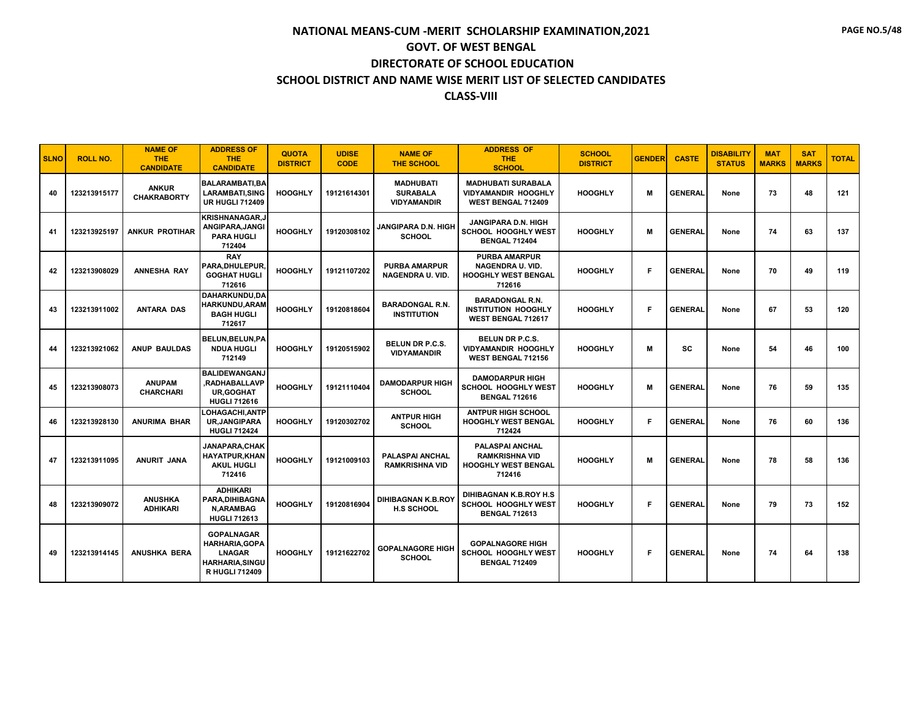| <b>SLNO</b> | <b>ROLL NO.</b> | <b>NAME OF</b><br><b>THE</b><br><b>CANDIDATE</b> | <b>ADDRESS OF</b><br><b>THE</b><br><b>CANDIDATE</b>                                                           | <b>QUOTA</b><br><b>DISTRICT</b> | <b>UDISE</b><br><b>CODE</b> | <b>NAME OF</b><br><b>THE SCHOOL</b>                       | <b>ADDRESS OF</b><br><b>THE</b><br><b>SCHOOL</b>                                        | <b>SCHOOL</b><br><b>DISTRICT</b> | <b>GENDER</b> | <b>CASTE</b>   | <b>DISABILITY</b><br><b>STATUS</b> | <b>MAT</b><br><b>MARKS</b> | <b>SAT</b><br><b>MARKS</b> | <b>TOTAL</b> |
|-------------|-----------------|--------------------------------------------------|---------------------------------------------------------------------------------------------------------------|---------------------------------|-----------------------------|-----------------------------------------------------------|-----------------------------------------------------------------------------------------|----------------------------------|---------------|----------------|------------------------------------|----------------------------|----------------------------|--------------|
| 40          | 123213915177    | <b>ANKUR</b><br><b>CHAKRABORTY</b>               | <b>BALARAMBATI.BA</b><br>LARAMBATI,SING<br><b>UR HUGLI 712409</b>                                             | <b>HOOGHLY</b>                  | 19121614301                 | <b>MADHUBATI</b><br><b>SURABALA</b><br><b>VIDYAMANDIR</b> | <b>MADHUBATI SURABALA</b><br><b>VIDYAMANDIR HOOGHLY</b><br><b>WEST BENGAL 712409</b>    | <b>HOOGHLY</b>                   | M             | <b>GENERAL</b> | None                               | 73                         | 48                         | 121          |
| 41          | 123213925197    | <b>ANKUR PROTIHAR</b>                            | <b>KRISHNANAGAR,J</b><br>ANGIPARA, JANGI<br><b>PARA HUGLI</b><br>712404                                       | <b>HOOGHLY</b>                  | 19120308102                 | <b>JANGIPARA D.N. HIGH</b><br><b>SCHOOL</b>               | JANGIPARA D.N. HIGH<br><b>SCHOOL HOOGHLY WEST</b><br><b>BENGAL 712404</b>               | <b>HOOGHLY</b>                   | M             | <b>GENERAL</b> | None                               | 74                         | 63                         | 137          |
| 42          | 123213908029    | <b>ANNESHA RAY</b>                               | <b>RAY</b><br>PARA, DHULEPUR,<br><b>GOGHAT HUGLI</b><br>712616                                                | <b>HOOGHLY</b>                  | 19121107202                 | <b>PURBA AMARPUR</b><br><b>NAGENDRA U. VID.</b>           | <b>PURBA AMARPUR</b><br>NAGENDRA U. VID.<br><b>HOOGHLY WEST BENGAL</b><br>712616        | <b>HOOGHLY</b>                   | Е             | <b>GENERAL</b> | None                               | 70                         | 49                         | 119          |
| 43          | 123213911002    | <b>ANTARA DAS</b>                                | DAHARKUNDU,DA<br><b>HARKUNDU, ARAM</b><br><b>BAGH HUGLI</b><br>712617                                         | <b>HOOGHLY</b>                  | 19120818604                 | <b>BARADONGAL R.N.</b><br><b>INSTITUTION</b>              | <b>BARADONGAL R.N.</b><br><b>INSTITUTION HOOGHLY</b><br>WEST BENGAL 712617              | <b>HOOGHLY</b>                   | F             | <b>GENERAL</b> | None                               | 67                         | 53                         | 120          |
| 44          | 123213921062    | <b>ANUP BAULDAS</b>                              | BELUN, BELUN, PA<br><b>NDUA HUGLI</b><br>712149                                                               | <b>HOOGHLY</b>                  | 19120515902                 | <b>BELUN DR P.C.S.</b><br><b>VIDYAMANDIR</b>              | <b>BELUN DR P.C.S.</b><br><b>VIDYAMANDIR HOOGHLY</b><br><b>WEST BENGAL 712156</b>       | <b>HOOGHLY</b>                   | M             | <b>SC</b>      | None                               | 54                         | 46                         | 100          |
| 45          | 123213908073    | <b>ANUPAM</b><br><b>CHARCHARI</b>                | <b>BALIDEWANGANJ</b><br>,RADHABALLAVP<br><b>UR, GOGHAT</b><br><b>HUGLI 712616</b>                             | <b>HOOGHLY</b>                  | 19121110404                 | <b>DAMODARPUR HIGH</b><br><b>SCHOOL</b>                   | <b>DAMODARPUR HIGH</b><br><b>SCHOOL HOOGHLY WEST</b><br><b>BENGAL 712616</b>            | <b>HOOGHLY</b>                   | м             | <b>GENERAL</b> | None                               | 76                         | 59                         | 135          |
| 46          | 123213928130    | <b>ANURIMA BHAR</b>                              | LOHAGACHI.ANTP<br><b>UR.JANGIPARA</b><br><b>HUGLI 712424</b>                                                  | <b>HOOGHLY</b>                  | 19120302702                 | <b>ANTPUR HIGH</b><br><b>SCHOOL</b>                       | <b>ANTPUR HIGH SCHOOL</b><br><b>HOOGHLY WEST BENGAL</b><br>712424                       | <b>HOOGHLY</b>                   | F             | <b>GENERAL</b> | None                               | 76                         | 60                         | 136          |
| 47          | 123213911095    | ANURIT JANA                                      | <b>JANAPARA.CHAK</b><br><b>HAYATPUR, KHAN</b><br><b>AKUL HUGLI</b><br>712416                                  | <b>HOOGHLY</b>                  | 19121009103                 | PALASPAI ANCHAL<br><b>RAMKRISHNA VID</b>                  | <b>PALASPAI ANCHAL</b><br><b>RAMKRISHNA VID</b><br><b>HOOGHLY WEST BENGAL</b><br>712416 | <b>HOOGHLY</b>                   | M             | <b>GENERAL</b> | None                               | 78                         | 58                         | 136          |
| 48          | 123213909072    | <b>ANUSHKA</b><br><b>ADHIKARI</b>                | <b>ADHIKARI</b><br>PARA.DIHIBAGNA<br><b>N.ARAMBAG</b><br><b>HUGLI 712613</b>                                  | <b>HOOGHLY</b>                  | 19120816904                 | <b>DIHIBAGNAN K.B.ROY</b><br><b>H.S SCHOOL</b>            | DIHIBAGNAN K.B.ROY H.S.<br><b>SCHOOL HOOGHLY WEST</b><br><b>BENGAL 712613</b>           | <b>HOOGHLY</b>                   | F             | <b>GENERAL</b> | None                               | 79                         | 73                         | 152          |
| 49          | 123213914145    | <b>ANUSHKA BERA</b>                              | <b>GOPALNAGAR</b><br><b>HARHARIA.GOPA</b><br><b>LNAGAR</b><br><b>HARHARIA, SINGU</b><br><b>R HUGLI 712409</b> | <b>HOOGHLY</b>                  | 19121622702                 | <b>GOPALNAGORE HIGH</b><br><b>SCHOOL</b>                  | <b>GOPALNAGORE HIGH</b><br><b>SCHOOL HOOGHLY WEST</b><br><b>BENGAL 712409</b>           | <b>HOOGHLY</b>                   | F.            | <b>GENERAL</b> | None                               | 74                         | 64                         | 138          |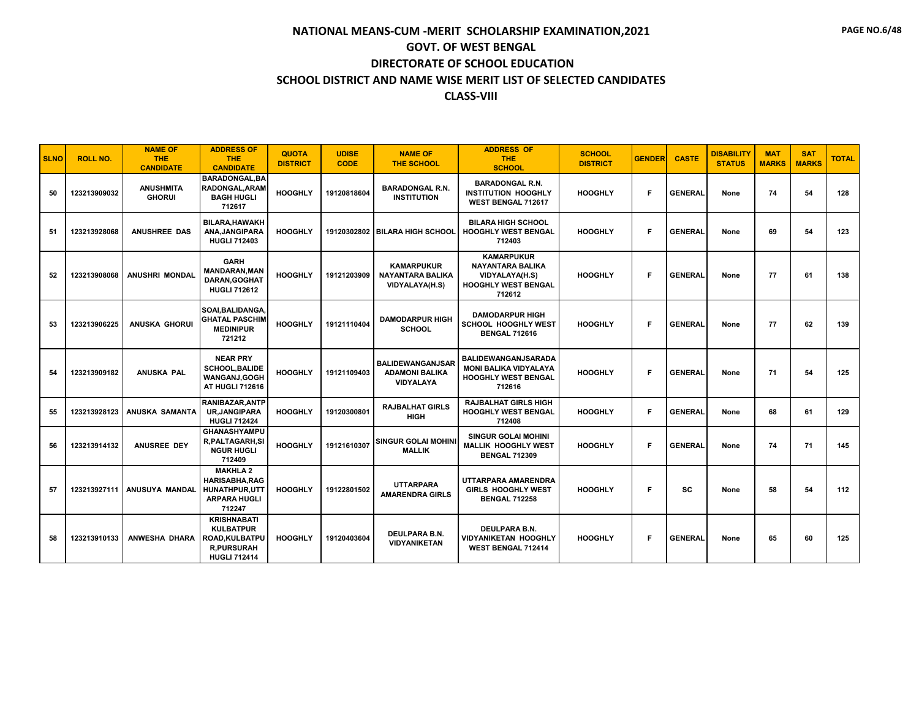| <b>SLNO</b> | <b>ROLL NO.</b> | <b>NAME OF</b><br><b>THE</b><br><b>CANDIDATE</b> | <b>ADDRESS OF</b><br><b>THE</b><br><b>CANDIDATE</b>                                                  | <b>QUOTA</b><br><b>DISTRICT</b> | <b>UDISE</b><br><b>CODE</b> | <b>NAME OF</b><br><b>THE SCHOOL</b>                                  | <b>ADDRESS OF</b><br><b>THE</b><br><b>SCHOOL</b>                                                       | <b>SCHOOL</b><br><b>DISTRICT</b> | <b>GENDER</b> | <b>CASTE</b>   | <b>DISABILITY</b><br><b>STATUS</b> | <b>MAT</b><br><b>MARKS</b> | <b>SAT</b><br><b>MARKS</b> | <b>TOTAL</b> |
|-------------|-----------------|--------------------------------------------------|------------------------------------------------------------------------------------------------------|---------------------------------|-----------------------------|----------------------------------------------------------------------|--------------------------------------------------------------------------------------------------------|----------------------------------|---------------|----------------|------------------------------------|----------------------------|----------------------------|--------------|
| 50          | 123213909032    | <b>ANUSHMITA</b><br><b>GHORUI</b>                | <b>BARADONGAL.BA</b><br><b>RADONGAL, ARAM</b><br><b>BAGH HUGLI</b><br>712617                         | <b>HOOGHLY</b>                  | 19120818604                 | <b>BARADONGAL R.N.</b><br><b>INSTITUTION</b>                         | <b>BARADONGAL R.N.</b><br><b>INSTITUTION HOOGHLY</b><br>WEST BENGAL 712617                             | <b>HOOGHLY</b>                   | F             | <b>GENERAL</b> | None                               | 74                         | 54                         | 128          |
| 51          | 123213928068    | <b>ANUSHREE DAS</b>                              | BILARA, HAWAKH<br>ANA.JANGIPARA<br><b>HUGLI 712403</b>                                               | <b>HOOGHLY</b>                  |                             | 19120302802 BILARA HIGH SCHOOL                                       | <b>BILARA HIGH SCHOOL</b><br><b>HOOGHLY WEST BENGAL</b><br>712403                                      | <b>HOOGHLY</b>                   | F             | <b>GENERAL</b> | None                               | 69                         | 54                         | 123          |
| 52          |                 | 123213908068   ANUSHRI MONDAL                    | <b>GARH</b><br><b>MANDARAN, MAN</b><br><b>DARAN.GOGHAT</b><br><b>HUGLI 712612</b>                    | <b>HOOGHLY</b>                  | 19121203909                 | <b>KAMARPUKUR</b><br><b>NAYANTARA BALIKA</b><br>VIDYALAYA(H.S)       | <b>KAMARPUKUR</b><br><b>NAYANTARA BALIKA</b><br>VIDYALAYA(H.S)<br><b>HOOGHLY WEST BENGAL</b><br>712612 | <b>HOOGHLY</b>                   | F             | <b>GENERAL</b> | None                               | 77                         | 61                         | 138          |
| 53          | 123213906225    | <b>ANUSKA GHORUI</b>                             | SOAI, BALIDANGA,<br><b>GHATAL PASCHIM</b><br><b>MEDINIPUR</b><br>721212                              | <b>HOOGHLY</b>                  | 19121110404                 | <b>DAMODARPUR HIGH</b><br><b>SCHOOL</b>                              | <b>DAMODARPUR HIGH</b><br><b>SCHOOL HOOGHLY WEST</b><br><b>BENGAL 712616</b>                           | <b>HOOGHLY</b>                   | Е             | <b>GENERAL</b> | None                               | 77                         | 62                         | 139          |
| 54          | 123213909182    | <b>ANUSKA PAL</b>                                | <b>NEAR PRY</b><br><b>SCHOOL, BALIDE</b><br>WANGANJ, GOGH<br>AT HUGLI 712616                         | <b>HOOGHLY</b>                  | 19121109403                 | <b>BALIDEWANGANJSAR</b><br><b>ADAMONI BALIKA</b><br><b>VIDYALAYA</b> | BALIDEWANGANJSARADA<br><b>MONI BALIKA VIDYALAYA</b><br><b>HOOGHLY WEST BENGAL</b><br>712616            | <b>HOOGHLY</b>                   | F             | <b>GENERAL</b> | None                               | 71                         | 54                         | 125          |
| 55          | 123213928123    | ANUSKA SAMANTA                                   | <b>RANIBAZAR, ANTP</b><br><b>UR, JANGIPARA</b><br><b>HUGLI 712424</b>                                | <b>HOOGHLY</b>                  | 19120300801                 | <b>RAJBALHAT GIRLS</b><br><b>HIGH</b>                                | <b>RAJBALHAT GIRLS HIGH</b><br><b>HOOGHLY WEST BENGAL</b><br>712408                                    | <b>HOOGHLY</b>                   | F             | <b>GENERAL</b> | None                               | 68                         | 61                         | 129          |
| 56          | 123213914132    | ANUSREE DEY                                      | <b>GHANASHYAMPU</b><br><b>R.PALTAGARH.SI</b><br><b>NGUR HUGLI</b><br>712409                          | <b>HOOGHLY</b>                  | 19121610307                 | <b>SINGUR GOLAI MOHINI</b><br><b>MALLIK</b>                          | <b>SINGUR GOLAI MOHINI</b><br><b>MALLIK HOOGHLY WEST</b><br><b>BENGAL 712309</b>                       | <b>HOOGHLY</b>                   | F             | <b>GENERAL</b> | None                               | 74                         | 71                         | 145          |
| 57          | 123213927111    | ANUSUYA MANDAL                                   | <b>MAKHLA 2</b><br><b>HARISABHA.RAG</b><br>HUNATHPUR,UTT<br><b>ARPARA HUGLI</b><br>712247            | <b>HOOGHLY</b>                  | 19122801502                 | <b>UTTARPARA</b><br><b>AMARENDRA GIRLS</b>                           | UTTARPARA AMARENDRA<br><b>GIRLS HOOGHLY WEST</b><br><b>BENGAL 712258</b>                               | <b>HOOGHLY</b>                   | F             | <b>SC</b>      | None                               | 58                         | 54                         | 112          |
| 58          | 123213910133    | ANWESHA DHARA                                    | <b>KRISHNABATI</b><br><b>KULBATPUR</b><br>ROAD, KULBATPU<br><b>R,PURSURAH</b><br><b>HUGLI 712414</b> | <b>HOOGHLY</b>                  | 19120403604                 | DEULPARA B.N.<br><b>VIDYANIKETAN</b>                                 | <b>DEULPARA B.N.</b><br><b>VIDYANIKETAN HOOGHLY</b><br>WEST BENGAL 712414                              | <b>HOOGHLY</b>                   | F             | <b>GENERAL</b> | None                               | 65                         | 60                         | 125          |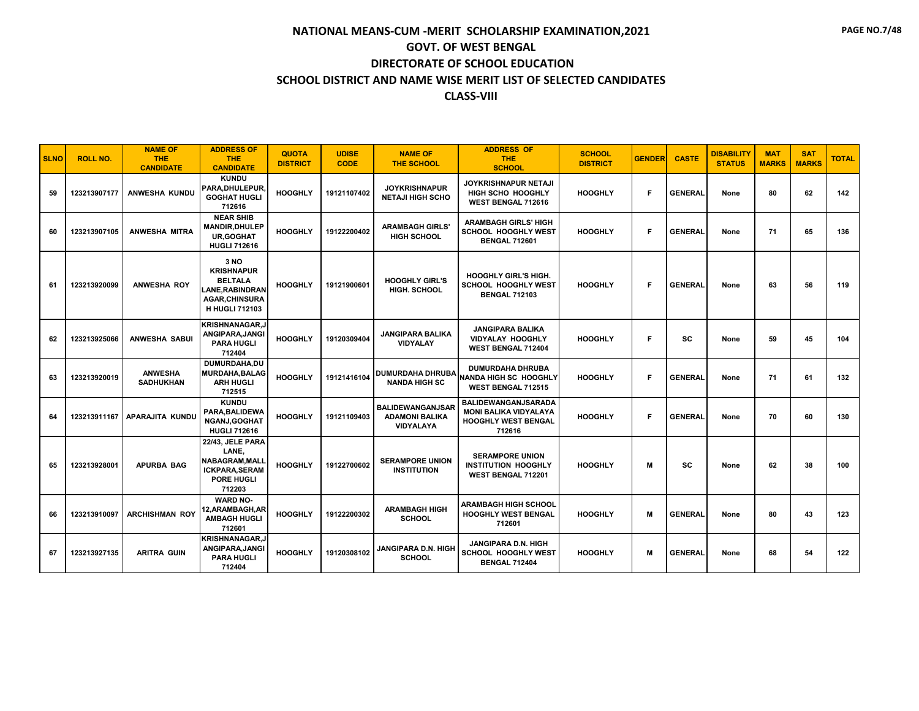| <b>SLNO</b> | <b>ROLL NO.</b> | <b>NAME OF</b><br><b>THE</b><br><b>CANDIDATE</b> | <b>ADDRESS OF</b><br><b>THE</b><br><b>CANDIDATE</b>                                                             | <b>QUOTA</b><br><b>DISTRICT</b> | <b>UDISE</b><br><b>CODE</b> | <b>NAME OF</b><br><b>THE SCHOOL</b>                                  | <b>ADDRESS OF</b><br><b>THE</b><br><b>SCHOOL</b>                                            | <b>SCHOOL</b><br><b>DISTRICT</b> | <b>GENDER</b> | <b>CASTE</b>   | <b>DISABILITY</b><br><b>STATUS</b> | <b>MAT</b><br><b>MARKS</b> | <b>SAT</b><br><b>MARKS</b> | <b>TOTAL</b> |
|-------------|-----------------|--------------------------------------------------|-----------------------------------------------------------------------------------------------------------------|---------------------------------|-----------------------------|----------------------------------------------------------------------|---------------------------------------------------------------------------------------------|----------------------------------|---------------|----------------|------------------------------------|----------------------------|----------------------------|--------------|
| 59          | 123213907177    | ANWESHA KUNDU                                    | <b>KUNDU</b><br>PARA.DHULEPUR.<br><b>GOGHAT HUGLI</b><br>712616                                                 | <b>HOOGHLY</b>                  | 19121107402                 | <b>JOYKRISHNAPUR</b><br><b>NETAJI HIGH SCHO</b>                      | <b>JOYKRISHNAPUR NETAJI</b><br>HIGH SCHO HOOGHLY<br>WEST BENGAL 712616                      | <b>HOOGHLY</b>                   | F             | <b>GENERAL</b> | None                               | 80                         | 62                         | 142          |
| 60          | 123213907105    | <b>ANWESHA MITRA</b>                             | <b>NEAR SHIB</b><br><b>MANDIR, DHULEP</b><br><b>UR.GOGHAT</b><br><b>HUGLI 712616</b>                            | <b>HOOGHLY</b>                  | 19122200402                 | <b>ARAMBAGH GIRLS'</b><br><b>HIGH SCHOOL</b>                         | <b>ARAMBAGH GIRLS' HIGH</b><br><b>SCHOOL HOOGHLY WEST</b><br><b>BENGAL 712601</b>           | <b>HOOGHLY</b>                   | F             | <b>GENERAL</b> | None                               | 71                         | 65                         | 136          |
| 61          | 123213920099    | <b>ANWESHA ROY</b>                               | 3 NO<br><b>KRISHNAPUR</b><br><b>BELTALA</b><br>LANE,RABINDRAN<br><b>AGAR, CHINSURA</b><br><b>H HUGLI 712103</b> | <b>HOOGHLY</b>                  | 19121900601                 | <b>HOOGHLY GIRL'S</b><br><b>HIGH. SCHOOL</b>                         | <b>HOOGHLY GIRL'S HIGH.</b><br><b>SCHOOL HOOGHLY WEST</b><br><b>BENGAL 712103</b>           | <b>HOOGHLY</b>                   | F             | <b>GENERAL</b> | None                               | 63                         | 56                         | 119          |
| 62          | 123213925066    | <b>ANWESHA SABUI</b>                             | <b>KRISHNANAGAR.J</b><br>ANGIPARA, JANGI<br><b>PARA HUGLI</b><br>712404                                         | <b>HOOGHLY</b>                  | 19120309404                 | <b>JANGIPARA BALIKA</b><br><b>VIDYALAY</b>                           | <b>JANGIPARA BALIKA</b><br><b>VIDYALAY HOOGHLY</b><br><b>WEST BENGAL 712404</b>             | <b>HOOGHLY</b>                   | F             | sc             | None                               | 59                         | 45                         | 104          |
| 63          | 123213920019    | <b>ANWESHA</b><br><b>SADHUKHAN</b>               | DUMURDAHA.DU<br><b>MURDAHA, BALAG</b><br><b>ARH HUGLI</b><br>712515                                             | <b>HOOGHLY</b>                  | 19121416104                 | <b>DUMURDAHA DHRUBA</b><br><b>NANDA HIGH SC</b>                      | <b>DUMURDAHA DHRUBA</b><br>INANDA HIGH SC HOOGHLY<br><b>WEST BENGAL 712515</b>              | <b>HOOGHLY</b>                   | F             | <b>GENERAL</b> | None                               | 71                         | 61                         | 132          |
| 64          | 123213911167    | APARAJITA KUNDU                                  | <b>KUNDU</b><br>PARA, BALIDEWA<br><b>NGANJ,GOGHAT</b><br><b>HUGLI 712616</b>                                    | <b>HOOGHLY</b>                  | 19121109403                 | <b>BALIDEWANGANJSAR</b><br><b>ADAMONI BALIKA</b><br><b>VIDYALAYA</b> | BALIDEWANGANJSARADA<br><b>MONI BALIKA VIDYALAYA</b><br><b>HOOGHLY WEST BENGAL</b><br>712616 | <b>HOOGHLY</b>                   | F             | <b>GENERAL</b> | None                               | 70                         | 60                         | 130          |
| 65          | 123213928001    | <b>APURBA BAG</b>                                | 22/43, JELE PARA<br>LANE,<br>NABAGRAM, MALL<br><b>ICKPARA, SERAM</b><br><b>PORE HUGLI</b><br>712203             | <b>HOOGHLY</b>                  | 19122700602                 | <b>SERAMPORE UNION</b><br><b>INSTITUTION</b>                         | <b>SERAMPORE UNION</b><br><b>INSTITUTION HOOGHLY</b><br>WEST BENGAL 712201                  | <b>HOOGHLY</b>                   | M             | <b>SC</b>      | None                               | 62                         | 38                         | 100          |
| 66          | 123213910097    | <b>ARCHISHMAN ROY</b>                            | <b>WARD NO-</b><br>12, ARAMBAGH, AR<br><b>AMBAGH HUGLI</b><br>712601                                            | <b>HOOGHLY</b>                  | 19122200302                 | <b>ARAMBAGH HIGH</b><br><b>SCHOOL</b>                                | <b>ARAMBAGH HIGH SCHOOL</b><br><b>HOOGHLY WEST BENGAL</b><br>712601                         | <b>HOOGHLY</b>                   | M             | <b>GENERAL</b> | None                               | 80                         | 43                         | 123          |
| 67          | 123213927135    | <b>ARITRA GUIN</b>                               | <b>KRISHNANAGAR,J</b><br>ANGIPARA, JANGI<br><b>PARA HUGLI</b><br>712404                                         | <b>HOOGHLY</b>                  | 19120308102                 | <b>JANGIPARA D.N. HIGH</b><br><b>SCHOOL</b>                          | <b>JANGIPARA D.N. HIGH</b><br><b>SCHOOL HOOGHLY WEST</b><br><b>BENGAL 712404</b>            | <b>HOOGHLY</b>                   | M             | <b>GENERAL</b> | None                               | 68                         | 54                         | 122          |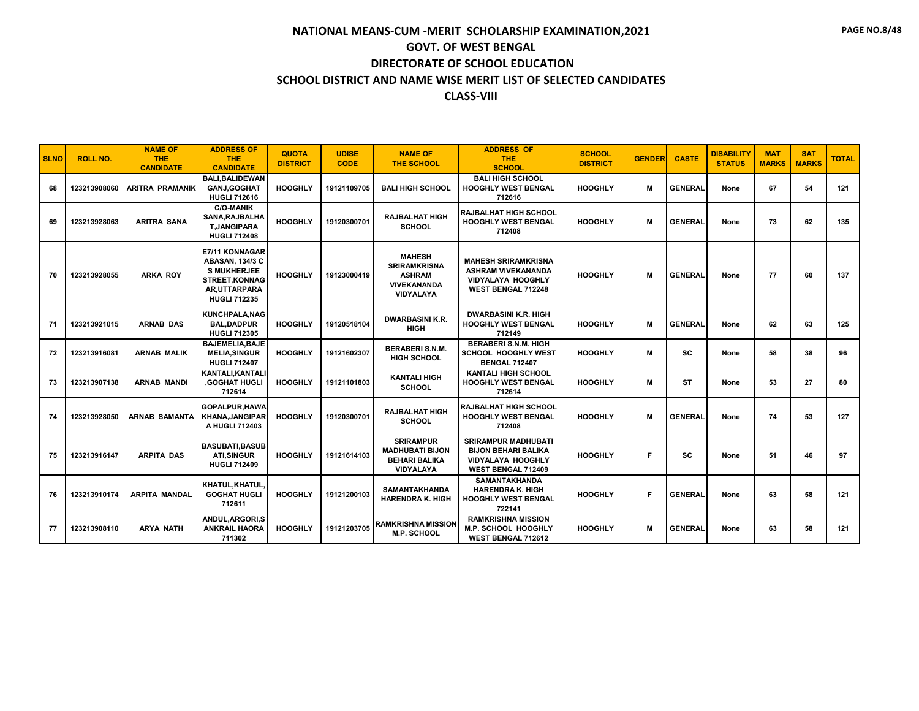| <b>SLNO</b> | <b>ROLL NO.</b> | <b>NAME OF</b><br><b>THE</b><br><b>CANDIDATE</b> | <b>ADDRESS OF</b><br><b>THE</b><br><b>CANDIDATE</b>                                                                            | <b>QUOTA</b><br><b>DISTRICT</b> | <b>UDISE</b><br><b>CODE</b> | <b>NAME OF</b><br><b>THE SCHOOL</b>                                                             | <b>ADDRESS OF</b><br><b>THE</b><br><b>SCHOOL</b>                                                                  | <b>SCHOOL</b><br><b>DISTRICT</b> | <b>GENDER</b> | <b>CASTE</b>   | <b>DISABILITY</b><br><b>STATUS</b> | <b>MAT</b><br><b>MARKS</b> | <b>SAT</b><br><b>MARKS</b> | <b>TOTAL</b> |
|-------------|-----------------|--------------------------------------------------|--------------------------------------------------------------------------------------------------------------------------------|---------------------------------|-----------------------------|-------------------------------------------------------------------------------------------------|-------------------------------------------------------------------------------------------------------------------|----------------------------------|---------------|----------------|------------------------------------|----------------------------|----------------------------|--------------|
| 68          | 123213908060    | <b>ARITRA PRAMANIK</b>                           | <b>BALI.BALIDEWAN</b><br><b>GANJ.GOGHAT</b><br><b>HUGLI 712616</b>                                                             | <b>HOOGHLY</b>                  | 19121109705                 | <b>BALI HIGH SCHOOL</b>                                                                         | <b>BALI HIGH SCHOOL</b><br><b>HOOGHLY WEST BENGAL</b><br>712616                                                   | <b>HOOGHLY</b>                   | M             | <b>GENERAL</b> | None                               | 67                         | 54                         | 121          |
| 69          | 123213928063    | <b>ARITRA SANA</b>                               | <b>C/O-MANIK</b><br>SANA, RAJBALHA<br><b>T.JANGIPARA</b><br><b>HUGLI 712408</b>                                                | <b>HOOGHLY</b>                  | 19120300701                 | <b>RAJBALHAT HIGH</b><br><b>SCHOOL</b>                                                          | <b>RAJBALHAT HIGH SCHOOL</b><br><b>HOOGHLY WEST BENGAL</b><br>712408                                              | <b>HOOGHLY</b>                   | М             | <b>GENERAL</b> | None                               | 73                         | 62                         | 135          |
| 70          | 123213928055    | <b>ARKA ROY</b>                                  | E7/11 KONNAGAR<br><b>ABASAN, 134/3 C</b><br><b>S MUKHERJEE</b><br>STREET, KONNAG<br><b>AR.UTTARPARA</b><br><b>HUGLI 712235</b> | <b>HOOGHLY</b>                  | 19123000419                 | <b>MAHESH</b><br><b>SRIRAMKRISNA</b><br><b>ASHRAM</b><br><b>VIVEKANANDA</b><br><b>VIDYALAYA</b> | <b>MAHESH SRIRAMKRISNA</b><br><b>ASHRAM VIVEKANANDA</b><br><b>VIDYALAYA HOOGHLY</b><br><b>WEST BENGAL 712248</b>  | <b>HOOGHLY</b>                   | м             | <b>GENERAL</b> | None                               | 77                         | 60                         | 137          |
| 71          | 123213921015    | <b>ARNAB DAS</b>                                 | <b>KUNCHPALA, NAG</b><br><b>BAL, DADPUR</b><br><b>HUGLI 712305</b>                                                             | <b>HOOGHLY</b>                  | 19120518104                 | <b>DWARBASINI K.R.</b><br><b>HIGH</b>                                                           | <b>DWARBASINI K.R. HIGH</b><br><b>HOOGHLY WEST BENGAL</b><br>712149                                               | <b>HOOGHLY</b>                   | M             | <b>GENERAL</b> | None                               | 62                         | 63                         | 125          |
| 72          | 123213916081    | <b>ARNAB MALIK</b>                               | <b>BAJEMELIA.BAJE</b><br><b>MELIA, SINGUR</b><br><b>HUGLI 712407</b>                                                           | <b>HOOGHLY</b>                  | 19121602307                 | <b>BERABERI S.N.M.</b><br><b>HIGH SCHOOL</b>                                                    | <b>BERABERI S.N.M. HIGH</b><br>SCHOOL HOOGHLY WEST<br><b>BENGAL 712407</b>                                        | <b>HOOGHLY</b>                   | М             | <b>SC</b>      | None                               | 58                         | 38                         | 96           |
| 73          | 123213907138    | <b>ARNAB MANDI</b>                               | KANTALI, KANTALI<br><b>GOGHAT HUGLI</b><br>712614                                                                              | <b>HOOGHLY</b>                  | 19121101803                 | <b>KANTALI HIGH</b><br><b>SCHOOL</b>                                                            | <b>KANTALI HIGH SCHOOL</b><br><b>HOOGHLY WEST BENGAL</b><br>712614                                                | <b>HOOGHLY</b>                   | M             | <b>ST</b>      | None                               | 53                         | 27                         | 80           |
| 74          | 123213928050    | <b>ARNAB SAMANTA</b>                             | GOPALPUR, HAWA<br><b>KHANA, JANGIPAR</b><br>A HUGLI 712403                                                                     | <b>HOOGHLY</b>                  | 19120300701                 | <b>RAJBALHAT HIGH</b><br><b>SCHOOL</b>                                                          | <b>RAJBALHAT HIGH SCHOOL</b><br><b>HOOGHLY WEST BENGAL</b><br>712408                                              | <b>HOOGHLY</b>                   | м             | <b>GENERAL</b> | None                               | 74                         | 53                         | 127          |
| 75          | 123213916147    | <b>ARPITA DAS</b>                                | <b>BASUBATI.BASUBI</b><br><b>ATI, SINGUR</b><br><b>HUGLI 712409</b>                                                            | <b>HOOGHLY</b>                  | 19121614103                 | <b>SRIRAMPUR</b><br><b>MADHUBATI BIJON</b><br><b>BEHARI BALIKA</b><br>VIDYALAYA                 | <b>SRIRAMPUR MADHUBATI</b><br><b>BIJON BEHARI BALIKA</b><br><b>VIDYALAYA HOOGHLY</b><br><b>WEST BENGAL 712409</b> | <b>HOOGHLY</b>                   | F             | <b>SC</b>      | None                               | 51                         | 46                         | 97           |
| 76          | 123213910174    | <b>ARPITA MANDAL</b>                             | KHATUL, KHATUL<br><b>GOGHAT HUGLI</b><br>712611                                                                                | <b>HOOGHLY</b>                  | 19121200103                 | <b>SAMANTAKHANDA</b><br><b>HARENDRA K. HIGH</b>                                                 | <b>SAMANTAKHANDA</b><br><b>HARENDRA K. HIGH</b><br><b>HOOGHLY WEST BENGAL</b><br>722141                           | <b>HOOGHLY</b>                   | F             | <b>GENERAL</b> | None                               | 63                         | 58                         | 121          |
| 77          | 123213908110    | <b>ARYA NATH</b>                                 | ANDUL.ARGORI.S<br><b>ANKRAIL HAORA</b><br>711302                                                                               | <b>HOOGHLY</b>                  | 19121203705                 | <b>RAMKRISHNA MISSION</b><br><b>M.P. SCHOOL</b>                                                 | <b>RAMKRISHNA MISSION</b><br>M.P. SCHOOL HOOGHLY<br>WEST BENGAL 712612                                            | <b>HOOGHLY</b>                   | M             | <b>GENERAL</b> | None                               | 63                         | 58                         | 121          |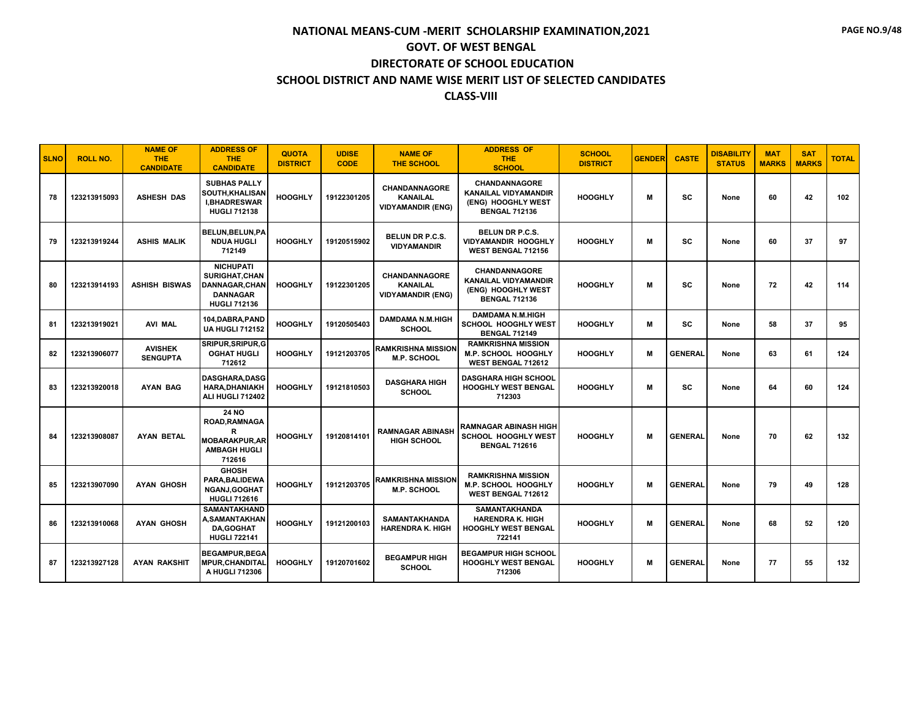| <b>SLNO</b> | <b>ROLL NO.</b> | <b>NAME OF</b><br><b>THE</b><br><b>CANDIDATE</b> | <b>ADDRESS OF</b><br><b>THE</b><br><b>CANDIDATE</b>                                          | <b>QUOTA</b><br><b>DISTRICT</b> | <b>UDISE</b><br><b>CODE</b> | <b>NAME OF</b><br><b>THE SCHOOL</b>                                 | <b>ADDRESS OF</b><br><b>THE</b><br><b>SCHOOL</b>                                                  | <b>SCHOOL</b><br><b>DISTRICT</b> | <b>GENDER</b> | <b>CASTE</b>   | <b>DISABILITY</b><br><b>STATUS</b> | <b>MAT</b><br><b>MARKS</b> | <b>SAT</b><br><b>MARKS</b> | <b>TOTAL</b> |
|-------------|-----------------|--------------------------------------------------|----------------------------------------------------------------------------------------------|---------------------------------|-----------------------------|---------------------------------------------------------------------|---------------------------------------------------------------------------------------------------|----------------------------------|---------------|----------------|------------------------------------|----------------------------|----------------------------|--------------|
| 78          | 123213915093    | <b>ASHESH DAS</b>                                | <b>SUBHAS PALLY</b><br><b>SOUTH,KHALISAN</b><br><b>I,BHADRESWAR</b><br><b>HUGLI 712138</b>   | <b>HOOGHLY</b>                  | 19122301205                 | <b>CHANDANNAGORE</b><br><b>KANAILAL</b><br><b>VIDYAMANDIR (ENG)</b> | <b>CHANDANNAGORE</b><br><b>KANAILAL VIDYAMANDIR</b><br>(ENG) HOOGHLY WEST<br><b>BENGAL 712136</b> | <b>HOOGHLY</b>                   | М             | <b>SC</b>      | None                               | 60                         | 42                         | 102          |
| 79          | 123213919244    | <b>ASHIS MALIK</b>                               | BELUN, BELUN, PA<br><b>NDUA HUGLI</b><br>712149                                              | <b>HOOGHLY</b>                  | 19120515902                 | BELUN DR P.C.S.<br><b>VIDYAMANDIR</b>                               | <b>BELUN DR P.C.S.</b><br><b>VIDYAMANDIR HOOGHLY</b><br><b>WEST BENGAL 712156</b>                 | <b>HOOGHLY</b>                   | м             | <b>SC</b>      | None                               | 60                         | 37                         | 97           |
| 80          | 123213914193    | ASHISH BISWAS                                    | <b>NICHUPATI</b><br><b>SURIGHAT.CHAN</b><br>DANNAGAR.CHAN<br><b>DANNAGAR</b><br>HUGLI 712136 | <b>HOOGHLY</b>                  | 19122301205                 | <b>CHANDANNAGORE</b><br><b>KANAILAL</b><br><b>VIDYAMANDIR (ENG)</b> | <b>CHANDANNAGORE</b><br><b>KANAILAL VIDYAMANDIR</b><br>(ENG) HOOGHLY WEST<br><b>BENGAL 712136</b> | <b>HOOGHLY</b>                   | M             | <b>SC</b>      | None                               | 72                         | 42                         | 114          |
| 81          | 123213919021    | <b>AVI MAL</b>                                   | 104, DABRA, PAND<br><b>UA HUGLI 712152</b>                                                   | <b>HOOGHLY</b>                  | 19120505403                 | <b>DAMDAMA N.M.HIGH</b><br><b>SCHOOL</b>                            | <b>DAMDAMA N.M.HIGH</b><br>SCHOOL HOOGHLY WEST<br><b>BENGAL 712149</b>                            | <b>HOOGHLY</b>                   | М             | <b>SC</b>      | None                               | 58                         | 37                         | 95           |
| 82          | 123213906077    | <b>AVISHEK</b><br><b>SENGUPTA</b>                | SRIPUR, SRIPUR, G<br><b>OGHAT HUGLI</b><br>712612                                            | <b>HOOGHLY</b>                  | 19121203705                 | <b>RAMKRISHNA MISSION</b><br><b>M.P. SCHOOL</b>                     | <b>RAMKRISHNA MISSION</b><br><b>M.P. SCHOOL HOOGHLY</b><br><b>WEST BENGAL 712612</b>              | <b>HOOGHLY</b>                   | м             | <b>GENERAL</b> | None                               | 63                         | 61                         | 124          |
| 83          | 123213920018    | <b>AYAN BAG</b>                                  | <b>DASGHARA,DASG</b><br><b>HARA, DHANIAKH</b><br>ALI HUGLI 712402                            | <b>HOOGHLY</b>                  | 19121810503                 | <b>DASGHARA HIGH</b><br><b>SCHOOL</b>                               | <b>DASGHARA HIGH SCHOOL</b><br>HOOGHLY WEST BENGAL<br>712303                                      | <b>HOOGHLY</b>                   | М             | <b>SC</b>      | None                               | 64                         | 60                         | 124          |
| 84          | 123213908087    | <b>AYAN BETAL</b>                                | <b>24 NO</b><br>ROAD, RAMNAGA<br>R<br><b>MOBARAKPUR, AR</b><br><b>AMBAGH HUGLI</b><br>712616 | <b>HOOGHLY</b>                  | 19120814101                 | <b>RAMNAGAR ABINASH</b><br><b>HIGH SCHOOL</b>                       | <b>RAMNAGAR ABINASH HIGH</b><br>SCHOOL HOOGHLY WEST<br><b>BENGAL 712616</b>                       | <b>HOOGHLY</b>                   | M             | <b>GENERAL</b> | None                               | 70                         | 62                         | 132          |
| 85          | 123213907090    | <b>AYAN GHOSH</b>                                | <b>GHOSH</b><br>PARA, BALIDEWA<br><b>NGANJ,GOGHAT</b><br><b>HUGLI 712616</b>                 | <b>HOOGHLY</b>                  | 19121203705                 | <b>RAMKRISHNA MISSION</b><br>M.P. SCHOOL                            | <b>RAMKRISHNA MISSION</b><br>M.P. SCHOOL HOOGHLY<br>WEST BENGAL 712612                            | <b>HOOGHLY</b>                   | M             | <b>GENERAL</b> | None                               | 79                         | 49                         | 128          |
| 86          | 123213910068    | <b>AYAN GHOSH</b>                                | <b>SAMANTAKHAND</b><br><b>A,SAMANTAKHAN</b><br><b>DA,GOGHAT</b><br><b>HUGLI 722141</b>       | <b>HOOGHLY</b>                  | 19121200103                 | <b>SAMANTAKHANDA</b><br><b>HARENDRA K. HIGH</b>                     | <b>SAMANTAKHANDA</b><br><b>HARENDRA K. HIGH</b><br><b>HOOGHLY WEST BENGAL</b><br>722141           | <b>HOOGHLY</b>                   | м             | <b>GENERAL</b> | None                               | 68                         | 52                         | 120          |
| 87          | 123213927128    | AYAN RAKSHIT                                     | <b>BEGAMPUR.BEGA</b><br><b>MPUR, CHANDITAL</b><br>A HUGLI 712306                             | <b>HOOGHLY</b>                  | 19120701602                 | <b>BEGAMPUR HIGH</b><br><b>SCHOOL</b>                               | <b>BEGAMPUR HIGH SCHOOL</b><br>HOOGHLY WEST BENGAL<br>712306                                      | <b>HOOGHLY</b>                   | М             | <b>GENERAL</b> | None                               | 77                         | 55                         | 132          |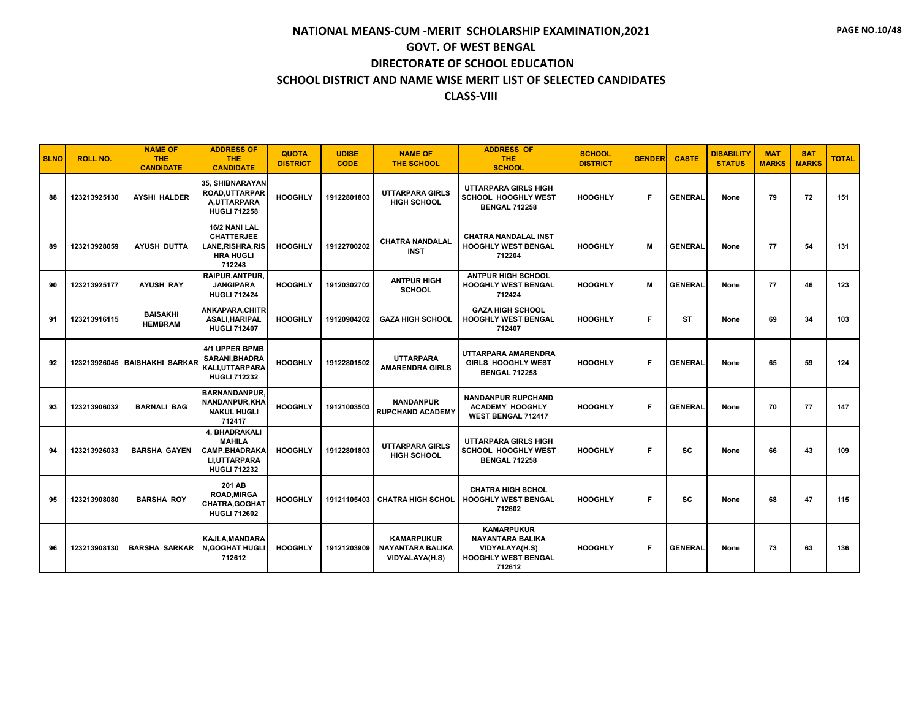| <b>SLNO</b> | <b>ROLL NO.</b> | <b>NAME OF</b><br><b>THE</b><br><b>CANDIDATE</b> | <b>ADDRESS OF</b><br><b>THE</b><br><b>CANDIDATE</b>                                                   | <b>QUOTA</b><br><b>DISTRICT</b> | <b>UDISE</b><br><b>CODE</b> | <b>NAME OF</b><br><b>THE SCHOOL</b>                            | <b>ADDRESS OF</b><br><b>THE</b><br><b>SCHOOL</b>                                                       | <b>SCHOOL</b><br><b>DISTRICT</b> | <b>GENDER</b> | <b>CASTE</b>   | <b>DISABILITY</b><br><b>STATUS</b> | <b>MAT</b><br><b>MARKS</b> | <b>SAT</b><br><b>MARKS</b> | <b>TOTAL</b> |
|-------------|-----------------|--------------------------------------------------|-------------------------------------------------------------------------------------------------------|---------------------------------|-----------------------------|----------------------------------------------------------------|--------------------------------------------------------------------------------------------------------|----------------------------------|---------------|----------------|------------------------------------|----------------------------|----------------------------|--------------|
| 88          | 123213925130    | <b>AYSHI HALDER</b>                              | 35, SHIBNARAYAN<br><b>ROAD, UTTARPAR</b><br>A,UTTARPARA<br><b>HUGLI 712258</b>                        | <b>HOOGHLY</b>                  | 19122801803                 | <b>UTTARPARA GIRLS</b><br><b>HIGH SCHOOL</b>                   | UTTARPARA GIRLS HIGH<br><b>SCHOOL HOOGHLY WEST</b><br><b>BENGAL 712258</b>                             | <b>HOOGHLY</b>                   | F             | <b>GENERAL</b> | None                               | 79                         | 72                         | 151          |
| 89          | 123213928059    | <b>AYUSH DUTTA</b>                               | 16/2 NANI LAL<br><b>CHATTERJEE</b><br>LANE,RISHRA,RIS<br><b>HRA HUGLI</b><br>712248                   | <b>HOOGHLY</b>                  | 19122700202                 | <b>CHATRA NANDALAL</b><br><b>INST</b>                          | <b>CHATRA NANDALAL INST</b><br><b>HOOGHLY WEST BENGAL</b><br>712204                                    | <b>HOOGHLY</b>                   | M             | <b>GENERAL</b> | None                               | 77                         | 54                         | 131          |
| 90          | 123213925177    | <b>AYUSH RAY</b>                                 | RAIPUR, ANTPUR,<br><b>JANGIPARA</b><br><b>HUGLI 712424</b>                                            | <b>HOOGHLY</b>                  | 19120302702                 | <b>ANTPUR HIGH</b><br><b>SCHOOL</b>                            | <b>ANTPUR HIGH SCHOOL</b><br><b>HOOGHLY WEST BENGAL</b><br>712424                                      | <b>HOOGHLY</b>                   | M             | <b>GENERAL</b> | None                               | 77                         | 46                         | 123          |
| 91          | 123213916115    | <b>BAISAKHI</b><br><b>HEMBRAM</b>                | ANKAPARA,CHITR<br><b>ASALI, HARIPAL</b><br><b>HUGLI 712407</b>                                        | <b>HOOGHLY</b>                  | 19120904202                 | <b>GAZA HIGH SCHOOL</b>                                        | <b>GAZA HIGH SCHOOL</b><br><b>HOOGHLY WEST BENGAL</b><br>712407                                        | <b>HOOGHLY</b>                   | F             | <b>ST</b>      | None                               | 69                         | 34                         | 103          |
| 92          |                 | 123213926045 BAISHAKHI SARKAR                    | 4/1 UPPER BPMB<br><b>SARANI.BHADRA</b><br><b>KALI.UTTARPARA</b><br><b>HUGLI 712232</b>                | <b>HOOGHLY</b>                  | 19122801502                 | <b>UTTARPARA</b><br><b>AMARENDRA GIRLS</b>                     | UTTARPARA AMARENDRA<br><b>GIRLS HOOGHLY WEST</b><br><b>BENGAL 712258</b>                               | <b>HOOGHLY</b>                   | F             | <b>GENERAL</b> | None                               | 65                         | 59                         | 124          |
| 93          | 123213906032    | <b>BARNALI BAG</b>                               | <b>BARNANDANPUR.</b><br>NANDANPUR, KHA<br><b>NAKUL HUGLI</b><br>712417                                | <b>HOOGHLY</b>                  | 19121003503                 | <b>NANDANPUR</b><br><b>RUPCHAND ACADEMY</b>                    | <b>NANDANPUR RUPCHAND</b><br><b>ACADEMY HOOGHLY</b><br><b>WEST BENGAL 712417</b>                       | <b>HOOGHLY</b>                   | F             | <b>GENERAL</b> | None                               | 70                         | 77                         | 147          |
| 94          | 123213926033    | <b>BARSHA GAYEN</b>                              | 4. BHADRAKALI<br><b>MAHILA</b><br><b>CAMP, BHADRAKA</b><br><b>LI.UTTARPARA</b><br><b>HUGLI 712232</b> | <b>HOOGHLY</b>                  | 19122801803                 | <b>UTTARPARA GIRLS</b><br><b>HIGH SCHOOL</b>                   | <b>UTTARPARA GIRLS HIGH</b><br>SCHOOL HOOGHLY WEST<br><b>BENGAL 712258</b>                             | <b>HOOGHLY</b>                   | F             | <b>SC</b>      | None                               | 66                         | 43                         | 109          |
| 95          | 123213908080    | <b>BARSHA ROY</b>                                | 201 AB<br><b>ROAD.MIRGA</b><br><b>CHATRA, GOGHAT</b><br><b>HUGLI 712602</b>                           | <b>HOOGHLY</b>                  | 19121105403                 | <b>CHATRA HIGH SCHOL</b>                                       | <b>CHATRA HIGH SCHOL</b><br><b>HOOGHLY WEST BENGAL</b><br>712602                                       | <b>HOOGHLY</b>                   | F             | <b>SC</b>      | None                               | 68                         | 47                         | 115          |
| 96          | 123213908130    | <b>BARSHA SARKAR</b>                             | <b>KAJLA, MANDARA</b><br><b>N,GOGHAT HUGLI</b><br>712612                                              | <b>HOOGHLY</b>                  | 19121203909                 | <b>KAMARPUKUR</b><br><b>NAYANTARA BALIKA</b><br>VIDYALAYA(H.S) | <b>KAMARPUKUR</b><br><b>NAYANTARA BALIKA</b><br>VIDYALAYA(H.S)<br><b>HOOGHLY WEST BENGAL</b><br>712612 | <b>HOOGHLY</b>                   | F             | <b>GENERAL</b> | None                               | 73                         | 63                         | 136          |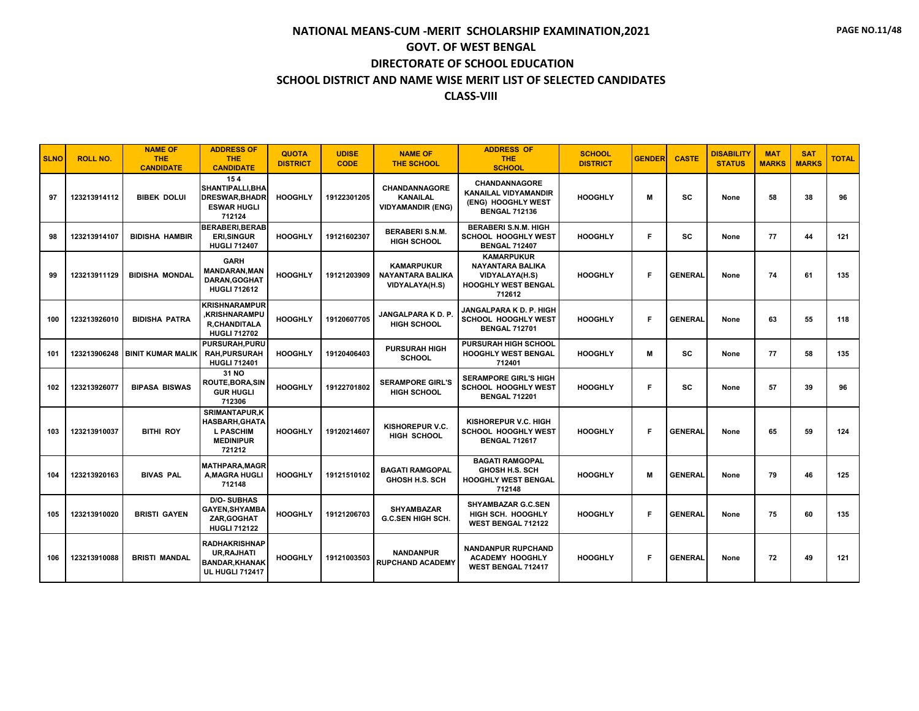| <b>SLNO</b> | <b>ROLL NO.</b> | <b>NAME OF</b><br><b>THE</b><br><b>CANDIDATE</b> | <b>ADDRESS OF</b><br><b>THE</b><br><b>CANDIDATE</b>                                             | <b>QUOTA</b><br><b>DISTRICT</b> | <b>UDISE</b><br><b>CODE</b> | <b>NAME OF</b><br><b>THE SCHOOL</b>                                 | <b>ADDRESS OF</b><br><b>THE</b><br><b>SCHOOL</b>                                                       | <b>SCHOOL</b><br><b>DISTRICT</b> | <b>GENDER</b> | <b>CASTE</b>   | <b>DISABILITY</b><br><b>STATUS</b> | <b>MAT</b><br><b>MARKS</b> | <b>SAT</b><br><b>MARKS</b> | <b>TOTAL</b> |
|-------------|-----------------|--------------------------------------------------|-------------------------------------------------------------------------------------------------|---------------------------------|-----------------------------|---------------------------------------------------------------------|--------------------------------------------------------------------------------------------------------|----------------------------------|---------------|----------------|------------------------------------|----------------------------|----------------------------|--------------|
| 97          | 123213914112    | <b>BIBEK DOLUI</b>                               | 154<br><b>SHANTIPALLI.BHA</b><br><b>DRESWAR.BHADR</b><br><b>ESWAR HUGLI</b><br>712124           | <b>HOOGHLY</b>                  | 19122301205                 | <b>CHANDANNAGORE</b><br><b>KANAILAL</b><br><b>VIDYAMANDIR (ENG)</b> | <b>CHANDANNAGORE</b><br><b>KANAILAL VIDYAMANDIR</b><br>(ENG) HOOGHLY WEST<br><b>BENGAL 712136</b>      | <b>HOOGHLY</b>                   | м             | <b>SC</b>      | None                               | 58                         | 38                         | 96           |
| 98          | 123213914107    | <b>BIDISHA HAMBIR</b>                            | <b>BERABERI.BERAB</b><br><b>ERI, SINGUR</b><br><b>HUGLI 712407</b>                              | <b>HOOGHLY</b>                  | 19121602307                 | <b>BERABERI S.N.M.</b><br><b>HIGH SCHOOL</b>                        | <b>BERABERI S.N.M. HIGH</b><br><b>SCHOOL HOOGHLY WEST</b><br><b>BENGAL 712407</b>                      | <b>HOOGHLY</b>                   | F.            | <b>SC</b>      | None                               | 77                         | 44                         | 121          |
| 99          | 123213911129    | <b>BIDISHA MONDAL</b>                            | <b>GARH</b><br><b>MANDARAN.MAN</b><br>DARAN, GOGHAT<br><b>HUGLI 712612</b>                      | <b>HOOGHLY</b>                  | 19121203909                 | <b>KAMARPUKUR</b><br><b>NAYANTARA BALIKA</b><br>VIDYALAYA(H.S)      | <b>KAMARPUKUR</b><br><b>NAYANTARA BALIKA</b><br>VIDYALAYA(H.S)<br><b>HOOGHLY WEST BENGAL</b><br>712612 | <b>HOOGHLY</b>                   | F             | <b>GENERAL</b> | None                               | 74                         | 61                         | 135          |
| 100         | 123213926010    | <b>BIDISHA PATRA</b>                             | <b>KRISHNARAMPUR</b><br>.KRISHNARAMPU<br><b>R.CHANDITALA</b><br><b>HUGLI 712702</b>             | <b>HOOGHLY</b>                  | 19120607705                 | JANGALPARA K D. P.<br><b>HIGH SCHOOL</b>                            | <b>JANGALPARA K D. P. HIGH</b><br><b>SCHOOL HOOGHLY WEST</b><br><b>BENGAL 712701</b>                   | <b>HOOGHLY</b>                   | F             | <b>GENERAL</b> | None                               | 63                         | 55                         | 118          |
| 101         | 123213906248    | <b>BINIT KUMAR MALIK</b>                         | PURSURAH, PURU<br><b>RAH.PURSURAH</b><br><b>HUGLI 712401</b>                                    | <b>HOOGHLY</b>                  | 19120406403                 | <b>PURSURAH HIGH</b><br><b>SCHOOL</b>                               | <b>PURSURAH HIGH SCHOOL</b><br><b>HOOGHLY WEST BENGAL</b><br>712401                                    | <b>HOOGHLY</b>                   | M             | <b>SC</b>      | None                               | 77                         | 58                         | 135          |
| 102         | 123213926077    | <b>BIPASA BISWAS</b>                             | 31 NO<br><b>ROUTE, BORA, SIN</b><br><b>GUR HUGLI</b><br>712306                                  | <b>HOOGHLY</b>                  | 19122701802                 | <b>SERAMPORE GIRL'S</b><br><b>HIGH SCHOOL</b>                       | <b>SERAMPORE GIRL'S HIGH</b><br>SCHOOL HOOGHLY WEST<br><b>BENGAL 712201</b>                            | <b>HOOGHLY</b>                   | F             | <b>SC</b>      | None                               | 57                         | 39                         | 96           |
| 103         | 123213910037    | <b>BITHI ROY</b>                                 | <b>SRIMANTAPUR,K</b><br><b>HASBARH, GHATA</b><br><b>L PASCHIM</b><br><b>MEDINIPUR</b><br>721212 | <b>HOOGHLY</b>                  | 19120214607                 | KISHOREPUR V.C.<br><b>HIGH SCHOOL</b>                               | KISHOREPUR V.C. HIGH<br><b>SCHOOL HOOGHLY WEST</b><br><b>BENGAL 712617</b>                             | <b>HOOGHLY</b>                   | F             | <b>GENERAL</b> | None                               | 65                         | 59                         | 124          |
| 104         | 123213920163    | <b>BIVAS PAL</b>                                 | <b>MATHPARA, MAGR</b><br><b>A.MAGRA HUGLI</b><br>712148                                         | <b>HOOGHLY</b>                  | 19121510102                 | <b>BAGATI RAMGOPAL</b><br><b>GHOSH H.S. SCH</b>                     | <b>BAGATI RAMGOPAL</b><br><b>GHOSH H.S. SCH</b><br><b>HOOGHLY WEST BENGAL</b><br>712148                | <b>HOOGHLY</b>                   | м             | <b>GENERAL</b> | None                               | 79                         | 46                         | 125          |
| 105         | 123213910020    | <b>BRISTI GAYEN</b>                              | <b>D/O-SUBHAS</b><br>GAYEN, SHYAMBA<br>ZAR, GOGHAT<br><b>HUGLI 712122</b>                       | <b>HOOGHLY</b>                  | 19121206703                 | <b>SHYAMBAZAR</b><br><b>G.C.SEN HIGH SCH.</b>                       | <b>SHYAMBAZAR G.C.SEN</b><br>HIGH SCH. HOOGHLY<br><b>WEST BENGAL 712122</b>                            | <b>HOOGHLY</b>                   | F             | <b>GENERAL</b> | None                               | 75                         | 60                         | 135          |
| 106         | 123213910088    | <b>BRISTI MANDAL</b>                             | <b>RADHAKRISHNAP</b><br><b>UR, RAJHATI</b><br><b>BANDAR, KHANAK</b><br><b>UL HUGLI 712417</b>   | <b>HOOGHLY</b>                  | 19121003503                 | <b>NANDANPUR</b><br><b>RUPCHAND ACADEMY</b>                         | <b>NANDANPUR RUPCHAND</b><br><b>ACADEMY HOOGHLY</b><br><b>WEST BENGAL 712417</b>                       | <b>HOOGHLY</b>                   | F             | <b>GENERAL</b> | None                               | 72                         | 49                         | 121          |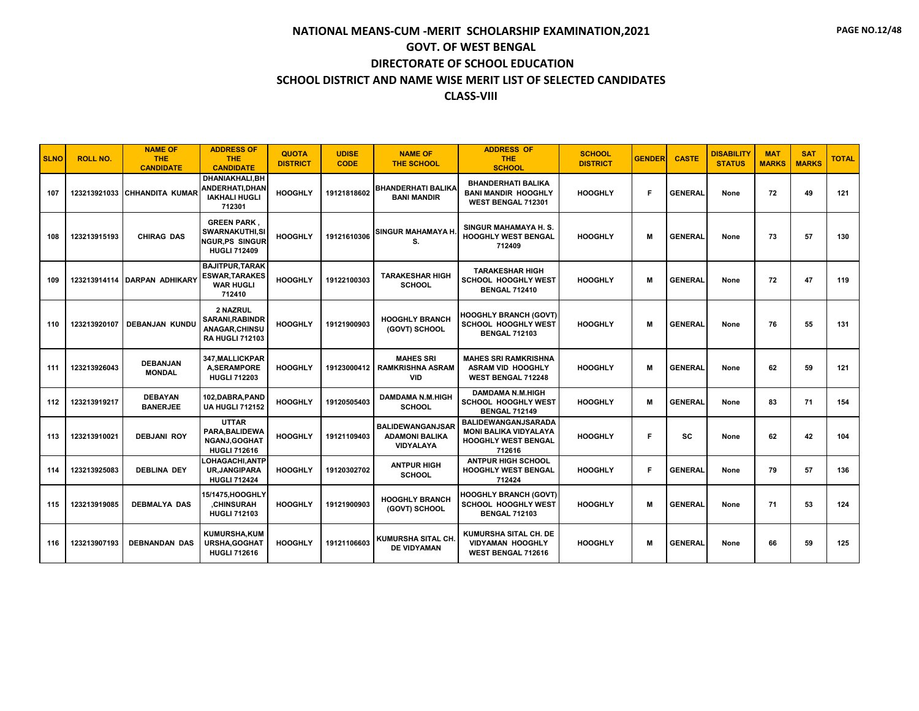| <b>SLNO</b> | <b>ROLL NO.</b> | <b>NAME OF</b><br><b>THE</b><br><b>CANDIDATE</b> | <b>ADDRESS OF</b><br><b>THE</b><br><b>CANDIDATE</b>                                  | <b>QUOTA</b><br><b>DISTRICT</b> | <b>UDISE</b><br><b>CODE</b> | <b>NAME OF</b><br><b>THE SCHOOL</b>                           | <b>ADDRESS OF</b><br><b>THE</b><br><b>SCHOOL</b>                                                   | <b>SCHOOL</b><br><b>DISTRICT</b> | <b>GENDER</b> | <b>CASTE</b>   | <b>DISABILITY</b><br><b>STATUS</b> | <b>MAT</b><br><b>MARKS</b> | <b>SAT</b><br><b>MARKS</b> | <b>TOTAL</b> |
|-------------|-----------------|--------------------------------------------------|--------------------------------------------------------------------------------------|---------------------------------|-----------------------------|---------------------------------------------------------------|----------------------------------------------------------------------------------------------------|----------------------------------|---------------|----------------|------------------------------------|----------------------------|----------------------------|--------------|
| 107         | 123213921033    | <b>CHHANDITA KUMAR</b>                           | DHANIAKHALI.BH<br>ANDERHATI, DHAN<br><b>IAKHALI HUGLI</b><br>712301                  | <b>HOOGHLY</b>                  | 19121818602                 | <b>BHANDERHATI BALIKA</b><br><b>BANI MANDIR</b>               | <b>BHANDERHATI BALIKA</b><br><b>BANI MANDIR HOOGHLY</b><br>WEST BENGAL 712301                      | <b>HOOGHLY</b>                   | F             | <b>GENERAL</b> | None                               | 72                         | 49                         | 121          |
| 108         | 123213915193    | <b>CHIRAG DAS</b>                                | <b>GREEN PARK.</b><br><b>SWARNAKUTHI,SI</b><br>NGUR.PS SINGUR<br><b>HUGLI 712409</b> | <b>HOOGHLY</b>                  | 19121610306                 | <b>SINGUR MAHAMAYA H.</b><br>S.                               | SINGUR MAHAMAYA H.S.<br><b>HOOGHLY WEST BENGAL</b><br>712409                                       | <b>HOOGHLY</b>                   | M             | <b>GENERAL</b> | None                               | 73                         | 57                         | 130          |
| 109         |                 | 123213914114 DARPAN ADHIKARY                     | <b>BAJITPUR, TARAK</b><br><b>ESWAR, TARAKES</b><br><b>WAR HUGLI</b><br>712410        | <b>HOOGHLY</b>                  | 19122100303                 | <b>TARAKESHAR HIGH</b><br><b>SCHOOL</b>                       | <b>TARAKESHAR HIGH</b><br>SCHOOL HOOGHLY WEST<br><b>BENGAL 712410</b>                              | <b>HOOGHLY</b>                   | M             | <b>GENERAL</b> | None                               | 72                         | 47                         | 119          |
| 110         | 123213920107    | <b>DEBANJAN KUNDU</b>                            | 2 NAZRUL<br><b>SARANI.RABINDR</b><br>ANAGAR, CHINSU<br><b>RA HUGLI 712103</b>        | <b>HOOGHLY</b>                  | 19121900903                 | <b>HOOGHLY BRANCH</b><br>(GOVT) SCHOOL                        | <b>HOOGHLY BRANCH (GOVT)</b><br><b>SCHOOL HOOGHLY WEST</b><br><b>BENGAL 712103</b>                 | <b>HOOGHLY</b>                   | M             | <b>GENERAL</b> | None                               | 76                         | 55                         | 131          |
| 111         | 123213926043    | <b>DEBANJAN</b><br><b>MONDAL</b>                 | 347, MALLICKPAR<br><b>A,SERAMPORE</b><br><b>HUGLI 712203</b>                         | <b>HOOGHLY</b>                  | 19123000412                 | <b>MAHES SRI</b><br><b>RAMKRISHNA ASRAM</b><br><b>VID</b>     | <b>MAHES SRI RAMKRISHNA</b><br><b>ASRAM VID HOOGHLY</b><br>WEST BENGAL 712248                      | <b>HOOGHLY</b>                   | м             | <b>GENERAL</b> | None                               | 62                         | 59                         | 121          |
| 112         | 123213919217    | <b>DEBAYAN</b><br><b>BANERJEE</b>                | 102.DABRA.PAND<br><b>UA HUGLI 712152</b>                                             | <b>HOOGHLY</b>                  | 19120505403                 | <b>DAMDAMA N.M.HIGH</b><br><b>SCHOOL</b>                      | <b>DAMDAMA N.M.HIGH</b><br>SCHOOL HOOGHLY WEST<br><b>BENGAL 712149</b>                             | <b>HOOGHLY</b>                   | M             | <b>GENERAL</b> | None                               | 83                         | 71                         | 154          |
| 113         | 123213910021    | <b>DEBJANI ROY</b>                               | <b>UTTAR</b><br>PARA, BALIDEWA<br>NGANJ, GOGHAT<br><b>HUGLI 712616</b>               | <b>HOOGHLY</b>                  | 19121109403                 | <b>BALIDEWANGANJSAR</b><br><b>ADAMONI BALIKA</b><br>VIDYALAYA | <b>BALIDEWANGANJSARADA</b><br><b>MONI BALIKA VIDYALAYA</b><br><b>HOOGHLY WEST BENGAL</b><br>712616 | <b>HOOGHLY</b>                   | F             | <b>SC</b>      | None                               | 62                         | 42                         | 104          |
| 114         | 123213925083    | <b>DEBLINA DEY</b>                               | LOHAGACHI, ANTP<br><b>UR, JANGIPARA</b><br><b>HUGLI 712424</b>                       | <b>HOOGHLY</b>                  | 19120302702                 | <b>ANTPUR HIGH</b><br><b>SCHOOL</b>                           | <b>ANTPUR HIGH SCHOOL</b><br><b>HOOGHLY WEST BENGAL</b><br>712424                                  | <b>HOOGHLY</b>                   | F             | <b>GENERAL</b> | None                               | 79                         | 57                         | 136          |
| 115         | 123213919085    | <b>DEBMALYA DAS</b>                              | 15/1475, HOOGHLY<br><b>.CHINSURAH</b><br><b>HUGLI 712103</b>                         | <b>HOOGHLY</b>                  | 19121900903                 | <b>HOOGHLY BRANCH</b><br>(GOVT) SCHOOL                        | <b>HOOGHLY BRANCH (GOVT)</b><br><b>SCHOOL HOOGHLY WEST</b><br><b>BENGAL 712103</b>                 | <b>HOOGHLY</b>                   | м             | <b>GENERAL</b> | None                               | 71                         | 53                         | 124          |
| 116         | 123213907193    | <b>DEBNANDAN DAS</b>                             | KUMURSHA.KUM<br>URSHA, GOGHAT<br><b>HUGLI 712616</b>                                 | <b>HOOGHLY</b>                  | 19121106603                 | KUMURSHA SITAL CH.<br><b>DE VIDYAMAN</b>                      | KUMURSHA SITAL CH. DE<br><b>VIDYAMAN HOOGHLY</b><br>WEST BENGAL 712616                             | <b>HOOGHLY</b>                   | м             | <b>GENERAL</b> | None                               | 66                         | 59                         | 125          |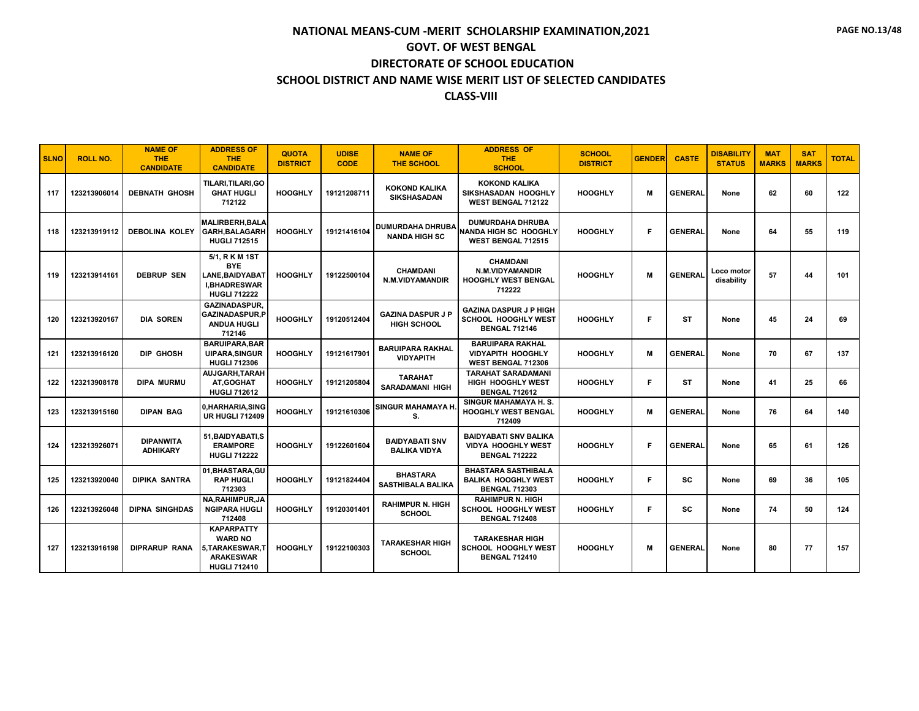| <b>SLNO</b> | <b>ROLL NO.</b> | <b>NAME OF</b><br><b>THE</b><br><b>CANDIDATE</b> | <b>ADDRESS OF</b><br><b>THE</b><br><b>CANDIDATE</b>                                                 | <b>QUOTA</b><br><b>DISTRICT</b> | <b>UDISE</b><br><b>CODE</b> | <b>NAME OF</b><br><b>THE SCHOOL</b>             | <b>ADDRESS OF</b><br><b>THE</b><br><b>SCHOOL</b>                                    | <b>SCHOOL</b><br><b>DISTRICT</b> | <b>GENDER</b> | <b>CASTE</b>   | <b>DISABILITY</b><br><b>STATUS</b> | <b>MAT</b><br><b>MARKS</b> | <b>SAT</b><br><b>MARKS</b> | <b>TOTAL</b> |
|-------------|-----------------|--------------------------------------------------|-----------------------------------------------------------------------------------------------------|---------------------------------|-----------------------------|-------------------------------------------------|-------------------------------------------------------------------------------------|----------------------------------|---------------|----------------|------------------------------------|----------------------------|----------------------------|--------------|
| 117         | 123213906014    | <b>DEBNATH GHOSH</b>                             | TILARI,TILARI,GO<br><b>GHAT HUGLI</b><br>712122                                                     | <b>HOOGHLY</b>                  | 19121208711                 | <b>KOKOND KALIKA</b><br><b>SIKSHASADAN</b>      | <b>KOKOND KALIKA</b><br>SIKSHASADAN HOOGHLY<br><b>WEST BENGAL 712122</b>            | <b>HOOGHLY</b>                   | м             | <b>GENERAL</b> | None                               | 62                         | 60                         | 122          |
| 118         | 123213919112    | <b>DEBOLINA KOLEY</b>                            | <b>MALIRBERH, BALA</b><br><b>GARH.BALAGARH</b><br><b>HUGLI 712515</b>                               | <b>HOOGHLY</b>                  | 19121416104                 | <b>DUMURDAHA DHRUBA</b><br><b>NANDA HIGH SC</b> | <b>DUMURDAHA DHRUBA</b><br>NANDA HIGH SC HOOGHLY<br><b>WEST BENGAL 712515</b>       | <b>HOOGHLY</b>                   | F             | <b>GENERAL</b> | None                               | 64                         | 55                         | 119          |
| 119         | 123213914161    | <b>DEBRUP SEN</b>                                | 5/1, R K M 1ST<br><b>BYE</b><br><b>LANE.BAIDYABAT</b><br><b>I,BHADRESWAR</b><br><b>HUGLI 712222</b> | <b>HOOGHLY</b>                  | 19122500104                 | <b>CHAMDANI</b><br>N.M.VIDYAMANDIR              | <b>CHAMDANI</b><br>N.M.VIDYAMANDIR<br><b>HOOGHLY WEST BENGAL</b><br>712222          | <b>HOOGHLY</b>                   | M             | <b>GENERAL</b> | Loco motor<br>disability           | 57                         | 44                         | 101          |
| 120         | 123213920167    | <b>DIA SOREN</b>                                 | <b>GAZINADASPUR.</b><br><b>GAZINADASPUR.P</b><br><b>ANDUA HUGLI</b><br>712146                       | <b>HOOGHLY</b>                  | 19120512404                 | <b>GAZINA DASPUR J P</b><br><b>HIGH SCHOOL</b>  | <b>GAZINA DASPUR J P HIGH</b><br><b>SCHOOL HOOGHLY WEST</b><br><b>BENGAL 712146</b> | <b>HOOGHLY</b>                   | F             | <b>ST</b>      | None                               | 45                         | 24                         | 69           |
| 121         | 123213916120    | DIP GHOSH                                        | <b>BARUIPARA.BAR</b><br><b>UIPARA.SINGUR</b><br><b>HUGLI 712306</b>                                 | <b>HOOGHLY</b>                  | 19121617901                 | <b>BARUIPARA RAKHAL</b><br><b>VIDYAPITH</b>     | <b>BARUIPARA RAKHAL</b><br><b>VIDYAPITH HOOGHLY</b><br><b>WEST BENGAL 712306</b>    | <b>HOOGHLY</b>                   | м             | <b>GENERAL</b> | None                               | 70                         | 67                         | 137          |
| 122         | 123213908178    | <b>DIPA MURMU</b>                                | <b>AUJGARH,TARAH</b><br>AT, GOGHAT<br><b>HUGLI 712612</b>                                           | <b>HOOGHLY</b>                  | 19121205804                 | <b>TARAHAT</b><br><b>SARADAMANI HIGH</b>        | <b>TARAHAT SARADAMANI</b><br><b>HIGH HOOGHLY WEST</b><br><b>BENGAL 712612</b>       | <b>HOOGHLY</b>                   | F.            | <b>ST</b>      | None                               | 41                         | 25                         | 66           |
| 123         | 123213915160    | <b>DIPAN BAG</b>                                 | 0, HARHARIA, SING<br><b>UR HUGLI 712409</b>                                                         | <b>HOOGHLY</b>                  | 19121610306                 | SINGUR MAHAMAYA H.<br>S.                        | SINGUR MAHAMAYA H.S.<br><b>HOOGHLY WEST BENGAL</b><br>712409                        | <b>HOOGHLY</b>                   | M             | <b>GENERAL</b> | None                               | 76                         | 64                         | 140          |
| 124         | 123213926071    | <b>DIPANWITA</b><br><b>ADHIKARY</b>              | 51, BAIDYABATI, S<br><b>ERAMPORE</b><br><b>HUGLI 712222</b>                                         | <b>HOOGHLY</b>                  | 19122601604                 | <b>BAIDYABATI SNV</b><br><b>BALIKA VIDYA</b>    | <b>BAIDYABATI SNV BALIKA</b><br><b>VIDYA HOOGHLY WEST</b><br><b>BENGAL 712222</b>   | <b>HOOGHLY</b>                   | Е             | <b>GENERAL</b> | None                               | 65                         | 61                         | 126          |
| 125         | 123213920040    | <b>DIPIKA SANTRA</b>                             | 01.BHASTARA.GU<br><b>RAP HUGLI</b><br>712303                                                        | <b>HOOGHLY</b>                  | 19121824404                 | <b>BHASTARA</b><br><b>SASTHIBALA BALIKA</b>     | <b>BHASTARA SASTHIBALA</b><br><b>BALIKA HOOGHLY WEST</b><br><b>BENGAL 712303</b>    | <b>HOOGHLY</b>                   | F.            | <b>SC</b>      | None                               | 69                         | 36                         | 105          |
| 126         | 123213926048    | <b>DIPNA SINGHDAS</b>                            | NA, RAHIMPUR, JA<br><b>NGIPARA HUGLI</b><br>712408                                                  | <b>HOOGHLY</b>                  | 19120301401                 | <b>RAHIMPUR N. HIGH</b><br><b>SCHOOL</b>        | <b>RAHIMPUR N. HIGH</b><br><b>SCHOOL HOOGHLY WEST</b><br><b>BENGAL 712408</b>       | <b>HOOGHLY</b>                   | F.            | <b>SC</b>      | None                               | 74                         | 50                         | 124          |
| 127         | 123213916198    | <b>DIPRARUP RANA</b>                             | <b>KAPARPATTY</b><br><b>WARD NO</b><br>5.TARAKESWAR.T<br><b>ARAKESWAR</b><br><b>HUGLI 712410</b>    | <b>HOOGHLY</b>                  | 19122100303                 | <b>TARAKESHAR HIGH</b><br><b>SCHOOL</b>         | <b>TARAKESHAR HIGH</b><br>SCHOOL HOOGHLY WEST<br><b>BENGAL 712410</b>               | <b>HOOGHLY</b>                   | M             | <b>GENERAL</b> | None                               | 80                         | 77                         | 157          |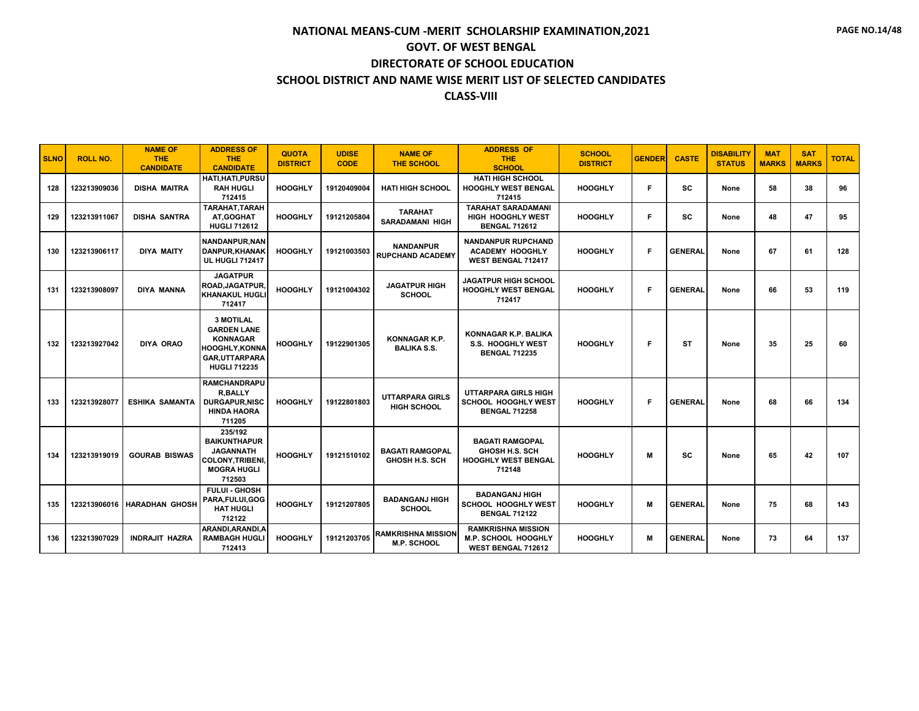| <b>SLNO</b> | <b>ROLL NO.</b> | <b>NAME OF</b><br>THE.<br><b>CANDIDATE</b> | <b>ADDRESS OF</b><br><b>THE</b><br><b>CANDIDATE</b>                                                                              | <b>QUOTA</b><br><b>DISTRICT</b> | <b>UDISE</b><br><b>CODE</b> | <b>NAME OF</b><br><b>THE SCHOOL</b>             | <b>ADDRESS OF</b><br><b>THE</b><br><b>SCHOOL</b>                                        | <b>SCHOOL</b><br><b>DISTRICT</b> | <b>GENDER</b> | <b>CASTE</b>   | <b>DISABILITY</b><br><b>STATUS</b> | <b>MAT</b><br><b>MARKS</b> | <b>SAT</b><br><b>MARKS</b> | <b>TOTAL</b> |
|-------------|-----------------|--------------------------------------------|----------------------------------------------------------------------------------------------------------------------------------|---------------------------------|-----------------------------|-------------------------------------------------|-----------------------------------------------------------------------------------------|----------------------------------|---------------|----------------|------------------------------------|----------------------------|----------------------------|--------------|
| 128         | 123213909036    | <b>DISHA MAITRA</b>                        | HATI, HATI, PURSU<br><b>RAH HUGLI</b><br>712415                                                                                  | <b>HOOGHLY</b>                  | 19120409004                 | <b>HATI HIGH SCHOOL</b>                         | <b>HATI HIGH SCHOOL</b><br><b>HOOGHLY WEST BENGAL</b><br>712415                         | <b>HOOGHLY</b>                   | F             | SC.            | None                               | 58                         | 38                         | 96           |
| 129         | 123213911067    | <b>DISHA SANTRA</b>                        | TARAHAT, TARAH<br>AT.GOGHAT<br><b>HUGLI 712612</b>                                                                               | <b>HOOGHLY</b>                  | 19121205804                 | <b>TARAHAT</b><br><b>SARADAMANI HIGH</b>        | <b>TARAHAT SARADAMANI</b><br><b>HIGH HOOGHLY WEST</b><br><b>BENGAL 712612</b>           | <b>HOOGHLY</b>                   | F             | SC             | None                               | 48                         | 47                         | 95           |
| 130         | 123213906117    | <b>DIYA MAITY</b>                          | NANDANPUR.NAN<br>DANPUR.KHANAK<br><b>UL HUGLI 712417</b>                                                                         | <b>HOOGHLY</b>                  | 19121003503                 | <b>NANDANPUR</b><br><b>RUPCHAND ACADEMY</b>     | <b>NANDANPUR RUPCHAND</b><br><b>ACADEMY HOOGHLY</b><br><b>WEST BENGAL 712417</b>        | <b>HOOGHLY</b>                   | F             | <b>GENERAL</b> | None                               | 67                         | 61                         | 128          |
| 131         | 123213908097    | DIYA MANNA                                 | <b>JAGATPUR</b><br>ROAD, JAGATPUR,<br><b>KHANAKUL HUGLI</b><br>712417                                                            | <b>HOOGHLY</b>                  | 19121004302                 | <b>JAGATPUR HIGH</b><br><b>SCHOOL</b>           | <b>JAGATPUR HIGH SCHOOL</b><br><b>HOOGHLY WEST BENGAL</b><br>712417                     | <b>HOOGHLY</b>                   | F             | <b>GENERAL</b> | None                               | 66                         | 53                         | 119          |
| 132         | 123213927042    | <b>DIYA ORAO</b>                           | <b>3 MOTILAL</b><br><b>GARDEN LANE</b><br><b>KONNAGAR</b><br><b>HOOGHLY.KONNA</b><br><b>GAR.UTTARPARA</b><br><b>HUGLI 712235</b> | <b>HOOGHLY</b>                  | 19122901305                 | <b>KONNAGAR K.P.</b><br><b>BALIKA S.S.</b>      | KONNAGAR K.P. BALIKA<br><b>S.S. HOOGHLY WEST</b><br><b>BENGAL 712235</b>                | <b>HOOGHLY</b>                   | F             | ST             | None                               | 35                         | 25                         | 60           |
| 133         | 123213928077    | <b>ESHIKA SAMANTA</b>                      | <b>RAMCHANDRAPU</b><br><b>R.BALLY</b><br><b>DURGAPUR.NISC</b><br><b>HINDA HAORA</b><br>711205                                    | <b>HOOGHLY</b>                  | 19122801803                 | <b>UTTARPARA GIRLS</b><br><b>HIGH SCHOOL</b>    | <b>UTTARPARA GIRLS HIGH</b><br>SCHOOL HOOGHLY WEST<br><b>BENGAL 712258</b>              | <b>HOOGHLY</b>                   | F             | <b>GENERAL</b> | None                               | 68                         | 66                         | 134          |
| 134         | 123213919019    | <b>GOURAB BISWAS</b>                       | 235/192<br><b>BAIKUNTHAPUR</b><br><b>JAGANNATH</b><br><b>COLONY, TRIBENI,</b><br><b>MOGRA HUGLI</b><br>712503                    | <b>HOOGHLY</b>                  | 19121510102                 | <b>BAGATI RAMGOPAL</b><br><b>GHOSH H.S. SCH</b> | <b>BAGATI RAMGOPAL</b><br><b>GHOSH H.S. SCH</b><br><b>HOOGHLY WEST BENGAL</b><br>712148 | <b>HOOGHLY</b>                   | M             | SC             | None                               | 65                         | 42                         | 107          |
| 135         |                 | 123213906016 HARADHAN GHOSH                | <b>FULUI - GHOSH</b><br>PARA,FULUI,GOG<br><b>HAT HUGLI</b><br>712122                                                             | <b>HOOGHLY</b>                  | 19121207805                 | <b>BADANGANJ HIGH</b><br><b>SCHOOL</b>          | <b>BADANGANJ HIGH</b><br><b>SCHOOL HOOGHLY WEST</b><br><b>BENGAL 712122</b>             | <b>HOOGHLY</b>                   | M             | <b>GENERAL</b> | None                               | 75                         | 68                         | 143          |
| 136         | 123213907029    | <b>INDRAJIT HAZRA</b>                      | ARANDI, ARANDI, A<br><b>RAMBAGH HUGLI</b><br>712413                                                                              | <b>HOOGHLY</b>                  | 19121203705                 | <b>RAMKRISHNA MISSION</b><br>M.P. SCHOOL        | <b>RAMKRISHNA MISSION</b><br>M.P. SCHOOL HOOGHLY<br>WEST BENGAL 712612                  | <b>HOOGHLY</b>                   | M             | <b>GENERAL</b> | None                               | 73                         | 64                         | 137          |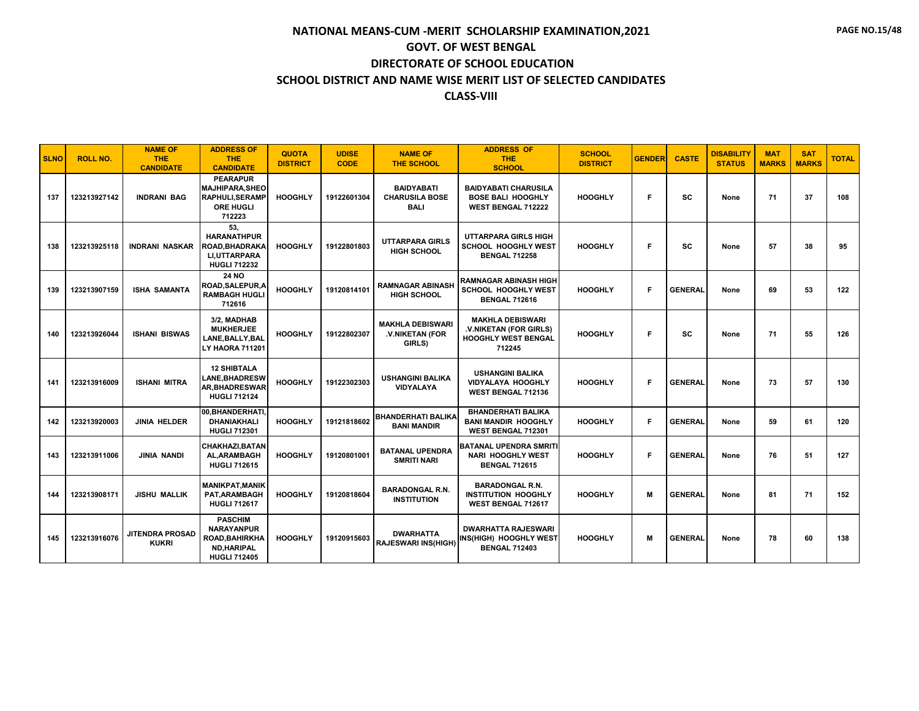| <b>SLNO</b> | <b>ROLL NO.</b> | <b>NAME OF</b><br><b>THE</b><br><b>CANDIDATE</b> | <b>ADDRESS OF</b><br><b>THE</b><br><b>CANDIDATE</b>                                                      | <b>QUOTA</b><br><b>DISTRICT</b> | <b>UDISE</b><br><b>CODE</b> | <b>NAME OF</b><br><b>THE SCHOOL</b>                       | <b>ADDRESS OF</b><br><b>THE</b><br><b>SCHOOL</b>                                          | <b>SCHOOL</b><br><b>DISTRICT</b> | <b>GENDER</b> | <b>CASTE</b>   | <b>DISABILITY</b><br><b>STATUS</b> | <b>MAT</b><br><b>MARKS</b> | <b>SAT</b><br><b>MARKS</b> | <b>TOTAL</b> |
|-------------|-----------------|--------------------------------------------------|----------------------------------------------------------------------------------------------------------|---------------------------------|-----------------------------|-----------------------------------------------------------|-------------------------------------------------------------------------------------------|----------------------------------|---------------|----------------|------------------------------------|----------------------------|----------------------------|--------------|
| 137         | 123213927142    | <b>INDRANI BAG</b>                               | <b>PEARAPUR</b><br><b>MAJHIPARA, SHEO</b><br><b>RAPHULI, SERAMP</b><br><b>ORE HUGLI</b><br>712223        | <b>HOOGHLY</b>                  | 19122601304                 | <b>BAIDYABATI</b><br><b>CHARUSILA BOSE</b><br><b>BALI</b> | <b>BAIDYABATI CHARUSILA</b><br><b>BOSE BALI HOOGHLY</b><br><b>WEST BENGAL 712222</b>      | <b>HOOGHLY</b>                   | F             | <b>SC</b>      | None                               | 71                         | 37                         | 108          |
| 138         | 123213925118    | <b>INDRANI NASKAR</b>                            | 53,<br><b>HARANATHPUR</b><br>ROAD,BHADRAKA<br>LI, UTTARPARA<br><b>HUGLI 712232</b>                       | <b>HOOGHLY</b>                  | 19122801803                 | <b>UTTARPARA GIRLS</b><br><b>HIGH SCHOOL</b>              | <b>UTTARPARA GIRLS HIGH</b><br>SCHOOL HOOGHLY WEST<br><b>BENGAL 712258</b>                | <b>HOOGHLY</b>                   | F             | <b>SC</b>      | None                               | 57                         | 38                         | 95           |
| 139         | 123213907159    | <b>ISHA SAMANTA</b>                              | <b>24 NO</b><br>ROAD,SALEPUR,A<br><b>RAMBAGH HUGLI</b><br>712616                                         | <b>HOOGHLY</b>                  | 19120814101                 | <b>RAMNAGAR ABINASH</b><br><b>HIGH SCHOOL</b>             | <b>RAMNAGAR ABINASH HIGH</b><br>SCHOOL HOOGHLY WEST<br><b>BENGAL 712616</b>               | <b>HOOGHLY</b>                   | F             | <b>GENERAL</b> | None                               | 69                         | 53                         | 122          |
| 140         | 123213926044    | <b>ISHANI BISWAS</b>                             | 3/2, MADHAB<br><b>MUKHERJEE</b><br>LANE, BALLY, BAL<br><b>LY HAORA 711201</b>                            | <b>HOOGHLY</b>                  | 19122802307                 | <b>MAKHLA DEBISWARI</b><br>.V.NIKETAN (FOR<br>GIRLS)      | <b>MAKHLA DEBISWARI</b><br>.V.NIKETAN (FOR GIRLS)<br><b>HOOGHLY WEST BENGAL</b><br>712245 | <b>HOOGHLY</b>                   | F             | <b>SC</b>      | None                               | 71                         | 55                         | 126          |
| 141         | 123213916009    | <b>ISHANI MITRA</b>                              | <b>12 SHIBTALA</b><br><b>LANE,BHADRESW</b><br><b>AR.BHADRESWAR</b><br><b>HUGLI 712124</b>                | <b>HOOGHLY</b>                  | 19122302303                 | <b>USHANGINI BALIKA</b><br><b>VIDYALAYA</b>               | <b>USHANGINI BALIKA</b><br><b>VIDYALAYA HOOGHLY</b><br><b>WEST BENGAL 712136</b>          | <b>HOOGHLY</b>                   | F             | <b>GENERAL</b> | None                               | 73                         | 57                         | 130          |
| 142         | 123213920003    | <b>JINIA HELDER</b>                              | 00, BHANDERHATI,<br><b>DHANIAKHALI</b><br><b>HUGLI 712301</b>                                            | <b>HOOGHLY</b>                  | 19121818602                 | <b>BHANDERHATI BALIKA</b><br><b>BANI MANDIR</b>           | <b>BHANDERHATI BALIKA</b><br><b>BANI MANDIR HOOGHLY</b><br>WEST BENGAL 712301             | <b>HOOGHLY</b>                   | F             | <b>GENERAL</b> | None                               | 59                         | 61                         | 120          |
| 143         | 123213911006    | JINIA NANDI                                      | CHAKHAZI, BATAN<br><b>AL.ARAMBAGH</b><br><b>HUGLI 712615</b>                                             | <b>HOOGHLY</b>                  | 19120801001                 | <b>BATANAL UPENDRA</b><br><b>SMRITI NARI</b>              | <b>BATANAL UPENDRA SMRITI</b><br><b>NARI HOOGHLY WEST</b><br><b>BENGAL 712615</b>         | <b>HOOGHLY</b>                   | F             | <b>GENERAL</b> | None                               | 76                         | 51                         | 127          |
| 144         | 123213908171    | <b>JISHU MALLIK</b>                              | <b>MANIKPAT, MANIK</b><br>PAT, ARAMBAGH<br><b>HUGLI 712617</b>                                           | <b>HOOGHLY</b>                  | 19120818604                 | <b>BARADONGAL R.N.</b><br><b>INSTITUTION</b>              | <b>BARADONGAL R.N.</b><br><b>INSTITUTION HOOGHLY</b><br>WEST BENGAL 712617                | <b>HOOGHLY</b>                   | M             | <b>GENERAL</b> | None                               | 81                         | 71                         | 152          |
| 145         | 123213916076    | <b>JITENDRA PROSAD</b><br><b>KUKRI</b>           | <b>PASCHIM</b><br><b>NARAYANPUR</b><br><b>ROAD.BAHIRKHA</b><br><b>ND, HARIPAL</b><br><b>HUGLI 712405</b> | <b>HOOGHLY</b>                  | 19120915603                 | <b>DWARHATTA</b><br><b>RAJESWARI INS(HIGH)</b>            | <b>DWARHATTA RAJESWARI</b><br>INS(HIGH) HOOGHLY WEST<br><b>BENGAL 712403</b>              | <b>HOOGHLY</b>                   | м             | <b>GENERAL</b> | None                               | 78                         | 60                         | 138          |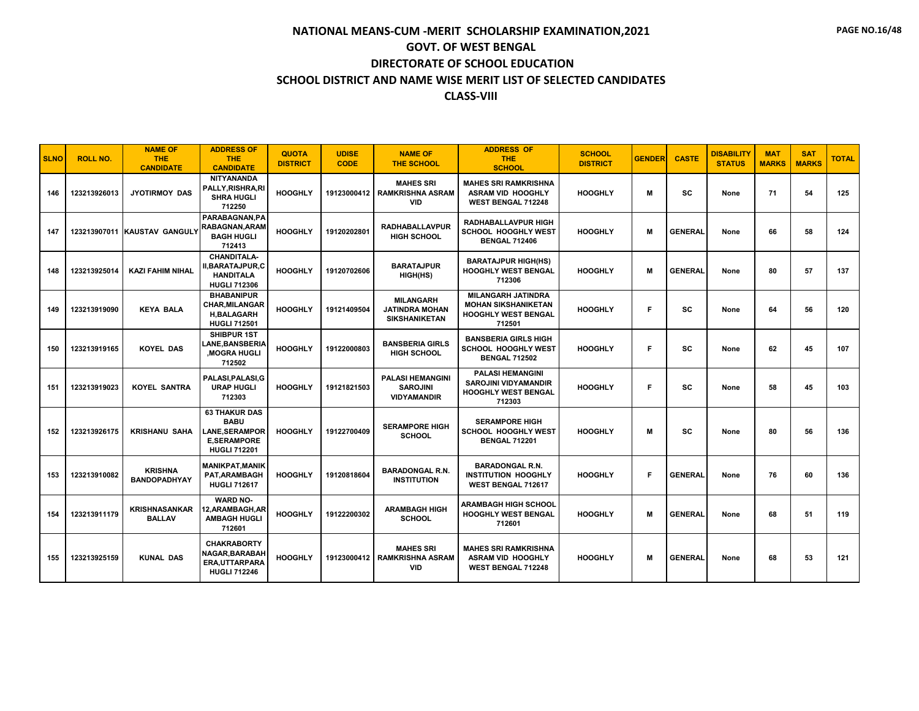| <b>SLNO</b> | <b>ROLL NO.</b> | <b>NAME OF</b><br><b>THE</b><br><b>CANDIDATE</b> | <b>ADDRESS OF</b><br><b>THE</b><br><b>CANDIDATE</b>                                                       | <b>QUOTA</b><br><b>DISTRICT</b> | <b>UDISE</b><br><b>CODE</b> | <b>NAME OF</b><br><b>THE SCHOOL</b>                               | <b>ADDRESS OF</b><br><b>THE</b><br><b>SCHOOL</b>                                                | <b>SCHOOL</b><br><b>DISTRICT</b> | <b>GENDER</b> | <b>CASTE</b>   | <b>DISABILITY</b><br><b>STATUS</b> | <b>MAT</b><br><b>MARKS</b> | <b>SAT</b><br><b>MARKS</b> | <b>TOTAL</b> |
|-------------|-----------------|--------------------------------------------------|-----------------------------------------------------------------------------------------------------------|---------------------------------|-----------------------------|-------------------------------------------------------------------|-------------------------------------------------------------------------------------------------|----------------------------------|---------------|----------------|------------------------------------|----------------------------|----------------------------|--------------|
| 146         | 123213926013    | <b>JYOTIRMOY DAS</b>                             | <b>NITYANANDA</b><br>PALLY,RISHRA,RI<br><b>SHRA HUGLI</b><br>712250                                       | <b>HOOGHLY</b>                  | 19123000412                 | <b>MAHES SRI</b><br><b>RAMKRISHNA ASRAM</b><br><b>VID</b>         | <b>MAHES SRI RAMKRISHNA</b><br><b>ASRAM VID HOOGHLY</b><br><b>WEST BENGAL 712248</b>            | <b>HOOGHLY</b>                   | M             | <b>SC</b>      | None                               | 71                         | 54                         | 125          |
| 147         |                 | 123213907011 KAUSTAV GANGULY                     | PARABAGNAN.PA<br>RABAGNAN.ARAM<br><b>BAGH HUGLI</b><br>712413                                             | <b>HOOGHLY</b>                  | 19120202801                 | <b>RADHABALLAVPUR</b><br><b>HIGH SCHOOL</b>                       | <b>RADHABALLAVPUR HIGH</b><br><b>SCHOOL HOOGHLY WEST</b><br><b>BENGAL 712406</b>                | <b>HOOGHLY</b>                   | M             | <b>GENERAL</b> | None                               | 66                         | 58                         | 124          |
| 148         | 123213925014    | <b>KAZI FAHIM NIHAL</b>                          | <b>CHANDITALA-</b><br>II,BARATAJPUR,C<br><b>HANDITALA</b><br><b>HUGLI 712306</b>                          | <b>HOOGHLY</b>                  | 19120702606                 | <b>BARATAJPUR</b><br>HIGH(HS)                                     | <b>BARATAJPUR HIGH(HS)</b><br>HOOGHLY WEST BENGAL<br>712306                                     | <b>HOOGHLY</b>                   | M             | <b>GENERAL</b> | None                               | 80                         | 57                         | 137          |
| 149         | 123213919090    | <b>KEYA BALA</b>                                 | <b>BHABANIPUR</b><br><b>CHAR, MILANGAR</b><br><b>H,BALAGARH</b><br><b>HUGLI 712501</b>                    | <b>HOOGHLY</b>                  | 19121409504                 | <b>MILANGARH</b><br><b>JATINDRA MOHAN</b><br><b>SIKSHANIKETAN</b> | <b>MILANGARH JATINDRA</b><br><b>MOHAN SIKSHANIKETAN</b><br><b>HOOGHLY WEST BENGAL</b><br>712501 | <b>HOOGHLY</b>                   | Е             | SC             | None                               | 64                         | 56                         | 120          |
| 150         | 123213919165    | <b>KOYEL DAS</b>                                 | <b>SHIBPUR 1ST</b><br><b>LANE.BANSBERIA</b><br><b>MOGRA HUGLI</b><br>712502                               | <b>HOOGHLY</b>                  | 19122000803                 | <b>BANSBERIA GIRLS</b><br><b>HIGH SCHOOL</b>                      | <b>BANSBERIA GIRLS HIGH</b><br><b>SCHOOL HOOGHLY WEST</b><br><b>BENGAL 712502</b>               | <b>HOOGHLY</b>                   | F             | <b>SC</b>      | None                               | 62                         | 45                         | 107          |
| 151         | 123213919023    | <b>KOYEL SANTRA</b>                              | PALASI.PALASI.G<br><b>URAP HUGLI</b><br>712303                                                            | <b>HOOGHLY</b>                  | 19121821503                 | <b>PALASI HEMANGINI</b><br><b>SAROJINI</b><br><b>VIDYAMANDIR</b>  | <b>PALASI HEMANGINI</b><br><b>SAROJINI VIDYAMANDIR</b><br><b>HOOGHLY WEST BENGAL</b><br>712303  | <b>HOOGHLY</b>                   | Е             | <b>SC</b>      | None                               | 58                         | 45                         | 103          |
| 152         | 123213926175    | <b>KRISHANU SAHA</b>                             | <b>63 THAKUR DAS</b><br><b>BABU</b><br><b>LANE, SERAMPOR</b><br><b>E.SERAMPORE</b><br><b>HUGLI 712201</b> | <b>HOOGHLY</b>                  | 19122700409                 | <b>SERAMPORE HIGH</b><br><b>SCHOOL</b>                            | <b>SERAMPORE HIGH</b><br>SCHOOL HOOGHLY WEST<br><b>BENGAL 712201</b>                            | <b>HOOGHLY</b>                   | M             | <b>SC</b>      | None                               | 80                         | 56                         | 136          |
| 153         | 123213910082    | <b>KRISHNA</b><br><b>BANDOPADHYAY</b>            | <b>MANIKPAT, MANIK</b><br>PAT, ARAMBAGH<br><b>HUGLI 712617</b>                                            | <b>HOOGHLY</b>                  | 19120818604                 | <b>BARADONGAL R.N.</b><br><b>INSTITUTION</b>                      | <b>BARADONGAL R.N.</b><br><b>INSTITUTION HOOGHLY</b><br>WEST BENGAL 712617                      | <b>HOOGHLY</b>                   | F             | <b>GENERAL</b> | None                               | 76                         | 60                         | 136          |
| 154         | 123213911179    | <b>KRISHNASANKAR</b><br><b>BALLAV</b>            | <b>WARD NO-</b><br>12,ARAMBAGH,AR<br><b>AMBAGH HUGLI</b><br>712601                                        | <b>HOOGHLY</b>                  | 19122200302                 | <b>ARAMBAGH HIGH</b><br><b>SCHOOL</b>                             | <b>ARAMBAGH HIGH SCHOOL</b><br><b>HOOGHLY WEST BENGAL</b><br>712601                             | <b>HOOGHLY</b>                   | M             | <b>GENERAL</b> | None                               | 68                         | 51                         | 119          |
| 155         | 123213925159    | <b>KUNAL DAS</b>                                 | <b>CHAKRABORTY</b><br>NAGAR, BARABAH<br>ERA, UTTARPARA<br><b>HUGLI 712246</b>                             | <b>HOOGHLY</b>                  | 19123000412                 | <b>MAHES SRI</b><br><b>RAMKRISHNA ASRAM</b><br><b>VID</b>         | <b>MAHES SRI RAMKRISHNA</b><br><b>ASRAM VID HOOGHLY</b><br><b>WEST BENGAL 712248</b>            | <b>HOOGHLY</b>                   | м             | <b>GENERAL</b> | None                               | 68                         | 53                         | 121          |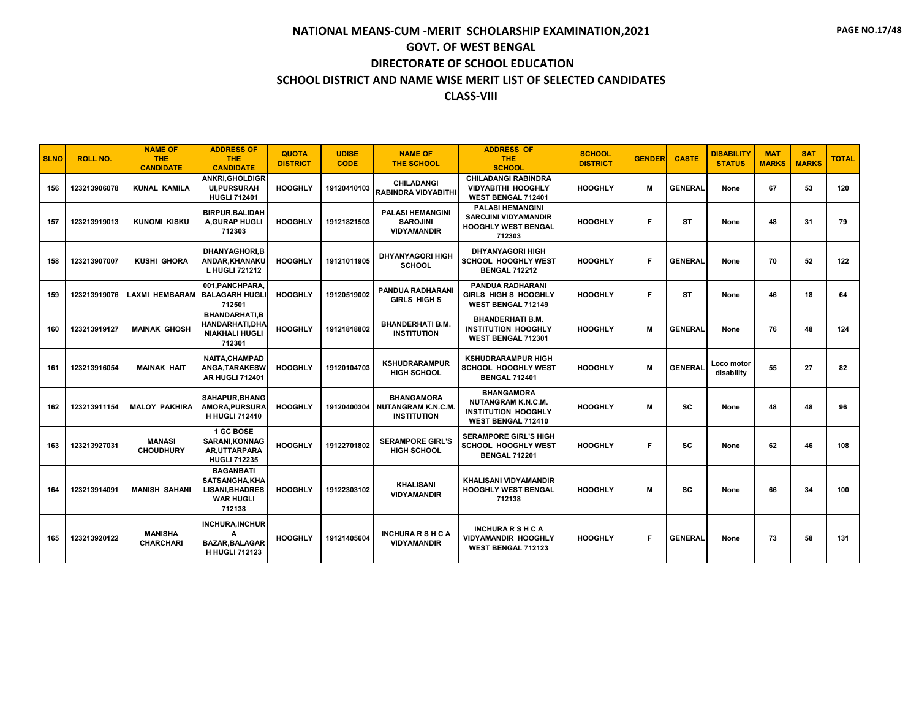| <b>SLNO</b> | <b>ROLL NO.</b> | <b>NAME OF</b><br><b>THE</b><br><b>CANDIDATE</b> | <b>ADDRESS OF</b><br><b>THE</b><br><b>CANDIDATE</b>                                              | <b>QUOTA</b><br><b>DISTRICT</b> | <b>UDISE</b><br><b>CODE</b> | <b>NAME OF</b><br><b>THE SCHOOL</b>                              | <b>ADDRESS OF</b><br><b>THE</b><br><b>SCHOOL</b>                                            | <b>SCHOOL</b><br><b>DISTRICT</b> | <b>GENDER</b> | <b>CASTE</b>   | <b>DISABILITY</b><br><b>STATUS</b> | <b>MAT</b><br><b>MARKS</b> | <b>SAT</b><br><b>MARKS</b> | <b>TOTAL</b> |
|-------------|-----------------|--------------------------------------------------|--------------------------------------------------------------------------------------------------|---------------------------------|-----------------------------|------------------------------------------------------------------|---------------------------------------------------------------------------------------------|----------------------------------|---------------|----------------|------------------------------------|----------------------------|----------------------------|--------------|
| 156         | 123213906078    | <b>KUNAL KAMILA</b>                              | <b>ANKRI, GHOLDIGR</b><br><b>UI.PURSURAH</b><br><b>HUGLI 712401</b>                              | <b>HOOGHLY</b>                  | 19120410103                 | <b>CHILADANGI</b><br>RABINDRA VIDYABITHI                         | <b>CHILADANGI RABINDRA</b><br><b>VIDYABITHI HOOGHLY</b><br>WEST BENGAL 712401               | <b>HOOGHLY</b>                   | M             | <b>GENERAL</b> | None                               | 67                         | 53                         | 120          |
| 157         | 123213919013    | <b>KUNOMI KISKU</b>                              | <b>BIRPUR, BALIDAH</b><br>A.GURAP HUGLI<br>712303                                                | <b>HOOGHLY</b>                  | 19121821503                 | <b>PALASI HEMANGINI</b><br><b>SAROJINI</b><br><b>VIDYAMANDIR</b> | <b>PALASI HEMANGINI</b><br><b>SAROJINI VIDYAMANDIR</b><br>HOOGHLY WEST BENGAL<br>712303     | <b>HOOGHLY</b>                   | F.            | <b>ST</b>      | None                               | 48                         | 31                         | 79           |
| 158         | 123213907007    | <b>KUSHI GHORA</b>                               | <b>DHANYAGHORI.B</b><br>ANDAR, KHANAKU<br>L HUGLI 721212                                         | <b>HOOGHLY</b>                  | 19121011905                 | <b>DHYANYAGORI HIGH</b><br><b>SCHOOL</b>                         | <b>DHYANYAGORI HIGH</b><br>SCHOOL HOOGHLY WEST<br><b>BENGAL 712212</b>                      | <b>HOOGHLY</b>                   | F             | <b>GENERAL</b> | None                               | 70                         | 52                         | 122          |
| 159         | 123213919076    | LAXMI HEMBARAM BALAGARH HUGLI                    | 001.PANCHPARA.<br>712501                                                                         | <b>HOOGHLY</b>                  | 19120519002                 | <b>PANDUA RADHARANI</b><br><b>GIRLS HIGH S</b>                   | <b>PANDUA RADHARANI</b><br>GIRLS HIGH S HOOGHLY<br>WEST BENGAL 712149                       | <b>HOOGHLY</b>                   | F             | <b>ST</b>      | None                               | 46                         | 18                         | 64           |
| 160         | 123213919127    | <b>MAINAK GHOSH</b>                              | <b>BHANDARHATI.B</b><br>HANDARHATI,DHA<br><b>NIAKHALI HUGLI</b><br>712301                        | <b>HOOGHLY</b>                  | 19121818802                 | <b>BHANDERHATI B.M.</b><br><b>INSTITUTION</b>                    | <b>BHANDERHATI B.M.</b><br><b>INSTITUTION HOOGHLY</b><br>WEST BENGAL 712301                 | <b>HOOGHLY</b>                   | м             | <b>GENERAL</b> | None                               | 76                         | 48                         | 124          |
| 161         | 123213916054    | <b>MAINAK HAIT</b>                               | <b>NAITA.CHAMPAD</b><br>ANGA, TARAKESW<br><b>AR HUGLI 712401</b>                                 | <b>HOOGHLY</b>                  | 19120104703                 | <b>KSHUDRARAMPUR</b><br><b>HIGH SCHOOL</b>                       | <b>KSHUDRARAMPUR HIGH</b><br><b>SCHOOL HOOGHLY WEST</b><br><b>BENGAL 712401</b>             | <b>HOOGHLY</b>                   | M             | <b>GENERAL</b> | Loco motor<br>disability           | 55                         | 27                         | 82           |
| 162         | 123213911154    | <b>MALOY PAKHIRA</b>                             | SAHAPUR.BHANG<br><b>AMORA, PURSURA</b><br><b>H HUGLI 712410</b>                                  | <b>HOOGHLY</b>                  | 19120400304                 | <b>BHANGAMORA</b><br>NUTANGRAM K.N.C.M.<br><b>INSTITUTION</b>    | <b>BHANGAMORA</b><br>NUTANGRAM K.N.C.M.<br><b>INSTITUTION HOOGHLY</b><br>WEST BENGAL 712410 | <b>HOOGHLY</b>                   | M             | <b>SC</b>      | None                               | 48                         | 48                         | 96           |
| 163         | 123213927031    | <b>MANASI</b><br><b>CHOUDHURY</b>                | 1 GC BOSE<br>SARANI, KONNAG<br>AR.UTTARPARA<br><b>HUGLI 712235</b>                               | <b>HOOGHLY</b>                  | 19122701802                 | <b>SERAMPORE GIRL'S</b><br><b>HIGH SCHOOL</b>                    | <b>SERAMPORE GIRL'S HIGH</b><br><b>SCHOOL HOOGHLY WEST</b><br><b>BENGAL 712201</b>          | <b>HOOGHLY</b>                   | F.            | <b>SC</b>      | None                               | 62                         | 46                         | 108          |
| 164         | 123213914091    | <b>MANISH SAHANI</b>                             | <b>BAGANBATI</b><br><b>SATSANGHA.KHA</b><br><b>LISANI, BHADRES</b><br><b>WAR HUGLI</b><br>712138 | <b>HOOGHLY</b>                  | 19122303102                 | <b>KHALISANI</b><br><b>VIDYAMANDIR</b>                           | <b>KHALISANI VIDYAMANDIR</b><br><b>HOOGHLY WEST BENGAL</b><br>712138                        | <b>HOOGHLY</b>                   | M             | sc             | None                               | 66                         | 34                         | 100          |
| 165         | 123213920122    | <b>MANISHA</b><br><b>CHARCHARI</b>               | <b>INCHURA, INCHUR</b><br>А<br><b>BAZAR, BALAGAR</b><br><b>H HUGLI 712123</b>                    | <b>HOOGHLY</b>                  | 19121405604                 | <b>INCHURARSHCA</b><br><b>VIDYAMANDIR</b>                        | <b>INCHURARSHCA</b><br>VIDYAMANDIR HOOGHLY<br><b>WEST BENGAL 712123</b>                     | <b>HOOGHLY</b>                   | F             | <b>GENERAL</b> | None                               | 73                         | 58                         | 131          |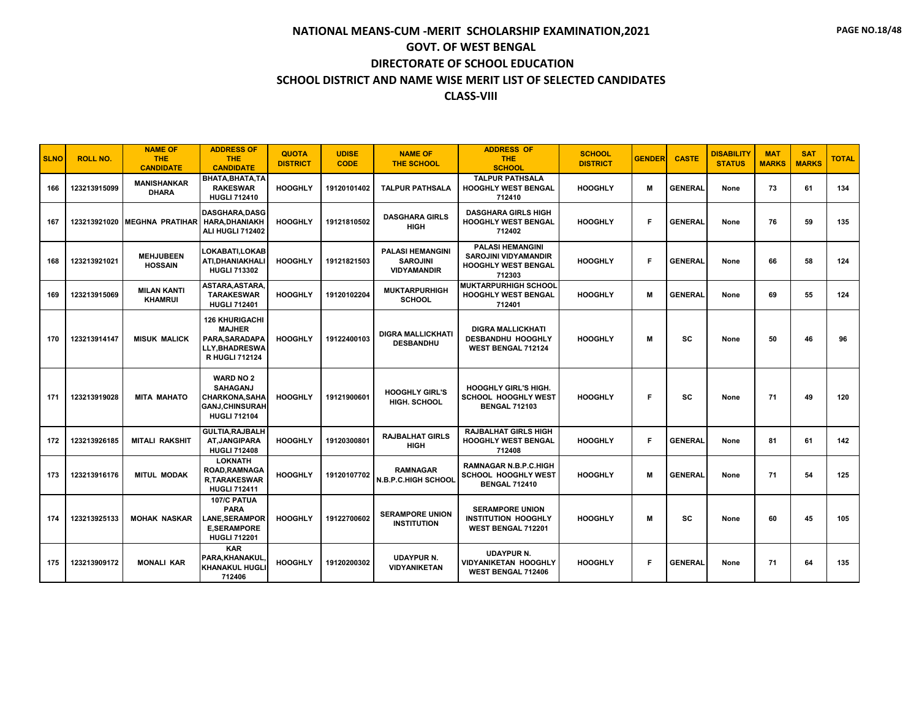| <b>SLNO</b> | <b>ROLL NO.</b> | <b>NAME OF</b><br><b>THE</b><br><b>CANDIDATE</b> | <b>ADDRESS OF</b><br><b>THE</b><br><b>CANDIDATE</b>                                                           | <b>QUOTA</b><br><b>DISTRICT</b> | <b>UDISE</b><br><b>CODE</b> | <b>NAME OF</b><br><b>THE SCHOOL</b>                              | <b>ADDRESS OF</b><br><b>THE</b><br><b>SCHOOL</b>                                               | <b>SCHOOL</b><br><b>DISTRICT</b> | <b>GENDER</b> | <b>CASTE</b>   | <b>DISABILITY</b><br><b>STATUS</b> | <b>MAT</b><br><b>MARKS</b> | <b>SAT</b><br><b>MARKS</b> | <b>TOTAL</b> |
|-------------|-----------------|--------------------------------------------------|---------------------------------------------------------------------------------------------------------------|---------------------------------|-----------------------------|------------------------------------------------------------------|------------------------------------------------------------------------------------------------|----------------------------------|---------------|----------------|------------------------------------|----------------------------|----------------------------|--------------|
| 166         | 123213915099    | <b>MANISHANKAR</b><br><b>DHARA</b>               | BHATA.BHATA.TA<br><b>RAKESWAR</b><br><b>HUGLI 712410</b>                                                      | <b>HOOGHLY</b>                  | 19120101402                 | <b>TALPUR PATHSALA</b>                                           | <b>TALPUR PATHSALA</b><br><b>HOOGHLY WEST BENGAL</b><br>712410                                 | <b>HOOGHLY</b>                   | M             | <b>GENERAL</b> | None                               | 73                         | 61                         | 134          |
| 167         | 123213921020    | <b>IMEGHNA PRATIHAR</b>                          | <b>DASGHARA.DASG</b><br><b>HARA, DHANIAKH</b><br>ALI HUGLI 712402                                             | <b>HOOGHLY</b>                  | 19121810502                 | <b>DASGHARA GIRLS</b><br><b>HIGH</b>                             | <b>DASGHARA GIRLS HIGH</b><br><b>HOOGHLY WEST BENGAL</b><br>712402                             | <b>HOOGHLY</b>                   | F             | <b>GENERAL</b> | None                               | 76                         | 59                         | 135          |
| 168         | 123213921021    | <b>MEHJUBEEN</b><br><b>HOSSAIN</b>               | LOKABATI.LOKAB<br>ATI, DHANIAKHALI<br><b>HUGLI 713302</b>                                                     | <b>HOOGHLY</b>                  | 19121821503                 | <b>PALASI HEMANGINI</b><br><b>SAROJINI</b><br><b>VIDYAMANDIR</b> | <b>PALASI HEMANGINI</b><br><b>SAROJINI VIDYAMANDIR</b><br><b>HOOGHLY WEST BENGAL</b><br>712303 | <b>HOOGHLY</b>                   | F             | <b>GENERAL</b> | None                               | 66                         | 58                         | 124          |
| 169         | 123213915069    | <b>MILAN KANTI</b><br><b>KHAMRUI</b>             | ASTARA.ASTARA.<br><b>TARAKESWAR</b><br><b>HUGLI 712401</b>                                                    | <b>HOOGHLY</b>                  | 19120102204                 | <b>MUKTARPURHIGH</b><br><b>SCHOOL</b>                            | <b>MUKTARPURHIGH SCHOOL</b><br><b>HOOGHLY WEST BENGAL</b><br>712401                            | <b>HOOGHLY</b>                   | м             | <b>GENERAL</b> | None                               | 69                         | 55                         | 124          |
| 170         | 123213914147    | <b>MISUK MALICK</b>                              | <b>126 KHURIGACHI</b><br><b>MAJHER</b><br>PARA, SARADAPA<br><b>LLY,BHADRESWA</b><br><b>R HUGLI 712124</b>     | <b>HOOGHLY</b>                  | 19122400103                 | <b>DIGRA MALLICKHATI</b><br><b>DESBANDHU</b>                     | <b>DIGRA MALLICKHATI</b><br><b>DESBANDHU HOOGHLY</b><br>WEST BENGAL 712124                     | <b>HOOGHLY</b>                   | M             | SC             | None                               | 50                         | 46                         | 96           |
| 171         | 123213919028    | <b>MITA MAHATO</b>                               | <b>WARD NO 2</b><br><b>SAHAGANJ</b><br><b>CHARKONA, SAHA</b><br><b>GANJ, CHINSURAH</b><br><b>HUGLI 712104</b> | <b>HOOGHLY</b>                  | 19121900601                 | <b>HOOGHLY GIRL'S</b><br>HIGH. SCHOOL                            | <b>HOOGHLY GIRL'S HIGH.</b><br><b>SCHOOL HOOGHLY WEST</b><br><b>BENGAL 712103</b>              | <b>HOOGHLY</b>                   | F             | <b>SC</b>      | None                               | 71                         | 49                         | 120          |
| 172         | 123213926185    | <b>MITALI RAKSHIT</b>                            | <b>GULTIA, RAJBALH</b><br><b>AT, JANGIPARA</b><br><b>HUGLI 712408</b>                                         | <b>HOOGHLY</b>                  | 19120300801                 | <b>RAJBALHAT GIRLS</b><br><b>HIGH</b>                            | <b>RAJBALHAT GIRLS HIGH</b><br><b>HOOGHLY WEST BENGAL</b><br>712408                            | <b>HOOGHLY</b>                   | F             | <b>GENERAL</b> | None                               | 81                         | 61                         | 142          |
| 173         | 123213916176    | <b>MITUL MODAK</b>                               | <b>LOKNATH</b><br>ROAD, RAMNAGA<br><b>R.TARAKESWAR</b><br><b>HUGLI 712411</b>                                 | <b>HOOGHLY</b>                  | 19120107702                 | <b>RAMNAGAR</b><br><b>N.B.P.C.HIGH SCHOOL</b>                    | <b>RAMNAGAR N.B.P.C.HIGH</b><br><b>SCHOOL HOOGHLY WEST</b><br><b>BENGAL 712410</b>             | <b>HOOGHLY</b>                   | м             | <b>GENERAL</b> | None                               | 71                         | 54                         | 125          |
| 174         | 123213925133    | <b>MOHAK NASKAR</b>                              | 107/C PATUA<br><b>PARA</b><br><b>LANE,SERAMPOR</b><br><b>E.SERAMPORE</b><br><b>HUGLI 712201</b>               | <b>HOOGHLY</b>                  | 19122700602                 | <b>SERAMPORE UNION</b><br><b>INSTITUTION</b>                     | <b>SERAMPORE UNION</b><br>INSTITUTION HOOGHLY<br>WEST BENGAL 712201                            | <b>HOOGHLY</b>                   | M             | <b>SC</b>      | None                               | 60                         | 45                         | 105          |
| 175         | 123213909172    | <b>MONALI KAR</b>                                | <b>KAR</b><br>PARA, KHANAKUL<br><b>KHANAKUL HUGLI</b><br>712406                                               | <b>HOOGHLY</b>                  | 19120200302                 | <b>UDAYPUR N.</b><br><b>VIDYANIKETAN</b>                         | <b>UDAYPUR N.</b><br><b>VIDYANIKETAN HOOGHLY</b><br><b>WEST BENGAL 712406</b>                  | <b>HOOGHLY</b>                   | F             | <b>GENERAL</b> | None                               | 71                         | 64                         | 135          |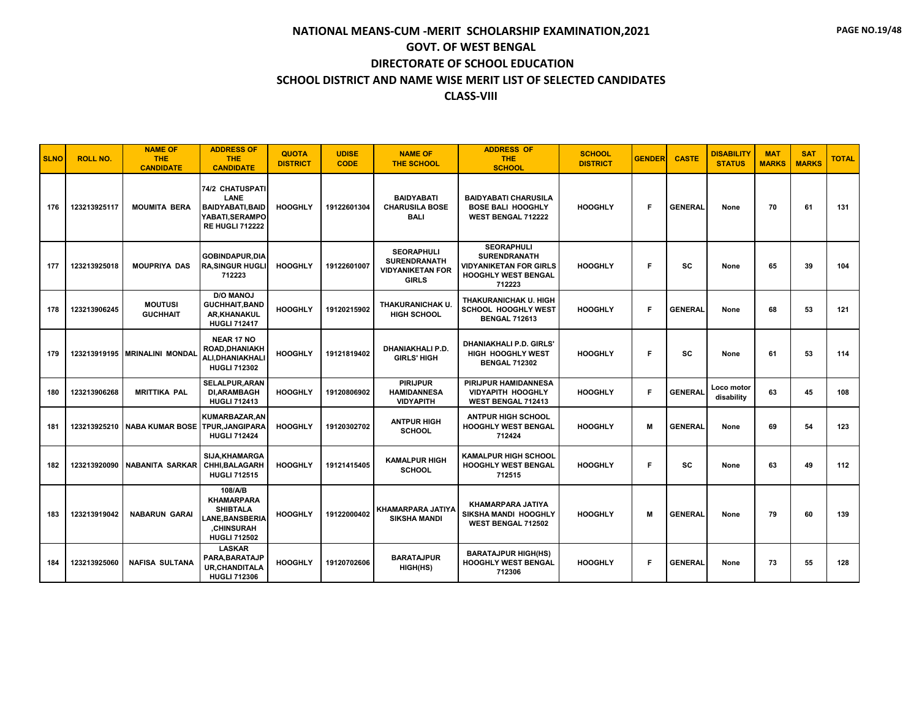| <b>SLNO</b> | <b>ROLL NO.</b> | <b>NAME OF</b><br><b>THE</b><br><b>CANDIDATE</b> | <b>ADDRESS OF</b><br><b>THE</b><br><b>CANDIDATE</b>                                                                  | <b>QUOTA</b><br><b>DISTRICT</b> | <b>UDISE</b><br><b>CODE</b> | <b>NAME OF</b><br><b>THE SCHOOL</b>                                                 | <b>ADDRESS OF</b><br><b>THE</b><br><b>SCHOOL</b>                                                                  | <b>SCHOOL</b><br><b>DISTRICT</b> | <b>GENDER</b> | <b>CASTE</b>   | <b>DISABILITY</b><br><b>STATUS</b> | <b>MAT</b><br><b>MARKS</b> | <b>SAT</b><br><b>MARKS</b> | <b>TOTAL</b> |
|-------------|-----------------|--------------------------------------------------|----------------------------------------------------------------------------------------------------------------------|---------------------------------|-----------------------------|-------------------------------------------------------------------------------------|-------------------------------------------------------------------------------------------------------------------|----------------------------------|---------------|----------------|------------------------------------|----------------------------|----------------------------|--------------|
| 176         | 123213925117    | <b>MOUMITA BERA</b>                              | <b>74/2 CHATUSPATI</b><br>LANE<br><b>BAIDYABATI, BAID</b><br>YABATI, SERAMPO<br><b>RE HUGLI 712222</b>               | <b>HOOGHLY</b>                  | 19122601304                 | <b>BAIDYABATI</b><br><b>CHARUSILA BOSE</b><br><b>BALI</b>                           | <b>BAIDYABATI CHARUSILA</b><br><b>BOSE BALI HOOGHLY</b><br><b>WEST BENGAL 712222</b>                              | <b>HOOGHLY</b>                   | F             | <b>GENERAL</b> | None                               | 70                         | 61                         | 131          |
| 177         | 123213925018    | <b>MOUPRIYA DAS</b>                              | <b>GOBINDAPUR,DIA</b><br><b>RA, SINGUR HUGLI</b><br>712223                                                           | <b>HOOGHLY</b>                  | 19122601007                 | <b>SEORAPHULI</b><br><b>SURENDRANATH</b><br><b>VIDYANIKETAN FOR</b><br><b>GIRLS</b> | <b>SEORAPHULI</b><br><b>SURENDRANATH</b><br><b>VIDYANIKETAN FOR GIRLS</b><br><b>HOOGHLY WEST BENGAL</b><br>712223 | <b>HOOGHLY</b>                   | Е             | <b>SC</b>      | None                               | 65                         | 39                         | 104          |
| 178         | 123213906245    | <b>MOUTUSI</b><br><b>GUCHHAIT</b>                | <b>D/O MANOJ</b><br><b>GUCHHAIT, BAND</b><br>AR, KHANAKUL<br><b>HUGLI 712417</b>                                     | <b>HOOGHLY</b>                  | 19120215902                 | THAKURANICHAK U.<br><b>HIGH SCHOOL</b>                                              | THAKURANICHAK U. HIGH<br><b>SCHOOL HOOGHLY WEST</b><br><b>BENGAL 712613</b>                                       | <b>HOOGHLY</b>                   | F             | <b>GENERAL</b> | None                               | 68                         | 53                         | 121          |
| 179         |                 | 123213919195 MRINALINI MONDAL                    | <b>NEAR 17 NO</b><br>ROAD, DHANIAKH<br>ALI, DHANIAKHALI<br><b>HUGLI 712302</b>                                       | <b>HOOGHLY</b>                  | 19121819402                 | DHANIAKHALI P.D.<br><b>GIRLS' HIGH</b>                                              | <b>DHANIAKHALI P.D. GIRLS</b><br>HIGH HOOGHLY WEST<br><b>BENGAL 712302</b>                                        | <b>HOOGHLY</b>                   | Е             | <b>SC</b>      | None                               | 61                         | 53                         | 114          |
| 180         | 123213906268    | <b>MRITTIKA PAL</b>                              | <b>SELALPUR, ARAN</b><br><b>DI, ARAMBAGH</b><br><b>HUGLI 712413</b>                                                  | <b>HOOGHLY</b>                  | 19120806902                 | <b>PIRIJPUR</b><br><b>HAMIDANNESA</b><br><b>VIDYAPITH</b>                           | <b>PIRIJPUR HAMIDANNESA</b><br><b>VIDYAPITH HOOGHLY</b><br>WEST BENGAL 712413                                     | <b>HOOGHLY</b>                   | F             | <b>GENERAL</b> | Loco motor<br>disability           | 63                         | 45                         | 108          |
| 181         |                 | 123213925210 NABA KUMAR BOSE                     | KUMARBAZAR, AN<br>TPUR, JANGIPARA<br><b>HUGLI 712424</b>                                                             | <b>HOOGHLY</b>                  | 19120302702                 | <b>ANTPUR HIGH</b><br><b>SCHOOL</b>                                                 | <b>ANTPUR HIGH SCHOOL</b><br>HOOGHLY WEST BENGAL<br>712424                                                        | <b>HOOGHLY</b>                   | M             | <b>GENERAL</b> | None                               | 69                         | 54                         | 123          |
| 182         |                 | 123213920090 NABANITA SARKAR                     | SIJA, KHAMARGA<br><b>CHHI, BALAGARH</b><br><b>HUGLI 712515</b>                                                       | <b>HOOGHLY</b>                  | 19121415405                 | <b>KAMALPUR HIGH</b><br><b>SCHOOL</b>                                               | <b>KAMALPUR HIGH SCHOOL</b><br><b>HOOGHLY WEST BENGAL</b><br>712515                                               | <b>HOOGHLY</b>                   | Е             | <b>SC</b>      | None                               | 63                         | 49                         | 112          |
| 183         | 123213919042    | <b>NABARUN GARAI</b>                             | 108/A/B<br><b>KHAMARPARA</b><br><b>SHIBTALA</b><br><b>LANE.BANSBERIA</b><br><b>.CHINSURAH</b><br><b>HUGLI 712502</b> | <b>HOOGHLY</b>                  | 19122000402                 | <b>KHAMARPARA JATIYA</b><br><b>SIKSHA MANDI</b>                                     | KHAMARPARA JATIYA<br>SIKSHA MANDI HOOGHLY<br><b>WEST BENGAL 712502</b>                                            | <b>HOOGHLY</b>                   | M             | <b>GENERAL</b> | None                               | 79                         | 60                         | 139          |
| 184         | 123213925060    | <b>NAFISA SULTANA</b>                            | <b>LASKAR</b><br>PARA, BARATAJP<br><b>UR, CHANDITALA</b><br><b>HUGLI 712306</b>                                      | <b>HOOGHLY</b>                  | 19120702606                 | <b>BARATAJPUR</b><br>HIGH(HS)                                                       | <b>BARATAJPUR HIGH(HS)</b><br><b>HOOGHLY WEST BENGAL</b><br>712306                                                | <b>HOOGHLY</b>                   | F             | <b>GENERAL</b> | None                               | 73                         | 55                         | 128          |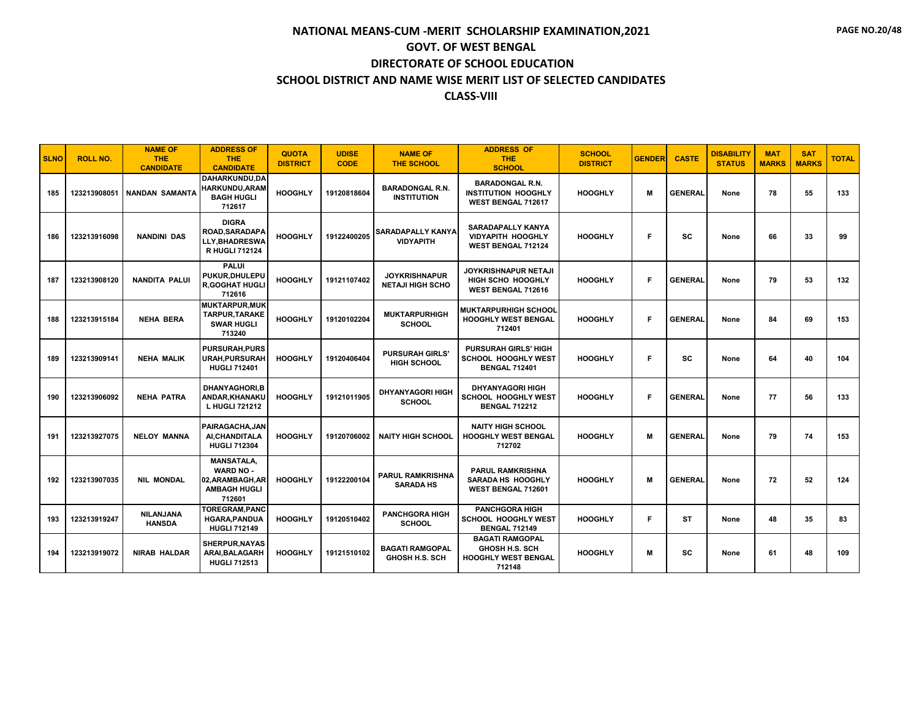| <b>SLNO</b> | <b>ROLL NO.</b> | <b>NAME OF</b><br><b>THE</b><br><b>CANDIDATE</b> | <b>ADDRESS OF</b><br><b>THE</b><br><b>CANDIDATE</b>                                        | <b>QUOTA</b><br><b>DISTRICT</b> | <b>UDISE</b><br><b>CODE</b> | <b>NAME OF</b><br><b>THE SCHOOL</b>             | <b>ADDRESS OF</b><br><b>THE</b><br><b>SCHOOL</b>                                        | <b>SCHOOL</b><br><b>DISTRICT</b> | <b>GENDER</b> | <b>CASTE</b>   | <b>DISABILITY</b><br><b>STATUS</b> | <b>MAT</b><br><b>MARKS</b> | <b>SAT</b><br><b>MARKS</b> | <b>TOTAL</b> |
|-------------|-----------------|--------------------------------------------------|--------------------------------------------------------------------------------------------|---------------------------------|-----------------------------|-------------------------------------------------|-----------------------------------------------------------------------------------------|----------------------------------|---------------|----------------|------------------------------------|----------------------------|----------------------------|--------------|
| 185         | 123213908051    | <b>NANDAN SAMANTA</b>                            | DAHARKUNDU,DA<br>HARKUNDU, ARAM<br><b>BAGH HUGLI</b><br>712617                             | <b>HOOGHLY</b>                  | 19120818604                 | <b>BARADONGAL R.N.</b><br><b>INSTITUTION</b>    | <b>BARADONGAL R.N.</b><br><b>INSTITUTION HOOGHLY</b><br>WEST BENGAL 712617              | <b>HOOGHLY</b>                   | M             | <b>GENERAL</b> | None                               | 78                         | 55                         | 133          |
| 186         | 123213916098    | <b>NANDINI DAS</b>                               | <b>DIGRA</b><br><b>ROAD.SARADAPA</b><br><b>LLY.BHADRESWA</b><br><b>R HUGLI 712124</b>      | <b>HOOGHLY</b>                  | 19122400205                 | <b>SARADAPALLY KANYA</b><br><b>VIDYAPITH</b>    | <b>SARADAPALLY KANYA</b><br><b>VIDYAPITH HOOGHLY</b><br><b>WEST BENGAL 712124</b>       | <b>HOOGHLY</b>                   | F             | SC             | None                               | 66                         | 33                         | 99           |
| 187         | 123213908120    | <b>NANDITA PALUI</b>                             | <b>PALUI</b><br>PUKUR, DHULEPU<br><b>R,GOGHAT HUGLI</b><br>712616                          | <b>HOOGHLY</b>                  | 19121107402                 | <b>JOYKRISHNAPUR</b><br><b>NETAJI HIGH SCHO</b> | <b>JOYKRISHNAPUR NETAJI</b><br>HIGH SCHO HOOGHLY<br>WEST BENGAL 712616                  | <b>HOOGHLY</b>                   | F             | <b>GENERAL</b> | None                               | 79                         | 53                         | 132          |
| 188         | 123213915184    | <b>NEHA BERA</b>                                 | <b>MUKTARPUR, MUK</b><br><b>TARPUR, TARAKE</b><br><b>SWAR HUGLI</b><br>713240              | <b>HOOGHLY</b>                  | 19120102204                 | <b>MUKTARPURHIGH</b><br><b>SCHOOL</b>           | <b>MUKTARPURHIGH SCHOOL</b><br><b>HOOGHLY WEST BENGAL</b><br>712401                     | <b>HOOGHLY</b>                   | F             | <b>GENERAL</b> | None                               | 84                         | 69                         | 153          |
| 189         | 123213909141    | <b>NEHA MALIK</b>                                | <b>PURSURAH, PURS</b><br><b>URAH, PURSURAH</b><br><b>HUGLI 712401</b>                      | <b>HOOGHLY</b>                  | 19120406404                 | <b>PURSURAH GIRLS</b><br><b>HIGH SCHOOL</b>     | <b>PURSURAH GIRLS' HIGH</b><br>SCHOOL HOOGHLY WEST<br><b>BENGAL 712401</b>              | <b>HOOGHLY</b>                   | F             | <b>SC</b>      | None                               | 64                         | 40                         | 104          |
| 190         | 123213906092    | <b>NEHA PATRA</b>                                | <b>DHANYAGHORI,B</b><br>ANDAR, KHANAKU<br>L HUGLI 721212                                   | <b>HOOGHLY</b>                  | 19121011905                 | <b>DHYANYAGORI HIGH</b><br><b>SCHOOL</b>        | <b>DHYANYAGORI HIGH</b><br><b>SCHOOL HOOGHLY WEST</b><br><b>BENGAL 712212</b>           | <b>HOOGHLY</b>                   | F             | <b>GENERAL</b> | None                               | 77                         | 56                         | 133          |
| 191         | 123213927075    | <b>NELOY MANNA</b>                               | PAIRAGACHA.JAN<br>AI, CHANDITALA<br><b>HUGLI 712304</b>                                    | <b>HOOGHLY</b>                  | 19120706002                 | <b>NAITY HIGH SCHOOL</b>                        | <b>NAITY HIGH SCHOOL</b><br><b>HOOGHLY WEST BENGAL</b><br>712702                        | <b>HOOGHLY</b>                   | M             | <b>GENERAL</b> | None                               | 79                         | 74                         | 153          |
| 192         | 123213907035    | <b>NIL MONDAL</b>                                | <b>MANSATALA,</b><br><b>WARD NO -</b><br>02, ARAMBAGH, AR<br><b>AMBAGH HUGLI</b><br>712601 | <b>HOOGHLY</b>                  | 19122200104                 | <b>PARUL RAMKRISHNA</b><br><b>SARADA HS</b>     | <b>PARUL RAMKRISHNA</b><br>SARADA HS HOOGHLY<br>WEST BENGAL 712601                      | <b>HOOGHLY</b>                   | М             | <b>GENERAL</b> | None                               | 72                         | 52                         | 124          |
| 193         | 123213919247    | <b>NILANJANA</b><br><b>HANSDA</b>                | <b>TOREGRAM,PANC</b><br><b>HGARA, PANDUA</b><br><b>HUGLI 712149</b>                        | <b>HOOGHLY</b>                  | 19120510402                 | <b>PANCHGORA HIGH</b><br><b>SCHOOL</b>          | <b>PANCHGORA HIGH</b><br><b>SCHOOL HOOGHLY WEST</b><br><b>BENGAL 712149</b>             | <b>HOOGHLY</b>                   | F             | <b>ST</b>      | None                               | 48                         | 35                         | 83           |
| 194         | 123213919072    | <b>NIRAB HALDAR</b>                              | <b>SHERPUR, NAYAS</b><br>ARAI, BALAGARH<br><b>HUGLI 712513</b>                             | <b>HOOGHLY</b>                  | 19121510102                 | <b>BAGATI RAMGOPAL</b><br><b>GHOSH H.S. SCH</b> | <b>BAGATI RAMGOPAL</b><br><b>GHOSH H.S. SCH</b><br><b>HOOGHLY WEST BENGAL</b><br>712148 | <b>HOOGHLY</b>                   | M             | <b>SC</b>      | None                               | 61                         | 48                         | 109          |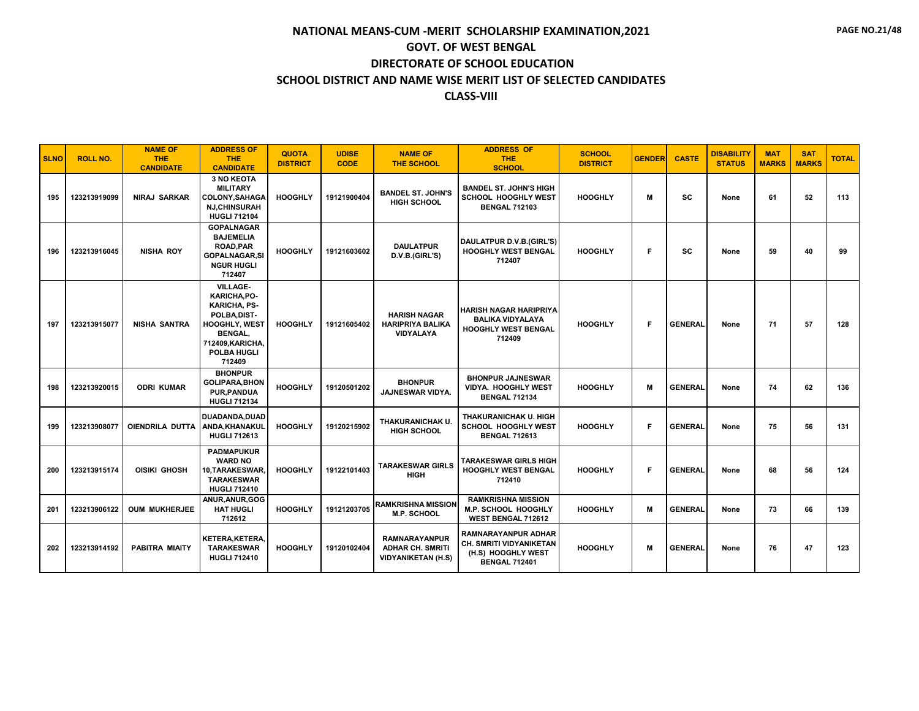| <b>SLNO</b> | <b>ROLL NO.</b> | <b>NAME OF</b><br><b>THE</b><br><b>CANDIDATE</b> | <b>ADDRESS OF</b><br><b>THE</b><br><b>CANDIDATE</b>                                                                                                          | <b>QUOTA</b><br><b>DISTRICT</b> | <b>UDISE</b><br><b>CODE</b> | <b>NAME OF</b><br><b>THE SCHOOL</b>                                          | <b>ADDRESS OF</b><br><b>THE</b><br><b>SCHOOL</b>                                                    | <b>SCHOOL</b><br><b>DISTRICT</b> | <b>GENDER</b> | <b>CASTE</b>   | <b>DISABILITY</b><br><b>STATUS</b> | <b>MAT</b><br><b>MARKS</b> | <b>SAT</b><br><b>MARKS</b> | <b>TOTAL</b> |
|-------------|-----------------|--------------------------------------------------|--------------------------------------------------------------------------------------------------------------------------------------------------------------|---------------------------------|-----------------------------|------------------------------------------------------------------------------|-----------------------------------------------------------------------------------------------------|----------------------------------|---------------|----------------|------------------------------------|----------------------------|----------------------------|--------------|
| 195         | 123213919099    | <b>NIRAJ SARKAR</b>                              | <b>3 NO KEOTA</b><br><b>MILITARY</b><br>COLONY, SAHAGA<br><b>NJ,CHINSURAH</b><br><b>HUGLI 712104</b>                                                         | <b>HOOGHLY</b>                  | 19121900404                 | <b>BANDEL ST. JOHN'S</b><br><b>HIGH SCHOOL</b>                               | <b>BANDEL ST. JOHN'S HIGH</b><br><b>SCHOOL HOOGHLY WEST</b><br><b>BENGAL 712103</b>                 | <b>HOOGHLY</b>                   | M             | <b>SC</b>      | None                               | 61                         | 52                         | 113          |
| 196         | 123213916045    | <b>NISHA ROY</b>                                 | <b>GOPALNAGAR</b><br><b>BAJEMELIA</b><br><b>ROAD.PAR</b><br><b>GOPALNAGAR, SI</b><br><b>NGUR HUGLI</b><br>712407                                             | <b>HOOGHLY</b>                  | 19121603602                 | <b>DAULATPUR</b><br>D.V.B.(GIRL'S)                                           | DAULATPUR D.V.B.(GIRL'S)<br><b>HOOGHLY WEST BENGAL</b><br>712407                                    | <b>HOOGHLY</b>                   | F             | <b>SC</b>      | None                               | 59                         | 40                         | 99           |
| 197         | 123213915077    | <b>NISHA SANTRA</b>                              | <b>VILLAGE-</b><br>KARICHA.PO-<br><b>KARICHA, PS-</b><br>POLBA, DIST-<br><b>HOOGHLY, WEST</b><br><b>BENGAL.</b><br>712409, KARICHA,<br>POLBA HUGLI<br>712409 | <b>HOOGHLY</b>                  | 19121605402                 | <b>HARISH NAGAR</b><br><b>HARIPRIYA BALIKA</b><br>VIDYALAYA                  | <b>HARISH NAGAR HARIPRIYA</b><br><b>BALIKA VIDYALAYA</b><br><b>HOOGHLY WEST BENGAL</b><br>712409    | <b>HOOGHLY</b>                   | F             | <b>GENERAL</b> | None                               | 71                         | 57                         | 128          |
| 198         | 123213920015    | <b>ODRI KUMAR</b>                                | <b>BHONPUR</b><br><b>GOLIPARA, BHON</b><br><b>PUR.PANDUA</b><br><b>HUGLI 712134</b>                                                                          | <b>HOOGHLY</b>                  | 19120501202                 | <b>BHONPUR</b><br><b>JAJNESWAR VIDYA.</b>                                    | <b>BHONPUR JAJNESWAR</b><br><b>VIDYA. HOOGHLY WEST</b><br><b>BENGAL 712134</b>                      | <b>HOOGHLY</b>                   | M             | <b>GENERAL</b> | None                               | 74                         | 62                         | 136          |
| 199         | 123213908077    | OIENDRILA DUTTA                                  | DUADANDA, DUAD<br>ANDA, KHANAKUL<br><b>HUGLI 712613</b>                                                                                                      | <b>HOOGHLY</b>                  | 19120215902                 | THAKURANICHAK U.<br><b>HIGH SCHOOL</b>                                       | THAKURANICHAK U. HIGH<br>SCHOOL HOOGHLY WEST<br><b>BENGAL 712613</b>                                | <b>HOOGHLY</b>                   | F             | <b>GENERAL</b> | None                               | 75                         | 56                         | 131          |
| 200         | 123213915174    | OISIKI GHOSH                                     | <b>PADMAPUKUR</b><br><b>WARD NO</b><br>10,TARAKESWAR.<br><b>TARAKESWAR</b><br><b>HUGLI 712410</b>                                                            | <b>HOOGHLY</b>                  | 19122101403                 | <b>TARAKESWAR GIRLS</b><br><b>HIGH</b>                                       | TARAKESWAR GIRLS HIGH<br><b>HOOGHLY WEST BENGAL</b><br>712410                                       | <b>HOOGHLY</b>                   | F             | <b>GENERAL</b> | None                               | 68                         | 56                         | 124          |
| 201         | 123213906122    | <b>OUM MUKHERJEE</b>                             | ANUR, ANUR, GOG<br><b>HAT HUGLI</b><br>712612                                                                                                                | <b>HOOGHLY</b>                  | 19121203705                 | RAMKRISHNA MISSION<br>M.P. SCHOOL                                            | <b>RAMKRISHNA MISSION</b><br>M.P. SCHOOL HOOGHLY<br>WEST BENGAL 712612                              | <b>HOOGHLY</b>                   | M             | <b>GENERAL</b> | None                               | 73                         | 66                         | 139          |
| 202         | 123213914192    | PABITRA MIAITY                                   | <b>KETERA, KETERA,</b><br><b>TARAKESWAR</b><br><b>HUGLI 712410</b>                                                                                           | <b>HOOGHLY</b>                  | 19120102404                 | <b>RAMNARAYANPUR</b><br><b>ADHAR CH. SMRITI</b><br><b>VIDYANIKETAN (H.S)</b> | <b>RAMNARAYANPUR ADHAR</b><br>CH. SMRITI VIDYANIKETAN<br>(H.S) HOOGHLY WEST<br><b>BENGAL 712401</b> | <b>HOOGHLY</b>                   | M             | <b>GENERAL</b> | None                               | 76                         | 47                         | 123          |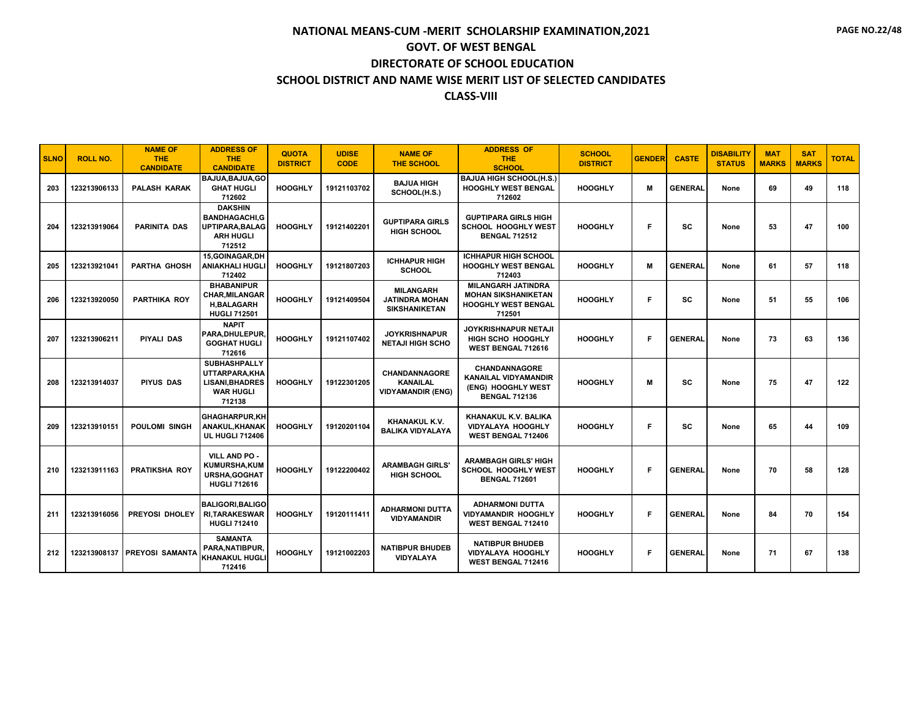| <b>SLNO</b> | <b>ROLL NO.</b> | <b>NAME OF</b><br><b>THE</b><br><b>CANDIDATE</b> | <b>ADDRESS OF</b><br><b>THE</b><br><b>CANDIDATE</b>                                           | <b>QUOTA</b><br><b>DISTRICT</b> | <b>UDISE</b><br><b>CODE</b> | <b>NAME OF</b><br><b>THE SCHOOL</b>                                 | <b>ADDRESS OF</b><br><b>THE</b><br><b>SCHOOL</b>                                                | <b>SCHOOL</b><br><b>DISTRICT</b> | <b>GENDER</b> | <b>CASTE</b>   | <b>DISABILITY</b><br><b>STATUS</b> | <b>MAT</b><br><b>MARKS</b> | <b>SAT</b><br><b>MARKS</b> | <b>TOTAL</b> |
|-------------|-----------------|--------------------------------------------------|-----------------------------------------------------------------------------------------------|---------------------------------|-----------------------------|---------------------------------------------------------------------|-------------------------------------------------------------------------------------------------|----------------------------------|---------------|----------------|------------------------------------|----------------------------|----------------------------|--------------|
| 203         | 123213906133    | <b>PALASH KARAK</b>                              | BAJUA, BAJUA, GO<br><b>GHAT HUGLI</b><br>712602                                               | <b>HOOGHLY</b>                  | 19121103702                 | <b>BAJUA HIGH</b><br>SCHOOL(H.S.)                                   | <b>BAJUA HIGH SCHOOL(H.S.)</b><br><b>HOOGHLY WEST BENGAL</b><br>712602                          | <b>HOOGHLY</b>                   | M             | <b>GENERAL</b> | None                               | 69                         | 49                         | 118          |
| 204         | 123213919064    | <b>PARINITA DAS</b>                              | <b>DAKSHIN</b><br><b>BANDHAGACHI.G</b><br>UPTIPARA, BALAG<br><b>ARH HUGLI</b><br>712512       | <b>HOOGHLY</b>                  | 19121402201                 | <b>GUPTIPARA GIRLS</b><br><b>HIGH SCHOOL</b>                        | <b>GUPTIPARA GIRLS HIGH</b><br><b>SCHOOL HOOGHLY WEST</b><br><b>BENGAL 712512</b>               | <b>HOOGHLY</b>                   | F.            | <b>SC</b>      | None                               | 53                         | 47                         | 100          |
| 205         | 123213921041    | <b>PARTHA GHOSH</b>                              | 15.GOINAGAR.DH<br><b>ANIAKHALI HUGLI</b><br>712402                                            | <b>HOOGHLY</b>                  | 19121807203                 | <b>ICHHAPUR HIGH</b><br><b>SCHOOL</b>                               | <b>ICHHAPUR HIGH SCHOOL</b><br><b>HOOGHLY WEST BENGAL</b><br>712403                             | <b>HOOGHLY</b>                   | M             | <b>GENERAL</b> | None                               | 61                         | 57                         | 118          |
| 206         | 123213920050    | <b>PARTHIKA ROY</b>                              | <b>BHABANIPUR</b><br><b>CHAR, MILANGAR</b><br><b>H,BALAGARH</b><br><b>HUGLI 712501</b>        | <b>HOOGHLY</b>                  | 19121409504                 | <b>MILANGARH</b><br>JATINDRA MOHAN<br><b>SIKSHANIKETAN</b>          | <b>MILANGARH JATINDRA</b><br><b>MOHAN SIKSHANIKETAN</b><br><b>HOOGHLY WEST BENGAL</b><br>712501 | <b>HOOGHLY</b>                   | F.            | <b>SC</b>      | None                               | 51                         | 55                         | 106          |
| 207         | 123213906211    | <b>PIYALI DAS</b>                                | <b>NAPIT</b><br>PARA, DHULEPUR<br><b>GOGHAT HUGLI</b><br>712616                               | <b>HOOGHLY</b>                  | 19121107402                 | <b>JOYKRISHNAPUR</b><br><b>NETAJI HIGH SCHO</b>                     | <b>JOYKRISHNAPUR NETAJI</b><br><b>HIGH SCHO HOOGHLY</b><br>WEST BENGAL 712616                   | <b>HOOGHLY</b>                   | F             | <b>GENERAL</b> | None                               | 73                         | 63                         | 136          |
| 208         | 123213914037    | <b>PIYUS DAS</b>                                 | <b>SUBHASHPALLY</b><br>UTTARPARA, KHA<br><b>LISANI, BHADRES</b><br><b>WAR HUGLI</b><br>712138 | <b>HOOGHLY</b>                  | 19122301205                 | <b>CHANDANNAGORE</b><br><b>KANAILAL</b><br><b>VIDYAMANDIR (ENG)</b> | CHANDANNAGORE<br><b>KANAILAL VIDYAMANDIR</b><br>(ENG) HOOGHLY WEST<br><b>BENGAL 712136</b>      | <b>HOOGHLY</b>                   | M             | <b>SC</b>      | None                               | 75                         | 47                         | 122          |
| 209         | 123213910151    | <b>POULOMI SINGH</b>                             | <b>GHAGHARPUR,KH</b><br>ANAKUL, KHANAK<br><b>UL HUGLI 712406</b>                              | <b>HOOGHLY</b>                  | 19120201104                 | KHANAKUL K.V.<br><b>BALIKA VIDYALAYA</b>                            | KHANAKUL K.V. BALIKA<br><b>VIDYALAYA HOOGHLY</b><br>WEST BENGAL 712406                          | <b>HOOGHLY</b>                   | F             | <b>SC</b>      | None                               | 65                         | 44                         | 109          |
| 210         | 123213911163    | <b>PRATIKSHA ROY</b>                             | VILL AND PO -<br><b>KUMURSHA,KUM</b><br>URSHA, GOGHAT<br><b>HUGLI 712616</b>                  | <b>HOOGHLY</b>                  | 19122200402                 | <b>ARAMBAGH GIRLS'</b><br><b>HIGH SCHOOL</b>                        | <b>ARAMBAGH GIRLS' HIGH</b><br>SCHOOL HOOGHLY WEST<br><b>BENGAL 712601</b>                      | <b>HOOGHLY</b>                   | F             | <b>GENERAL</b> | None                               | 70                         | 58                         | 128          |
| 211         | 123213916056    | PREYOSI DHOLEY                                   | <b>BALIGORI, BALIGO</b><br><b>RI.TARAKESWAR</b><br><b>HUGLI 712410</b>                        | <b>HOOGHLY</b>                  | 19120111411                 | <b>ADHARMONI DUTTA</b><br><b>VIDYAMANDIR</b>                        | <b>ADHARMONI DUTTA</b><br><b>VIDYAMANDIR HOOGHLY</b><br>WEST BENGAL 712410                      | <b>HOOGHLY</b>                   | F             | <b>GENERAL</b> | None                               | 84                         | 70                         | 154          |
| 212         |                 | 123213908137 PREYOSI SAMANTA                     | <b>SAMANTA</b><br>PARA, NATIBPUR,<br>KHANAKUL HUGLI<br>712416                                 | <b>HOOGHLY</b>                  | 19121002203                 | <b>NATIBPUR BHUDEB</b><br><b>VIDYALAYA</b>                          | <b>NATIBPUR BHUDEB</b><br><b>VIDYALAYA HOOGHLY</b><br>WEST BENGAL 712416                        | <b>HOOGHLY</b>                   | F             | <b>GENERAL</b> | None                               | 71                         | 67                         | 138          |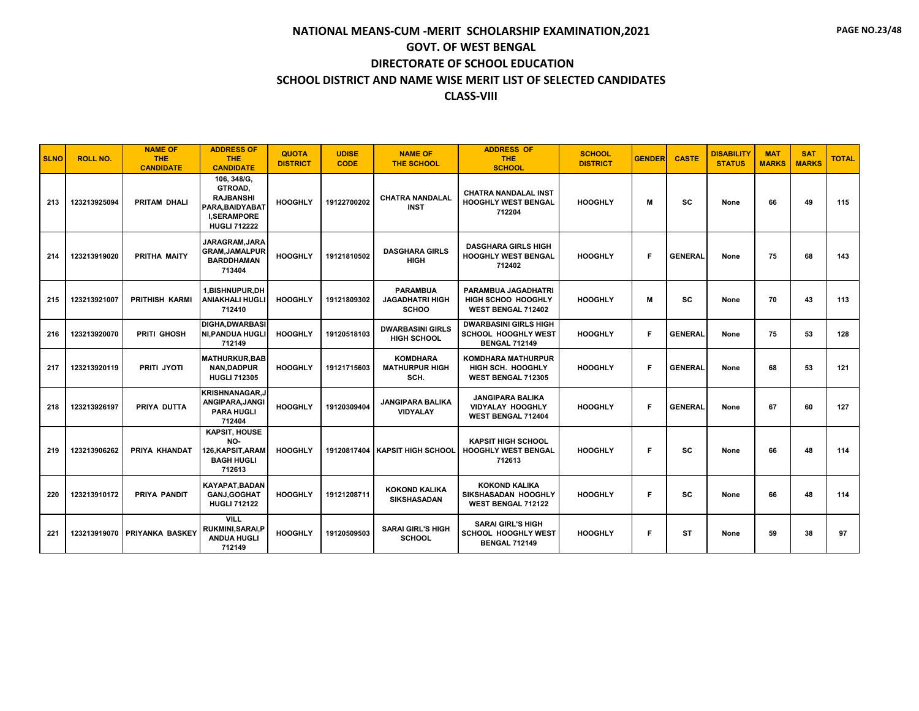| <b>SLNO</b> | <b>ROLL NO.</b> | <b>NAME OF</b><br><b>THE</b><br><b>CANDIDATE</b> | <b>ADDRESS OF</b><br><b>THE</b><br><b>CANDIDATE</b>                                                        | <b>QUOTA</b><br><b>DISTRICT</b> | <b>UDISE</b><br><b>CODE</b> | <b>NAME OF</b><br><b>THE SCHOOL</b>                       | <b>ADDRESS OF</b><br><b>THE</b><br><b>SCHOOL</b>                                     | <b>SCHOOL</b><br><b>DISTRICT</b> | <b>GENDER</b> | <b>CASTE</b>   | <b>DISABILITY</b><br><b>STATUS</b> | <b>MAT</b><br><b>MARKS</b> | <b>SAT</b><br><b>MARKS</b> | <b>TOTAL</b> |
|-------------|-----------------|--------------------------------------------------|------------------------------------------------------------------------------------------------------------|---------------------------------|-----------------------------|-----------------------------------------------------------|--------------------------------------------------------------------------------------|----------------------------------|---------------|----------------|------------------------------------|----------------------------|----------------------------|--------------|
| 213         | 123213925094    | PRITAM DHALI                                     | 106, 348/G,<br>GTROAD,<br><b>RAJBANSHI</b><br>PARA, BAIDYABAT<br><b>I,SERAMPORE</b><br><b>HUGLI 712222</b> | <b>HOOGHLY</b>                  | 19122700202                 | <b>CHATRA NANDALAL</b><br><b>INST</b>                     | <b>CHATRA NANDALAL INST</b><br><b>HOOGHLY WEST BENGAL</b><br>712204                  | <b>HOOGHLY</b>                   | М             | sc             | None                               | 66                         | 49                         | 115          |
| 214         | 123213919020    | PRITHA MAITY                                     | JARAGRAM, JARA<br><b>GRAM,JAMALPUR</b><br><b>BARDDHAMAN</b><br>713404                                      | <b>HOOGHLY</b>                  | 19121810502                 | <b>DASGHARA GIRLS</b><br><b>HIGH</b>                      | <b>DASGHARA GIRLS HIGH</b><br><b>HOOGHLY WEST BENGAL</b><br>712402                   | <b>HOOGHLY</b>                   | F             | <b>GENERAL</b> | None                               | 75                         | 68                         | 143          |
| 215         | 123213921007    | <b>PRITHISH KARMI</b>                            | <b>1.BISHNUPUR.DH</b><br><b>ANIAKHALI HUGLI</b><br>712410                                                  | <b>HOOGHLY</b>                  | 19121809302                 | <b>PARAMBUA</b><br><b>JAGADHATRI HIGH</b><br><b>SCHOO</b> | <b>PARAMBUA JAGADHATRI</b><br><b>HIGH SCHOO HOOGHLY</b><br><b>WEST BENGAL 712402</b> | <b>HOOGHLY</b>                   | М             | <b>SC</b>      | None                               | 70                         | 43                         | 113          |
| 216         | 123213920070    | PRITI GHOSH                                      | <b>DIGHA.DWARBASI</b><br><b>NI, PANDUA HUGLI</b><br>712149                                                 | <b>HOOGHLY</b>                  | 19120518103                 | <b>DWARBASINI GIRLS</b><br><b>HIGH SCHOOL</b>             | <b>DWARBASINI GIRLS HIGH</b><br><b>SCHOOL HOOGHLY WEST</b><br><b>BENGAL 712149</b>   | <b>HOOGHLY</b>                   | F             | <b>GENERAL</b> | None                               | 75                         | 53                         | 128          |
| 217         | 123213920119    | PRITI JYOTI                                      | <b>MATHURKUR.BAB</b><br><b>NAN.DADPUR</b><br><b>HUGLI 712305</b>                                           | <b>HOOGHLY</b>                  | 19121715603                 | <b>KOMDHARA</b><br><b>MATHURPUR HIGH</b><br>SCH.          | <b>KOMDHARA MATHURPUR</b><br><b>HIGH SCH. HOOGHLY</b><br><b>WEST BENGAL 712305</b>   | <b>HOOGHLY</b>                   | F             | <b>GENERAL</b> | None                               | 68                         | 53                         | 121          |
| 218         | 123213926197    | PRIYA DUTTA                                      | <b>KRISHNANAGAR.J</b><br>ANGIPARA, JANGI<br><b>PARA HUGLI</b><br>712404                                    | <b>HOOGHLY</b>                  | 19120309404                 | <b>JANGIPARA BALIKA</b><br><b>VIDYALAY</b>                | <b>JANGIPARA BALIKA</b><br><b>VIDYALAY HOOGHLY</b><br><b>WEST BENGAL 712404</b>      | <b>HOOGHLY</b>                   | F             | <b>GENERAL</b> | None                               | 67                         | 60                         | 127          |
| 219         | 123213906262    | PRIYA KHANDAT                                    | <b>KAPSIT. HOUSE</b><br>NO-<br>126, KAPSIT, ARAM<br><b>BAGH HUGLI</b><br>712613                            | <b>HOOGHLY</b>                  |                             | 19120817404   KAPSIT HIGH SCHOOL                          | <b>KAPSIT HIGH SCHOOL</b><br><b>HOOGHLY WEST BENGAL</b><br>712613                    | <b>HOOGHLY</b>                   | F             | SC             | None                               | 66                         | 48                         | 114          |
| 220         | 123213910172    | PRIYA PANDIT                                     | <b>KAYAPAT.BADAN</b><br><b>GANJ, GOGHAT</b><br><b>HUGLI 712122</b>                                         | <b>HOOGHLY</b>                  | 19121208711                 | <b>KOKOND KALIKA</b><br>SIKSHASADAN                       | <b>KOKOND KALIKA</b><br>SIKSHASADAN HOOGHLY<br><b>WEST BENGAL 712122</b>             | <b>HOOGHLY</b>                   | F             | <b>SC</b>      | None                               | 66                         | 48                         | 114          |
| 221         |                 | 123213919070 PRIYANKA BASKEY                     | <b>VILL</b><br><b>RUKMINI, SARAI, P</b><br><b>ANDUA HUGLI</b><br>712149                                    | <b>HOOGHLY</b>                  | 19120509503                 | <b>SARAI GIRL'S HIGH</b><br><b>SCHOOL</b>                 | <b>SARAI GIRL'S HIGH</b><br>SCHOOL HOOGHLY WEST<br><b>BENGAL 712149</b>              | <b>HOOGHLY</b>                   | F             | ST             | None                               | 59                         | 38                         | 97           |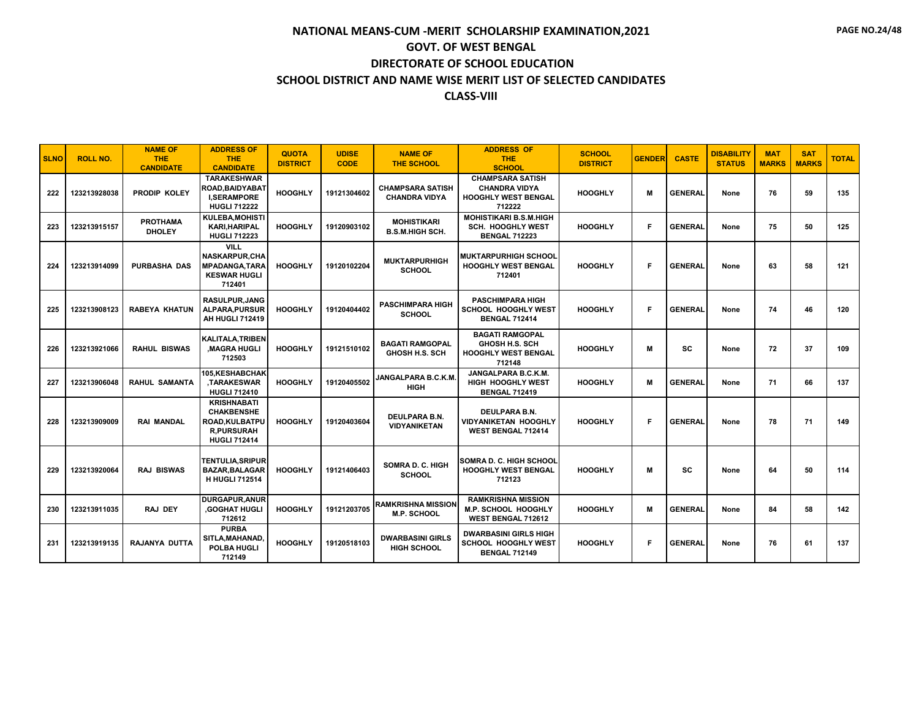| <b>SLNO</b> | <b>ROLL NO.</b> | <b>NAME OF</b><br><b>THE</b><br><b>CANDIDATE</b> | <b>ADDRESS OF</b><br><b>THE</b><br><b>CANDIDATE</b>                                                   | <b>QUOTA</b><br><b>DISTRICT</b> | <b>UDISE</b><br><b>CODE</b> | <b>NAME OF</b><br><b>THE SCHOOL</b>             | <b>ADDRESS OF</b><br><b>THE</b><br><b>SCHOOL</b>                                        | <b>SCHOOL</b><br><b>DISTRICT</b> | <b>GENDER</b> | <b>CASTE</b>   | <b>DISABILITY</b><br><b>STATUS</b> | <b>MAT</b><br><b>MARKS</b> | <b>SAT</b><br><b>MARKS</b> | <b>TOTAL</b> |
|-------------|-----------------|--------------------------------------------------|-------------------------------------------------------------------------------------------------------|---------------------------------|-----------------------------|-------------------------------------------------|-----------------------------------------------------------------------------------------|----------------------------------|---------------|----------------|------------------------------------|----------------------------|----------------------------|--------------|
| 222         | 123213928038    | PRODIP KOLEY                                     | <b>TARAKESHWAR</b><br>ROAD,BAIDYABAT<br><b>I.SERAMPORE</b><br><b>HUGLI 712222</b>                     | <b>HOOGHLY</b>                  | 19121304602                 | <b>CHAMPSARA SATISH</b><br><b>CHANDRA VIDYA</b> | <b>CHAMPSARA SATISH</b><br><b>CHANDRA VIDYA</b><br><b>HOOGHLY WEST BENGAL</b><br>712222 | <b>HOOGHLY</b>                   | M             | <b>GENERAL</b> | None                               | 76                         | 59                         | 135          |
| 223         | 123213915157    | <b>PROTHAMA</b><br><b>DHOLEY</b>                 | KULEBA, MOHISTI<br><b>KARI, HARIPAL</b><br><b>HUGLI 712223</b>                                        | <b>HOOGHLY</b>                  | 19120903102                 | <b>MOHISTIKARI</b><br><b>B.S.M.HIGH SCH.</b>    | <b>MOHISTIKARI B.S.M.HIGH</b><br><b>SCH. HOOGHLY WEST</b><br><b>BENGAL 712223</b>       | <b>HOOGHLY</b>                   | F             | <b>GENERAL</b> | None                               | 75                         | 50                         | 125          |
| 224         | 123213914099    | <b>PURBASHA DAS</b>                              | <b>VILL</b><br><b>NASKARPUR, CHA</b><br><b>MPADANGA, TARA</b><br><b>KESWAR HUGLI</b><br>712401        | <b>HOOGHLY</b>                  | 19120102204                 | <b>MUKTARPURHIGH</b><br><b>SCHOOL</b>           | <b>MUKTARPURHIGH SCHOOL</b><br><b>HOOGHLY WEST BENGAL</b><br>712401                     | <b>HOOGHLY</b>                   | F             | <b>GENERAL</b> | None                               | 63                         | 58                         | 121          |
| 225         | 123213908123    | <b>RABEYA KHATUN</b>                             | <b>RASULPUR, JANG</b><br><b>ALPARA, PURSUR</b><br><b>AH HUGLI 712419</b>                              | <b>HOOGHLY</b>                  | 19120404402                 | <b>PASCHIMPARA HIGH</b><br><b>SCHOOL</b>        | <b>PASCHIMPARA HIGH</b><br><b>SCHOOL HOOGHLY WEST</b><br><b>BENGAL 712414</b>           | <b>HOOGHLY</b>                   | F             | <b>GENERAL</b> | None                               | 74                         | 46                         | 120          |
| 226         | 123213921066    | <b>RAHUL BISWAS</b>                              | <b>KALITALA, TRIBEN</b><br><b>MAGRA HUGLI</b><br>712503                                               | <b>HOOGHLY</b>                  | 19121510102                 | <b>BAGATI RAMGOPAL</b><br><b>GHOSH H.S. SCH</b> | <b>BAGATI RAMGOPAL</b><br><b>GHOSH H.S. SCH</b><br><b>HOOGHLY WEST BENGAL</b><br>712148 | <b>HOOGHLY</b>                   | M             | <b>SC</b>      | None                               | 72                         | 37                         | 109          |
| 227         | 123213906048    | <b>RAHUL SAMANTA</b>                             | 105, KESHABCHAK<br>TARAKESWAR,<br><b>HUGLI 712410</b>                                                 | <b>HOOGHLY</b>                  | 19120405502                 | JANGALPARA B.C.K.M.<br><b>HIGH</b>              | JANGALPARA B.C.K.M.<br><b>HIGH HOOGHLY WEST</b><br><b>BENGAL 712419</b>                 | <b>HOOGHLY</b>                   | M             | <b>GENERAL</b> | None                               | 71                         | 66                         | 137          |
| 228         | 123213909009    | <b>RAI MANDAL</b>                                | <b>KRISHNABATI</b><br><b>CHAKBENSHE</b><br>ROAD, KULBATPU<br><b>R,PURSURAH</b><br><b>HUGLI 712414</b> | <b>HOOGHLY</b>                  | 19120403604                 | DEULPARA B.N.<br><b>VIDYANIKETAN</b>            | DEULPARA B.N.<br><b>VIDYANIKETAN HOOGHLY</b><br><b>WEST BENGAL 712414</b>               | <b>HOOGHLY</b>                   | F             | <b>GENERAL</b> | None                               | 78                         | 71                         | 149          |
| 229         | 123213920064    | <b>RAJ BISWAS</b>                                | <b>TENTULIA.SRIPUR</b><br><b>BAZAR, BALAGAR</b><br><b>H HUGLI 712514</b>                              | <b>HOOGHLY</b>                  | 19121406403                 | <b>SOMRA D. C. HIGH</b><br><b>SCHOOL</b>        | ISOMRA D. C. HIGH SCHOOL<br><b>HOOGHLY WEST BENGAL</b><br>712123                        | <b>HOOGHLY</b>                   | M             | SC             | None                               | 64                         | 50                         | 114          |
| 230         | 123213911035    | RAJ DEY                                          | <b>DURGAPUR, ANUR</b><br>.GOGHAT HUGLI<br>712612                                                      | <b>HOOGHLY</b>                  | 19121203705                 | <b>RAMKRISHNA MISSION</b><br><b>M.P. SCHOOL</b> | <b>RAMKRISHNA MISSION</b><br><b>M.P. SCHOOL HOOGHLY</b><br><b>WEST BENGAL 712612</b>    | <b>HOOGHLY</b>                   | M             | <b>GENERAI</b> | None                               | 84                         | 58                         | 142          |
| 231         | 123213919135    | <b>RAJANYA DUTTA</b>                             | <b>PURBA</b><br>SITLA, MAHANAD.<br>POLBA HUGLI<br>712149                                              | <b>HOOGHLY</b>                  | 19120518103                 | <b>DWARBASINI GIRLS</b><br><b>HIGH SCHOOL</b>   | <b>DWARBASINI GIRLS HIGH</b><br><b>SCHOOL HOOGHLY WEST</b><br><b>BENGAL 712149</b>      | <b>HOOGHLY</b>                   | F             | <b>GENERAI</b> | None                               | 76                         | 61                         | 137          |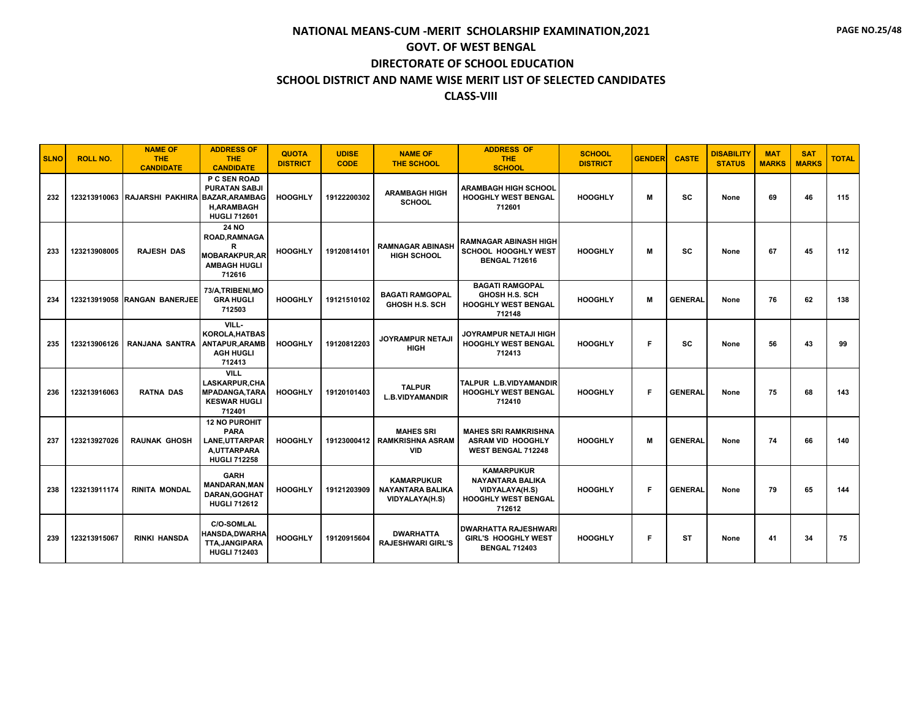| <b>SLNO</b> | <b>ROLL NO.</b> | <b>NAME OF</b><br><b>THE</b><br><b>CANDIDATE</b> | <b>ADDRESS OF</b><br><b>THE</b><br><b>CANDIDATE</b>                                               | <b>QUOTA</b><br><b>DISTRICT</b> | <b>UDISE</b><br><b>CODE</b> | <b>NAME OF</b><br><b>THE SCHOOL</b>                            | <b>ADDRESS OF</b><br><b>THE</b><br><b>SCHOOL</b>                                                | <b>SCHOOL</b><br><b>DISTRICT</b> | <b>GENDER</b> | <b>CASTE</b>   | <b>DISABILITY</b><br><b>STATUS</b> | <b>MAT</b><br><b>MARKS</b> | <b>SAT</b><br><b>MARKS</b> | <b>TOTAL</b> |
|-------------|-----------------|--------------------------------------------------|---------------------------------------------------------------------------------------------------|---------------------------------|-----------------------------|----------------------------------------------------------------|-------------------------------------------------------------------------------------------------|----------------------------------|---------------|----------------|------------------------------------|----------------------------|----------------------------|--------------|
| 232         |                 | 123213910063 RAJARSHI PAKHIRA BAZAR, ARAMBAG     | P C SEN ROAD<br><b>PURATAN SABJI</b><br><b>H.ARAMBAGH</b><br><b>HUGLI 712601</b>                  | <b>HOOGHLY</b>                  | 19122200302                 | <b>ARAMBAGH HIGH</b><br><b>SCHOOL</b>                          | <b>ARAMBAGH HIGH SCHOOL</b><br><b>HOOGHLY WEST BENGAL</b><br>712601                             | <b>HOOGHLY</b>                   | M             | SC             | None                               | 69                         | 46                         | 115          |
| 233         | 123213908005    | <b>RAJESH DAS</b>                                | <b>24 NO</b><br><b>ROAD.RAMNAGA</b><br>R<br><b>MOBARAKPUR.AR</b><br><b>AMBAGH HUGLI</b><br>712616 | <b>HOOGHLY</b>                  | 19120814101                 | <b>RAMNAGAR ABINASH</b><br><b>HIGH SCHOOL</b>                  | <b>RAMNAGAR ABINASH HIGH</b><br><b>SCHOOL HOOGHLY WEST</b><br><b>BENGAL 712616</b>              | <b>HOOGHLY</b>                   | M             | SC             | None                               | 67                         | 45                         | 112          |
| 234         |                 | 123213919058 RANGAN BANERJEE                     | 73/A, TRIBENI, MO<br><b>GRA HUGLI</b><br>712503                                                   | <b>HOOGHLY</b>                  | 19121510102                 | <b>BAGATI RAMGOPAL</b><br><b>GHOSH H.S. SCH</b>                | <b>BAGATI RAMGOPAL</b><br><b>GHOSH H.S. SCH</b><br><b>HOOGHLY WEST BENGAL</b><br>712148         | <b>HOOGHLY</b>                   | M             | <b>GENERAL</b> | None                               | 76                         | 62                         | 138          |
| 235         | 123213906126    | RANJANA SANTRA                                   | VILL-<br><b>KOROLA, HATBAS</b><br><b>ANTAPUR, ARAMB</b><br><b>AGH HUGLI</b><br>712413             | <b>HOOGHLY</b>                  | 19120812203                 | <b>JOYRAMPUR NETAJI</b><br><b>HIGH</b>                         | <b>JOYRAMPUR NETAJI HIGH</b><br><b>HOOGHLY WEST BENGAL</b><br>712413                            | <b>HOOGHLY</b>                   | F             | SC             | None                               | 56                         | 43                         | 99           |
| 236         | 123213916063    | <b>RATNA DAS</b>                                 | <b>VILL</b><br><b>LASKARPUR, CHA</b><br><b>MPADANGA, TARA</b><br><b>KESWAR HUGLI</b><br>712401    | <b>HOOGHLY</b>                  | 19120101403                 | <b>TALPUR</b><br><b>L.B.VIDYAMANDIR</b>                        | <b>TALPUR L.B.VIDYAMANDIR</b><br><b>HOOGHLY WEST BENGAL</b><br>712410                           | <b>HOOGHLY</b>                   | F             | <b>GENERAL</b> | None                               | 75                         | 68                         | 143          |
| 237         | 123213927026    | <b>RAUNAK GHOSH</b>                              | <b>12 NO PUROHIT</b><br><b>PARA</b><br>LANE, UTTARPAR<br>A.UTTARPARA<br><b>HUGLI 712258</b>       | <b>HOOGHLY</b>                  | 19123000412                 | <b>MAHES SRI</b><br><b>RAMKRISHNA ASRAM</b><br><b>VID</b>      | <b>MAHES SRI RAMKRISHNA</b><br><b>ASRAM VID HOOGHLY</b><br><b>WEST BENGAL 712248</b>            | <b>HOOGHLY</b>                   | M             | <b>GENERAL</b> | None                               | 74                         | 66                         | 140          |
| 238         | 123213911174    | <b>RINITA MONDAL</b>                             | <b>GARH</b><br><b>MANDARAN, MAN</b><br>DARAN, GOGHAT<br><b>HUGLI 712612</b>                       | <b>HOOGHLY</b>                  | 19121203909                 | <b>KAMARPUKUR</b><br><b>NAYANTARA BALIKA</b><br>VIDYALAYA(H.S) | <b>KAMARPUKUR</b><br><b>NAYANTARA BALIKA</b><br>VIDYALAYA(H.S)<br>HOOGHLY WEST BENGAL<br>712612 | <b>HOOGHLY</b>                   | F             | <b>GENERAL</b> | None                               | 79                         | 65                         | 144          |
| 239         | 123213915067    | <b>RINKI HANSDA</b>                              | <b>C/O-SOMLAL</b><br><b>HANSDA,DWARHA</b><br><b>TTA.JANGIPARA</b><br><b>HUGLI 712403</b>          | <b>HOOGHLY</b>                  | 19120915604                 | <b>DWARHATTA</b><br><b>RAJESHWARI GIRL'S</b>                   | <b>I DWARHATTA RAJESHWARI</b><br>GIRL'S HOOGHLY WEST<br><b>BENGAL 712403</b>                    | <b>HOOGHLY</b>                   | F             | <b>ST</b>      | None                               | 41                         | 34                         | 75           |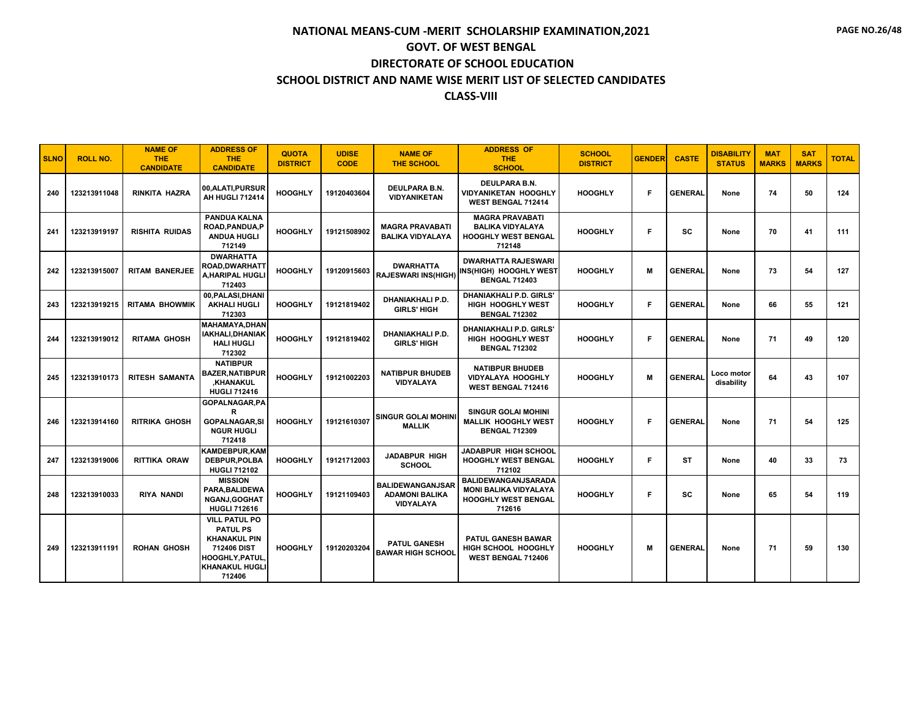| <b>SLNO</b> | <b>ROLL NO.</b> | <b>NAME OF</b><br><b>THE</b><br><b>CANDIDATE</b> | <b>ADDRESS OF</b><br><b>THE</b><br><b>CANDIDATE</b>                                                                                       | <b>QUOTA</b><br><b>DISTRICT</b> | <b>UDISE</b><br><b>CODE</b> | <b>NAME OF</b><br><b>THE SCHOOL</b>                                  | <b>ADDRESS OF</b><br><b>THE</b><br><b>SCHOOL</b>                                            | <b>SCHOOL</b><br><b>DISTRICT</b> | <b>GENDER</b> | <b>CASTE</b>   | <b>DISABILITY</b><br><b>STATUS</b> | <b>MAT</b><br><b>MARKS</b> | <b>SAT</b><br><b>MARKS</b> | <b>TOTAL</b> |
|-------------|-----------------|--------------------------------------------------|-------------------------------------------------------------------------------------------------------------------------------------------|---------------------------------|-----------------------------|----------------------------------------------------------------------|---------------------------------------------------------------------------------------------|----------------------------------|---------------|----------------|------------------------------------|----------------------------|----------------------------|--------------|
| 240         | 123213911048    | <b>RINKITA HAZRA</b>                             | 00, ALATI, PURSUR<br>AH HUGLI 712414                                                                                                      | <b>HOOGHLY</b>                  | 19120403604                 | <b>DEULPARA B.N.</b><br><b>VIDYANIKETAN</b>                          | <b>DEULPARA B.N.</b><br><b>VIDYANIKETAN HOOGHLY</b><br><b>WEST BENGAL 712414</b>            | <b>HOOGHLY</b>                   | F             | <b>GENERAL</b> | None                               | 74                         | 50                         | 124          |
| 241         | 123213919197    | <b>RISHITA RUIDAS</b>                            | <b>PANDUA KALNA</b><br><b>ROAD.PANDUA.P</b><br><b>ANDUA HUGLI</b><br>712149                                                               | <b>HOOGHLY</b>                  | 19121508902                 | <b>MAGRA PRAVABATI</b><br><b>BALIKA VIDYALAYA</b>                    | <b>MAGRA PRAVABATI</b><br><b>BALIKA VIDYALAYA</b><br><b>HOOGHLY WEST BENGAL</b><br>712148   | <b>HOOGHLY</b>                   | F             | SC             | None                               | 70                         | 41                         | 111          |
| 242         | 123213915007    | <b>RITAM BANERJEE</b>                            | <b>DWARHATTA</b><br>ROAD,DWARHATT<br>A,HARIPAL HUGLI<br>712403                                                                            | <b>HOOGHLY</b>                  | 19120915603                 | <b>DWARHATTA</b><br><b>RAJESWARI INS(HIGH)</b>                       | <b>DWARHATTA RAJESWARI</b><br>INS(HIGH) HOOGHLY WEST<br><b>BENGAL 712403</b>                | <b>HOOGHLY</b>                   | м             | <b>GENERAL</b> | None                               | 73                         | 54                         | 127          |
| 243         | 123213919215    | <b>RITAMA BHOWMIK</b>                            | 00, PALASI, DHANI<br><b>AKHALI HUGLI</b><br>712303                                                                                        | <b>HOOGHLY</b>                  | 19121819402                 | DHANIAKHALI P.D.<br><b>GIRLS' HIGH</b>                               | DHANIAKHALI P.D. GIRLS'<br>HIGH HOOGHLY WEST<br><b>BENGAL 712302</b>                        | <b>HOOGHLY</b>                   | F.            | <b>GENERAL</b> | None                               | 66                         | 55                         | 121          |
| 244         | 123213919012    | <b>RITAMA GHOSH</b>                              | <b>MAHAMAYA.DHAN</b><br>IAKHALI.DHANIAK<br><b>HALI HUGLI</b><br>712302                                                                    | <b>HOOGHLY</b>                  | 19121819402                 | <b>DHANIAKHALI P.D.</b><br><b>GIRLS' HIGH</b>                        | <b>DHANIAKHALI P.D. GIRLS'</b><br>HIGH HOOGHLY WEST<br><b>BENGAL 712302</b>                 | <b>HOOGHLY</b>                   | F             | <b>GENERAL</b> | None                               | 71                         | 49                         | 120          |
| 245         | 123213910173    | <b>RITESH SAMANTA</b>                            | <b>NATIBPUR</b><br><b>BAZER, NATIBPUR</b><br><b>KHANAKUL</b><br><b>HUGLI 712416</b>                                                       | <b>HOOGHLY</b>                  | 19121002203                 | <b>NATIBPUR BHUDEB</b><br><b>VIDYALAYA</b>                           | <b>NATIBPUR BHUDEB</b><br><b>VIDYALAYA HOOGHLY</b><br><b>WEST BENGAL 712416</b>             | <b>HOOGHLY</b>                   | M             | <b>GENERAL</b> | Loco motor<br>disability           | 64                         | 43                         | 107          |
| 246         | 123213914160    | <b>RITRIKA GHOSH</b>                             | <b>GOPALNAGAR.PA</b><br>R<br><b>GOPALNAGAR.SI</b><br><b>NGUR HUGLI</b><br>712418                                                          | <b>HOOGHLY</b>                  | 19121610307                 | <b>SINGUR GOLAI MOHINI</b><br><b>MALLIK</b>                          | <b>SINGUR GOLAI MOHINI</b><br><b>MALLIK HOOGHLY WEST</b><br><b>BENGAL 712309</b>            | <b>HOOGHLY</b>                   | F             | <b>GENERAL</b> | None                               | 71                         | 54                         | 125          |
| 247         | 123213919006    | RITTIKA ORAW                                     | <b>KAMDEBPUR.KAM</b><br><b>DEBPUR.POLBA</b><br><b>HUGLI 712102</b>                                                                        | <b>HOOGHLY</b>                  | 19121712003                 | <b>JADABPUR HIGH</b><br><b>SCHOOL</b>                                | JADABPUR HIGH SCHOOL<br><b>HOOGHLY WEST BENGAL</b><br>712102                                | <b>HOOGHLY</b>                   | F.            | ST             | None                               | 40                         | 33                         | 73           |
| 248         | 123213910033    | <b>RIYA NANDI</b>                                | <b>MISSION</b><br>PARA.BALIDEWA<br><b>NGANJ,GOGHAT</b><br><b>HUGLI 712616</b>                                                             | <b>HOOGHLY</b>                  | 19121109403                 | <b>BALIDEWANGANJSAR</b><br><b>ADAMONI BALIKA</b><br><b>VIDYALAYA</b> | BALIDEWANGANJSARADA<br><b>MONI BALIKA VIDYALAYA</b><br><b>HOOGHLY WEST BENGAL</b><br>712616 | <b>HOOGHLY</b>                   | F             | <b>SC</b>      | None                               | 65                         | 54                         | 119          |
| 249         | 123213911191    | <b>ROHAN GHOSH</b>                               | <b>VILL PATUL PO</b><br><b>PATUL PS</b><br><b>KHANAKUL PIN</b><br>712406 DIST<br><b>HOOGHLY, PATUL</b><br><b>KHANAKUL HUGLI</b><br>712406 | <b>HOOGHLY</b>                  | 19120203204                 | <b>PATUL GANESH</b><br><b>BAWAR HIGH SCHOOL</b>                      | <b>PATUL GANESH BAWAR</b><br>HIGH SCHOOL HOOGHLY<br>WEST BENGAL 712406                      | <b>HOOGHLY</b>                   | M             | <b>GENERAL</b> | None                               | 71                         | 59                         | 130          |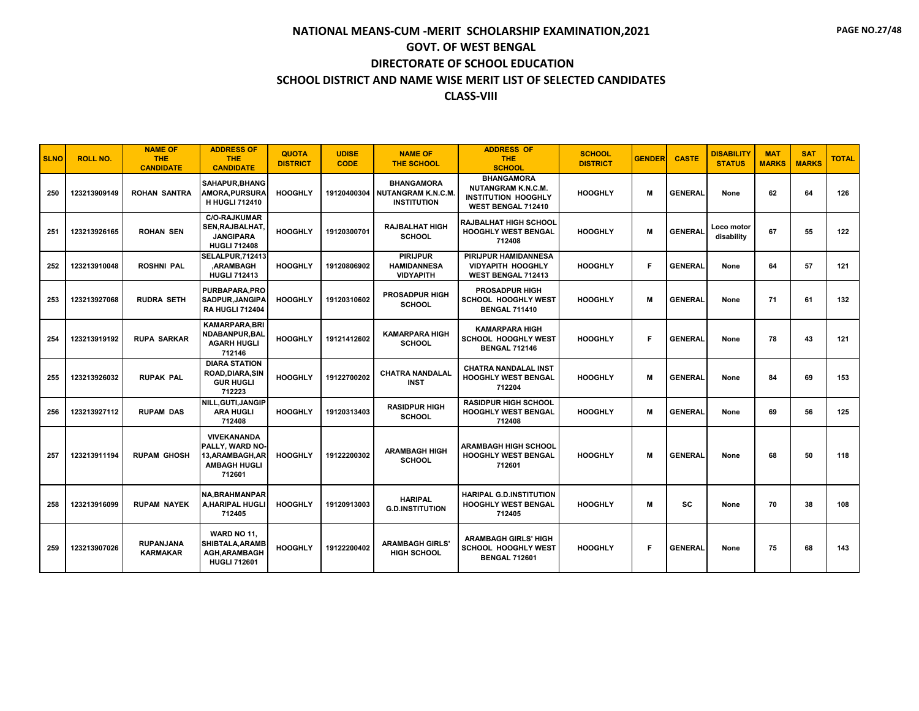| <b>SLNO</b> | <b>ROLL NO.</b> | <b>NAME OF</b><br><b>THE</b><br><b>CANDIDATE</b> | <b>ADDRESS OF</b><br><b>THE</b><br><b>CANDIDATE</b>                                        | <b>QUOTA</b><br><b>DISTRICT</b> | <b>UDISE</b><br><b>CODE</b> | <b>NAME OF</b><br><b>THE SCHOOL</b>                                  | <b>ADDRESS OF</b><br><b>THE</b><br><b>SCHOOL</b>                                                   | <b>SCHOOL</b><br><b>DISTRICT</b> | <b>GENDER</b> | <b>CASTE</b>   | <b>DISABILITY</b><br><b>STATUS</b> | <b>MAT</b><br><b>MARKS</b> | <b>SAT</b><br><b>MARKS</b> | <b>TOTAL</b> |
|-------------|-----------------|--------------------------------------------------|--------------------------------------------------------------------------------------------|---------------------------------|-----------------------------|----------------------------------------------------------------------|----------------------------------------------------------------------------------------------------|----------------------------------|---------------|----------------|------------------------------------|----------------------------|----------------------------|--------------|
| 250         | 123213909149    | <b>ROHAN SANTRA</b>                              | SAHAPUR.BHANG<br>AMORA, PURSURA<br><b>H HUGLI 712410</b>                                   | <b>HOOGHLY</b>                  | 19120400304                 | <b>BHANGAMORA</b><br><b>NUTANGRAM K.N.C.M.</b><br><b>INSTITUTION</b> | <b>BHANGAMORA</b><br><b>NUTANGRAM K.N.C.M.</b><br><b>INSTITUTION HOOGHLY</b><br>WEST BENGAL 712410 | <b>HOOGHLY</b>                   | м             | <b>GENERAL</b> | None                               | 62                         | 64                         | 126          |
| 251         | 123213926165    | <b>ROHAN SEN</b>                                 | <b>C/O-RAJKUMAR</b><br>SEN, RAJBALHAT,<br><b>JANGIPARA</b><br><b>HUGLI 712408</b>          | <b>HOOGHLY</b>                  | 19120300701                 | <b>RAJBALHAT HIGH</b><br><b>SCHOOL</b>                               | <b>RAJBALHAT HIGH SCHOOL</b><br><b>HOOGHLY WEST BENGAL</b><br>712408                               | <b>HOOGHLY</b>                   | M             | <b>GENERAL</b> | Loco motor<br>disability           | 67                         | 55                         | 122          |
| 252         | 123213910048    | <b>ROSHNI PAL</b>                                | SELALPUR, 712413<br><b>ARAMBAGH</b><br><b>HUGLI 712413</b>                                 | <b>HOOGHLY</b>                  | 19120806902                 | <b>PIRIJPUR</b><br><b>HAMIDANNESA</b><br><b>VIDYAPITH</b>            | PIRIJPUR HAMIDANNESA<br><b>VIDYAPITH HOOGHLY</b><br><b>WEST BENGAL 712413</b>                      | <b>HOOGHLY</b>                   | F             | <b>GENERAL</b> | None                               | 64                         | 57                         | 121          |
| 253         | 123213927068    | <b>RUDRA SETH</b>                                | PURBAPARA, PRO<br><b>SADPUR.JANGIPA</b><br><b>RA HUGLI 712404</b>                          | <b>HOOGHLY</b>                  | 19120310602                 | <b>PROSADPUR HIGH</b><br><b>SCHOOL</b>                               | <b>PROSADPUR HIGH</b><br>SCHOOL HOOGHLY WEST<br><b>BENGAL 711410</b>                               | <b>HOOGHLY</b>                   | M             | <b>GENERAL</b> | None                               | 71                         | 61                         | 132          |
| 254         | 123213919192    | <b>RUPA SARKAR</b>                               | <b>KAMARPARA.BRI</b><br>NDABANPUR.BAL<br><b>AGARH HUGLI</b><br>712146                      | <b>HOOGHLY</b>                  | 19121412602                 | <b>KAMARPARA HIGH</b><br><b>SCHOOL</b>                               | <b>KAMARPARA HIGH</b><br>SCHOOL HOOGHLY WEST<br><b>BENGAL 712146</b>                               | <b>HOOGHLY</b>                   | F             | <b>GENERAL</b> | None                               | 78                         | 43                         | 121          |
| 255         | 123213926032    | <b>RUPAK PAL</b>                                 | <b>DIARA STATION</b><br>ROAD, DIARA, SIN<br><b>GUR HUGLI</b><br>712223                     | <b>HOOGHLY</b>                  | 19122700202                 | <b>CHATRA NANDALAL</b><br><b>INST</b>                                | <b>CHATRA NANDALAL INST</b><br><b>HOOGHLY WEST BENGAL</b><br>712204                                | <b>HOOGHLY</b>                   | M             | <b>GENERAL</b> | None                               | 84                         | 69                         | 153          |
| 256         | 123213927112    | <b>RUPAM DAS</b>                                 | NILL, GUTI, JANGIP<br><b>ARA HUGLI</b><br>712408                                           | <b>HOOGHLY</b>                  | 19120313403                 | <b>RASIDPUR HIGH</b><br><b>SCHOOL</b>                                | <b>RASIDPUR HIGH SCHOOL</b><br><b>HOOGHLY WEST BENGAL</b><br>712408                                | <b>HOOGHLY</b>                   | M             | <b>GENERAL</b> | None                               | 69                         | 56                         | 125          |
| 257         | 123213911194    | <b>RUPAM GHOSH</b>                               | <b>VIVEKANANDA</b><br>PALLY, WARD NO-<br>13, ARAMBAGH, AR<br><b>AMBAGH HUGLI</b><br>712601 | <b>HOOGHLY</b>                  | 19122200302                 | <b>ARAMBAGH HIGH</b><br><b>SCHOOL</b>                                | ARAMBAGH HIGH SCHOOL<br><b>HOOGHLY WEST BENGAL</b><br>712601                                       | <b>HOOGHLY</b>                   | м             | <b>GENERAL</b> | None                               | 68                         | 50                         | 118          |
| 258         | 123213916099    | <b>RUPAM NAYEK</b>                               | <b>NA, BRAHMANPAR</b><br>A, HARIPAL HUGLI<br>712405                                        | <b>HOOGHLY</b>                  | 19120913003                 | <b>HARIPAL</b><br><b>G.D.INSTITUTION</b>                             | <b>HARIPAL G.D.INSTITUTION</b><br><b>HOOGHLY WEST BENGAL</b><br>712405                             | <b>HOOGHLY</b>                   | м             | SC.            | None                               | 70                         | 38                         | 108          |
| 259         | 123213907026    | <b>RUPANJANA</b><br><b>KARMAKAR</b>              | WARD NO 11.<br>SHIBTALA, ARAMB<br><b>AGH, ARAMBAGH</b><br><b>HUGLI 712601</b>              | <b>HOOGHLY</b>                  | 19122200402                 | <b>ARAMBAGH GIRLS'</b><br><b>HIGH SCHOOL</b>                         | <b>ARAMBAGH GIRLS' HIGH</b><br><b>SCHOOL HOOGHLY WEST</b><br><b>BENGAL 712601</b>                  | <b>HOOGHLY</b>                   | F             | <b>GENERAL</b> | None                               | 75                         | 68                         | 143          |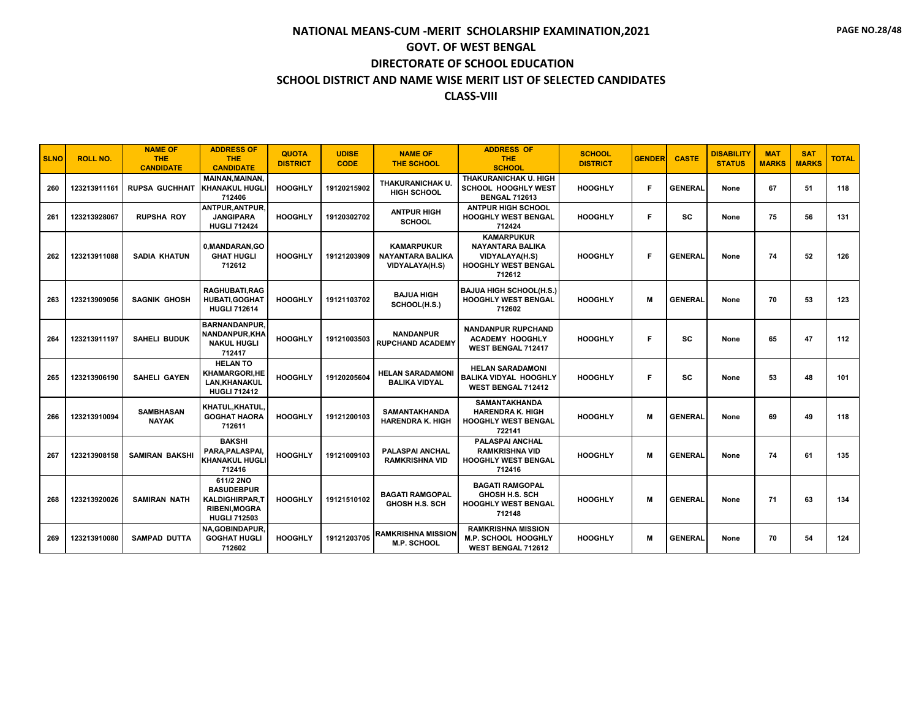| <b>SLNO</b> | <b>ROLL NO.</b> | <b>NAME OF</b><br>THE.<br><b>CANDIDATE</b> | <b>ADDRESS OF</b><br><b>THE</b><br><b>CANDIDATE</b>                                                    | <b>QUOTA</b><br><b>DISTRICT</b> | <b>UDISE</b><br><b>CODE</b> | <b>NAME OF</b><br><b>THE SCHOOL</b>                            | <b>ADDRESS OF</b><br><b>THE</b><br><b>SCHOOL</b>                                                       | <b>SCHOOL</b><br><b>DISTRICT</b> | <b>GENDER</b> | <b>CASTE</b>   | <b>DISABILITY</b><br><b>STATUS</b> | <b>MAT</b><br><b>MARKS</b> | <b>SAT</b><br><b>MARKS</b> | <b>TOTAL</b> |
|-------------|-----------------|--------------------------------------------|--------------------------------------------------------------------------------------------------------|---------------------------------|-----------------------------|----------------------------------------------------------------|--------------------------------------------------------------------------------------------------------|----------------------------------|---------------|----------------|------------------------------------|----------------------------|----------------------------|--------------|
| 260         | 123213911161    | <b>RUPSA GUCHHAIT</b>                      | <b>MAINAN, MAINAN,</b><br><b>KHANAKUL HUGLI</b><br>712406                                              | <b>HOOGHLY</b>                  | 19120215902                 | THAKURANICHAK U.<br><b>HIGH SCHOOL</b>                         | THAKURANICHAK U. HIGH<br>SCHOOL HOOGHLY WEST<br><b>BENGAL 712613</b>                                   | <b>HOOGHLY</b>                   | F             | <b>GENERAL</b> | None                               | 67                         | 51                         | 118          |
| 261         | 123213928067    | <b>RUPSHA ROY</b>                          | ANTPUR, ANTPUR,<br><b>JANGIPARA</b><br><b>HUGLI 712424</b>                                             | <b>HOOGHLY</b>                  | 19120302702                 | <b>ANTPUR HIGH</b><br><b>SCHOOL</b>                            | <b>ANTPUR HIGH SCHOOL</b><br><b>HOOGHLY WEST BENGAL</b><br>712424                                      | <b>HOOGHLY</b>                   | F             | <b>SC</b>      | None                               | 75                         | 56                         | 131          |
| 262         | 123213911088    | SADIA KHATUN                               | 0, MANDARAN, GO<br><b>GHAT HUGLI</b><br>712612                                                         | <b>HOOGHLY</b>                  | 19121203909                 | <b>KAMARPUKUR</b><br><b>NAYANTARA BALIKA</b><br>VIDYALAYA(H.S) | <b>KAMARPUKUR</b><br><b>NAYANTARA BALIKA</b><br>VIDYALAYA(H.S)<br><b>HOOGHLY WEST BENGAL</b><br>712612 | <b>HOOGHLY</b>                   | F             | <b>GENERAL</b> | None                               | 74                         | 52                         | 126          |
| 263         | 123213909056    | <b>SAGNIK GHOSH</b>                        | <b>RAGHUBATI.RAG</b><br><b>HUBATI.GOGHAT</b><br><b>HUGLI 712614</b>                                    | <b>HOOGHLY</b>                  | 19121103702                 | <b>BAJUA HIGH</b><br>SCHOOL(H.S.)                              | <b>BAJUA HIGH SCHOOL(H.S.)</b><br><b>HOOGHLY WEST BENGAL</b><br>712602                                 | <b>HOOGHLY</b>                   | M             | <b>GENERAL</b> | None                               | 70                         | 53                         | 123          |
| 264         | 123213911197    | <b>SAHELI BUDUK</b>                        | <b>BARNANDANPUR.</b><br>NANDANPUR, KHA<br><b>NAKUL HUGLI</b><br>712417                                 | <b>HOOGHLY</b>                  | 19121003503                 | <b>NANDANPUR</b><br><b>RUPCHAND ACADEMY</b>                    | <b>NANDANPUR RUPCHAND</b><br><b>ACADEMY HOOGHLY</b><br><b>WEST BENGAL 712417</b>                       | <b>HOOGHLY</b>                   | F             | sc             | None                               | 65                         | 47                         | 112          |
| 265         | 123213906190    | <b>SAHELI GAYEN</b>                        | <b>HELAN TO</b><br><b>KHAMARGORI,HE</b><br>LAN, KHANAKUL<br><b>HUGLI 712412</b>                        | <b>HOOGHLY</b>                  | 19120205604                 | <b>HELAN SARADAMONI</b><br><b>BALIKA VIDYAL</b>                | <b>HELAN SARADAMONI</b><br><b>BALIKA VIDYAL HOOGHLY</b><br>WEST BENGAL 712412                          | <b>HOOGHLY</b>                   | F             | SC             | None                               | 53                         | 48                         | 101          |
| 266         | 123213910094    | <b>SAMBHASAN</b><br><b>NAYAK</b>           | KHATUL,KHATUL,<br><b>GOGHAT HAORA</b><br>712611                                                        | <b>HOOGHLY</b>                  | 19121200103                 | <b>SAMANTAKHANDA</b><br><b>HARENDRA K. HIGH</b>                | <b>SAMANTAKHANDA</b><br>HARENDRA K. HIGH<br><b>HOOGHLY WEST BENGAL</b><br>722141                       | <b>HOOGHLY</b>                   | M             | <b>GENERAL</b> | None                               | 69                         | 49                         | 118          |
| 267         | 123213908158    | <b>SAMIRAN BAKSHI</b>                      | <b>BAKSHI</b><br>PARA, PALASPAI,<br><b>KHANAKUL HUGLI</b><br>712416                                    | <b>HOOGHLY</b>                  | 19121009103                 | PALASPAI ANCHAL<br><b>RAMKRISHNA VID</b>                       | <b>PALASPAI ANCHAL</b><br><b>RAMKRISHNA VID</b><br><b>HOOGHLY WEST BENGAL</b><br>712416                | <b>HOOGHLY</b>                   | м             | <b>GENERAL</b> | None                               | 74                         | 61                         | 135          |
| 268         | 123213920026    | <b>SAMIRAN NATH</b>                        | 611/2 2NO<br><b>BASUDEBPUR</b><br><b>KALDIGHIRPAR.T</b><br><b>RIBENI, MOGRA</b><br><b>HUGLI 712503</b> | <b>HOOGHLY</b>                  | 19121510102                 | <b>BAGATI RAMGOPAL</b><br><b>GHOSH H.S. SCH</b>                | <b>BAGATI RAMGOPAL</b><br><b>GHOSH H.S. SCH</b><br><b>HOOGHLY WEST BENGAL</b><br>712148                | <b>HOOGHLY</b>                   | M             | <b>GENERAL</b> | None                               | 71                         | 63                         | 134          |
| 269         | 123213910080    | <b>SAMPAD DUTTA</b>                        | NA, GOBINDAPUR,<br><b>GOGHAT HUGLI</b><br>712602                                                       | <b>HOOGHLY</b>                  | 19121203705                 | RAMKRISHNA MISSION<br><b>M.P. SCHOOL</b>                       | <b>RAMKRISHNA MISSION</b><br><b>M.P. SCHOOL HOOGHLY</b><br><b>WEST BENGAL 712612</b>                   | <b>HOOGHLY</b>                   | м             | <b>GENERAL</b> | None                               | 70                         | 54                         | 124          |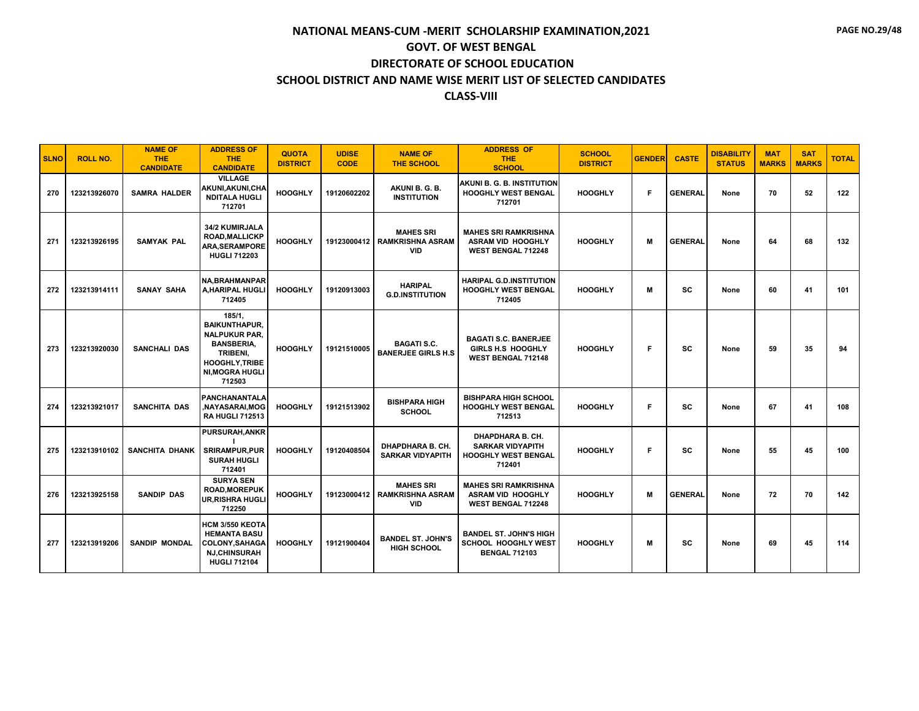| <b>SLNO</b> | <b>ROLL NO.</b> | <b>NAME OF</b><br><b>THE</b><br><b>CANDIDATE</b> | <b>ADDRESS OF</b><br><b>THE</b><br><b>CANDIDATE</b>                                                                                                  | <b>QUOTA</b><br><b>DISTRICT</b> | <b>UDISE</b><br><b>CODE</b> | <b>NAME OF</b><br><b>THE SCHOOL</b>                       | <b>ADDRESS OF</b><br><b>THE</b><br><b>SCHOOL</b>                                     | <b>SCHOOL</b><br><b>DISTRICT</b> | <b>GENDER</b> | <b>CASTE</b>   | <b>DISABILITY</b><br><b>STATUS</b> | <b>MAT</b><br><b>MARKS</b> | <b>SAT</b><br><b>MARKS</b> | <b>TOTAL</b> |
|-------------|-----------------|--------------------------------------------------|------------------------------------------------------------------------------------------------------------------------------------------------------|---------------------------------|-----------------------------|-----------------------------------------------------------|--------------------------------------------------------------------------------------|----------------------------------|---------------|----------------|------------------------------------|----------------------------|----------------------------|--------------|
| 270         | 123213926070    | <b>SAMRA HALDER</b>                              | <b>VILLAGE</b><br>AKUNI, AKUNI, CHA<br><b>NDITALA HUGLI</b><br>712701                                                                                | <b>HOOGHLY</b>                  | 19120602202                 | AKUNI B. G. B.<br><b>INSTITUTION</b>                      | AKUNI B. G. B. INSTITUTION<br><b>HOOGHLY WEST BENGAL</b><br>712701                   | <b>HOOGHLY</b>                   | F             | <b>GENERAL</b> | None                               | 70                         | 52                         | 122          |
| 271         | 123213926195    | <b>SAMYAK PAL</b>                                | 34/2 KUMIRJALA<br><b>ROAD, MALLICKP</b><br><b>ARA, SERAMPORE</b><br><b>HUGLI 712203</b>                                                              | <b>HOOGHLY</b>                  | 19123000412                 | <b>MAHES SRI</b><br><b>RAMKRISHNA ASRAM</b><br><b>VID</b> | <b>MAHES SRI RAMKRISHNA</b><br>ASRAM VID HOOGHLY<br>WEST BENGAL 712248               | <b>HOOGHLY</b>                   | м             | <b>GENERAL</b> | None                               | 64                         | 68                         | 132          |
| 272         | 123213914111    | <b>SANAY SAHA</b>                                | <b>NA.BRAHMANPAR</b><br><b>A.HARIPAL HUGLI</b><br>712405                                                                                             | <b>HOOGHLY</b>                  | 19120913003                 | <b>HARIPAL</b><br><b>G.D.INSTITUTION</b>                  | <b>HARIPAL G.D.INSTITUTION</b><br><b>HOOGHLY WEST BENGAL</b><br>712405               | <b>HOOGHLY</b>                   | M             | <b>SC</b>      | None                               | 60                         | 41                         | 101          |
| 273         | 123213920030    | <b>SANCHALI DAS</b>                              | 185/1,<br><b>BAIKUNTHAPUR.</b><br><b>NALPUKUR PAR.</b><br><b>BANSBERIA,</b><br>TRIBENI.<br><b>HOOGHLY, TRIBE</b><br><b>NI, MOGRA HUGLI</b><br>712503 | <b>HOOGHLY</b>                  | 19121510005                 | <b>BAGATI S.C.</b><br><b>BANERJEE GIRLS H.S.</b>          | <b>BAGATI S.C. BANERJEE</b><br><b>GIRLS H.S. HOOGHLY</b><br>WEST BENGAL 712148       | <b>HOOGHLY</b>                   | F.            | sc             | None                               | 59                         | 35                         | 94           |
| 274         | 123213921017    | SANCHITA DAS                                     | <b>PANCHANANTALA</b><br>NAYASARAI,MOG,<br><b>RA HUGLI 712513</b>                                                                                     | <b>HOOGHLY</b>                  | 19121513902                 | <b>BISHPARA HIGH</b><br><b>SCHOOL</b>                     | <b>BISHPARA HIGH SCHOOL</b><br><b>HOOGHLY WEST BENGAL</b><br>712513                  | <b>HOOGHLY</b>                   | F             | <b>SC</b>      | None                               | 67                         | 41                         | 108          |
| 275         | 123213910102    | <b>SANCHITA DHANK</b>                            | <b>PURSURAH, ANKR</b><br><b>SRIRAMPUR,PUR</b><br><b>SURAH HUGLI</b><br>712401                                                                        | <b>HOOGHLY</b>                  | 19120408504                 | <b>DHAPDHARA B. CH.</b><br><b>SARKAR VIDYAPITH</b>        | DHAPDHARA B. CH.<br><b>SARKAR VIDYAPITH</b><br><b>HOOGHLY WEST BENGAL</b><br>712401  | <b>HOOGHLY</b>                   | F             | SC             | None                               | 55                         | 45                         | 100          |
| 276         | 123213925158    | <b>SANDIP DAS</b>                                | <b>SURYA SEN</b><br><b>ROAD.MOREPUK</b><br><b>UR, RISHRA HUGL</b><br>712250                                                                          | <b>HOOGHLY</b>                  | 19123000412                 | <b>MAHES SRI</b><br><b>RAMKRISHNA ASRAM</b><br><b>VID</b> | <b>MAHES SRI RAMKRISHNA</b><br><b>ASRAM VID HOOGHLY</b><br><b>WEST BENGAL 712248</b> | <b>HOOGHLY</b>                   | M             | <b>GENERAL</b> | None                               | 72                         | 70                         | 142          |
| 277         | 123213919206    | <b>SANDIP MONDAL</b>                             | <b>HCM 3/550 KEOTA</b><br><b>HEMANTA BASU</b><br><b>COLONY, SAHAGA</b><br><b>NJ,CHINSURAH</b><br><b>HUGLI 712104</b>                                 | <b>HOOGHLY</b>                  | 19121900404                 | <b>BANDEL ST. JOHN'S</b><br><b>HIGH SCHOOL</b>            | <b>BANDEL ST. JOHN'S HIGH</b><br>SCHOOL HOOGHLY WEST<br><b>BENGAL 712103</b>         | <b>HOOGHLY</b>                   | М             | <b>SC</b>      | None                               | 69                         | 45                         | 114          |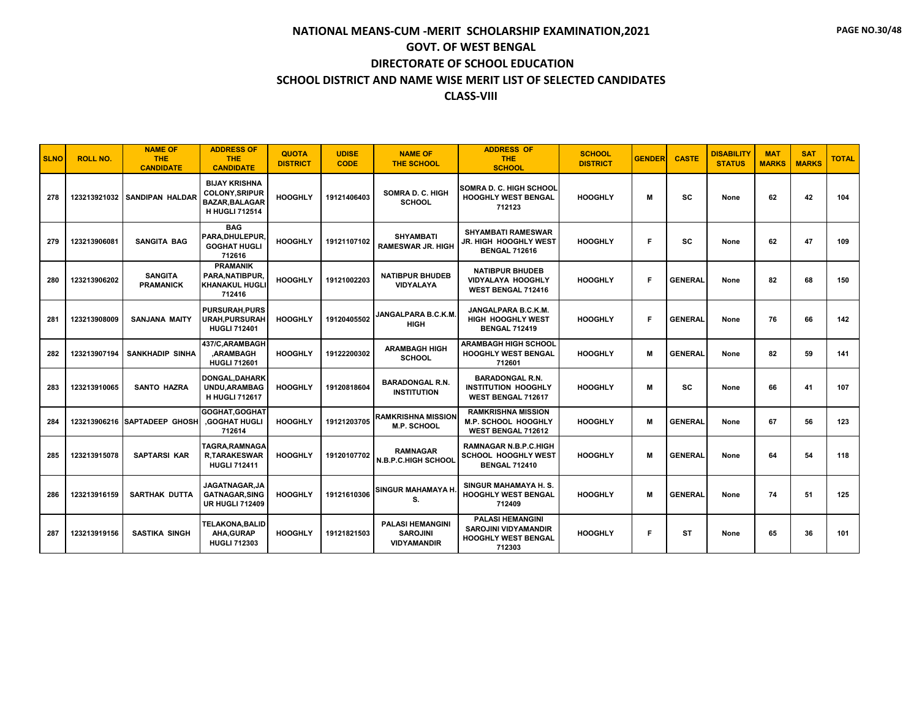| <b>SLNO</b> | <b>ROLL NO.</b> | <b>NAME OF</b><br><b>THE</b><br><b>CANDIDATE</b> | <b>ADDRESS OF</b><br><b>THE</b><br><b>CANDIDATE</b>                                            | <b>QUOTA</b><br><b>DISTRICT</b> | <b>UDISE</b><br><b>CODE</b> | <b>NAME OF</b><br><b>THE SCHOOL</b>                              | <b>ADDRESS OF</b><br><b>THE</b><br><b>SCHOOL</b>                                        | <b>SCHOOL</b><br><b>DISTRICT</b> | <b>GENDER</b> | <b>CASTE</b>   | <b>DISABILITY</b><br><b>STATUS</b> | <b>MAT</b><br><b>MARKS</b> | <b>SAT</b><br><b>MARKS</b> | <b>TOTAL</b> |
|-------------|-----------------|--------------------------------------------------|------------------------------------------------------------------------------------------------|---------------------------------|-----------------------------|------------------------------------------------------------------|-----------------------------------------------------------------------------------------|----------------------------------|---------------|----------------|------------------------------------|----------------------------|----------------------------|--------------|
| 278         |                 | 123213921032 SANDIPAN HALDAR                     | <b>BIJAY KRISHNA</b><br><b>COLONY, SRIPUR</b><br><b>BAZAR.BALAGAR</b><br><b>H HUGLI 712514</b> | <b>HOOGHLY</b>                  | 19121406403                 | <b>SOMRA D. C. HIGH</b><br><b>SCHOOL</b>                         | SOMRA D. C. HIGH SCHOOL<br><b>HOOGHLY WEST BENGAL</b><br>712123                         | <b>HOOGHLY</b>                   | м             | <b>SC</b>      | None                               | 62                         | 42                         | 104          |
| 279         | 123213906081    | <b>SANGITA BAG</b>                               | <b>BAG</b><br>PARA, DHULEPUR,<br><b>GOGHAT HUGLI</b><br>712616                                 | <b>HOOGHLY</b>                  | 19121107102                 | <b>SHYAMBATI</b><br><b>RAMESWAR JR. HIGH</b>                     | <b>SHYAMBATI RAMESWAR</b><br>JR. HIGH HOOGHLY WEST<br><b>BENGAL 712616</b>              | <b>HOOGHLY</b>                   | F             | sc             | None                               | 62                         | 47                         | 109          |
| 280         | 123213906202    | <b>SANGITA</b><br><b>PRAMANICK</b>               | <b>PRAMANIK</b><br>PARA, NATIBPUR.<br><b>KHANAKUL HUGLI</b><br>712416                          | <b>HOOGHLY</b>                  | 19121002203                 | <b>NATIBPUR BHUDEB</b><br><b>VIDYALAYA</b>                       | <b>NATIBPUR BHUDEB</b><br><b>VIDYALAYA HOOGHLY</b><br><b>WEST BENGAL 712416</b>         | <b>HOOGHLY</b>                   | F             | <b>GENERAL</b> | None                               | 82                         | 68                         | 150          |
| 281         | 123213908009    | <b>SANJANA MAITY</b>                             | <b>PURSURAH, PURS</b><br><b>URAH, PURSURAH</b><br><b>HUGLI 712401</b>                          | <b>HOOGHLY</b>                  | 19120405502                 | JANGALPARA B.C.K.M.<br><b>HIGH</b>                               | JANGALPARA B.C.K.M.<br>HIGH HOOGHLY WEST<br><b>BENGAL 712419</b>                        | <b>HOOGHLY</b>                   | F             | <b>GENERAL</b> | None                               | 76                         | 66                         | 142          |
| 282         | 123213907194    | <b>SANKHADIP SINHA</b>                           | 437/C.ARAMBAGH<br><b>ARAMBAGH</b><br><b>HUGLI 712601</b>                                       | <b>HOOGHLY</b>                  | 19122200302                 | <b>ARAMBAGH HIGH</b><br><b>SCHOOL</b>                            | <b>ARAMBAGH HIGH SCHOOL</b><br><b>HOOGHLY WEST BENGAL</b><br>712601                     | <b>HOOGHLY</b>                   | м             | <b>GENERAL</b> | None                               | 82                         | 59                         | 141          |
| 283         | 123213910065    | <b>SANTO HAZRA</b>                               | <b>DONGAL, DAHARK</b><br>UNDU, ARAMBAG<br><b>H HUGLI 712617</b>                                | <b>HOOGHLY</b>                  | 19120818604                 | <b>BARADONGAL R.N.</b><br><b>INSTITUTION</b>                     | <b>BARADONGAL R.N.</b><br><b>INSTITUTION HOOGHLY</b><br>WEST BENGAL 712617              | <b>HOOGHLY</b>                   | М             | SC             | None                               | 66                         | 41                         | 107          |
| 284         |                 | 123213906216 SAPTADEEP GHOSH                     | GOGHAT.GOGHAT<br><b>.GOGHAT HUGLI</b><br>712614                                                | <b>HOOGHLY</b>                  | 19121203705                 | <b>RAMKRISHNA MISSION</b><br><b>M.P. SCHOOL</b>                  | <b>RAMKRISHNA MISSION</b><br><b>M.P. SCHOOL HOOGHLY</b><br>WEST BENGAL 712612           | <b>HOOGHLY</b>                   | M             | <b>GENERAL</b> | None                               | 67                         | 56                         | 123          |
| 285         | 123213915078    | <b>SAPTARSI KAR</b>                              | TAGRA,RAMNAGA<br><b>R.TARAKESWAR</b><br><b>HUGLI 712411</b>                                    | <b>HOOGHLY</b>                  | 19120107702                 | RAMNAGAR<br><b>N.B.P.C.HIGH SCHOOL</b>                           | <b>RAMNAGAR N.B.P.C.HIGH</b><br>SCHOOL HOOGHLY WEST<br><b>BENGAL 712410</b>             | <b>HOOGHLY</b>                   | М             | <b>GENERAL</b> | None                               | 64                         | 54                         | 118          |
| 286         | 123213916159    | <b>SARTHAK DUTTA</b>                             | JAGATNAGAR.JA<br><b>GATNAGAR, SING</b><br><b>UR HUGLI 712409</b>                               | <b>HOOGHLY</b>                  | 19121610306                 | SINGUR MAHAMAYA H.<br>S.                                         | SINGUR MAHAMAYA H.S.<br><b>HOOGHLY WEST BENGAL</b><br>712409                            | <b>HOOGHLY</b>                   | M             | <b>GENERAL</b> | None                               | 74                         | 51                         | 125          |
| 287         | 123213919156    | <b>SASTIKA SINGH</b>                             | <b>TELAKONA,BALID</b><br><b>AHA, GURAP</b><br><b>HUGLI 712303</b>                              | <b>HOOGHLY</b>                  | 19121821503                 | <b>PALASI HEMANGINI</b><br><b>SAROJINI</b><br><b>VIDYAMANDIR</b> | <b>PALASI HEMANGINI</b><br><b>SAROJINI VIDYAMANDIR</b><br>HOOGHLY WEST BENGAL<br>712303 | <b>HOOGHLY</b>                   | F             | ST             | None                               | 65                         | 36                         | 101          |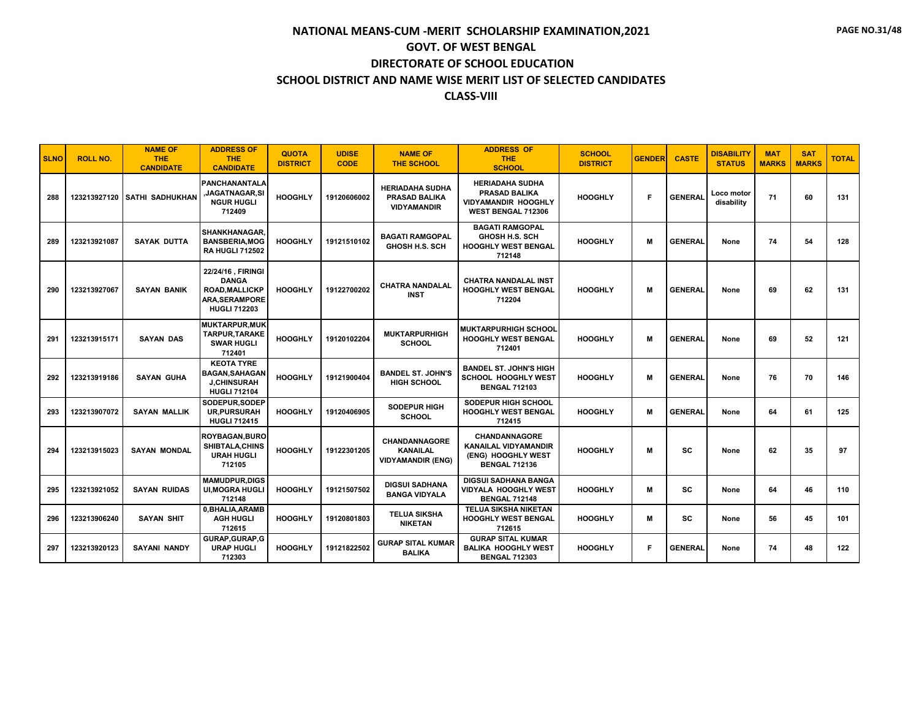| <b>SLNO</b> | <b>ROLL NO.</b> | <b>NAME OF</b><br><b>THE</b><br><b>CANDIDATE</b> | <b>ADDRESS OF</b><br><b>THE</b><br><b>CANDIDATE</b>                                                        | <b>QUOTA</b><br><b>DISTRICT</b> | <b>UDISE</b><br><b>CODE</b> | <b>NAME OF</b><br><b>THE SCHOOL</b>                           | <b>ADDRESS OF</b><br><b>THE</b><br><b>SCHOOL</b>                                                  | <b>SCHOOL</b><br><b>DISTRICT</b> | <b>GENDER</b> | <b>CASTE</b>   | <b>DISABILITY</b><br><b>STATUS</b> | <b>MAT</b><br><b>MARKS</b> | <b>SAT</b><br><b>MARKS</b> | <b>TOTAL</b> |
|-------------|-----------------|--------------------------------------------------|------------------------------------------------------------------------------------------------------------|---------------------------------|-----------------------------|---------------------------------------------------------------|---------------------------------------------------------------------------------------------------|----------------------------------|---------------|----------------|------------------------------------|----------------------------|----------------------------|--------------|
| 288         |                 | 123213927120 SATHI SADHUKHAN                     | PANCHANANTALA<br><b>JAGATNAGAR,SI</b><br><b>NGUR HUGLI</b><br>712409                                       | <b>HOOGHLY</b>                  | 19120606002                 | <b>HERIADAHA SUDHA</b><br>PRASAD BALIKA<br><b>VIDYAMANDIR</b> | <b>HERIADAHA SUDHA</b><br><b>PRASAD BALIKA</b><br>VIDYAMANDIR HOOGHLY<br>WEST BENGAL 712306       | <b>HOOGHLY</b>                   | F             | <b>GENERAL</b> | Loco motor<br>disability           | 71                         | 60                         | 131          |
| 289         | 123213921087    | SAYAK DUTTA                                      | <b>SHANKHANAGAR.</b><br><b>BANSBERIA, MOG</b><br><b>RA HUGLI 712502</b>                                    | <b>HOOGHLY</b>                  | 19121510102                 | <b>BAGATI RAMGOPAL</b><br><b>GHOSH H.S. SCH</b>               | <b>BAGATI RAMGOPAL</b><br><b>GHOSH H.S. SCH</b><br><b>HOOGHLY WEST BENGAL</b><br>712148           | <b>HOOGHLY</b>                   | M             | <b>GENERAL</b> | None                               | 74                         | 54                         | 128          |
| 290         | 123213927067    | <b>SAYAN BANIK</b>                               | 22/24/16, FIRINGI<br><b>DANGA</b><br><b>ROAD, MALLICKP</b><br><b>ARA, SERAMPORE</b><br><b>HUGLI 712203</b> | <b>HOOGHLY</b>                  | 19122700202                 | <b>CHATRA NANDALAL</b><br><b>INST</b>                         | <b>CHATRA NANDALAL INST</b><br><b>HOOGHLY WEST BENGAL</b><br>712204                               | <b>HOOGHLY</b>                   | м             | <b>GENERAL</b> | None                               | 69                         | 62                         | 131          |
| 291         | 123213915171    | <b>SAYAN DAS</b>                                 | <b>MUKTARPUR, MUK</b><br>TARPUR, TARAKE<br><b>SWAR HUGLI</b><br>712401                                     | <b>HOOGHLY</b>                  | 19120102204                 | <b>MUKTARPURHIGH</b><br><b>SCHOOL</b>                         | <b>MUKTARPURHIGH SCHOOL</b><br><b>HOOGHLY WEST BENGAL</b><br>712401                               | <b>HOOGHLY</b>                   | M             | <b>GENERAL</b> | None                               | 69                         | 52                         | 121          |
| 292         | 123213919186    | <b>SAYAN GUHA</b>                                | <b>KEOTA TYRE</b><br><b>BAGAN, SAHAGAN</b><br><b>J,CHINSURAH</b><br><b>HUGLI 712104</b>                    | <b>HOOGHLY</b>                  | 19121900404                 | <b>BANDEL ST. JOHN'S</b><br>HIGH SCHOOL                       | BANDEL ST. JOHN'S HIGH<br><b>SCHOOL HOOGHLY WEST</b><br><b>BENGAL 712103</b>                      | <b>HOOGHLY</b>                   | M             | <b>GENERAL</b> | None                               | 76                         | 70                         | 146          |
| 293         | 123213907072    | <b>SAYAN MALLIK</b>                              | SODEPUR.SODEP<br><b>UR, PURSURAH</b><br><b>HUGLI 712415</b>                                                | <b>HOOGHLY</b>                  | 19120406905                 | <b>SODEPUR HIGH</b><br><b>SCHOOL</b>                          | <b>SODEPUR HIGH SCHOOL</b><br><b>HOOGHLY WEST BENGAL</b><br>712415                                | <b>HOOGHLY</b>                   | M             | <b>GENERAL</b> | None                               | 64                         | 61                         | 125          |
| 294         | 123213915023    | <b>SAYAN MONDAL</b>                              | <b>ROYBAGAN, BURO</b><br>SHIBTALA, CHINS<br><b>URAH HUGLI</b><br>712105                                    | <b>HOOGHLY</b>                  | 19122301205                 | CHANDANNAGORE<br><b>KANAILAL</b><br><b>VIDYAMANDIR (ENG)</b>  | <b>CHANDANNAGORE</b><br><b>KANAILAL VIDYAMANDIR</b><br>(ENG) HOOGHLY WEST<br><b>BENGAL 712136</b> | <b>HOOGHLY</b>                   | M             | SC             | None                               | 62                         | 35                         | 97           |
| 295         | 123213921052    | <b>SAYAN RUIDAS</b>                              | <b>MAMUDPUR,DIGS</b><br><b>UI, MOGRA HUGLI</b><br>712148                                                   | <b>HOOGHLY</b>                  | 19121507502                 | <b>DIGSUI SADHANA</b><br><b>BANGA VIDYALA</b>                 | <b>DIGSUI SADHANA BANGA</b><br>VIDYALA HOOGHLY WEST<br><b>BENGAL 712148</b>                       | <b>HOOGHLY</b>                   | M             | sc             | None                               | 64                         | 46                         | 110          |
| 296         | 123213906240    | <b>SAYAN SHIT</b>                                | 0, BHALIA, ARAMB<br><b>AGH HUGLI</b><br>712615                                                             | <b>HOOGHLY</b>                  | 19120801803                 | <b>TELUA SIKSHA</b><br><b>NIKETAN</b>                         | <b>TELUA SIKSHA NIKETAN</b><br><b>HOOGHLY WEST BENGAL</b><br>712615                               | <b>HOOGHLY</b>                   | M             | SC.            | None                               | 56                         | 45                         | 101          |
| 297         | 123213920123    | <b>SAYANI NANDY</b>                              | GURAP, GURAP, G<br><b>URAP HUGLI</b><br>712303                                                             | <b>HOOGHLY</b>                  | 19121822502                 | <b>GURAP SITAL KUMAR</b><br><b>BALIKA</b>                     | <b>GURAP SITAL KUMAR</b><br><b>BALIKA HOOGHLY WEST</b><br><b>BENGAL 712303</b>                    | <b>HOOGHLY</b>                   | F             | <b>GENERAL</b> | None                               | 74                         | 48                         | 122          |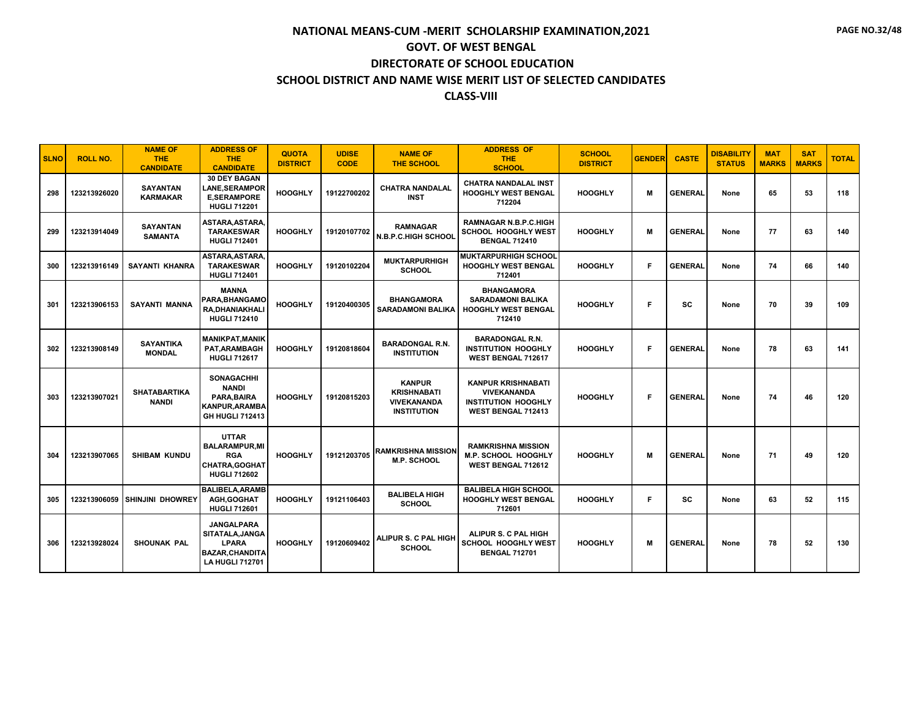| <b>SLNO</b> | <b>ROLL NO.</b> | <b>NAME OF</b><br><b>THE</b><br><b>CANDIDATE</b> | <b>ADDRESS OF</b><br><b>THE</b><br><b>CANDIDATE</b>                                                     | <b>QUOTA</b><br><b>DISTRICT</b> | <b>UDISE</b><br><b>CODE</b> | <b>NAME OF</b><br><b>THE SCHOOL</b>                                             | <b>ADDRESS OF</b><br><b>THE</b><br><b>SCHOOL</b>                                                    | <b>SCHOOL</b><br><b>DISTRICT</b> | <b>GENDER</b> | <b>CASTE</b>   | <b>DISABILITY</b><br><b>STATUS</b> | <b>MAT</b><br><b>MARKS</b> | <b>SAT</b><br><b>MARKS</b> | <b>TOTAL</b> |
|-------------|-----------------|--------------------------------------------------|---------------------------------------------------------------------------------------------------------|---------------------------------|-----------------------------|---------------------------------------------------------------------------------|-----------------------------------------------------------------------------------------------------|----------------------------------|---------------|----------------|------------------------------------|----------------------------|----------------------------|--------------|
| 298         | 123213926020    | <b>SAYANTAN</b><br><b>KARMAKAR</b>               | <b>30 DEY BAGAN</b><br><b>LANE,SERAMPOR</b><br><b>E.SERAMPORE</b><br><b>HUGLI 712201</b>                | <b>HOOGHLY</b>                  | 19122700202                 | <b>CHATRA NANDALAL</b><br><b>INST</b>                                           | <b>CHATRA NANDALAL INST</b><br><b>HOOGHLY WEST BENGAL</b><br>712204                                 | <b>HOOGHLY</b>                   | м             | <b>GENERAL</b> | None                               | 65                         | 53                         | 118          |
| 299         | 123213914049    | <b>SAYANTAN</b><br><b>SAMANTA</b>                | ASTARA, ASTARA,<br><b>TARAKESWAR</b><br><b>HUGLI 712401</b>                                             | <b>HOOGHLY</b>                  | 19120107702                 | <b>RAMNAGAR</b><br><b>N.B.P.C.HIGH SCHOOL</b>                                   | <b>RAMNAGAR N.B.P.C.HIGH</b><br><b>SCHOOL HOOGHLY WEST</b><br><b>BENGAL 712410</b>                  | <b>HOOGHLY</b>                   | M             | <b>GENERAL</b> | None                               | 77                         | 63                         | 140          |
| 300         | 123213916149    | <b>SAYANTI KHANRA</b>                            | ASTARA, ASTARA,<br><b>TARAKESWAR</b><br><b>HUGLI 712401</b>                                             | <b>HOOGHLY</b>                  | 19120102204                 | <b>MUKTARPURHIGH</b><br><b>SCHOOL</b>                                           | <b>MUKTARPURHIGH SCHOOL</b><br><b>HOOGHLY WEST BENGAL</b><br>712401                                 | <b>HOOGHLY</b>                   | F             | <b>GENERAL</b> | None                               | 74                         | 66                         | 140          |
| 301         | 123213906153    | <b>SAYANTI MANNA</b>                             | <b>MANNA</b><br>PARA.BHANGAMO<br>RA,DHANIAKHALI<br><b>HUGLI 712410</b>                                  | <b>HOOGHLY</b>                  | 19120400305                 | <b>BHANGAMORA</b><br><b>SARADAMONI BALIKA</b>                                   | <b>BHANGAMORA</b><br><b>SARADAMONI BALIKA</b><br><b>HOOGHLY WEST BENGAL</b><br>712410               | <b>HOOGHLY</b>                   | F             | <b>SC</b>      | None                               | 70                         | 39                         | 109          |
| 302         | 123213908149    | <b>SAYANTIKA</b><br><b>MONDAL</b>                | <b>MANIKPAT.MANIK</b><br><b>PAT.ARAMBAGH</b><br><b>HUGLI 712617</b>                                     | <b>HOOGHLY</b>                  | 19120818604                 | <b>BARADONGAL R.N.</b><br><b>INSTITUTION</b>                                    | <b>BARADONGAL R.N.</b><br><b>INSTITUTION HOOGHLY</b><br>WEST BENGAL 712617                          | <b>HOOGHLY</b>                   | F             | <b>GENERAL</b> | None                               | 78                         | 63                         | 141          |
| 303         | 123213907021    | <b>SHATABARTIKA</b><br><b>NANDI</b>              | <b>SONAGACHHI</b><br><b>NANDI</b><br>PARA.BAIRA<br><b>KANPUR, ARAMBA</b><br><b>GH HUGLI 712413</b>      | <b>HOOGHLY</b>                  | 19120815203                 | <b>KANPUR</b><br><b>KRISHNABATI</b><br><b>VIVEKANANDA</b><br><b>INSTITUTION</b> | <b>KANPUR KRISHNABATI</b><br><b>VIVEKANANDA</b><br><b>INSTITUTION HOOGHLY</b><br>WEST BENGAL 712413 | <b>HOOGHLY</b>                   | F             | <b>GENERAL</b> | None                               | 74                         | 46                         | 120          |
| 304         | 123213907065    | <b>SHIBAM KUNDU</b>                              | <b>UTTAR</b><br><b>BALARAMPUR.MI</b><br><b>RGA</b><br><b>CHATRA, GOGHAT</b><br><b>HUGLI 712602</b>      | <b>HOOGHLY</b>                  | 19121203705                 | <b>RAMKRISHNA MISSION</b><br><b>M.P. SCHOOL</b>                                 | <b>RAMKRISHNA MISSION</b><br><b>M.P. SCHOOL HOOGHLY</b><br>WEST BENGAL 712612                       | <b>HOOGHLY</b>                   | M             | <b>GENERAL</b> | None                               | 71                         | 49                         | 120          |
| 305         | 123213906059    | <b>SHINJINI DHOWREY</b>                          | <b>BALIBELA, ARAMB</b><br>AGH, GOGHAT<br><b>HUGLI 712601</b>                                            | <b>HOOGHLY</b>                  | 19121106403                 | <b>BALIBELA HIGH</b><br><b>SCHOOL</b>                                           | <b>BALIBELA HIGH SCHOOL</b><br><b>HOOGHLY WEST BENGAL</b><br>712601                                 | <b>HOOGHLY</b>                   | F             | SC.            | None                               | 63                         | 52                         | 115          |
| 306         | 123213928024    | <b>SHOUNAK PAL</b>                               | <b>JANGALPARA</b><br>SITATALA, JANGA<br><b>LPARA</b><br><b>BAZAR.CHANDITA</b><br><b>LA HUGLI 712701</b> | <b>HOOGHLY</b>                  | 19120609402                 | ALIPUR S. C PAL HIGH<br><b>SCHOOL</b>                                           | ALIPUR S. C PAL HIGH<br>SCHOOL HOOGHLY WEST<br><b>BENGAL 712701</b>                                 | <b>HOOGHLY</b>                   | м             | <b>GENERAL</b> | None                               | 78                         | 52                         | 130          |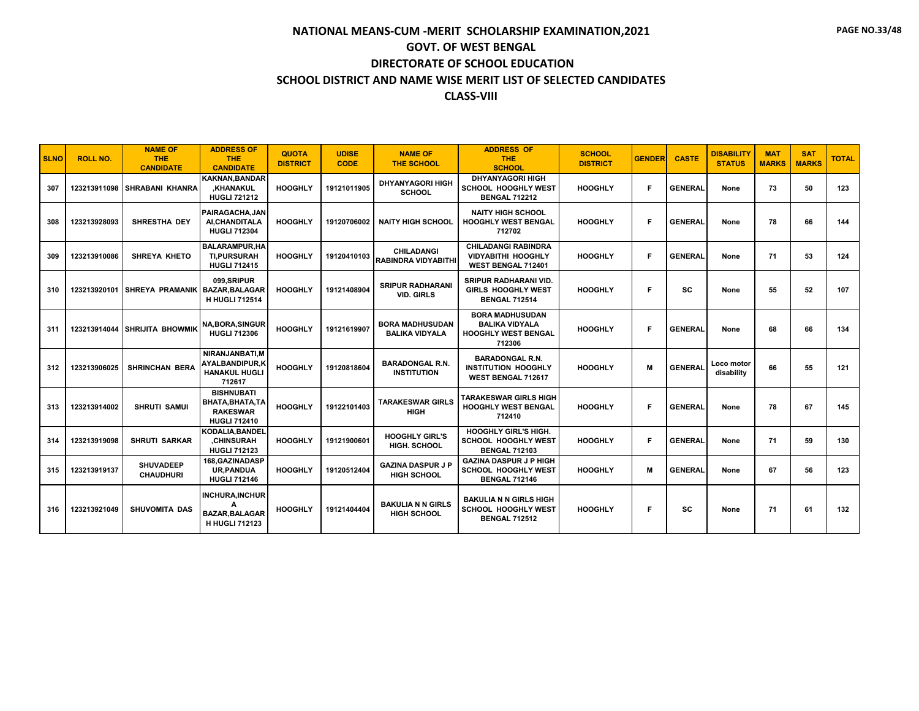| <b>SLNO</b> | <b>ROLL NO.</b> | <b>NAME OF</b><br><b>THE</b><br><b>CANDIDATE</b> | <b>ADDRESS OF</b><br><b>THE</b><br><b>CANDIDATE</b>                             | <b>QUOTA</b><br><b>DISTRICT</b> | <b>UDISE</b><br><b>CODE</b> | <b>NAME OF</b><br><b>THE SCHOOL</b>             | <b>ADDRESS OF</b><br><b>THE</b><br><b>SCHOOL</b>                                        | <b>SCHOOL</b><br><b>DISTRICT</b> | <b>GENDER</b> | <b>CASTE</b>   | <b>DISABILITY</b><br><b>STATUS</b> | <b>MAT</b><br><b>MARKS</b> | <b>SAT</b><br><b>MARKS</b> | <b>TOTAL</b> |
|-------------|-----------------|--------------------------------------------------|---------------------------------------------------------------------------------|---------------------------------|-----------------------------|-------------------------------------------------|-----------------------------------------------------------------------------------------|----------------------------------|---------------|----------------|------------------------------------|----------------------------|----------------------------|--------------|
| 307         |                 | 123213911098 SHRABANI KHANRA                     | KAKNAN.BANDAR<br>.KHANAKUL<br><b>HUGLI 721212</b>                               | <b>HOOGHLY</b>                  | 19121011905                 | <b>DHYANYAGORI HIGH</b><br><b>SCHOOL</b>        | <b>DHYANYAGORI HIGH</b><br><b>SCHOOL HOOGHLY WEST</b><br><b>BENGAL 712212</b>           | <b>HOOGHLY</b>                   | F             | <b>GENERAL</b> | None                               | 73                         | 50                         | 123          |
| 308         | 123213928093    | SHRESTHA DEY                                     | PAIRAGACHA.JAN<br>AI, CHANDITALA<br><b>HUGLI 712304</b>                         | <b>HOOGHLY</b>                  | 19120706002                 | <b>NAITY HIGH SCHOOL</b>                        | <b>NAITY HIGH SCHOOL</b><br>HOOGHLY WEST BENGAL<br>712702                               | <b>HOOGHLY</b>                   | F             | <b>GENERAL</b> | None                               | 78                         | 66                         | 144          |
| 309         | 123213910086    | <b>SHREYA KHETO</b>                              | <b>BALARAMPUR.HA</b><br><b>TI.PURSURAH</b><br><b>HUGLI 712415</b>               | <b>HOOGHLY</b>                  | 19120410103                 | <b>CHILADANGI</b><br><b>RABINDRA VIDYABITHI</b> | <b>CHILADANGI RABINDRA</b><br><b>VIDYABITHI HOOGHLY</b><br>WEST BENGAL 712401           | <b>HOOGHLY</b>                   | F             | <b>GENERAL</b> | None                               | 71                         | 53                         | 124          |
| 310         |                 | 123213920101 SHREYA PRAMANIK BAZAR, BALAGAR      | 099.SRIPUR<br><b>H HUGLI 712514</b>                                             | <b>HOOGHLY</b>                  | 19121408904                 | <b>SRIPUR RADHARANI</b><br><b>VID. GIRLS</b>    | <b>SRIPUR RADHARANI VID.</b><br><b>GIRLS HOOGHLY WEST</b><br><b>BENGAL 712514</b>       | <b>HOOGHLY</b>                   | F             | sc             | None                               | 55                         | 52                         | 107          |
| 311         |                 | 123213914044 SHRIJITA BHOWMIK                    | <b>NA, BORA, SINGUR</b><br><b>HUGLI 712306</b>                                  | <b>HOOGHLY</b>                  | 19121619907                 | <b>BORA MADHUSUDAN</b><br><b>BALIKA VIDYALA</b> | <b>BORA MADHUSUDAN</b><br><b>BALIKA VIDYALA</b><br><b>HOOGHLY WEST BENGAL</b><br>712306 | <b>HOOGHLY</b>                   | Е             | <b>GENERAL</b> | None                               | 68                         | 66                         | 134          |
| 312         | 123213906025    | <b>SHRINCHAN BERA</b>                            | NIRANJANBATI.M<br><b>AYALBANDIPUR.K</b><br><b>HANAKUL HUGLI</b><br>712617       | <b>HOOGHLY</b>                  | 19120818604                 | <b>BARADONGAL R.N.</b><br><b>INSTITUTION</b>    | <b>BARADONGAL R.N.</b><br><b>INSTITUTION HOOGHLY</b><br>WEST BENGAL 712617              | <b>HOOGHLY</b>                   | M             | <b>GENERAL</b> | Loco motor<br>disability           | 66                         | 55                         | 121          |
| 313         | 123213914002    | <b>SHRUTI SAMUI</b>                              | <b>BISHNUBATI</b><br>BHATA, BHATA, TA<br><b>RAKESWAR</b><br><b>HUGLI 712410</b> | <b>HOOGHLY</b>                  | 19122101403                 | <b>TARAKESWAR GIRLS</b><br><b>HIGH</b>          | TARAKESWAR GIRLS HIGH<br><b>HOOGHLY WEST BENGAL</b><br>712410                           | <b>HOOGHLY</b>                   | E             | <b>GENERAL</b> | None                               | 78                         | 67                         | 145          |
| 314         | 123213919098    | <b>SHRUTI SARKAR</b>                             | <b>KODALIA.BANDEL</b><br>.CHINSURAH<br><b>HUGLI 712123</b>                      | <b>HOOGHLY</b>                  | 19121900601                 | <b>HOOGHLY GIRL'S</b><br>HIGH. SCHOOL           | <b>HOOGHLY GIRL'S HIGH.</b><br><b>SCHOOL HOOGHLY WEST</b><br><b>BENGAL 712103</b>       | <b>HOOGHLY</b>                   | F             | <b>GENERAL</b> | None                               | 71                         | 59                         | 130          |
| 315         | 123213919137    | <b>SHUVADEEP</b><br><b>CHAUDHURI</b>             | 168, GAZINADASP<br><b>UR, PANDUA</b><br><b>HUGLI 712146</b>                     | <b>HOOGHLY</b>                  | 19120512404                 | <b>GAZINA DASPUR J P</b><br><b>HIGH SCHOOL</b>  | <b>GAZINA DASPUR J P HIGH</b><br><b>SCHOOL HOOGHLY WEST</b><br><b>BENGAL 712146</b>     | <b>HOOGHLY</b>                   | M             | <b>GENERAL</b> | None                               | 67                         | 56                         | 123          |
| 316         | 123213921049    | SHUVOMITA DAS                                    | <b>INCHURA, INCHUR</b><br><b>BAZAR, BALAGAR</b><br><b>H HUGLI 712123</b>        | <b>HOOGHLY</b>                  | 19121404404                 | <b>BAKULIA N N GIRLS</b><br><b>HIGH SCHOOL</b>  | <b>BAKULIA N N GIRLS HIGH</b><br><b>SCHOOL HOOGHLY WEST</b><br><b>BENGAL 712512</b>     | <b>HOOGHLY</b>                   | F             | sc             | None                               | 71                         | 61                         | 132          |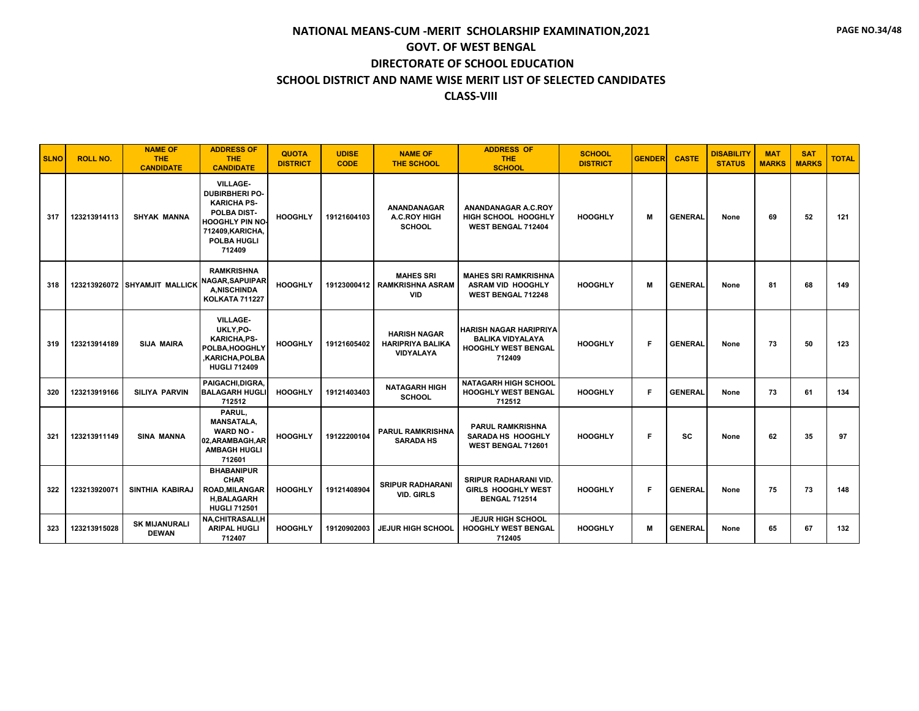| <b>SLNO</b> | <b>ROLL NO.</b> | <b>NAME OF</b><br>THE.<br><b>CANDIDATE</b> | <b>ADDRESS OF</b><br><b>THE</b><br><b>CANDIDATE</b>                                                                                                         | <b>QUOTA</b><br><b>DISTRICT</b> | <b>UDISE</b><br><b>CODE</b> | <b>NAME OF</b><br><b>THE SCHOOL</b>                                | <b>ADDRESS OF</b><br><b>THE</b><br><b>SCHOOL</b>                                                 | <b>SCHOOL</b><br><b>DISTRICT</b> | <b>GENDER</b> | <b>CASTE</b>   | <b>DISABILITY</b><br><b>STATUS</b> | <b>MAT</b><br><b>MARKS</b> | <b>SAT</b><br><b>MARKS</b> | <b>TOTAL</b> |
|-------------|-----------------|--------------------------------------------|-------------------------------------------------------------------------------------------------------------------------------------------------------------|---------------------------------|-----------------------------|--------------------------------------------------------------------|--------------------------------------------------------------------------------------------------|----------------------------------|---------------|----------------|------------------------------------|----------------------------|----------------------------|--------------|
| 317         | 123213914113    | <b>SHYAK MANNA</b>                         | <b>VILLAGE-</b><br><b>DUBIRBHERI PO-</b><br><b>KARICHA PS-</b><br>POLBA DIST-<br><b>HOOGHLY PIN NO-</b><br>712409, KARICHA,<br><b>POLBA HUGLI</b><br>712409 | <b>HOOGHLY</b>                  | 19121604103                 | ANANDANAGAR<br><b>A.C.ROY HIGH</b><br><b>SCHOOL</b>                | ANANDANAGAR A.C.ROY<br>HIGH SCHOOL HOOGHLY<br>WEST BENGAL 712404                                 | <b>HOOGHLY</b>                   | м             | <b>GENERAL</b> | None                               | 69                         | 52                         | 121          |
| 318         |                 | 123213926072 SHYAMJIT MALLICK              | <b>RAMKRISHNA</b><br>NAGAR.SAPUIPARI<br><b>A.NISCHINDA</b><br><b>KOLKATA 711227</b>                                                                         | <b>HOOGHLY</b>                  | 19123000412                 | <b>MAHES SRI</b><br><b>RAMKRISHNA ASRAM</b><br><b>VID</b>          | <b>MAHES SRI RAMKRISHNA</b><br><b>ASRAM VID HOOGHLY</b><br><b>WEST BENGAL 712248</b>             | <b>HOOGHLY</b>                   | M             | <b>GENERAL</b> | None                               | 81                         | 68                         | 149          |
| 319         | 123213914189    | <b>SIJA MAIRA</b>                          | <b>VILLAGE-</b><br>UKLY, PO-<br><b>KARICHA,PS-</b><br>POLBA, HOOGHLY<br>,KARICHA,POLBA<br><b>HUGLI 712409</b>                                               | <b>HOOGHLY</b>                  | 19121605402                 | <b>HARISH NAGAR</b><br><b>HARIPRIYA BALIKA</b><br><b>VIDYALAYA</b> | <b>HARISH NAGAR HARIPRIYA</b><br><b>BALIKA VIDYALAYA</b><br><b>HOOGHLY WEST BENGAL</b><br>712409 | <b>HOOGHLY</b>                   | F             | <b>GENERAL</b> | None                               | 73                         | 50                         | 123          |
| 320         | 123213919166    | <b>SILIYA PARVIN</b>                       | PAIGACHI.DIGRA.<br><b>BALAGARH HUGLI</b><br>712512                                                                                                          | <b>HOOGHLY</b>                  | 19121403403                 | <b>NATAGARH HIGH</b><br><b>SCHOOL</b>                              | <b>NATAGARH HIGH SCHOOL</b><br><b>HOOGHLY WEST BENGAL</b><br>712512                              | <b>HOOGHLY</b>                   | F             | <b>GENERAL</b> | None                               | 73                         | 61                         | 134          |
| 321         | 123213911149    | <b>SINA MANNA</b>                          | PARUL.<br><b>MANSATALA,</b><br><b>WARD NO -</b><br>02, ARAMBAGH, AR<br><b>AMBAGH HUGLI</b><br>712601                                                        | <b>HOOGHLY</b>                  | 19122200104                 | <b>PARUL RAMKRISHNA</b><br><b>SARADA HS</b>                        | <b>PARUL RAMKRISHNA</b><br>SARADA HS HOOGHLY<br>WEST BENGAL 712601                               | <b>HOOGHLY</b>                   | F             | <b>SC</b>      | None                               | 62                         | 35                         | 97           |
| 322         | 123213920071    | SINTHIA KABIRAJ                            | <b>BHABANIPUR</b><br><b>CHAR</b><br><b>ROAD, MILANGAR</b><br><b>H,BALAGARH</b><br><b>HUGLI 712501</b>                                                       | <b>HOOGHLY</b>                  | 19121408904                 | <b>SRIPUR RADHARANI</b><br><b>VID. GIRLS</b>                       | <b>SRIPUR RADHARANI VID.</b><br><b>GIRLS HOOGHLY WEST</b><br><b>BENGAL 712514</b>                | <b>HOOGHLY</b>                   | Е             | <b>GENERAL</b> | None                               | 75                         | 73                         | 148          |
| 323         | 123213915028    | <b>SK MIJANURALI</b><br><b>DEWAN</b>       | NA, CHITRASALI, H<br><b>ARIPAL HUGLI</b><br>712407                                                                                                          | <b>HOOGHLY</b>                  | 19120902003                 | <b>JEJUR HIGH SCHOOL</b>                                           | <b>JEJUR HIGH SCHOOL</b><br><b>HOOGHLY WEST BENGAL</b><br>712405                                 | <b>HOOGHLY</b>                   | M             | <b>GENERAL</b> | None                               | 65                         | 67                         | 132          |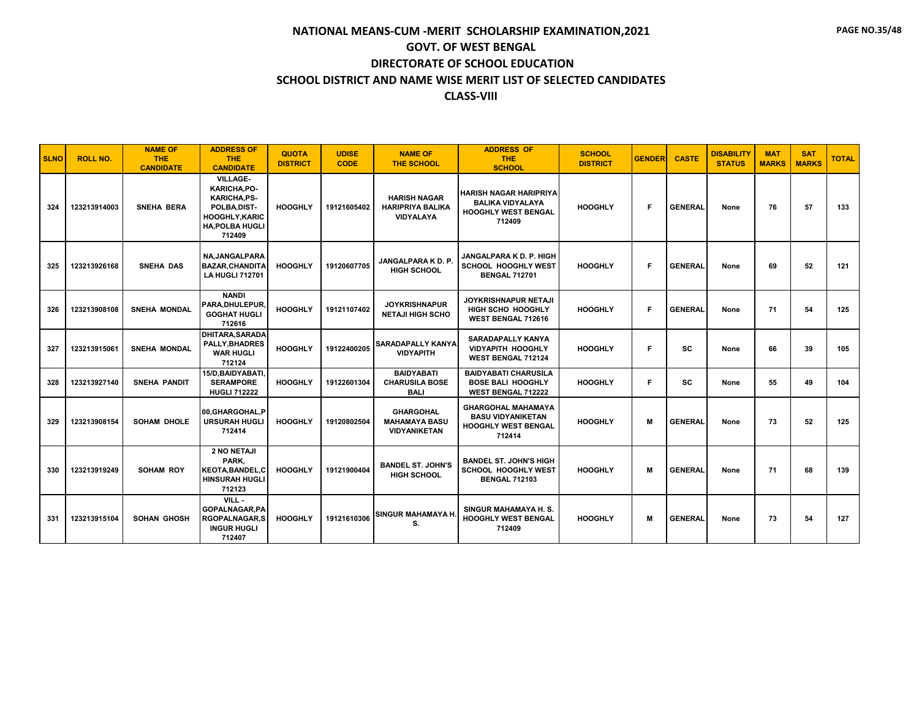| <b>SLNO</b> | <b>ROLL NO.</b> | <b>NAME OF</b><br><b>THE</b><br><b>CANDIDATE</b> | <b>ADDRESS OF</b><br><b>THE</b><br><b>CANDIDATE</b>                                                                                | <b>QUOTA</b><br><b>DISTRICT</b> | <b>UDISE</b><br><b>CODE</b> | <b>NAME OF</b><br><b>THE SCHOOL</b>                                | <b>ADDRESS OF</b><br><b>THE</b><br><b>SCHOOL</b>                                                 | <b>SCHOOL</b><br><b>DISTRICT</b> | <b>GENDER</b> | <b>CASTE</b>   | <b>DISABILITY</b><br><b>STATUS</b> | <b>MAT</b><br><b>MARKS</b> | <b>SAT</b><br><b>MARKS</b> | <b>TOTAL</b> |
|-------------|-----------------|--------------------------------------------------|------------------------------------------------------------------------------------------------------------------------------------|---------------------------------|-----------------------------|--------------------------------------------------------------------|--------------------------------------------------------------------------------------------------|----------------------------------|---------------|----------------|------------------------------------|----------------------------|----------------------------|--------------|
| 324         | 123213914003    | SNEHA BERA                                       | <b>VILLAGE-</b><br>KARICHA, PO-<br><b>KARICHA.PS-</b><br>POLBA, DIST-<br><b>HOOGHLY, KARIC</b><br><b>HA, POLBA HUGLI</b><br>712409 | <b>HOOGHLY</b>                  | 19121605402                 | <b>HARISH NAGAR</b><br><b>HARIPRIYA BALIKA</b><br><b>VIDYALAYA</b> | <b>HARISH NAGAR HARIPRIYA</b><br><b>BALIKA VIDYALAYA</b><br><b>HOOGHLY WEST BENGAL</b><br>712409 | <b>HOOGHLY</b>                   | F             | <b>GENERAL</b> | None                               | 76                         | 57                         | 133          |
| 325         | 123213926168    | SNEHA DAS                                        | <b>NA.JANGALPARA</b><br><b>BAZAR, CHANDITA</b><br><b>LA HUGLI 712701</b>                                                           | <b>HOOGHLY</b>                  | 19120607705                 | <b>JANGALPARA K D. P.</b><br><b>HIGH SCHOOL</b>                    | JANGALPARA K D. P. HIGH<br><b>SCHOOL HOOGHLY WEST</b><br><b>BENGAL 712701</b>                    | <b>HOOGHLY</b>                   | F             | <b>GENERAL</b> | None                               | 69                         | 52                         | 121          |
| 326         | 123213908108    | <b>SNEHA MONDAL</b>                              | <b>NANDI</b><br>PARA.DHULEPUR.<br><b>GOGHAT HUGLI</b><br>712616                                                                    | <b>HOOGHLY</b>                  | 19121107402                 | <b>JOYKRISHNAPUR</b><br><b>NETAJI HIGH SCHO</b>                    | JOYKRISHNAPUR NETAJI<br><b>HIGH SCHO HOOGHLY</b><br>WEST BENGAL 712616                           | <b>HOOGHLY</b>                   | F             | <b>GENERAL</b> | None                               | 71                         | 54                         | 125          |
| 327         | 123213915061    | <b>SNEHA MONDAL</b>                              | <b>DHITARA, SARADA</b><br><b>PALLY.BHADRES</b><br><b>WAR HUGLI</b><br>712124                                                       | <b>HOOGHLY</b>                  | 19122400205                 | <b>SARADAPALLY KANYA</b><br><b>VIDYAPITH</b>                       | <b>SARADAPALLY KANYA</b><br><b>VIDYAPITH HOOGHLY</b><br><b>WEST BENGAL 712124</b>                | <b>HOOGHLY</b>                   | F             | SC             | None                               | 66                         | 39                         | 105          |
| 328         | 123213927140    | <b>SNEHA PANDIT</b>                              | 15/D, BAIDY ABATI,<br><b>SERAMPORE</b><br><b>HUGLI 712222</b>                                                                      | <b>HOOGHLY</b>                  | 19122601304                 | <b>BAIDYABATI</b><br><b>CHARUSILA BOSE</b><br><b>BALI</b>          | <b>BAIDYABATI CHARUSILA</b><br><b>BOSE BALI HOOGHLY</b><br><b>WEST BENGAL 712222</b>             | <b>HOOGHLY</b>                   | F.            | <b>SC</b>      | None                               | 55                         | 49                         | 104          |
| 329         | 123213908154    | <b>SOHAM DHOLE</b>                               | 00.GHARGOHAL.P<br><b>URSURAH HUGLI</b><br>712414                                                                                   | <b>HOOGHLY</b>                  | 19120802504                 | <b>GHARGOHAL</b><br><b>MAHAMAYA BASU</b><br><b>VIDYANIKETAN</b>    | <b>GHARGOHAL MAHAMAYA</b><br><b>BASU VIDYANIKETAN</b><br><b>HOOGHLY WEST BENGAL</b><br>712414    | <b>HOOGHLY</b>                   | M             | <b>GENERAL</b> | None                               | 73                         | 52                         | 125          |
| 330         | 123213919249    | <b>SOHAM ROY</b>                                 | 2 NO NETAJI<br>PARK.<br><b>KEOTA, BANDEL, C</b><br><b>HINSURAH HUGLI</b><br>712123                                                 | <b>HOOGHLY</b>                  | 19121900404                 | <b>BANDEL ST. JOHN'S</b><br><b>HIGH SCHOOL</b>                     | <b>BANDEL ST. JOHN'S HIGH</b><br>SCHOOL HOOGHLY WEST<br><b>BENGAL 712103</b>                     | <b>HOOGHLY</b>                   | м             | <b>GENERAL</b> | None                               | 71                         | 68                         | 139          |
| 331         | 123213915104    | <b>SOHAN GHOSH</b>                               | VILL -<br><b>GOPALNAGAR,PA</b><br><b>RGOPALNAGAR,S</b><br><b>INGUR HUGLI</b><br>712407                                             | <b>HOOGHLY</b>                  | 19121610306                 | SINGUR MAHAMAYA H.<br>S.                                           | SINGUR MAHAMAYA H.S.<br><b>HOOGHLY WEST BENGAL</b><br>712409                                     | <b>HOOGHLY</b>                   | M             | <b>GENERAL</b> | None                               | 73                         | 54                         | 127          |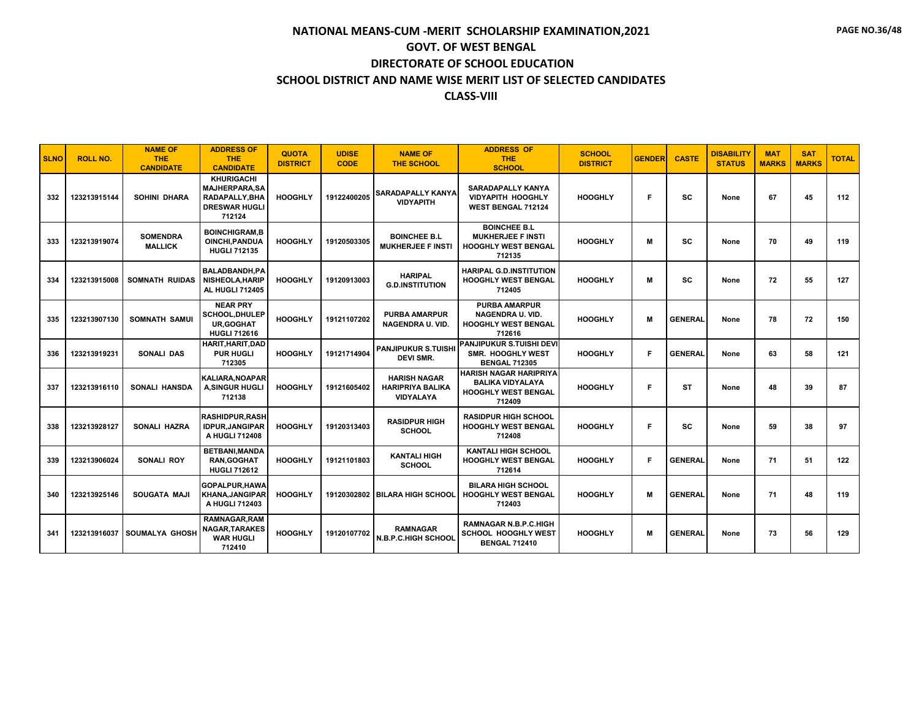| <b>SLNO</b> | <b>ROLL NO.</b> | <b>NAME OF</b><br><b>THE</b><br><b>CANDIDATE</b> | <b>ADDRESS OF</b><br><b>THE</b><br><b>CANDIDATE</b>                                                 | <b>QUOTA</b><br><b>DISTRICT</b> | <b>UDISE</b><br><b>CODE</b> | <b>NAME OF</b><br><b>THE SCHOOL</b>                         | <b>ADDRESS OF</b><br><b>THE</b><br><b>SCHOOL</b>                                                 | <b>SCHOOL</b><br><b>DISTRICT</b> | <b>GENDER</b> | <b>CASTE</b>   | <b>DISABILITY</b><br><b>STATUS</b> | <b>MAT</b><br><b>MARKS</b> | <b>SAT</b><br><b>MARKS</b> | <b>TOTAL</b> |
|-------------|-----------------|--------------------------------------------------|-----------------------------------------------------------------------------------------------------|---------------------------------|-----------------------------|-------------------------------------------------------------|--------------------------------------------------------------------------------------------------|----------------------------------|---------------|----------------|------------------------------------|----------------------------|----------------------------|--------------|
| 332         | 123213915144    | <b>SOHINI DHARA</b>                              | <b>KHURIGACHI</b><br><b>MAJHERPARA.SA</b><br><b>RADAPALLY.BHA</b><br><b>DRESWAR HUGLI</b><br>712124 | <b>HOOGHLY</b>                  | 19122400205                 | <b>SARADAPALLY KANYA</b><br><b>VIDYAPITH</b>                | <b>SARADAPALLY KANYA</b><br><b>VIDYAPITH HOOGHLY</b><br><b>WEST BENGAL 712124</b>                | <b>HOOGHLY</b>                   | F.            | SC             | None                               | 67                         | 45                         | 112          |
| 333         | 123213919074    | <b>SOMENDRA</b><br><b>MALLICK</b>                | <b>BOINCHIGRAM.B</b><br>OINCHI, PANDUA<br><b>HUGLI 712135</b>                                       | <b>HOOGHLY</b>                  | 19120503305                 | <b>BOINCHEE B.L</b><br><b>MUKHERJEE F INSTI</b>             | <b>BOINCHEE B.L</b><br><b>MUKHERJEE F INSTI</b><br><b>HOOGHLY WEST BENGAL</b><br>712135          | <b>HOOGHLY</b>                   | м             | <b>SC</b>      | None                               | 70                         | 49                         | 119          |
| 334         | 123213915008    | SOMNATH RUIDAS                                   | <b>BALADBANDH.PA</b><br><b>NISHEOLA, HARIP</b><br><b>AL HUGLI 712405</b>                            | <b>HOOGHLY</b>                  | 19120913003                 | <b>HARIPAL</b><br><b>G.D.INSTITUTION</b>                    | <b>HARIPAL G.D.INSTITUTION</b><br><b>HOOGHLY WEST BENGAL</b><br>712405                           | <b>HOOGHLY</b>                   | м             | <b>SC</b>      | None                               | 72                         | 55                         | 127          |
| 335         | 123213907130    | <b>SOMNATH SAMUI</b>                             | <b>NEAR PRY</b><br><b>SCHOOL, DHULEP</b><br><b>UR, GOGHAT</b><br><b>HUGLI 712616</b>                | <b>HOOGHLY</b>                  | 19121107202                 | <b>PURBA AMARPUR</b><br>NAGENDRA U. VID.                    | <b>PURBA AMARPUR</b><br><b>NAGENDRA U. VID.</b><br>HOOGHLY WEST BENGAL<br>712616                 | <b>HOOGHLY</b>                   | м             | <b>GENERAL</b> | None                               | 78                         | 72                         | 150          |
| 336         | 123213919231    | <b>SONALI DAS</b>                                | HARIT.HARIT.DAD<br><b>PUR HUGLI</b><br>712305                                                       | <b>HOOGHLY</b>                  | 19121714904                 | <b>PANJIPUKUR S.TUISHI</b><br><b>DEVI SMR.</b>              | <b>PANJIPUKUR S.TUISHI DEVI</b><br><b>SMR. HOOGHLY WEST</b><br><b>BENGAL 712305</b>              | <b>HOOGHLY</b>                   | Е             | <b>GENERAL</b> | None                               | 63                         | 58                         | 121          |
| 337         | 123213916110    | <b>SONALI HANSDA</b>                             | KALIARA.NOAPAR<br><b>A,SINGUR HUGLI</b><br>712138                                                   | <b>HOOGHLY</b>                  | 19121605402                 | <b>HARISH NAGAR</b><br><b>HARIPRIYA BALIKA</b><br>VIDYALAYA | <b>HARISH NAGAR HARIPRIYA</b><br><b>BALIKA VIDYALAYA</b><br><b>HOOGHLY WEST BENGAL</b><br>712409 | <b>HOOGHLY</b>                   | F             | <b>ST</b>      | None                               | 48                         | 39                         | 87           |
| 338         | 123213928127    | SONALI HAZRA                                     | <b>RASHIDPUR.RASH</b><br><b>IDPUR.JANGIPAR</b><br>A HUGLI 712408                                    | <b>HOOGHLY</b>                  | 19120313403                 | <b>RASIDPUR HIGH</b><br><b>SCHOOL</b>                       | <b>RASIDPUR HIGH SCHOOL</b><br><b>HOOGHLY WEST BENGAL</b><br>712408                              | <b>HOOGHLY</b>                   | F.            | <b>SC</b>      | None                               | 59                         | 38                         | 97           |
| 339         | 123213906024    | SONALI ROY                                       | <b>BETBANI, MANDA</b><br><b>RAN.GOGHAT</b><br><b>HUGLI 712612</b>                                   | <b>HOOGHLY</b>                  | 19121101803                 | <b>KANTALI HIGH</b><br><b>SCHOOL</b>                        | <b>KANTALI HIGH SCHOOL</b><br><b>HOOGHLY WEST BENGAL</b><br>712614                               | <b>HOOGHLY</b>                   | F             | <b>GENERAL</b> | None                               | 71                         | 51                         | 122          |
| 340         | 123213925146    | <b>SOUGATA MAJI</b>                              | GOPALPUR.HAWA<br><b>KHANA, JANGIPAR</b><br>A HUGLI 712403                                           | <b>HOOGHLY</b>                  |                             | 19120302802 BILARA HIGH SCHOOL                              | <b>BILARA HIGH SCHOOL</b><br>HOOGHLY WEST BENGAL<br>712403                                       | <b>HOOGHLY</b>                   | M             | <b>GENERAL</b> | None                               | 71                         | 48                         | 119          |
| 341         |                 | 123213916037 SOUMALYA GHOSH                      | <b>RAMNAGAR, RAM</b><br><b>NAGAR, TARAKES</b><br><b>WAR HUGLI</b><br>712410                         | <b>HOOGHLY</b>                  | 19120107702                 | <b>RAMNAGAR</b><br><b>N.B.P.C.HIGH SCHOOL</b>               | <b>RAMNAGAR N.B.P.C.HIGH</b><br>SCHOOL HOOGHLY WEST<br><b>BENGAL 712410</b>                      | <b>HOOGHLY</b>                   | м             | <b>GENERAL</b> | None                               | 73                         | 56                         | 129          |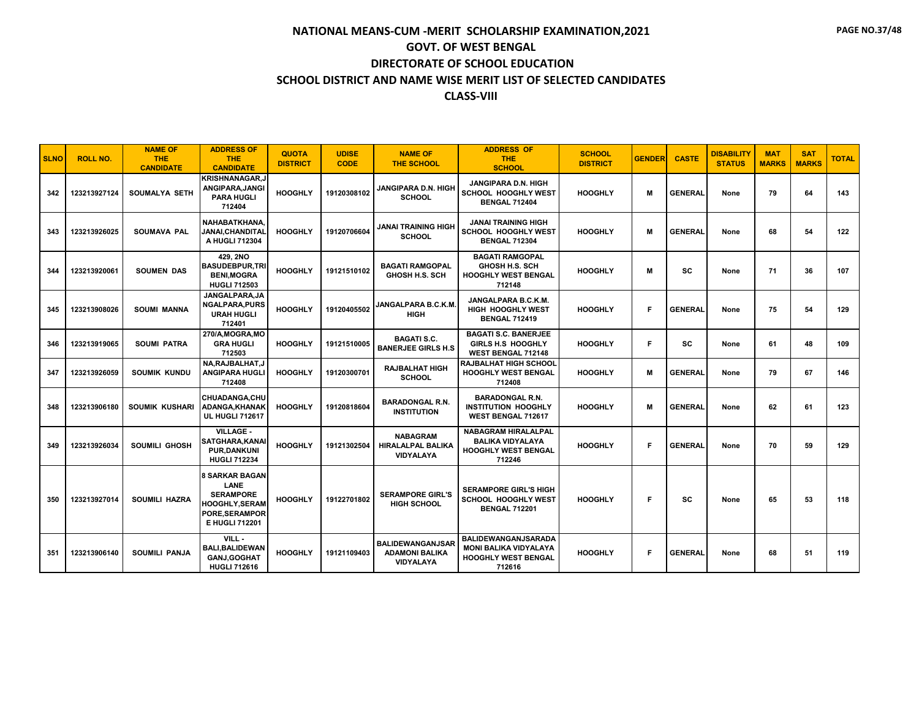| <b>SLNO</b> | <b>ROLL NO.</b> | <b>NAME OF</b><br><b>THE</b><br><b>CANDIDATE</b> | <b>ADDRESS OF</b><br><b>THE</b><br><b>CANDIDATE</b>                                                                          | <b>QUOTA</b><br><b>DISTRICT</b> | <b>UDISE</b><br><b>CODE</b> | <b>NAME OF</b><br><b>THE SCHOOL</b>                                  | <b>ADDRESS OF</b><br><b>THE</b><br><b>SCHOOL</b>                                              | <b>SCHOOL</b><br><b>DISTRICT</b> | <b>GENDER</b> | <b>CASTE</b>   | <b>DISABILITY</b><br><b>STATUS</b> | <b>MAT</b><br><b>MARKS</b> | <b>SAT</b><br><b>MARKS</b> | <b>TOTAL</b> |
|-------------|-----------------|--------------------------------------------------|------------------------------------------------------------------------------------------------------------------------------|---------------------------------|-----------------------------|----------------------------------------------------------------------|-----------------------------------------------------------------------------------------------|----------------------------------|---------------|----------------|------------------------------------|----------------------------|----------------------------|--------------|
| 342         | 123213927124    | <b>SOUMALYA SETH</b>                             | <b>KRISHNANAGAR,J</b><br>ANGIPARA, JANGI<br><b>PARA HUGLI</b><br>712404                                                      | <b>HOOGHLY</b>                  | 19120308102                 | JANGIPARA D.N. HIGH<br><b>SCHOOL</b>                                 | JANGIPARA D.N. HIGH<br><b>SCHOOL HOOGHLY WEST</b><br><b>BENGAL 712404</b>                     | <b>HOOGHLY</b>                   | м             | <b>GENERAL</b> | None                               | 79                         | 64                         | 143          |
| 343         | 123213926025    | <b>SOUMAVA PAL</b>                               | NAHABATKHANA.<br><b>JANAI.CHANDITAL</b><br>A HUGLI 712304                                                                    | <b>HOOGHLY</b>                  | 19120706604                 | <b>JANAI TRAINING HIGH</b><br><b>SCHOOL</b>                          | <b>JANAI TRAINING HIGH</b><br><b>SCHOOL HOOGHLY WEST</b><br><b>BENGAL 712304</b>              | <b>HOOGHLY</b>                   | M             | <b>GENERAL</b> | None                               | 68                         | 54                         | 122          |
| 344         | 123213920061    | <b>SOUMEN DAS</b>                                | 429.2NO<br><b>BASUDEBPUR,TRI</b><br><b>BENI, MOGRA</b><br><b>HUGLI 712503</b>                                                | <b>HOOGHLY</b>                  | 19121510102                 | <b>BAGATI RAMGOPAL</b><br><b>GHOSH H.S. SCH</b>                      | <b>BAGATI RAMGOPAL</b><br>GHOSH H.S. SCH<br><b>HOOGHLY WEST BENGAL</b><br>712148              | <b>HOOGHLY</b>                   | M             | SC             | None                               | 71                         | 36                         | 107          |
| 345         | 123213908026    | <b>SOUMI MANNA</b>                               | JANGALPARA.JA<br><b>NGALPARA.PURS</b><br><b>URAH HUGLI</b><br>712401                                                         | <b>HOOGHLY</b>                  | 19120405502                 | <b>JANGALPARA B.C.K.M.</b><br><b>HIGH</b>                            | JANGALPARA B.C.K.M.<br><b>HIGH HOOGHLY WEST</b><br><b>BENGAL 712419</b>                       | <b>HOOGHLY</b>                   | F             | <b>GENERAL</b> | None                               | 75                         | 54                         | 129          |
| 346         | 123213919065    | <b>SOUMI PATRA</b>                               | 270/A, MOGRA, MO<br><b>GRA HUGLI</b><br>712503                                                                               | <b>HOOGHLY</b>                  | 19121510005                 | <b>BAGATI S.C.</b><br><b>BANERJEE GIRLS H.S.</b>                     | <b>BAGATI S.C. BANERJEE</b><br>GIRLS H.S HOOGHLY<br><b>WEST BENGAL 712148</b>                 | <b>HOOGHLY</b>                   | F.            | <b>SC</b>      | None                               | 61                         | 48                         | 109          |
| 347         | 123213926059    | <b>SOUMIK KUNDU</b>                              | NA, RAJBALHAT, J<br><b>ANGIPARA HUGLI</b><br>712408                                                                          | <b>HOOGHLY</b>                  | 19120300701                 | <b>RAJBALHAT HIGH</b><br><b>SCHOOL</b>                               | <b>RAJBALHAT HIGH SCHOOL</b><br><b>HOOGHLY WEST BENGAL</b><br>712408                          | <b>HOOGHLY</b>                   | M             | <b>GENERAL</b> | None                               | 79                         | 67                         | 146          |
| 348         | 123213906180    | <b>SOUMIK KUSHARI</b>                            | CHUADANGA.CHU<br>ADANGA, KHANAK<br><b>UL HUGLI 712617</b>                                                                    | <b>HOOGHLY</b>                  | 19120818604                 | <b>BARADONGAL R.N.</b><br><b>INSTITUTION</b>                         | <b>BARADONGAL R.N.</b><br><b>INSTITUTION HOOGHLY</b><br>WEST BENGAL 712617                    | <b>HOOGHLY</b>                   | M             | <b>GENERAL</b> | None                               | 62                         | 61                         | 123          |
| 349         | 123213926034    | SOUMILI GHOSH                                    | <b>VILLAGE -</b><br>SATGHARA, KANAI<br><b>PUR,DANKUNI</b><br><b>HUGLI 712234</b>                                             | <b>HOOGHLY</b>                  | 19121302504                 | <b>NABAGRAM</b><br><b>HIRALALPAL BALIKA</b><br><b>VIDYALAYA</b>      | <b>NABAGRAM HIRALALPAL</b><br><b>BALIKA VIDYALAYA</b><br><b>HOOGHLY WEST BENGAL</b><br>712246 | <b>HOOGHLY</b>                   | F             | <b>GENERAL</b> | None                               | 70                         | 59                         | 129          |
| 350         | 123213927014    | <b>SOUMILI HAZRA</b>                             | <b>8 SARKAR BAGAN</b><br><b>LANE</b><br><b>SERAMPORE</b><br><b>HOOGHLY, SERAM</b><br>PORE, SERAMPOR<br><b>E HUGLI 712201</b> | <b>HOOGHLY</b>                  | 19122701802                 | <b>SERAMPORE GIRL'S</b><br><b>HIGH SCHOOL</b>                        | <b>SERAMPORE GIRL'S HIGH</b><br><b>SCHOOL HOOGHLY WEST</b><br><b>BENGAL 712201</b>            | <b>HOOGHLY</b>                   | F.            | <b>SC</b>      | None                               | 65                         | 53                         | 118          |
| 351         | 123213906140    | <b>SOUMILI PANJA</b>                             | VILL-<br><b>BALI.BALIDEWAN</b><br><b>GANJ, GOGHAT</b><br><b>HUGLI 712616</b>                                                 | <b>HOOGHLY</b>                  | 19121109403                 | <b>BALIDEWANGANJSAR</b><br><b>ADAMONI BALIKA</b><br><b>VIDYALAYA</b> | BALIDEWANGANJSARADA<br><b>MONI BALIKA VIDYALAYA</b><br><b>HOOGHLY WEST BENGAL</b><br>712616   | <b>HOOGHLY</b>                   | F             | <b>GENERAL</b> | None                               | 68                         | 51                         | 119          |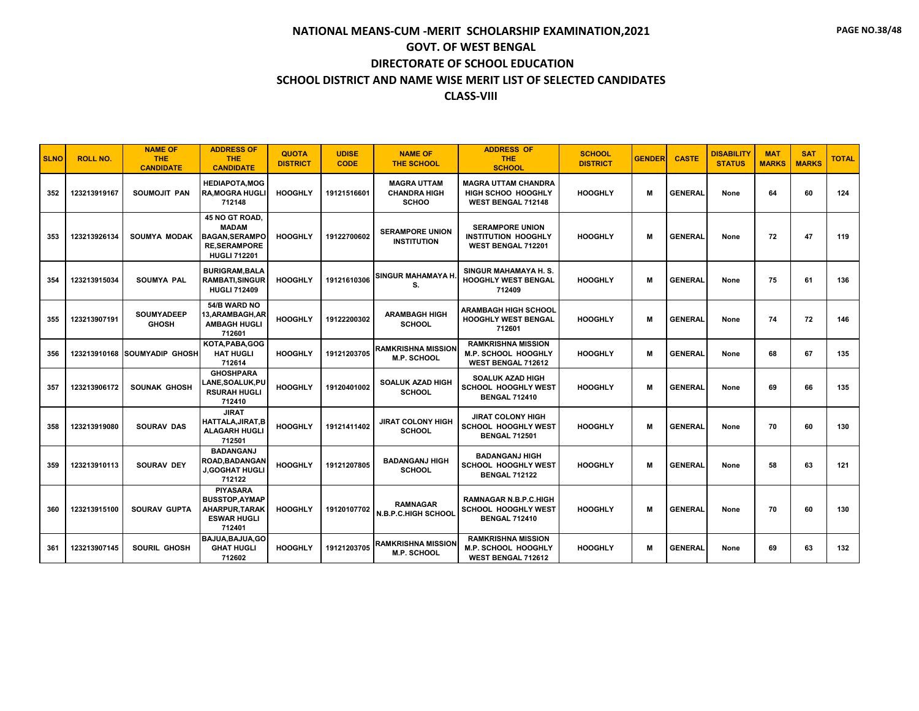| <b>SLNO</b> | <b>ROLL NO.</b> | <b>NAME OF</b><br><b>THE</b><br><b>CANDIDATE</b> | <b>ADDRESS OF</b><br><b>THE</b><br><b>CANDIDATE</b>                                                    | <b>QUOTA</b><br><b>DISTRICT</b> | <b>UDISE</b><br><b>CODE</b> | <b>NAME OF</b><br><b>THE SCHOOL</b>                       | <b>ADDRESS OF</b><br><b>THE</b><br><b>SCHOOL</b>                                   | <b>SCHOOL</b><br><b>DISTRICT</b> | <b>GENDER</b> | <b>CASTE</b>   | <b>DISABILITY</b><br><b>STATUS</b> | <b>MAT</b><br><b>MARKS</b> | <b>SAT</b><br><b>MARKS</b> | <b>TOTAL</b> |
|-------------|-----------------|--------------------------------------------------|--------------------------------------------------------------------------------------------------------|---------------------------------|-----------------------------|-----------------------------------------------------------|------------------------------------------------------------------------------------|----------------------------------|---------------|----------------|------------------------------------|----------------------------|----------------------------|--------------|
| 352         | 123213919167    | SOUMOJIT PAN                                     | <b>HEDIAPOTA,MOG</b><br><b>RA, MOGRA HUGLI</b><br>712148                                               | <b>HOOGHLY</b>                  | 19121516601                 | <b>MAGRA UTTAM</b><br><b>CHANDRA HIGH</b><br><b>SCHOO</b> | <b>MAGRA UTTAM CHANDRA</b><br><b>HIGH SCHOO HOOGHLY</b><br>WEST BENGAL 712148      | <b>HOOGHLY</b>                   | M             | <b>GENERAL</b> | None                               | 64                         | 60                         | 124          |
| 353         | 123213926134    | <b>SOUMYA MODAK</b>                              | 45 NO GT ROAD.<br><b>MADAM</b><br><b>BAGAN, SERAMPO</b><br><b>RE, SERAMPORE</b><br><b>HUGLI 712201</b> | <b>HOOGHLY</b>                  | 19122700602                 | <b>SERAMPORE UNION</b><br><b>INSTITUTION</b>              | <b>SERAMPORE UNION</b><br>INSTITUTION HOOGHLY<br>WEST BENGAL 712201                | <b>HOOGHLY</b>                   | M             | <b>GENERAL</b> | None                               | 72                         | 47                         | 119          |
| 354         | 123213915034    | <b>SOUMYA PAL</b>                                | <b>BURIGRAM.BALA</b><br><b>RAMBATI.SINGUR</b><br><b>HUGLI 712409</b>                                   | <b>HOOGHLY</b>                  | 19121610306                 | <b>SINGUR MAHAMAYA H.</b><br>S.                           | SINGUR MAHAMAYA H. S.<br><b>HOOGHLY WEST BENGAL</b><br>712409                      | <b>HOOGHLY</b>                   | M             | <b>GENERAL</b> | None                               | 75                         | 61                         | 136          |
| 355         | 123213907191    | <b>SOUMYADEEP</b><br><b>GHOSH</b>                | 54/B WARD NO<br>13,ARAMBAGH,AR<br><b>AMBAGH HUGLI</b><br>712601                                        | <b>HOOGHLY</b>                  | 19122200302                 | <b>ARAMBAGH HIGH</b><br><b>SCHOOL</b>                     | ARAMBAGH HIGH SCHOOL<br><b>HOOGHLY WEST BENGAL</b><br>712601                       | <b>HOOGHLY</b>                   | м             | <b>GENERAL</b> | None                               | 74                         | 72                         | 146          |
| 356         |                 | 123213910168 SOUMYADIP GHOSH                     | KOTA.PABA.GOG<br><b>HAT HUGLI</b><br>712614                                                            | <b>HOOGHLY</b>                  | 19121203705                 | <b>RAMKRISHNA MISSION</b><br><b>M.P. SCHOOL</b>           | <b>RAMKRISHNA MISSION</b><br>M.P. SCHOOL HOOGHLY<br>WEST BENGAL 712612             | <b>HOOGHLY</b>                   | M             | <b>GENERAL</b> | None                               | 68                         | 67                         | 135          |
| 357         | 123213906172    | <b>SOUNAK GHOSH</b>                              | <b>GHOSHPARA</b><br><b>LANE,SOALUK,PU</b><br><b>RSURAH HUGLI</b><br>712410                             | <b>HOOGHLY</b>                  | 19120401002                 | <b>SOALUK AZAD HIGH</b><br><b>SCHOOL</b>                  | <b>SOALUK AZAD HIGH</b><br>SCHOOL HOOGHLY WEST<br><b>BENGAL 712410</b>             | <b>HOOGHLY</b>                   | M             | <b>GENERAL</b> | None                               | 69                         | 66                         | 135          |
| 358         | 123213919080    | <b>SOURAV DAS</b>                                | <b>JIRAT</b><br>HATTALA, JIRAT, B<br><b>ALAGARH HUGLI</b><br>712501                                    | <b>HOOGHLY</b>                  | 19121411402                 | <b>JIRAT COLONY HIGH</b><br><b>SCHOOL</b>                 | <b>JIRAT COLONY HIGH</b><br>SCHOOL HOOGHLY WEST<br><b>BENGAL 712501</b>            | <b>HOOGHLY</b>                   | M             | <b>GENERAL</b> | None                               | 70                         | 60                         | 130          |
| 359         | 123213910113    | <b>SOURAV DEY</b>                                | <b>BADANGANJ</b><br>ROAD, BADANGAN<br>J.GOGHAT HUGLI<br>712122                                         | <b>HOOGHLY</b>                  | 19121207805                 | <b>BADANGANJ HIGH</b><br><b>SCHOOL</b>                    | <b>BADANGANJ HIGH</b><br><b>SCHOOL HOOGHLY WEST</b><br><b>BENGAL 712122</b>        | <b>HOOGHLY</b>                   | м             | <b>GENERAL</b> | None                               | 58                         | 63                         | 121          |
| 360         | 123213915100    | <b>SOURAV GUPTA</b>                              | <b>PIYASARA</b><br><b>BUSSTOP, AYMAP</b><br>AHARPUR.TARAK<br><b>ESWAR HUGLI</b><br>712401              | <b>HOOGHLY</b>                  | 19120107702                 | <b>RAMNAGAR</b><br><b>N.B.P.C.HIGH SCHOOL</b>             | <b>RAMNAGAR N.B.P.C.HIGH</b><br><b>SCHOOL HOOGHLY WEST</b><br><b>BENGAL 712410</b> | <b>HOOGHLY</b>                   | м             | <b>GENERAL</b> | None                               | 70                         | 60                         | 130          |
| 361         | 123213907145    | SOURIL GHOSH                                     | BAJUA, BAJUA, GO<br><b>GHAT HUGLI</b><br>712602                                                        | <b>HOOGHLY</b>                  | 19121203705                 | <b>RAMKRISHNA MISSION</b><br><b>M.P. SCHOOL</b>           | <b>RAMKRISHNA MISSION</b><br>M.P. SCHOOL HOOGHLY<br>WEST BENGAL 712612             | <b>HOOGHLY</b>                   | M             | <b>GENERAL</b> | None                               | 69                         | 63                         | 132          |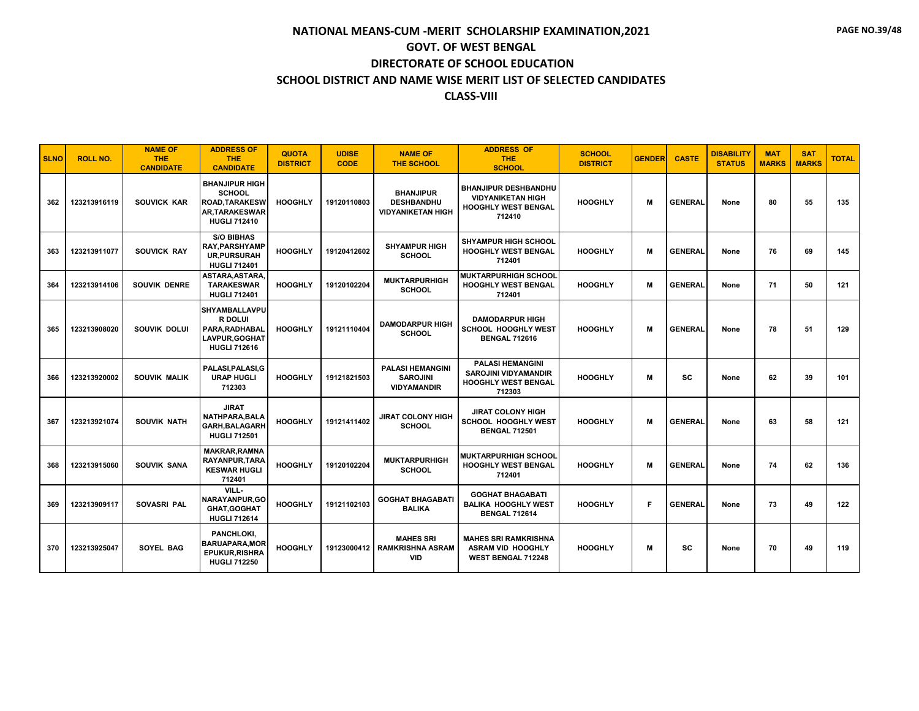| <b>SLNO</b> | <b>ROLL NO.</b> | <b>NAME OF</b><br><b>THE</b><br><b>CANDIDATE</b> | <b>ADDRESS OF</b><br><b>THE</b><br><b>CANDIDATE</b>                                                            | <b>QUOTA</b><br><b>DISTRICT</b> | <b>UDISE</b><br><b>CODE</b> | <b>NAME OF</b><br><b>THE SCHOOL</b>                               | <b>ADDRESS OF</b><br><b>THE</b><br><b>SCHOOL</b>                                               | <b>SCHOOL</b><br><b>DISTRICT</b> | <b>GENDER</b> | <b>CASTE</b>   | <b>DISABILITY</b><br><b>STATUS</b> | <b>MAT</b><br><b>MARKS</b> | <b>SAT</b><br><b>MARKS</b> | <b>TOTAL</b> |
|-------------|-----------------|--------------------------------------------------|----------------------------------------------------------------------------------------------------------------|---------------------------------|-----------------------------|-------------------------------------------------------------------|------------------------------------------------------------------------------------------------|----------------------------------|---------------|----------------|------------------------------------|----------------------------|----------------------------|--------------|
| 362         | 123213916119    | <b>SOUVICK KAR</b>                               | <b>BHANJIPUR HIGH</b><br><b>SCHOOL</b><br><b>ROAD, TARAKESW</b><br><b>AR.TARAKESWAR</b><br><b>HUGLI 712410</b> | <b>HOOGHLY</b>                  | 19120110803                 | <b>BHANJIPUR</b><br><b>DESHBANDHU</b><br><b>VIDYANIKETAN HIGH</b> | <b>BHANJIPUR DESHBANDHU</b><br><b>VIDYANIKETAN HIGH</b><br>HOOGHLY WEST BENGAL<br>712410       | <b>HOOGHLY</b>                   | M             | <b>GENERAL</b> | None                               | 80                         | 55                         | 135          |
| 363         | 123213911077    | <b>SOUVICK RAY</b>                               | <b>S/O BIBHAS</b><br><b>RAY, PARSHYAMP</b><br><b>UR, PURSURAH</b><br><b>HUGLI 712401</b>                       | <b>HOOGHLY</b>                  | 19120412602                 | <b>SHYAMPUR HIGH</b><br><b>SCHOOL</b>                             | <b>SHYAMPUR HIGH SCHOOL</b><br><b>HOOGHLY WEST BENGAL</b><br>712401                            | <b>HOOGHLY</b>                   | M             | <b>GENERAL</b> | None                               | 76                         | 69                         | 145          |
| 364         | 123213914106    | <b>SOUVIK DENRE</b>                              | ASTARA, ASTARA,<br><b>TARAKESWAR</b><br><b>HUGLI 712401</b>                                                    | <b>HOOGHLY</b>                  | 19120102204                 | <b>MUKTARPURHIGH</b><br><b>SCHOOL</b>                             | <b>MUKTARPURHIGH SCHOOL</b><br><b>HOOGHLY WEST BENGAL</b><br>712401                            | <b>HOOGHLY</b>                   | M             | <b>GENERAL</b> | None                               | 71                         | 50                         | 121          |
| 365         | 123213908020    | SOUVIK DOLUI                                     | <b>SHYAMBALLAVPU</b><br>R DOLUI<br>PARA.RADHABAL<br>LAVPUR, GOGHAT<br><b>HUGLI 712616</b>                      | <b>HOOGHLY</b>                  | 19121110404                 | <b>DAMODARPUR HIGH</b><br><b>SCHOOL</b>                           | <b>DAMODARPUR HIGH</b><br><b>SCHOOL HOOGHLY WEST</b><br><b>BENGAL 712616</b>                   | <b>HOOGHLY</b>                   | M             | <b>GENERAL</b> | None                               | 78                         | 51                         | 129          |
| 366         | 123213920002    | SOUVIK MALIK                                     | PALASI, PALASI, G<br><b>URAP HUGLI</b><br>712303                                                               | <b>HOOGHLY</b>                  | 19121821503                 | <b>PALASI HEMANGINI</b><br><b>SAROJINI</b><br><b>VIDYAMANDIR</b>  | <b>PALASI HEMANGINI</b><br><b>SAROJINI VIDYAMANDIR</b><br><b>HOOGHLY WEST BENGAL</b><br>712303 | <b>HOOGHLY</b>                   | M             | <b>SC</b>      | None                               | 62                         | 39                         | 101          |
| 367         | 123213921074    | <b>SOUVIK NATH</b>                               | <b>JIRAT</b><br><b>NATHPARA.BALA</b><br><b>GARH, BALAGARH</b><br><b>HUGLI 712501</b>                           | <b>HOOGHLY</b>                  | 19121411402                 | <b>JIRAT COLONY HIGH</b><br><b>SCHOOL</b>                         | <b>JIRAT COLONY HIGH</b><br><b>SCHOOL HOOGHLY WEST</b><br><b>BENGAL 712501</b>                 | <b>HOOGHLY</b>                   | M             | <b>GENERAL</b> | None                               | 63                         | 58                         | 121          |
| 368         | 123213915060    | <b>SOUVIK SANA</b>                               | <b>MAKRAR.RAMNA</b><br><b>RAYANPUR, TARA</b><br><b>KESWAR HUGLI</b><br>712401                                  | <b>HOOGHLY</b>                  | 19120102204                 | <b>MUKTARPURHIGH</b><br><b>SCHOOL</b>                             | <b>MUKTARPURHIGH SCHOOL</b><br><b>HOOGHLY WEST BENGAL</b><br>712401                            | <b>HOOGHLY</b>                   | M             | <b>GENERAL</b> | None                               | 74                         | 62                         | 136          |
| 369         | 123213909117    | <b>SOVASRI PAL</b>                               | VILL-<br>NARAYANPUR, GO<br><b>GHAT.GOGHAT</b><br><b>HUGLI 712614</b>                                           | <b>HOOGHLY</b>                  | 19121102103                 | <b>GOGHAT BHAGABATI</b><br><b>BALIKA</b>                          | <b>GOGHAT BHAGABATI</b><br><b>BALIKA HOOGHLY WEST</b><br><b>BENGAL 712614</b>                  | <b>HOOGHLY</b>                   | F             | <b>GENERAL</b> | None                               | 73                         | 49                         | 122          |
| 370         | 123213925047    | SOYEL BAG                                        | PANCHLOKI,<br><b>BARUAPARA, MOR</b><br><b>EPUKUR, RISHRA</b><br><b>HUGLI 712250</b>                            | <b>HOOGHLY</b>                  | 19123000412                 | <b>MAHES SRI</b><br><b>RAMKRISHNA ASRAM</b><br><b>VID</b>         | <b>MAHES SRI RAMKRISHNA</b><br>ASRAM VID HOOGHLY<br><b>WEST BENGAL 712248</b>                  | <b>HOOGHLY</b>                   | M             | <b>SC</b>      | None                               | 70                         | 49                         | 119          |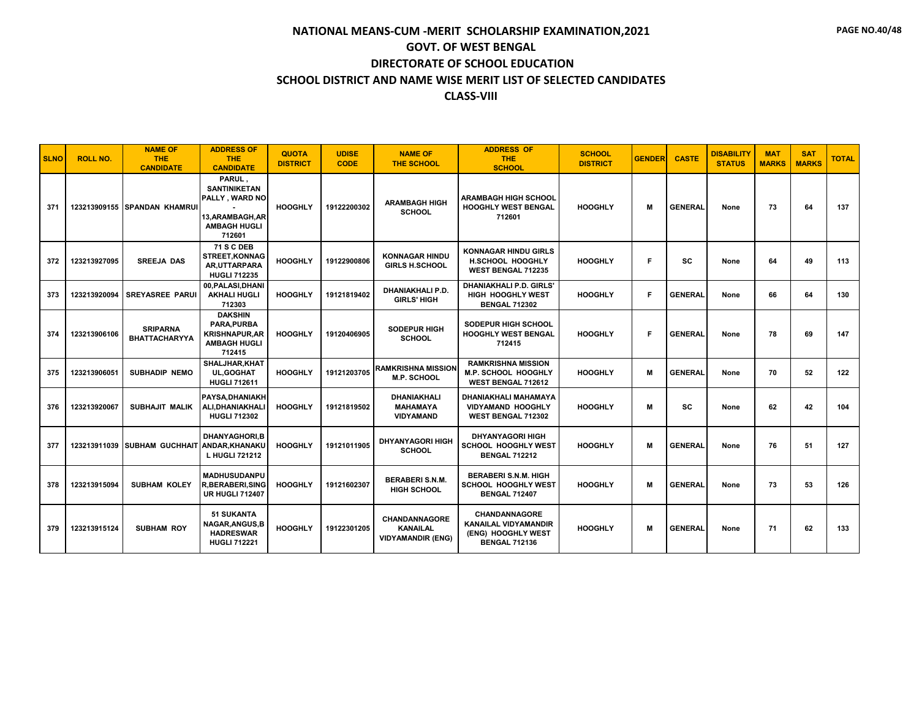| <b>SLNO</b> | <b>ROLL NO.</b> | <b>NAME OF</b><br><b>THE</b><br><b>CANDIDATE</b> | <b>ADDRESS OF</b><br><b>THE</b><br><b>CANDIDATE</b>                                                  | <b>QUOTA</b><br><b>DISTRICT</b> | <b>UDISE</b><br><b>CODE</b> | <b>NAME OF</b><br><b>THE SCHOOL</b>                                 | <b>ADDRESS OF</b><br><b>THE</b><br><b>SCHOOL</b>                                                  | <b>SCHOOL</b><br><b>DISTRICT</b> | <b>GENDER</b> | <b>CASTE</b>   | <b>DISABILITY</b><br><b>STATUS</b> | <b>MAT</b><br><b>MARKS</b> | <b>SAT</b><br><b>MARKS</b> | <b>TOTAL</b> |
|-------------|-----------------|--------------------------------------------------|------------------------------------------------------------------------------------------------------|---------------------------------|-----------------------------|---------------------------------------------------------------------|---------------------------------------------------------------------------------------------------|----------------------------------|---------------|----------------|------------------------------------|----------------------------|----------------------------|--------------|
| 371         |                 | 123213909155 SPANDAN KHAMRUI                     | PARUL.<br><b>SANTINIKETAN</b><br>PALLY, WARD NO<br>13, ARAMBAGH, AR<br><b>AMBAGH HUGLI</b><br>712601 | <b>HOOGHLY</b>                  | 19122200302                 | <b>ARAMBAGH HIGH</b><br><b>SCHOOL</b>                               | <b>ARAMBAGH HIGH SCHOOL</b><br><b>HOOGHLY WEST BENGAL</b><br>712601                               | <b>HOOGHLY</b>                   | м             | <b>GENERAL</b> | None                               | 73                         | 64                         | 137          |
| 372         | 123213927095    | <b>SREEJA DAS</b>                                | <b>71 S C DEB</b><br><b>STREET.KONNAG</b><br>AR.UTTARPARA<br><b>HUGLI 712235</b>                     | <b>HOOGHLY</b>                  | 19122900806                 | <b>KONNAGAR HINDU</b><br><b>GIRLS H.SCHOOL</b>                      | <b>KONNAGAR HINDU GIRLS</b><br><b>H.SCHOOL HOOGHLY</b><br><b>WEST BENGAL 712235</b>               | <b>HOOGHLY</b>                   | F             | <b>SC</b>      | None                               | 64                         | 49                         | 113          |
| 373         | 123213920094    | <b>SREYASREE PARUI</b>                           | 00, PALASI, DHANI<br><b>AKHALI HUGLI</b><br>712303                                                   | <b>HOOGHLY</b>                  | 19121819402                 | <b>DHANIAKHALI P.D.</b><br><b>GIRLS' HIGH</b>                       | <b>DHANIAKHALI P.D. GIRLS'</b><br><b>HIGH HOOGHLY WEST</b><br><b>BENGAL 712302</b>                | <b>HOOGHLY</b>                   | F             | <b>GENERAL</b> | None                               | 66                         | 64                         | 130          |
| 374         | 123213906106    | <b>SRIPARNA</b><br><b>BHATTACHARYYA</b>          | <b>DAKSHIN</b><br>PARA.PURBA<br><b>KRISHNAPUR, AR</b><br><b>AMBAGH HUGLI</b><br>712415               | <b>HOOGHLY</b>                  | 19120406905                 | <b>SODEPUR HIGH</b><br><b>SCHOOL</b>                                | <b>SODEPUR HIGH SCHOOL</b><br><b>HOOGHLY WEST BENGAL</b><br>712415                                | <b>HOOGHLY</b>                   | F             | <b>GENERAL</b> | None                               | 78                         | 69                         | 147          |
| 375         | 123213906051    | <b>SUBHADIP NEMO</b>                             | SHALJHAR.KHAT<br><b>UL, GOGHAT</b><br><b>HUGLI 712611</b>                                            | <b>HOOGHLY</b>                  | 19121203705                 | <b>RAMKRISHNA MISSION</b><br><b>M.P. SCHOOL</b>                     | <b>RAMKRISHNA MISSION</b><br>M.P. SCHOOL HOOGHLY<br>WEST BENGAL 712612                            | <b>HOOGHLY</b>                   | M             | <b>GENERAL</b> | None                               | 70                         | 52                         | 122          |
| 376         | 123213920067    | <b>SUBHAJIT MALIK</b>                            | PAYSA.DHANIAKH<br>ALI, DHANIAKHALI<br><b>HUGLI 712302</b>                                            | <b>HOOGHLY</b>                  | 19121819502                 | <b>DHANIAKHALI</b><br><b>MAHAMAYA</b><br><b>VIDYAMAND</b>           | DHANIAKHALI MAHAMAYA<br><b>VIDYAMAND HOOGHLY</b><br><b>WEST BENGAL 712302</b>                     | <b>HOOGHLY</b>                   | м             | <b>SC</b>      | None                               | 62                         | 42                         | 104          |
| 377         | 123213911039    | <b>SUBHAM GUCHHAIT ANDAR, KHANAKU</b>            | <b>DHANYAGHORI.B</b><br>L HUGLI 721212                                                               | <b>HOOGHLY</b>                  | 19121011905                 | <b>DHYANYAGORI HIGH</b><br><b>SCHOOL</b>                            | <b>DHYANYAGORI HIGH</b><br>SCHOOL HOOGHLY WEST<br><b>BENGAL 712212</b>                            | <b>HOOGHLY</b>                   | M             | <b>GENERAL</b> | None                               | 76                         | 51                         | 127          |
| 378         | 123213915094    | <b>SUBHAM KOLEY</b>                              | <b>MADHUSUDANPU</b><br><b>R.BERABERI.SING</b><br><b>UR HUGLI 712407</b>                              | <b>HOOGHLY</b>                  | 19121602307                 | <b>BERABERI S.N.M.</b><br><b>HIGH SCHOOL</b>                        | <b>BERABERI S.N.M. HIGH</b><br><b>SCHOOL HOOGHLY WEST</b><br><b>BENGAL 712407</b>                 | <b>HOOGHLY</b>                   | M             | <b>GENERAL</b> | None                               | 73                         | 53                         | 126          |
| 379         | 123213915124    | <b>SUBHAM ROY</b>                                | <b>51 SUKANTA</b><br><b>NAGAR, ANGUS, B</b><br><b>HADRESWAR</b><br><b>HUGLI 712221</b>               | <b>HOOGHLY</b>                  | 19122301205                 | <b>CHANDANNAGORE</b><br><b>KANAILAL</b><br><b>VIDYAMANDIR (ENG)</b> | <b>CHANDANNAGORE</b><br><b>KANAILAL VIDYAMANDIR</b><br>(ENG) HOOGHLY WEST<br><b>BENGAL 712136</b> | <b>HOOGHLY</b>                   | M             | <b>GENERAL</b> | None                               | 71                         | 62                         | 133          |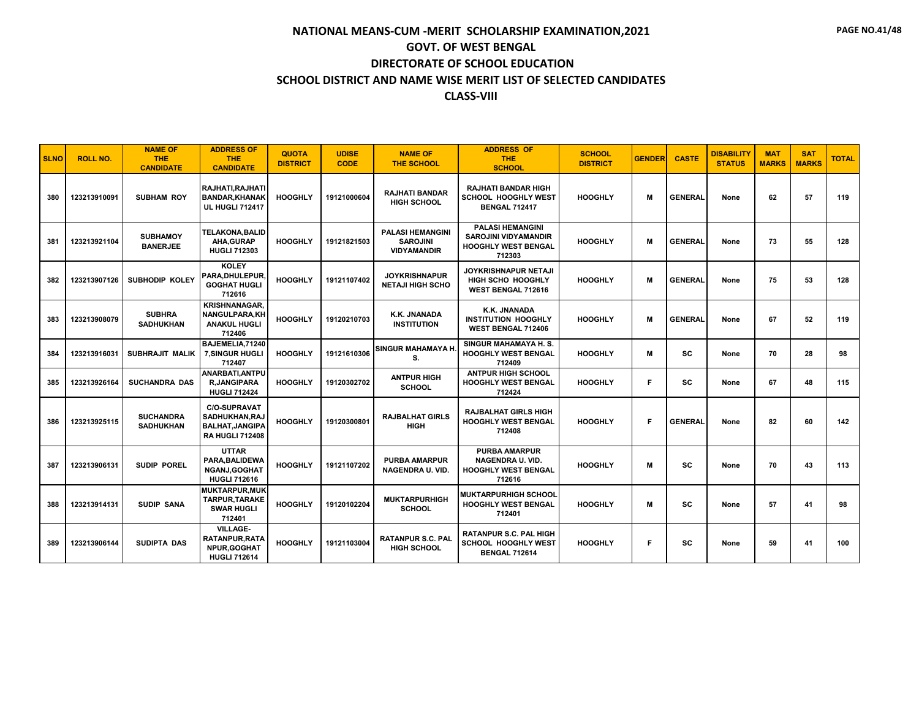| <b>SLNO</b> | <b>ROLL NO.</b> | <b>NAME OF</b><br><b>THE</b><br><b>CANDIDATE</b> | <b>ADDRESS OF</b><br><b>THE</b><br><b>CANDIDATE</b>                                       | <b>QUOTA</b><br><b>DISTRICT</b> | <b>UDISE</b><br><b>CODE</b> | <b>NAME OF</b><br><b>THE SCHOOL</b>                              | <b>ADDRESS OF</b><br><b>THE</b><br><b>SCHOOL</b>                                               | <b>SCHOOL</b><br><b>DISTRICT</b> | <b>GENDER</b> | <b>CASTE</b>   | <b>DISABILITY</b><br><b>STATUS</b> | <b>MAT</b><br><b>MARKS</b> | <b>SAT</b><br><b>MARKS</b> | <b>TOTAL</b> |
|-------------|-----------------|--------------------------------------------------|-------------------------------------------------------------------------------------------|---------------------------------|-----------------------------|------------------------------------------------------------------|------------------------------------------------------------------------------------------------|----------------------------------|---------------|----------------|------------------------------------|----------------------------|----------------------------|--------------|
| 380         | 123213910091    | <b>SUBHAM ROY</b>                                | RAJHATI.RAJHATI<br><b>BANDAR, KHANAK</b><br><b>UL HUGLI 712417</b>                        | <b>HOOGHLY</b>                  | 19121000604                 | <b>RAJHATI BANDAR</b><br><b>HIGH SCHOOL</b>                      | <b>RAJHATI BANDAR HIGH</b><br><b>SCHOOL HOOGHLY WEST</b><br><b>BENGAL 712417</b>               | <b>HOOGHLY</b>                   | м             | <b>GENERAL</b> | None                               | 62                         | 57                         | 119          |
| 381         | 123213921104    | <b>SUBHAMOY</b><br><b>BANERJEE</b>               | <b>TELAKONA, BALID</b><br><b>AHA, GURAP</b><br><b>HUGLI 712303</b>                        | <b>HOOGHLY</b>                  | 19121821503                 | <b>PALASI HEMANGINI</b><br><b>SAROJINI</b><br><b>VIDYAMANDIR</b> | <b>PALASI HEMANGINI</b><br><b>SAROJINI VIDYAMANDIR</b><br><b>HOOGHLY WEST BENGAL</b><br>712303 | <b>HOOGHLY</b>                   | м             | <b>GENERAL</b> | None                               | 73                         | 55                         | 128          |
| 382         | 123213907126    | <b>SUBHODIP KOLEY</b>                            | <b>KOLEY</b><br>PARA, DHULEPUR<br><b>GOGHAT HUGLI</b><br>712616                           | <b>HOOGHLY</b>                  | 19121107402                 | <b>JOYKRISHNAPUR</b><br><b>NETAJI HIGH SCHO</b>                  | JOYKRISHNAPUR NETAJI<br><b>HIGH SCHO HOOGHLY</b><br><b>WEST BENGAL 712616</b>                  | <b>HOOGHLY</b>                   | М             | <b>GENERAL</b> | None                               | 75                         | 53                         | 128          |
| 383         | 123213908079    | <b>SUBHRA</b><br><b>SADHUKHAN</b>                | <b>KRISHNANAGAR.</b><br><b>NANGULPARA,KH</b><br><b>ANAKUL HUGLI</b><br>712406             | <b>HOOGHLY</b>                  | 19120210703                 | K.K. JNANADA<br><b>INSTITUTION</b>                               | K.K. JNANADA<br><b>INSTITUTION HOOGHLY</b><br><b>WEST BENGAL 712406</b>                        | <b>HOOGHLY</b>                   | м             | <b>GENERAL</b> | None                               | 67                         | 52                         | 119          |
| 384         | 123213916031    | SUBHRAJIT MALIK                                  | BAJEMELIA.71240<br><b>7.SINGUR HUGLI</b><br>712407                                        | <b>HOOGHLY</b>                  | 19121610306                 | <b>SINGUR MAHAMAYA H</b><br>S.                                   | SINGUR MAHAMAYA H.S.<br><b>HOOGHLY WEST BENGAL</b><br>712409                                   | <b>HOOGHLY</b>                   | М             | SC             | None                               | 70                         | 28                         | 98           |
| 385         | 123213926164    | <b>SUCHANDRA DAS</b>                             | ANARBATI.ANTPU<br><b>R,JANGIPARA</b><br><b>HUGLI 712424</b>                               | <b>HOOGHLY</b>                  | 19120302702                 | <b>ANTPUR HIGH</b><br><b>SCHOOL</b>                              | <b>ANTPUR HIGH SCHOOL</b><br><b>HOOGHLY WEST BENGAL</b><br>712424                              | <b>HOOGHLY</b>                   | F             | <b>SC</b>      | None                               | 67                         | 48                         | 115          |
| 386         | 123213925115    | <b>SUCHANDRA</b><br><b>SADHUKHAN</b>             | <b>C/O-SUPRAVAT</b><br>SADHUKHAN, RAJ<br><b>BALHAT, JANGIPA</b><br><b>RA HUGLI 712408</b> | <b>HOOGHLY</b>                  | 19120300801                 | <b>RAJBALHAT GIRLS</b><br><b>HIGH</b>                            | <b>RAJBALHAT GIRLS HIGH</b><br><b>HOOGHLY WEST BENGAL</b><br>712408                            | <b>HOOGHLY</b>                   | F             | <b>GENERAL</b> | None                               | 82                         | 60                         | 142          |
| 387         | 123213906131    | <b>SUDIP POREL</b>                               | <b>UTTAR</b><br>PARA, BALIDEWA<br><b>NGANJ.GOGHAT</b><br><b>HUGLI 712616</b>              | <b>HOOGHLY</b>                  | 19121107202                 | <b>PURBA AMARPUR</b><br><b>NAGENDRA U. VID.</b>                  | <b>PURBA AMARPUR</b><br><b>NAGENDRA U. VID.</b><br><b>HOOGHLY WEST BENGAL</b><br>712616        | <b>HOOGHLY</b>                   | М             | <b>SC</b>      | None                               | 70                         | 43                         | 113          |
| 388         | 123213914131    | <b>SUDIP SANA</b>                                | <b>MUKTARPUR, MUK</b><br>TARPUR, TARAKE<br><b>SWAR HUGLI</b><br>712401                    | <b>HOOGHLY</b>                  | 19120102204                 | <b>MUKTARPURHIGH</b><br><b>SCHOOL</b>                            | <b>MUKTARPURHIGH SCHOOL</b><br><b>HOOGHLY WEST BENGAL</b><br>712401                            | <b>HOOGHLY</b>                   | М             | <b>SC</b>      | None                               | 57                         | 41                         | 98           |
| 389         | 123213906144    | <b>SUDIPTA DAS</b>                               | <b>VILLAGE-</b><br>RATANPUR, RATA<br><b>NPUR.GOGHAT</b><br><b>HUGLI 712614</b>            | <b>HOOGHLY</b>                  | 19121103004                 | <b>RATANPUR S.C. PAL</b><br><b>HIGH SCHOOL</b>                   | <b>RATANPUR S.C. PAL HIGH</b><br>SCHOOL HOOGHLY WEST<br><b>BENGAL 712614</b>                   | <b>HOOGHLY</b>                   | F             | <b>SC</b>      | None                               | 59                         | 41                         | 100          |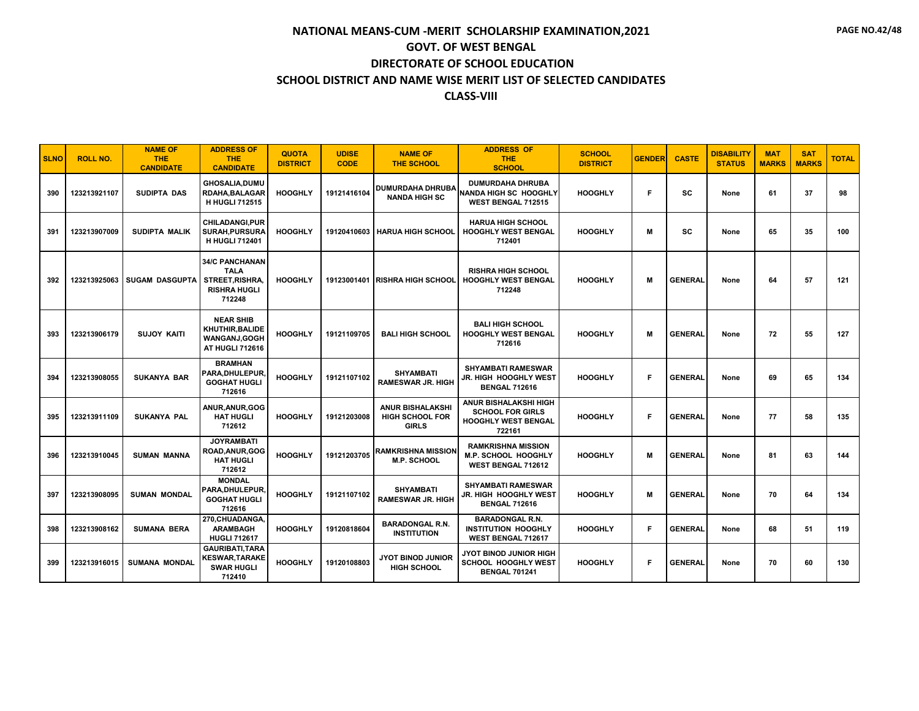#### **SCHOOL DISTRICT AND NAME WISE MERIT LIST OF SELECTED CANDIDATES**

#### **CLASS-VIII**

| <b>SLNO</b> | <b>ROLL NO.</b> | <b>NAME OF</b><br><b>THE</b><br><b>CANDIDATE</b> | <b>ADDRESS OF</b><br><b>THE</b><br><b>CANDIDATE</b>                                            | <b>QUOTA</b><br><b>DISTRICT</b> | <b>UDISE</b><br><b>CODE</b> | <b>NAME OF</b><br><b>THE SCHOOL</b>                               | <b>ADDRESS OF</b><br>THE.<br><b>SCHOOL</b>                                                      | <b>SCHOOL</b><br><b>DISTRICT</b> | <b>GENDER</b> | <b>CASTE</b>   | <b>DISABILITY</b><br><b>STATUS</b> | <b>MAT</b><br><b>MARKS</b> | <b>SAT</b><br><b>MARKS</b> | <b>TOTAL</b> |
|-------------|-----------------|--------------------------------------------------|------------------------------------------------------------------------------------------------|---------------------------------|-----------------------------|-------------------------------------------------------------------|-------------------------------------------------------------------------------------------------|----------------------------------|---------------|----------------|------------------------------------|----------------------------|----------------------------|--------------|
| 390         | 123213921107    | SUDIPTA DAS                                      | <b>GHOSALIA.DUMU</b><br><b>RDAHA.BALAGAR</b><br><b>H HUGLI 712515</b>                          | <b>HOOGHLY</b>                  | 19121416104                 | <b>DUMURDAHA DHRUBA</b><br><b>NANDA HIGH SC</b>                   | <b>DUMURDAHA DHRUBA</b><br><b>NANDA HIGH SC HOOGHLY</b><br><b>WEST BENGAL 712515</b>            | <b>HOOGHLY</b>                   | F             | <b>SC</b>      | None                               | 61                         | 37                         | 98           |
| 391         | 123213907009    | <b>SUDIPTA MALIK</b>                             | CHILADANGI, PUR<br><b>SURAH, PURSURA</b><br><b>H HUGLI 712401</b>                              | <b>HOOGHLY</b>                  | 19120410603                 | <b>HARUA HIGH SCHOOL</b>                                          | <b>HARUA HIGH SCHOOL</b><br><b>HOOGHLY WEST BENGAL</b><br>712401                                | <b>HOOGHLY</b>                   | M             | SC             | None                               | 65                         | 35                         | 100          |
| 392         | 123213925063    | <b>SUGAM DASGUPTA</b>                            | <b>34/C PANCHANAN</b><br><b>TALA</b><br><b>STREET, RISHRA</b><br><b>RISHRA HUGLI</b><br>712248 | <b>HOOGHLY</b>                  |                             | 19123001401 RISHRA HIGH SCHOOL                                    | <b>RISHRA HIGH SCHOOL</b><br><b>HOOGHLY WEST BENGAL</b><br>712248                               | <b>HOOGHLY</b>                   | M             | <b>GENERAL</b> | None                               | 64                         | 57                         | 121          |
| 393         | 123213906179    | <b>SUJOY KAITI</b>                               | <b>NEAR SHIB</b><br>KHUTHIR.BALIDE<br><b>WANGANJ.GOGH</b><br>AT HUGLI 712616                   | <b>HOOGHLY</b>                  | 19121109705                 | <b>BALI HIGH SCHOOL</b>                                           | <b>BALI HIGH SCHOOL</b><br><b>HOOGHLY WEST BENGAL</b><br>712616                                 | <b>HOOGHLY</b>                   | M             | <b>GENERAL</b> | None                               | 72                         | 55                         | 127          |
| 394         | 123213908055    | <b>SUKANYA BAR</b>                               | <b>BRAMHAN</b><br>PARA, DHULEPUR,<br><b>GOGHAT HUGLI</b><br>712616                             | <b>HOOGHLY</b>                  | 19121107102                 | <b>SHYAMBATI</b><br><b>RAMESWAR JR. HIGH</b>                      | <b>SHYAMBATI RAMESWAR</b><br>JR. HIGH HOOGHLY WEST<br><b>BENGAL 712616</b>                      | <b>HOOGHLY</b>                   | F             | <b>GENERAL</b> | None                               | 69                         | 65                         | 134          |
| 395         | 123213911109    | <b>SUKANYA PAL</b>                               | ANUR, ANUR, GOG<br><b>HAT HUGLI</b><br>712612                                                  | <b>HOOGHLY</b>                  | 19121203008                 | <b>ANUR BISHALAKSHI</b><br><b>HIGH SCHOOL FOR</b><br><b>GIRLS</b> | <b>ANUR BISHALAKSHI HIGH</b><br><b>SCHOOL FOR GIRLS</b><br><b>HOOGHLY WEST BENGAL</b><br>722161 | <b>HOOGHLY</b>                   | F             | <b>GENERAL</b> | None                               | 77                         | 58                         | 135          |
| 396         | 123213910045    | <b>SUMAN MANNA</b>                               | <b>JOYRAMBATI</b><br>ROAD, ANUR, GOG<br><b>HAT HUGLI</b><br>712612                             | <b>HOOGHLY</b>                  | 19121203705                 | <b>RAMKRISHNA MISSION</b><br><b>M.P. SCHOOL</b>                   | <b>RAMKRISHNA MISSION</b><br><b>M.P. SCHOOL HOOGHLY</b><br><b>WEST BENGAL 712612</b>            | <b>HOOGHLY</b>                   | M             | <b>GENERAL</b> | None                               | 81                         | 63                         | 144          |
| 397         | 123213908095    | <b>SUMAN MONDAL</b>                              | <b>MONDAL</b><br>PARA, DHULEPUR,<br><b>GOGHAT HUGLI</b><br>712616                              | <b>HOOGHLY</b>                  | 19121107102                 | <b>SHYAMBATI</b><br><b>RAMESWAR JR. HIGH</b>                      | <b>SHYAMBATI RAMESWAR</b><br>JR. HIGH HOOGHLY WEST<br><b>BENGAL 712616</b>                      | <b>HOOGHLY</b>                   | M             | <b>GENERAL</b> | None                               | 70                         | 64                         | 134          |
| 398         | 123213908162    | <b>SUMANA BERA</b>                               | 270, CHUADANGA,<br><b>ARAMBAGH</b><br><b>HUGLI 712617</b>                                      | <b>HOOGHLY</b>                  | 19120818604                 | <b>BARADONGAL R.N.</b><br><b>INSTITUTION</b>                      | <b>BARADONGAL R.N.</b><br><b>INSTITUTION HOOGHLY</b><br>WEST BENGAL 712617                      | <b>HOOGHLY</b>                   | F             | <b>GENERAL</b> | None                               | 68                         | 51                         | 119          |
| 399         | 123213916015    | <b>SUMANA MONDAL</b>                             | <b>GAURIBATI.TARA</b><br><b>KESWAR, TARAKE</b><br><b>SWAR HUGLI</b><br>712410                  | <b>HOOGHLY</b>                  | 19120108803                 | <b>JYOT BINOD JUNIOR</b><br><b>HIGH SCHOOL</b>                    | JYOT BINOD JUNIOR HIGH<br>SCHOOL HOOGHLY WEST<br><b>BENGAL 701241</b>                           | <b>HOOGHLY</b>                   | F             | <b>GENERAL</b> | None                               | 70                         | 60                         | 130          |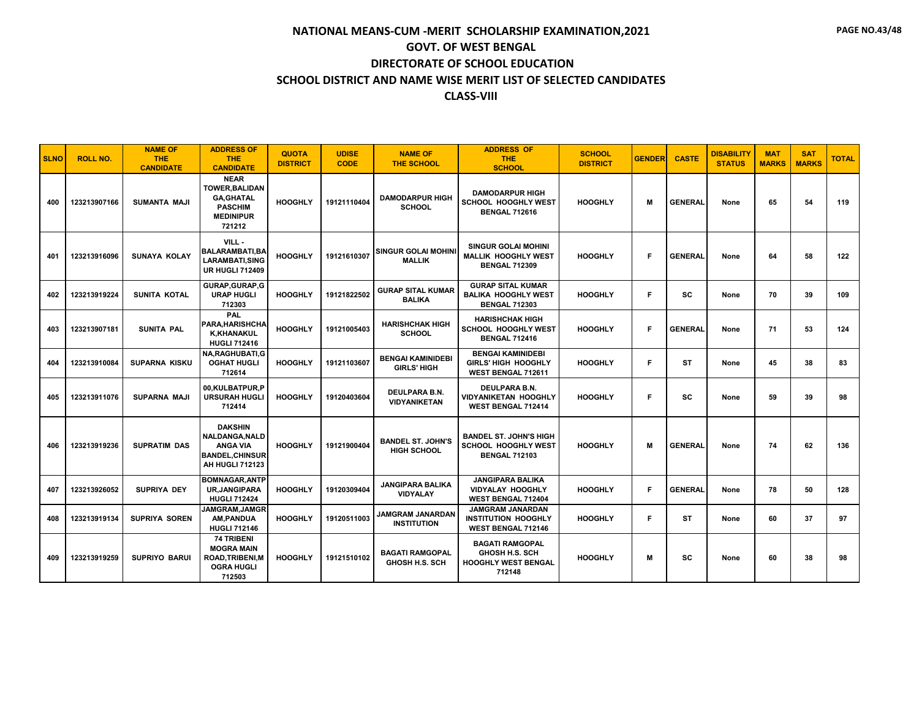| <b>SLNO</b> | <b>ROLL NO.</b> | <b>NAME OF</b><br><b>THE</b><br><b>CANDIDATE</b> | <b>ADDRESS OF</b><br><b>THE</b><br><b>CANDIDATE</b>                                                            | <b>QUOTA</b><br><b>DISTRICT</b> | <b>UDISE</b><br><b>CODE</b> | <b>NAME OF</b><br><b>THE SCHOOL</b>             | <b>ADDRESS OF</b><br><b>THE</b><br><b>SCHOOL</b>                                        | <b>SCHOOL</b><br><b>DISTRICT</b> | <b>GENDER</b> | <b>CASTE</b>   | <b>DISABILITY</b><br><b>STATUS</b> | <b>MAT</b><br><b>MARKS</b> | <b>SAT</b><br><b>MARKS</b> | <b>TOTAL</b> |
|-------------|-----------------|--------------------------------------------------|----------------------------------------------------------------------------------------------------------------|---------------------------------|-----------------------------|-------------------------------------------------|-----------------------------------------------------------------------------------------|----------------------------------|---------------|----------------|------------------------------------|----------------------------|----------------------------|--------------|
| 400         | 123213907166    | <b>SUMANTA MAJI</b>                              | <b>NEAR</b><br><b>TOWER, BALIDAN</b><br><b>GA.GHATAL</b><br><b>PASCHIM</b><br><b>MEDINIPUR</b><br>721212       | <b>HOOGHLY</b>                  | 19121110404                 | <b>DAMODARPUR HIGH</b><br><b>SCHOOL</b>         | <b>DAMODARPUR HIGH</b><br><b>SCHOOL HOOGHLY WEST</b><br><b>BENGAL 712616</b>            | <b>HOOGHLY</b>                   | м             | <b>GENERAL</b> | None                               | 65                         | 54                         | 119          |
| 401         | 123213916096    | <b>SUNAYA KOLAY</b>                              | VILL-<br><b>BALARAMBATI, BA</b><br>LARAMBATI,SING<br><b>UR HUGLI 712409</b>                                    | <b>HOOGHLY</b>                  | 19121610307                 | <b>SINGUR GOLAI MOHINI</b><br><b>MALLIK</b>     | <b>SINGUR GOLAI MOHINI</b><br><b>MALLIK HOOGHLY WEST</b><br><b>BENGAL 712309</b>        | <b>HOOGHLY</b>                   | F             | <b>GENERAL</b> | None                               | 64                         | 58                         | 122          |
| 402         | 123213919224    | SUNITA KOTAL                                     | GURAP, GURAP, G<br><b>URAP HUGLI</b><br>712303                                                                 | <b>HOOGHLY</b>                  | 19121822502                 | <b>GURAP SITAL KUMAR</b><br><b>BALIKA</b>       | <b>GURAP SITAL KUMAR</b><br><b>BALIKA HOOGHLY WEST</b><br><b>BENGAL 712303</b>          | <b>HOOGHLY</b>                   | F             | <b>SC</b>      | None                               | 70                         | 39                         | 109          |
| 403         | 123213907181    | <b>SUNITA PAL</b>                                | PAL<br>PARA, HARISHCHA<br><b>K,KHANAKUL</b><br><b>HUGLI 712416</b>                                             | <b>HOOGHLY</b>                  | 19121005403                 | <b>HARISHCHAK HIGH</b><br><b>SCHOOL</b>         | <b>HARISHCHAK HIGH</b><br><b>SCHOOL HOOGHLY WEST</b><br><b>BENGAL 712416</b>            | <b>HOOGHLY</b>                   | F             | <b>GENERAL</b> | None                               | 71                         | 53                         | 124          |
| 404         | 123213910084    | <b>SUPARNA KISKU</b>                             | <b>NA, RAGHUBATI, G</b><br><b>OGHAT HUGLI</b><br>712614                                                        | <b>HOOGHLY</b>                  | 19121103607                 | <b>BENGAI KAMINIDEBI</b><br><b>GIRLS' HIGH</b>  | <b>BENGAI KAMINIDEBI</b><br><b>GIRLS' HIGH HOOGHLY</b><br>WEST BENGAL 712611            | <b>HOOGHLY</b>                   | F             | <b>ST</b>      | None                               | 45                         | 38                         | 83           |
| 405         | 123213911076    | <b>SUPARNA MAJI</b>                              | 00,KULBATPUR,P<br><b>URSURAH HUGLI</b><br>712414                                                               | <b>HOOGHLY</b>                  | 19120403604                 | <b>DEULPARA B.N.</b><br><b>VIDYANIKETAN</b>     | <b>DEULPARA B.N.</b><br><b>VIDYANIKETAN HOOGHLY</b><br>WEST BENGAL 712414               | <b>HOOGHLY</b>                   | F             | <b>SC</b>      | None                               | 59                         | 39                         | 98           |
| 406         | 123213919236    | <b>SUPRATIM DAS</b>                              | <b>DAKSHIN</b><br><b>NALDANGA, NALD</b><br><b>ANGA VIA</b><br><b>BANDEL, CHINSUR</b><br><b>AH HUGLI 712123</b> | <b>HOOGHLY</b>                  | 19121900404                 | <b>BANDEL ST. JOHN'S</b><br><b>HIGH SCHOOL</b>  | <b>BANDEL ST. JOHN'S HIGH</b><br>SCHOOL HOOGHLY WEST<br><b>BENGAL 712103</b>            | <b>HOOGHLY</b>                   | M             | <b>GENERAL</b> | None                               | 74                         | 62                         | 136          |
| 407         | 123213926052    | <b>SUPRIYA DEY</b>                               | <b>BOMNAGAR, ANTP</b><br><b>UR, JANGIPARA</b><br><b>HUGLI 712424</b>                                           | <b>HOOGHLY</b>                  | 19120309404                 | <b>JANGIPARA BALIKA</b><br><b>VIDYALAY</b>      | <b>JANGIPARA BALIKA</b><br><b>VIDYALAY HOOGHLY</b><br>WEST BENGAL 712404                | <b>HOOGHLY</b>                   | F.            | <b>GENERAL</b> | None                               | 78                         | 50                         | 128          |
| 408         | 123213919134    | <b>SUPRIYA SOREN</b>                             | <b>JAMGRAM, JAMGR</b><br><b>AM, PANDUA</b><br><b>HUGLI 712146</b>                                              | <b>HOOGHLY</b>                  | 19120511003                 | JAMGRAM JANARDAN<br><b>INSTITUTION</b>          | <b>JAMGRAM JANARDAN</b><br><b>INSTITUTION HOOGHLY</b><br>WEST BENGAL 712146             | <b>HOOGHLY</b>                   | F.            | <b>ST</b>      | None                               | 60                         | 37                         | 97           |
| 409         | 123213919259    | <b>SUPRIYO BARUI</b>                             | <b>74 TRIBENI</b><br><b>MOGRA MAIN</b><br><b>ROAD, TRIBENI, M</b><br><b>OGRA HUGLI</b><br>712503               | <b>HOOGHLY</b>                  | 19121510102                 | <b>BAGATI RAMGOPAL</b><br><b>GHOSH H.S. SCH</b> | <b>BAGATI RAMGOPAL</b><br><b>GHOSH H.S. SCH</b><br><b>HOOGHLY WEST BENGAL</b><br>712148 | <b>HOOGHLY</b>                   | M             | <b>SC</b>      | None                               | 60                         | 38                         | 98           |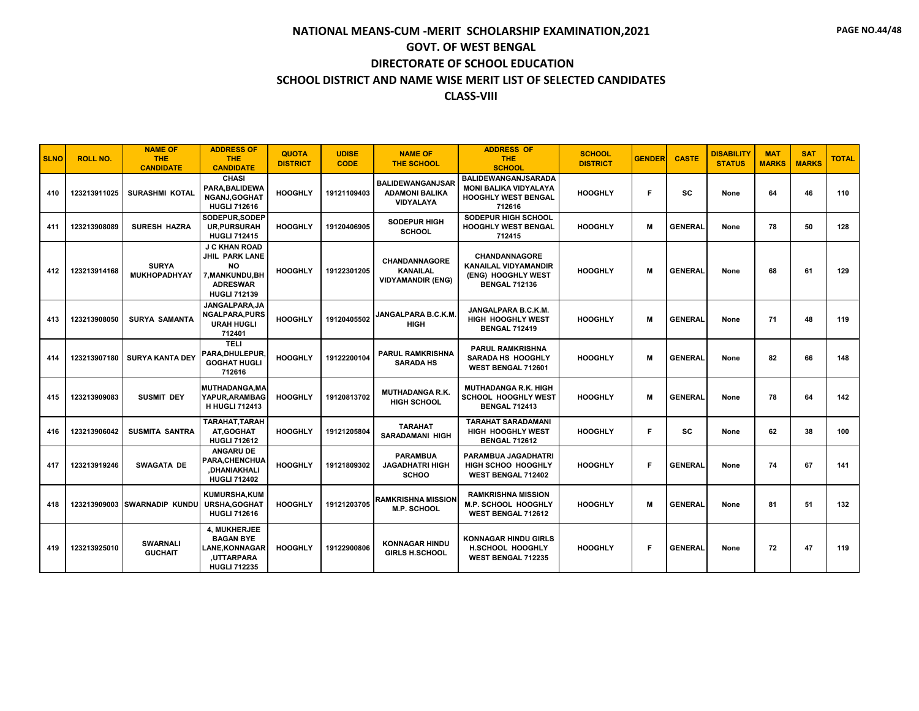| <b>SLNO</b> | <b>ROLL NO.</b> | <b>NAME OF</b><br><b>THE</b><br><b>CANDIDATE</b> | <b>ADDRESS OF</b><br><b>THE</b><br><b>CANDIDATE</b>                                                                     | <b>QUOTA</b><br><b>DISTRICT</b> | <b>UDISE</b><br><b>CODE</b> | <b>NAME OF</b><br><b>THE SCHOOL</b>                                  | <b>ADDRESS OF</b><br><b>THE</b><br><b>SCHOOL</b>                                                   | <b>SCHOOL</b><br><b>DISTRICT</b> | <b>GENDER</b> | <b>CASTE</b>   | <b>DISABILITY</b><br><b>STATUS</b> | <b>MAT</b><br><b>MARKS</b> | <b>SAT</b><br><b>MARKS</b> | <b>TOTAL</b> |
|-------------|-----------------|--------------------------------------------------|-------------------------------------------------------------------------------------------------------------------------|---------------------------------|-----------------------------|----------------------------------------------------------------------|----------------------------------------------------------------------------------------------------|----------------------------------|---------------|----------------|------------------------------------|----------------------------|----------------------------|--------------|
| 410         | 123213911025    | <b>SURASHMI KOTAL</b>                            | <b>CHASI</b><br>PARA, BALIDEWA<br>NGANJ.GOGHAT<br><b>HUGLI 712616</b>                                                   | <b>HOOGHLY</b>                  | 19121109403                 | <b>BALIDEWANGANJSAR</b><br><b>ADAMONI BALIKA</b><br><b>VIDYALAYA</b> | <b>BALIDEWANGANJSARADA</b><br><b>MONI BALIKA VIDYALAYA</b><br><b>HOOGHLY WEST BENGAL</b><br>712616 | <b>HOOGHLY</b>                   | F             | sc             | None                               | 64                         | 46                         | 110          |
| 411         | 123213908089    | <b>SURESH HAZRA</b>                              | SODEPUR.SODEP<br><b>UR, PURSURAH</b><br><b>HUGLI 712415</b>                                                             | <b>HOOGHLY</b>                  | 19120406905                 | <b>SODEPUR HIGH</b><br><b>SCHOOL</b>                                 | <b>SODEPUR HIGH SCHOOL</b><br><b>HOOGHLY WEST BENGAL</b><br>712415                                 | <b>HOOGHLY</b>                   | м             | <b>GENERAL</b> | None                               | 78                         | 50                         | 128          |
| 412         | 123213914168    | <b>SURYA</b><br><b>MUKHOPADHYAY</b>              | <b>J C KHAN ROAD</b><br><b>JHIL PARK LANE</b><br><b>NO</b><br>7, MANKUNDU, BH<br><b>ADRESWAR</b><br><b>HUGLI 712139</b> | <b>HOOGHLY</b>                  | 19122301205                 | CHANDANNAGORE<br><b>KANAILAL</b><br><b>VIDYAMANDIR (ENG)</b>         | <b>CHANDANNAGORE</b><br><b>KANAILAL VIDYAMANDIR</b><br>(ENG) HOOGHLY WEST<br><b>BENGAL 712136</b>  | <b>HOOGHLY</b>                   | M             | <b>GENERAL</b> | None                               | 68                         | 61                         | 129          |
| 413         | 123213908050    | <b>SURYA SAMANTA</b>                             | JANGALPARA.JA<br><b>NGALPARA, PURS</b><br><b>URAH HUGLI</b><br>712401                                                   | <b>HOOGHLY</b>                  | 19120405502                 | <b>JANGALPARA B.C.K.M.</b><br><b>HIGH</b>                            | JANGALPARA B.C.K.M.<br><b>HIGH HOOGHLY WEST</b><br><b>BENGAL 712419</b>                            | <b>HOOGHLY</b>                   | M             | <b>GENERAL</b> | None                               | 71                         | 48                         | 119          |
| 414         | 123213907180    | <b>SURYA KANTA DEY</b>                           | <b>TELI</b><br>PARA, DHULEPUR,<br><b>GOGHAT HUGLI</b><br>712616                                                         | <b>HOOGHLY</b>                  | 19122200104                 | <b>PARUL RAMKRISHNA</b><br><b>SARADA HS</b>                          | <b>PARUL RAMKRISHNA</b><br><b>SARADA HS HOOGHLY</b><br>WEST BENGAL 712601                          | <b>HOOGHLY</b>                   | M             | <b>GENERAL</b> | None                               | 82                         | 66                         | 148          |
| 415         | 123213909083    | <b>SUSMIT DEY</b>                                | MUTHADANGA, MA<br>YAPUR.ARAMBAG<br><b>H HUGLI 712413</b>                                                                | <b>HOOGHLY</b>                  | 19120813702                 | <b>MUTHADANGA R.K.</b><br><b>HIGH SCHOOL</b>                         | <b>MUTHADANGA R.K. HIGH</b><br><b>SCHOOL HOOGHLY WEST</b><br><b>BENGAL 712413</b>                  | <b>HOOGHLY</b>                   | M             | <b>GENERAL</b> | None                               | 78                         | 64                         | 142          |
| 416         | 123213906042    | <b>SUSMITA SANTRA</b>                            | TARAHAT, TARAH<br>AT.GOGHAT<br><b>HUGLI 712612</b>                                                                      | <b>HOOGHLY</b>                  | 19121205804                 | <b>TARAHAT</b><br><b>SARADAMANI HIGH</b>                             | <b>TARAHAT SARADAMANI</b><br>HIGH HOOGHLY WEST<br><b>BENGAL 712612</b>                             | <b>HOOGHLY</b>                   | F.            | SC             | None                               | 62                         | 38                         | 100          |
| 417         | 123213919246    | <b>SWAGATA DE</b>                                | <b>ANGARU DE</b><br>PARA, CHENCHUA<br>,DHANIAKHALI<br><b>HUGLI 712402</b>                                               | <b>HOOGHLY</b>                  | 19121809302                 | <b>PARAMBUA</b><br><b>JAGADHATRI HIGH</b><br><b>SCHOO</b>            | PARAMBUA JAGADHATRI<br><b>HIGH SCHOO HOOGHLY</b><br>WEST BENGAL 712402                             | <b>HOOGHLY</b>                   | E             | <b>GENERAL</b> | None                               | 74                         | 67                         | 141          |
| 418         |                 | 123213909003 SWARNADIP KUNDU                     | <b>KUMURSHA,KUM</b><br><b>URSHA, GOGHAT</b><br><b>HUGLI 712616</b>                                                      | <b>HOOGHLY</b>                  | 19121203705                 | <b>RAMKRISHNA MISSION</b><br><b>M.P. SCHOOL</b>                      | <b>RAMKRISHNA MISSION</b><br><b>M.P. SCHOOL HOOGHLY</b><br>WEST BENGAL 712612                      | <b>HOOGHLY</b>                   | м             | <b>GENERAL</b> | None                               | 81                         | 51                         | 132          |
| 419         | 123213925010    | <b>SWARNALI</b><br><b>GUCHAIT</b>                | 4, MUKHERJEE<br><b>BAGAN BYE</b><br><b>LANE.KONNAGAR</b><br>UTTARPARA,<br><b>HUGLI 712235</b>                           | <b>HOOGHLY</b>                  | 19122900806                 | <b>KONNAGAR HINDU</b><br><b>GIRLS H.SCHOOL</b>                       | KONNAGAR HINDU GIRLS<br><b>H.SCHOOL HOOGHLY</b><br>WEST BENGAL 712235                              | <b>HOOGHLY</b>                   | F             | <b>GENERAL</b> | None                               | 72                         | 47                         | 119          |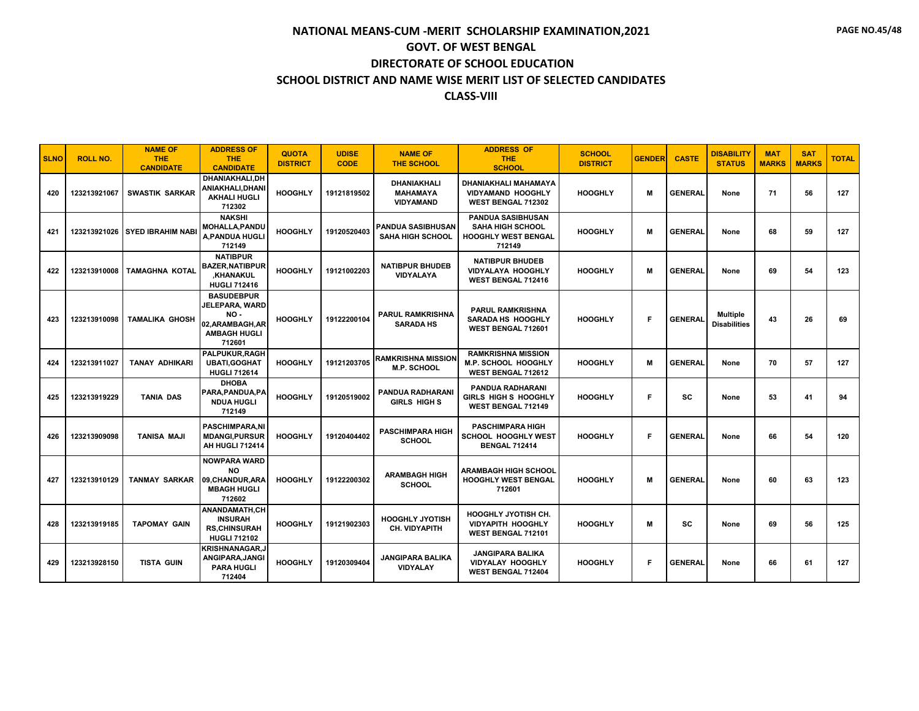| <b>SLNO</b> | <b>ROLL NO.</b> | <b>NAME OF</b><br><b>THE</b><br><b>CANDIDATE</b> | <b>ADDRESS OF</b><br><b>THE</b><br><b>CANDIDATE</b>                                            | <b>QUOTA</b><br><b>DISTRICT</b> | <b>UDISE</b><br><b>CODE</b> | <b>NAME OF</b><br><b>THE SCHOOL</b>                       | <b>ADDRESS OF</b><br><b>THE</b><br><b>SCHOOL</b>                                            | <b>SCHOOL</b><br><b>DISTRICT</b> | <b>GENDER</b> | <b>CASTE</b>   | <b>DISABILITY</b><br><b>STATUS</b> | <b>MAT</b><br><b>MARKS</b> | <b>SAT</b><br><b>MARKS</b> | <b>TOTAL</b> |
|-------------|-----------------|--------------------------------------------------|------------------------------------------------------------------------------------------------|---------------------------------|-----------------------------|-----------------------------------------------------------|---------------------------------------------------------------------------------------------|----------------------------------|---------------|----------------|------------------------------------|----------------------------|----------------------------|--------------|
| 420         | 123213921067    | <b>SWASTIK SARKAR</b>                            | DHANIAKHALI.DH<br>ANIAKHALI,DHANI<br><b>AKHALI HUGLI</b><br>712302                             | <b>HOOGHLY</b>                  | 19121819502                 | <b>DHANIAKHALI</b><br><b>MAHAMAYA</b><br><b>VIDYAMAND</b> | DHANIAKHALI MAHAMAYA<br><b>VIDYAMAND HOOGHLY</b><br>WEST BENGAL 712302                      | <b>HOOGHLY</b>                   | м             | <b>GENERAL</b> | None                               | 71                         | 56                         | 127          |
| 421         |                 | 123213921026   SYED IBRAHIM NABI                 | <b>NAKSHI</b><br><b>MOHALLA.PANDU</b><br><b>A.PANDUA HUGLI</b><br>712149                       | <b>HOOGHLY</b>                  | 19120520403                 | PANDUA SASIBHUSAN<br><b>SAHA HIGH SCHOOL</b>              | <b>PANDUA SASIBHUSAN</b><br><b>SAHA HIGH SCHOOL</b><br><b>HOOGHLY WEST BENGAL</b><br>712149 | <b>HOOGHLY</b>                   | м             | <b>GENERAL</b> | None                               | 68                         | 59                         | 127          |
| 422         | 123213910008    | <b>TAMAGHNA KOTAL</b>                            | <b>NATIBPUR</b><br><b>BAZER.NATIBPUR</b><br>.KHANAKUL<br><b>HUGLI 712416</b>                   | <b>HOOGHLY</b>                  | 19121002203                 | <b>NATIBPUR BHUDEB</b><br><b>VIDYALAYA</b>                | <b>NATIBPUR BHUDEB</b><br><b>VIDYALAYA HOOGHLY</b><br><b>WEST BENGAL 712416</b>             | <b>HOOGHLY</b>                   | м             | <b>GENERAL</b> | None                               | 69                         | 54                         | 123          |
| 423         | 123213910098    | <b>TAMALIKA GHOSH</b>                            | <b>BASUDEBPUR</b><br>JELEPARA, WARD<br>NO -<br>02.ARAMBAGH.AR<br><b>AMBAGH HUGLI</b><br>712601 | <b>HOOGHLY</b>                  | 19122200104                 | <b>PARUL RAMKRISHNA</b><br><b>SARADA HS</b>               | <b>PARUL RAMKRISHNA</b><br><b>SARADA HS HOOGHLY</b><br>WEST BENGAL 712601                   | <b>HOOGHLY</b>                   | F             | <b>GENERAL</b> | Multiple<br><b>Disabilities</b>    | 43                         | 26                         | 69           |
| 424         | 123213911027    | <b>TANAY ADHIKARI</b>                            | PALPUKUR.RAGH<br><b>UBATI, GOGHAT</b><br><b>HUGLI 712614</b>                                   | <b>HOOGHLY</b>                  | 19121203705                 | <b>RAMKRISHNA MISSION</b><br><b>M.P. SCHOOL</b>           | <b>RAMKRISHNA MISSION</b><br><b>M.P. SCHOOL HOOGHLY</b><br>WEST BENGAL 712612               | <b>HOOGHLY</b>                   | м             | <b>GENERAL</b> | None                               | 70                         | 57                         | 127          |
| 425         | 123213919229    | <b>TANIA DAS</b>                                 | <b>DHOBA</b><br>PARA.PANDUA.PA<br><b>NDUA HUGLI</b><br>712149                                  | <b>HOOGHLY</b>                  | 19120519002                 | <b>PANDUA RADHARANI</b><br><b>GIRLS HIGH S</b>            | <b>PANDUA RADHARANI</b><br>GIRLS HIGH S HOOGHLY<br><b>WEST BENGAL 712149</b>                | <b>HOOGHLY</b>                   | F.            | SC             | None                               | 53                         | 41                         | 94           |
| 426         | 123213909098    | <b>TANISA MAJI</b>                               | <b>PASCHIMPARA.NI</b><br><b>MDANGI, PURSUR</b><br>AH HUGLI 712414                              | <b>HOOGHLY</b>                  | 19120404402                 | <b>PASCHIMPARA HIGH</b><br><b>SCHOOL</b>                  | <b>PASCHIMPARA HIGH</b><br><b>SCHOOL HOOGHLY WEST</b><br><b>BENGAL 712414</b>               | <b>HOOGHLY</b>                   | F             | <b>GENERAL</b> | None                               | 66                         | 54                         | 120          |
| 427         | 123213910129    | <b>TANMAY SARKAR</b>                             | NOWPARA WARD<br><b>NO</b><br>09.CHANDUR.ARA<br><b>MBAGH HUGLI</b><br>712602                    | <b>HOOGHLY</b>                  | 19122200302                 | <b>ARAMBAGH HIGH</b><br><b>SCHOOL</b>                     | <b>ARAMBAGH HIGH SCHOOL</b><br><b>HOOGHLY WEST BENGAL</b><br>712601                         | <b>HOOGHLY</b>                   | м             | <b>GENERAL</b> | None                               | 60                         | 63                         | 123          |
| 428         | 123213919185    | <b>TAPOMAY GAIN</b>                              | <b>ANANDAMATH.CH</b><br><b>INSURAH</b><br><b>RS.CHINSURAH</b><br><b>HUGLI 712102</b>           | <b>HOOGHLY</b>                  | 19121902303                 | <b>HOOGHLY JYOTISH</b><br><b>CH. VIDYAPITH</b>            | <b>HOOGHLY JYOTISH CH.</b><br><b>VIDYAPITH HOOGHLY</b><br>WEST BENGAL 712101                | <b>HOOGHLY</b>                   | м             | <b>SC</b>      | None                               | 69                         | 56                         | 125          |
| 429         | 123213928150    | <b>TISTA GUIN</b>                                | <b>KRISHNANAGAR.J</b><br>ANGIPARA, JANGI<br><b>PARA HUGLI</b><br>712404                        | <b>HOOGHLY</b>                  | 19120309404                 | <b>JANGIPARA BALIKA</b><br><b>VIDYALAY</b>                | <b>JANGIPARA BALIKA</b><br><b>VIDYALAY HOOGHLY</b><br><b>WEST BENGAL 712404</b>             | <b>HOOGHLY</b>                   | F             | <b>GENERAL</b> | None                               | 66                         | 61                         | 127          |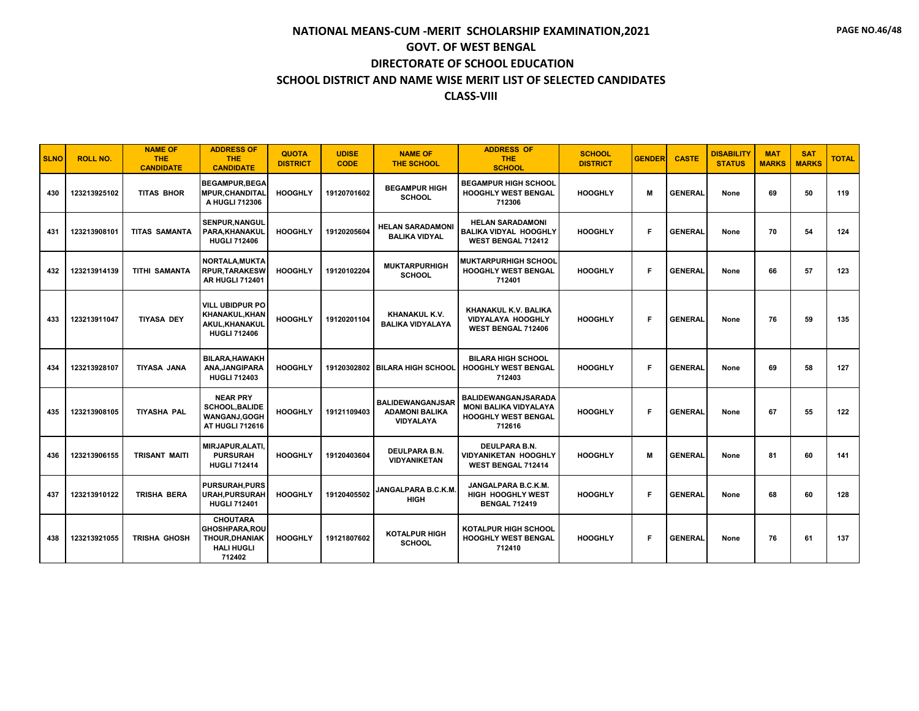| <b>SLNO</b> | <b>ROLL NO.</b> | <b>NAME OF</b><br><b>THE</b><br><b>CANDIDATE</b> | <b>ADDRESS OF</b><br><b>THE</b><br><b>CANDIDATE</b>                                             | <b>QUOTA</b><br><b>DISTRICT</b> | <b>UDISE</b><br><b>CODE</b> | <b>NAME OF</b><br><b>THE SCHOOL</b>                                  | <b>ADDRESS OF</b><br><b>THE</b><br><b>SCHOOL</b>                                            | <b>SCHOOL</b><br><b>DISTRICT</b> | <b>GENDER</b> | <b>CASTE</b>   | <b>DISABILITY</b><br><b>STATUS</b> | <b>MAT</b><br><b>MARKS</b> | <b>SAT</b><br><b>MARKS</b> | <b>TOTAL</b> |
|-------------|-----------------|--------------------------------------------------|-------------------------------------------------------------------------------------------------|---------------------------------|-----------------------------|----------------------------------------------------------------------|---------------------------------------------------------------------------------------------|----------------------------------|---------------|----------------|------------------------------------|----------------------------|----------------------------|--------------|
| 430         | 123213925102    | <b>TITAS BHOR</b>                                | <b>BEGAMPUR, BEGA</b><br><b>MPUR, CHANDITAL</b><br>A HUGLI 712306                               | <b>HOOGHLY</b>                  | 19120701602                 | <b>BEGAMPUR HIGH</b><br><b>SCHOOL</b>                                | <b>BEGAMPUR HIGH SCHOOL</b><br><b>HOOGHLY WEST BENGAL</b><br>712306                         | <b>HOOGHLY</b>                   | M             | <b>GENERAL</b> | None                               | 69                         | 50                         | 119          |
| 431         | 123213908101    | <b>TITAS SAMANTA</b>                             | SENPUR, NANGUL<br>PARA, KHANAKUL<br><b>HUGLI 712406</b>                                         | <b>HOOGHLY</b>                  | 19120205604                 | <b>HELAN SARADAMONI</b><br><b>BALIKA VIDYAL</b>                      | <b>HELAN SARADAMONI</b><br><b>BALIKA VIDYAL HOOGHLY</b><br><b>WEST BENGAL 712412</b>        | <b>HOOGHLY</b>                   | F             | <b>GENERAL</b> | None                               | 70                         | 54                         | 124          |
| 432         | 123213914139    | <b>TITHI SAMANTA</b>                             | <b>NORTALA, MUKTA</b><br><b>RPUR.TARAKESW</b><br><b>AR HUGLI 712401</b>                         | <b>HOOGHLY</b>                  | 19120102204                 | <b>MUKTARPURHIGH</b><br><b>SCHOOL</b>                                | <b>MUKTARPURHIGH SCHOOL</b><br><b>HOOGHLY WEST BENGAL</b><br>712401                         | <b>HOOGHLY</b>                   | F             | <b>GENERAL</b> | None                               | 66                         | 57                         | 123          |
| 433         | 123213911047    | <b>TIYASA DEY</b>                                | <b>VILL UBIDPUR PO</b><br><b>KHANAKUL, KHAN</b><br>AKUL, KHANAKUL<br><b>HUGLI 712406</b>        | <b>HOOGHLY</b>                  | 19120201104                 | KHANAKUL K.V.<br><b>BALIKA VIDYALAYA</b>                             | KHANAKUL K.V. BALIKA<br><b>VIDYALAYA HOOGHLY</b><br><b>WEST BENGAL 712406</b>               | <b>HOOGHLY</b>                   | F             | <b>GENERAL</b> | None                               | 76                         | 59                         | 135          |
| 434         | 123213928107    | <b>TIYASA JANA</b>                               | <b>BILARA, HAWAKH</b><br>ANA, JANGIPARA<br><b>HUGLI 712403</b>                                  | <b>HOOGHLY</b>                  |                             | 19120302802 BILARA HIGH SCHOOL                                       | <b>BILARA HIGH SCHOOL</b><br><b>HOOGHLY WEST BENGAL</b><br>712403                           | <b>HOOGHLY</b>                   | F             | <b>GENERAL</b> | None                               | 69                         | 58                         | 127          |
| 435         | 123213908105    | <b>TIYASHA PAL</b>                               | <b>NEAR PRY</b><br><b>SCHOOL, BALIDE</b><br>WANGANJ, GOGH<br><b>AT HUGLI 712616</b>             | <b>HOOGHLY</b>                  | 19121109403                 | <b>BALIDEWANGANJSAR</b><br><b>ADAMONI BALIKA</b><br><b>VIDYALAYA</b> | BALIDEWANGANJSARADA<br><b>MONI BALIKA VIDYALAYA</b><br><b>HOOGHLY WEST BENGAL</b><br>712616 | <b>HOOGHLY</b>                   | F             | <b>GENERAL</b> | None                               | 67                         | 55                         | 122          |
| 436         | 123213906155    | <b>TRISANT MAITI</b>                             | MIRJAPUR, ALATI,<br><b>PURSURAH</b><br><b>HUGLI 712414</b>                                      | <b>HOOGHLY</b>                  | 19120403604                 | <b>DEULPARA B.N.</b><br><b>VIDYANIKETAN</b>                          | DEULPARA B.N.<br><b>VIDYANIKETAN HOOGHLY</b><br>WEST BENGAL 712414                          | <b>HOOGHLY</b>                   | M             | <b>GENERAL</b> | None                               | 81                         | 60                         | 141          |
| 437         | 123213910122    | <b>TRISHA BERA</b>                               | <b>PURSURAH, PURS</b><br><b>URAH, PURSURAH</b><br><b>HUGLI 712401</b>                           | <b>HOOGHLY</b>                  | 19120405502                 | <b>JANGALPARA B.C.K.M.</b><br><b>HIGH</b>                            | JANGALPARA B.C.K.M.<br><b>HIGH HOOGHLY WEST</b><br><b>BENGAL 712419</b>                     | <b>HOOGHLY</b>                   | F             | <b>GENERAL</b> | None                               | 68                         | 60                         | 128          |
| 438         | 123213921055    | TRISHA GHOSH                                     | <b>CHOUTARA</b><br><b>GHOSHPARA.ROU</b><br><b>THOUR, DHANIAK</b><br><b>HALI HUGLI</b><br>712402 | <b>HOOGHLY</b>                  | 19121807602                 | <b>KOTALPUR HIGH</b><br><b>SCHOOL</b>                                | <b>KOTALPUR HIGH SCHOOL</b><br><b>HOOGHLY WEST BENGAL</b><br>712410                         | <b>HOOGHLY</b>                   | F             | <b>GENERAL</b> | None                               | 76                         | 61                         | 137          |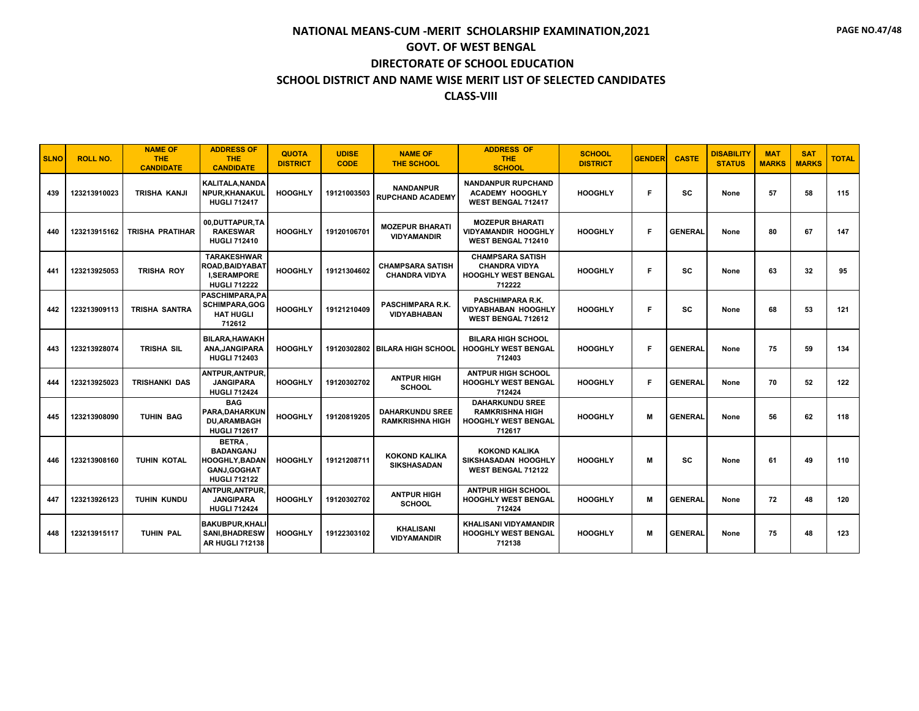| <b>SLNO</b> | <b>ROLL NO.</b> | <b>NAME OF</b><br><b>THE</b><br><b>CANDIDATE</b> | <b>ADDRESS OF</b><br><b>THE</b><br><b>CANDIDATE</b>                                              | <b>QUOTA</b><br><b>DISTRICT</b> | <b>UDISE</b><br><b>CODE</b> | <b>NAME OF</b><br><b>THE SCHOOL</b>              | <b>ADDRESS OF</b><br><b>THE</b><br><b>SCHOOL</b>                                         | <b>SCHOOL</b><br><b>DISTRICT</b> | <b>GENDER</b> | <b>CASTE</b>   | <b>DISABILITY</b><br><b>STATUS</b> | <b>MAT</b><br><b>MARKS</b> | <b>SAT</b><br><b>MARKS</b> | <b>TOTAL</b> |
|-------------|-----------------|--------------------------------------------------|--------------------------------------------------------------------------------------------------|---------------------------------|-----------------------------|--------------------------------------------------|------------------------------------------------------------------------------------------|----------------------------------|---------------|----------------|------------------------------------|----------------------------|----------------------------|--------------|
| 439         | 123213910023    | TRISHA KANJI                                     | KALITALA, NANDA<br>NPUR.KHANAKUL<br><b>HUGLI 712417</b>                                          | <b>HOOGHLY</b>                  | 19121003503                 | <b>NANDANPUR</b><br><b>RUPCHAND ACADEMY</b>      | <b>NANDANPUR RUPCHAND</b><br><b>ACADEMY HOOGHLY</b><br><b>WEST BENGAL 712417</b>         | <b>HOOGHLY</b>                   | F             | <b>SC</b>      | None                               | 57                         | 58                         | 115          |
| 440         | 123213915162    | TRISHA PRATIHAR                                  | 00.DUTTAPUR.TA<br><b>RAKESWAR</b><br><b>HUGLI 712410</b>                                         | <b>HOOGHLY</b>                  | 19120106701                 | <b>MOZEPUR BHARATI</b><br><b>VIDYAMANDIR</b>     | <b>MOZEPUR BHARATI</b><br><b>VIDYAMANDIR HOOGHLY</b><br>WEST BENGAL 712410               | <b>HOOGHLY</b>                   | F             | <b>GENERAL</b> | None                               | 80                         | 67                         | 147          |
| 441         | 123213925053    | <b>TRISHA ROY</b>                                | <b>TARAKESHWAR</b><br><b>ROAD.BAIDYABAT</b><br><b>I.SERAMPORE</b><br><b>HUGLI 712222</b>         | <b>HOOGHLY</b>                  | 19121304602                 | <b>CHAMPSARA SATISH</b><br><b>CHANDRA VIDYA</b>  | <b>CHAMPSARA SATISH</b><br><b>CHANDRA VIDYA</b><br><b>HOOGHLY WEST BENGAL</b><br>712222  | <b>HOOGHLY</b>                   | F.            | SC             | None                               | 63                         | 32                         | 95           |
| 442         | 123213909113    | <b>TRISHA SANTRA</b>                             | PASCHIMPARA, PA<br><b>SCHIMPARA,GOG</b><br><b>HAT HUGLI</b><br>712612                            | <b>HOOGHLY</b>                  | 19121210409                 | <b>PASCHIMPARA R.K.</b><br><b>VIDYABHABAN</b>    | PASCHIMPARA R.K.<br><b>VIDYABHABAN HOOGHLY</b><br><b>WEST BENGAL 712612</b>              | <b>HOOGHLY</b>                   | F             | SC             | None                               | 68                         | 53                         | 121          |
| 443         | 123213928074    | <b>TRISHA SIL</b>                                | <b>BILARA.HAWAKH</b><br>ANA.JANGIPARA<br><b>HUGLI 712403</b>                                     | <b>HOOGHLY</b>                  |                             | 19120302802 BILARA HIGH SCHOOL                   | <b>BILARA HIGH SCHOOL</b><br><b>HOOGHLY WEST BENGAL</b><br>712403                        | <b>HOOGHLY</b>                   | F             | <b>GENERAL</b> | None                               | 75                         | 59                         | 134          |
| 444         | 123213925023    | <b>TRISHANKI DAS</b>                             | ANTPUR.ANTPUR.<br><b>JANGIPARA</b><br><b>HUGLI 712424</b>                                        | <b>HOOGHLY</b>                  | 19120302702                 | <b>ANTPUR HIGH</b><br><b>SCHOOL</b>              | <b>ANTPUR HIGH SCHOOL</b><br><b>HOOGHLY WEST BENGAL</b><br>712424                        | <b>HOOGHLY</b>                   | F             | <b>GENERAL</b> | None                               | 70                         | 52                         | 122          |
| 445         | 123213908090    | <b>TUHIN BAG</b>                                 | <b>BAG</b><br>PARA, DAHARKUN<br><b>DU.ARAMBAGH</b><br><b>HUGLI 712617</b>                        | <b>HOOGHLY</b>                  | 19120819205                 | <b>DAHARKUNDU SREE</b><br><b>RAMKRISHNA HIGH</b> | <b>DAHARKUNDU SREE</b><br><b>RAMKRISHNA HIGH</b><br><b>HOOGHLY WEST BENGAL</b><br>712617 | <b>HOOGHLY</b>                   | м             | <b>GENERAL</b> | None                               | 56                         | 62                         | 118          |
| 446         | 123213908160    | <b>TUHIN KOTAL</b>                               | BETRA.<br><b>BADANGANJ</b><br><b>HOOGHLY,BADAN</b><br><b>GANJ, GOGHAT</b><br><b>HUGLI 712122</b> | <b>HOOGHLY</b>                  | 19121208711                 | <b>KOKOND KALIKA</b><br><b>SIKSHASADAN</b>       | <b>KOKOND KALIKA</b><br>SIKSHASADAN HOOGHLY<br>WEST BENGAL 712122                        | <b>HOOGHLY</b>                   | M             | SC             | None                               | 61                         | 49                         | 110          |
| 447         | 123213926123    | TUHIN KUNDU                                      | ANTPUR, ANTPUR,<br><b>JANGIPARA</b><br><b>HUGLI 712424</b>                                       | <b>HOOGHLY</b>                  | 19120302702                 | <b>ANTPUR HIGH</b><br><b>SCHOOL</b>              | <b>ANTPUR HIGH SCHOOL</b><br>HOOGHLY WEST BENGAL<br>712424                               | <b>HOOGHLY</b>                   | M             | <b>GENERAL</b> | None                               | 72                         | 48                         | 120          |
| 448         | 123213915117    | <b>TUHIN PAL</b>                                 | <b>BAKUBPUR, KHALI</b><br><b>SANI, BHADRESW</b><br><b>AR HUGLI 712138</b>                        | <b>HOOGHLY</b>                  | 19122303102                 | <b>KHALISANI</b><br><b>VIDYAMANDIR</b>           | <b>KHALISANI VIDYAMANDIR</b><br><b>HOOGHLY WEST BENGAL</b><br>712138                     | <b>HOOGHLY</b>                   | M             | <b>GENERAL</b> | None                               | 75                         | 48                         | 123          |